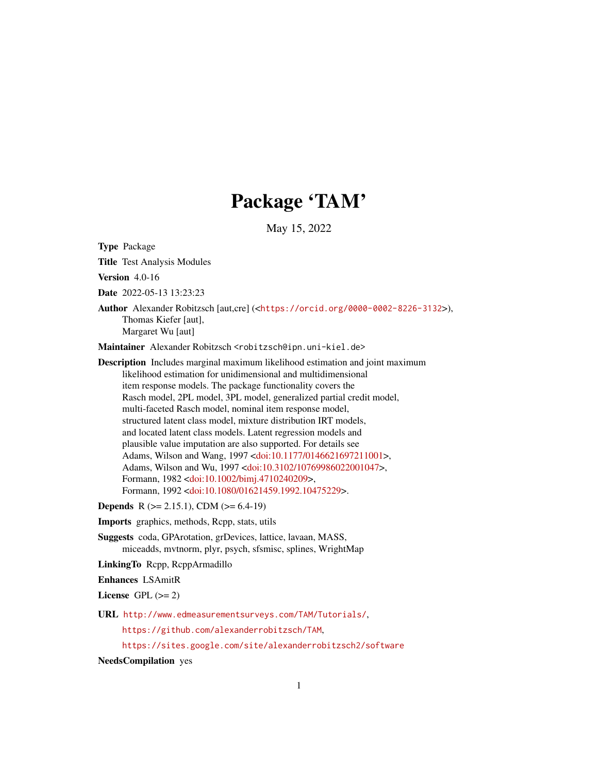# Package 'TAM'

May 15, 2022

<span id="page-0-0"></span>Type Package Title Test Analysis Modules Version 4.0-16 Date 2022-05-13 13:23:23 Author Alexander Robitzsch [aut,cre] (<<https://orcid.org/0000-0002-8226-3132>>), Thomas Kiefer [aut], Margaret Wu [aut] Maintainer Alexander Robitzsch <robitzsch@ipn.uni-kiel.de> Description Includes marginal maximum likelihood estimation and joint maximum likelihood estimation for unidimensional and multidimensional item response models. The package functionality covers the Rasch model, 2PL model, 3PL model, generalized partial credit model, multi-faceted Rasch model, nominal item response model, structured latent class model, mixture distribution IRT models, and located latent class models. Latent regression models and plausible value imputation are also supported. For details see Adams, Wilson and Wang, 1997 [<doi:10.1177/0146621697211001>](https://doi.org/10.1177/0146621697211001), Adams, Wilson and Wu, 1997 [<doi:10.3102/10769986022001047>](https://doi.org/10.3102/10769986022001047), Formann, 1982 [<doi:10.1002/bimj.4710240209>](https://doi.org/10.1002/bimj.4710240209), Formann, 1992 [<doi:10.1080/01621459.1992.10475229>](https://doi.org/10.1080/01621459.1992.10475229).

**Depends** R ( $>= 2.15.1$ ), CDM ( $>= 6.4-19$ )

Imports graphics, methods, Rcpp, stats, utils

Suggests coda, GPArotation, grDevices, lattice, lavaan, MASS, miceadds, mvtnorm, plyr, psych, sfsmisc, splines, WrightMap

LinkingTo Rcpp, RcppArmadillo

Enhances LSAmitR

License GPL  $(>= 2)$ 

URL <http://www.edmeasurementsurveys.com/TAM/Tutorials/>,

<https://github.com/alexanderrobitzsch/TAM>,

<https://sites.google.com/site/alexanderrobitzsch2/software>

NeedsCompilation yes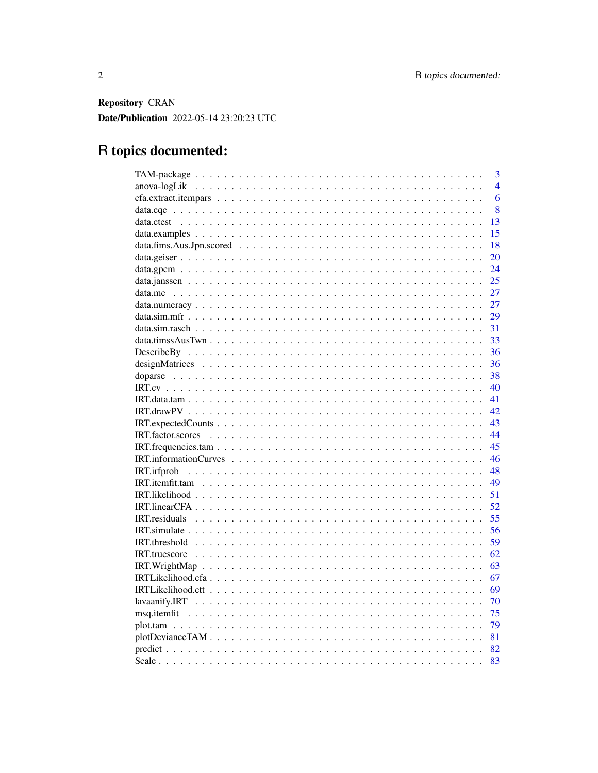Repository CRAN Date/Publication 2022-05-14 23:20:23 UTC

# R topics documented:

| $\overline{3}$ |
|----------------|
| $\overline{4}$ |
| 6              |
| 8              |
| 13             |
| 15             |
| 18             |
| 20             |
| 24             |
| 25             |
| 27             |
| 27             |
| 29             |
| 31             |
| 33             |
| 36             |
| 36             |
| 38             |
| 40             |
|                |
| 42.            |
| 43             |
| 44             |
| 45             |
| 46             |
| 48             |
| 49             |
| 51             |
| 52             |
| 55             |
| 56             |
| 59             |
| 62             |
| 63             |
| 67             |
|                |
| -70            |
| - 75           |
|                |
|                |
|                |
| 83             |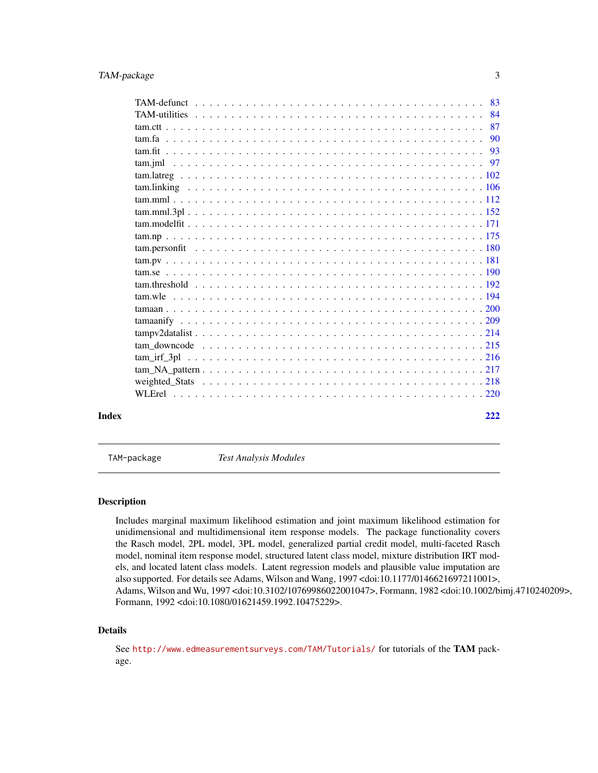<span id="page-2-0"></span>

|       |  |  |  |  |  |  |  |  |  |  |  |  |  | 90  |
|-------|--|--|--|--|--|--|--|--|--|--|--|--|--|-----|
|       |  |  |  |  |  |  |  |  |  |  |  |  |  |     |
|       |  |  |  |  |  |  |  |  |  |  |  |  |  |     |
|       |  |  |  |  |  |  |  |  |  |  |  |  |  |     |
|       |  |  |  |  |  |  |  |  |  |  |  |  |  |     |
|       |  |  |  |  |  |  |  |  |  |  |  |  |  |     |
|       |  |  |  |  |  |  |  |  |  |  |  |  |  |     |
|       |  |  |  |  |  |  |  |  |  |  |  |  |  |     |
|       |  |  |  |  |  |  |  |  |  |  |  |  |  |     |
|       |  |  |  |  |  |  |  |  |  |  |  |  |  |     |
|       |  |  |  |  |  |  |  |  |  |  |  |  |  |     |
|       |  |  |  |  |  |  |  |  |  |  |  |  |  |     |
|       |  |  |  |  |  |  |  |  |  |  |  |  |  |     |
|       |  |  |  |  |  |  |  |  |  |  |  |  |  |     |
|       |  |  |  |  |  |  |  |  |  |  |  |  |  |     |
|       |  |  |  |  |  |  |  |  |  |  |  |  |  |     |
|       |  |  |  |  |  |  |  |  |  |  |  |  |  |     |
|       |  |  |  |  |  |  |  |  |  |  |  |  |  |     |
|       |  |  |  |  |  |  |  |  |  |  |  |  |  |     |
|       |  |  |  |  |  |  |  |  |  |  |  |  |  |     |
|       |  |  |  |  |  |  |  |  |  |  |  |  |  |     |
|       |  |  |  |  |  |  |  |  |  |  |  |  |  |     |
| Index |  |  |  |  |  |  |  |  |  |  |  |  |  | 222 |

TAM-package *Test Analysis Modules*

# Description

Includes marginal maximum likelihood estimation and joint maximum likelihood estimation for unidimensional and multidimensional item response models. The package functionality covers the Rasch model, 2PL model, 3PL model, generalized partial credit model, multi-faceted Rasch model, nominal item response model, structured latent class model, mixture distribution IRT models, and located latent class models. Latent regression models and plausible value imputation are also supported. For details see Adams, Wilson and Wang, 1997 <doi:10.1177/0146621697211001>, Adams, Wilson and Wu, 1997 <doi:10.3102/10769986022001047>, Formann, 1982 <doi:10.1002/bimj.4710240209>, Formann, 1992 <doi:10.1080/01621459.1992.10475229>.

# Details

See <http://www.edmeasurementsurveys.com/TAM/Tutorials/> for tutorials of the TAM package.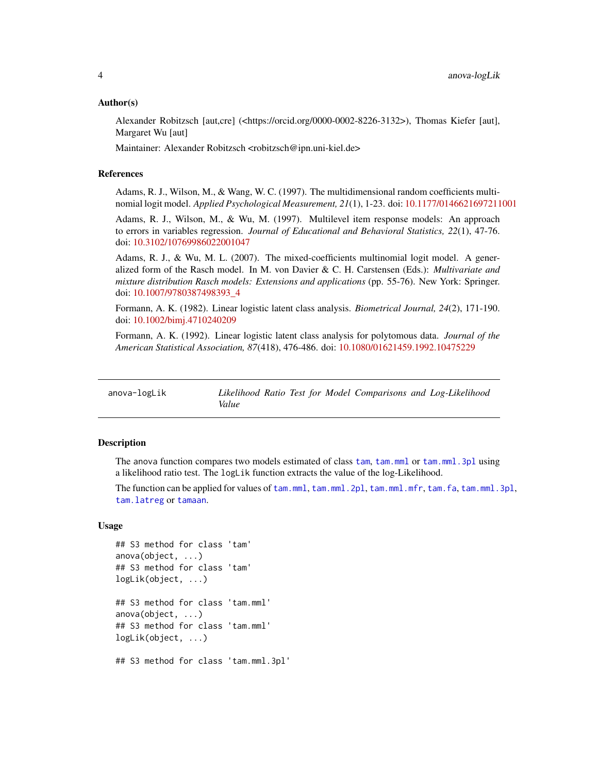#### <span id="page-3-0"></span>Author(s)

Alexander Robitzsch [aut,cre] (<https://orcid.org/0000-0002-8226-3132>), Thomas Kiefer [aut], Margaret Wu [aut]

Maintainer: Alexander Robitzsch <robitzsch@ipn.uni-kiel.de>

# References

Adams, R. J., Wilson, M., & Wang, W. C. (1997). The multidimensional random coefficients multinomial logit model. *Applied Psychological Measurement, 21*(1), 1-23. doi: [10.1177/0146621697211001](https://doi.org/10.1177/0146621697211001)

Adams, R. J., Wilson, M., & Wu, M. (1997). Multilevel item response models: An approach to errors in variables regression. *Journal of Educational and Behavioral Statistics, 22*(1), 47-76. doi: [10.3102/10769986022001047](https://doi.org/10.3102/10769986022001047)

Adams, R. J., & Wu, M. L. (2007). The mixed-coefficients multinomial logit model. A generalized form of the Rasch model. In M. von Davier & C. H. Carstensen (Eds.): *Multivariate and mixture distribution Rasch models: Extensions and applications* (pp. 55-76). New York: Springer. doi: [10.1007/9780387498393\\_4](https://doi.org/10.1007/978-0-387-49839-3_4)

Formann, A. K. (1982). Linear logistic latent class analysis. *Biometrical Journal, 24*(2), 171-190. doi: [10.1002/bimj.4710240209](https://doi.org/10.1002/bimj.4710240209)

Formann, A. K. (1992). Linear logistic latent class analysis for polytomous data. *Journal of the American Statistical Association, 87*(418), 476-486. doi: [10.1080/01621459.1992.10475229](https://doi.org/10.1080/01621459.1992.10475229)

| anova-logLik |       |  | Likelihood Ratio Test for Model Comparisons and Log-Likelihood |
|--------------|-------|--|----------------------------------------------------------------|
|              | Value |  |                                                                |

# Description

The anova function compares two models estimated of class [tam](#page-112-0), [tam.mml](#page-111-1) or [tam.mml.3pl](#page-151-1) using a likelihood ratio test. The logLik function extracts the value of the log-Likelihood.

The function can be applied for values of [tam.mml](#page-111-1), [tam.mml.2pl](#page-112-0), [tam.mml.mfr](#page-112-0), [tam.fa](#page-89-1), [tam.mml.3pl](#page-151-1), [tam.latreg](#page-101-1) or [tamaan](#page-199-1).

# Usage

```
## S3 method for class 'tam'
anova(object, ...)
## S3 method for class 'tam'
logLik(object, ...)
## S3 method for class 'tam.mml'
anova(object, ...)
## S3 method for class 'tam.mml'
logLik(object, ...)
## S3 method for class 'tam.mml.3pl'
```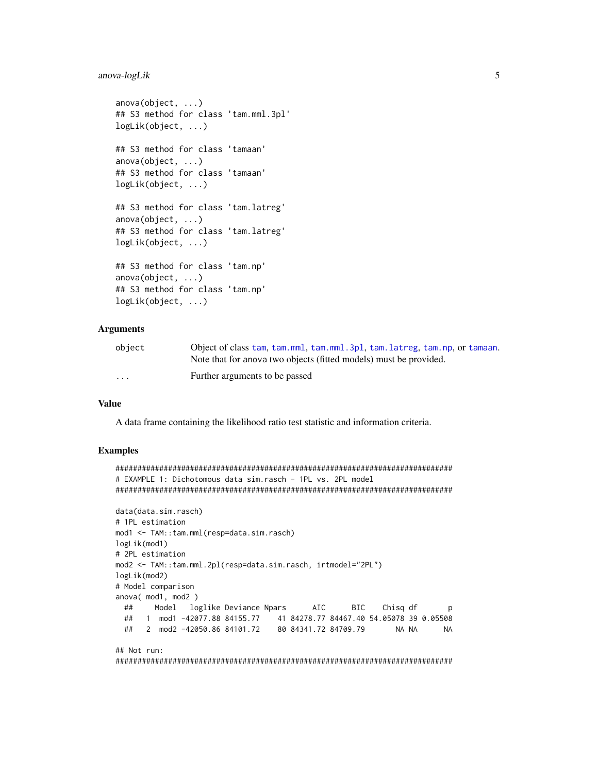## anova-logLik

```
anova(object, ...)## S3 method for class 'tam.mml.3pl'
logLik(object, \ldots)## S3 method for class 'tamaan'
anova(object, ...)## S3 method for class 'tamaan'
logLik(object, ...)## S3 method for class 'tam.latreg'
anova(object, ...)## S3 method for class 'tam.latreg'
logLik(object, ...)## S3 method for class 'tam.np'
anova(object, ...)## S3 method for class 'tam.np'
logLik(object, ...)
```
# **Arguments**

| object   | Object of class tam, tam, mml, tam, mml, 3pl, tam, latreg, tam, np, or tamaan. |
|----------|--------------------------------------------------------------------------------|
|          | Note that for anova two objects (fitted models) must be provided.              |
| $\cdots$ | Further arguments to be passed                                                 |

#### **Value**

A data frame containing the likelihood ratio test statistic and information criteria.

```
# EXAMPLE 1: Dichotomous data sim.rasch - 1PL vs. 2PL model
data(data.sim.rasch)
# 1PL estimation
mod1 <- TAM::tam.mml(resp=data.sim.rasch)
logLik(mod1)
# 2PL estimation
mod2 <- TAM::tam.mml.2pl(resp=data.sim.rasch, irtmodel="2PL")
logLik(mod2)
# Model comparison
anova( mod1, mod2)
 ##Model loglike Deviance Npars
                             AIC
                                   BIC
                                        Chisq df
                                                  p
 ##
    1 mod1 -42077.88 84155.77 41 84278.77 84467.40 54.05078 39 0.05508
 ##2 mod2 -42050.86 84101.72
                        80 84341.72 84709.79
                                          NA NA
                                                 NA
## Not run:
```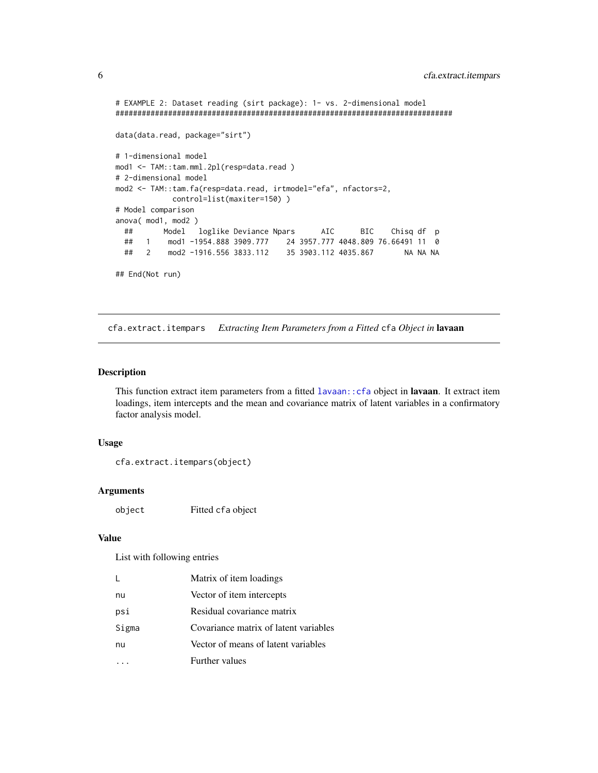```
# EXAMPLE 2: Dataset reading (sirt package): 1- vs. 2-dimensional model
#############################################################################
data(data.read, package="sirt")
# 1-dimensional model
mod1 <- TAM::tam.mml.2pl(resp=data.read )
# 2-dimensional model
mod2 <- TAM::tam.fa(resp=data.read, irtmodel="efa", nfactors=2,
            control=list(maxiter=150) )
# Model comparison
anova( mod1, mod2 )
 ## Model loglike Deviance Npars AIC BIC Chisq df p
 ## 1 mod1 -1954.888 3909.777 24 3957.777 4048.809 76.66491 11 0
 ## 2 mod2 -1916.556 3833.112 35 3903.112 4035.867 NA NA NA
## End(Not run)
```
cfa.extract.itempars *Extracting Item Parameters from a Fitted* cfa *Object in* lavaan

# Description

This function extract item parameters from a fitted [lavaan::cfa](#page-0-0) object in lavaan. It extract item loadings, item intercepts and the mean and covariance matrix of latent variables in a confirmatory factor analysis model.

# Usage

```
cfa.extract.itempars(object)
```
# Arguments

object Fitted cfa object

# Value

List with following entries

| L     | Matrix of item loadings               |
|-------|---------------------------------------|
| nu    | Vector of item intercepts             |
| psi   | Residual covariance matrix            |
| Sigma | Covariance matrix of latent variables |
| nu    | Vector of means of latent variables   |
|       | Further values                        |

<span id="page-5-0"></span>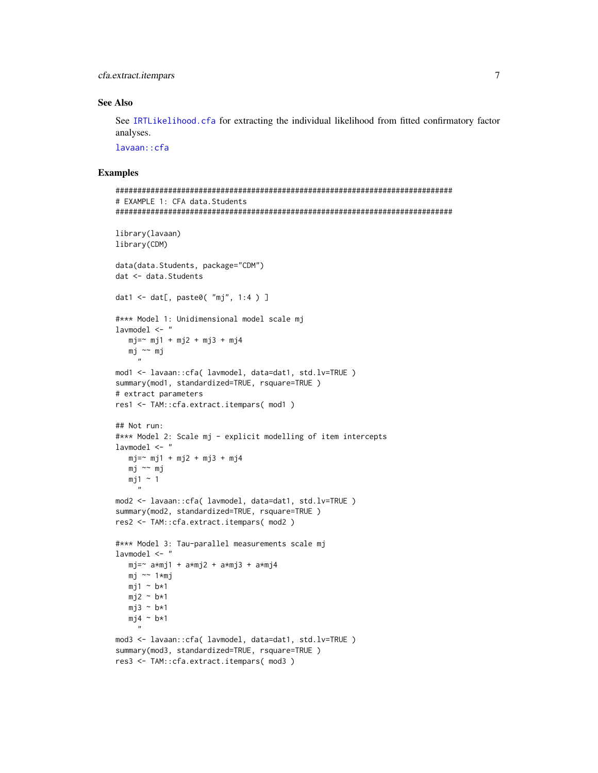cfa.extract.itempars 7

### See Also

See [IRTLikelihood.cfa](#page-66-1) for extracting the individual likelihood from fitted confirmatory factor analyses.

[lavaan::cfa](#page-0-0)

```
#############################################################################
# EXAMPLE 1: CFA data.Students
#############################################################################
library(lavaan)
library(CDM)
data(data.Students, package="CDM")
dat <- data.Students
dat1 <- dat[, paste0( "mj", 1:4 ) ]
#*** Model 1: Unidimensional model scale mj
lavmodel <- "
  mj = ~ mj1 + mj2 + mj3 + mj4mj ~~ mj
     ...
mod1 <- lavaan::cfa( lavmodel, data=dat1, std.lv=TRUE )
summary(mod1, standardized=TRUE, rsquare=TRUE )
# extract parameters
res1 <- TAM::cfa.extract.itempars( mod1 )
## Not run:
#*** Model 2: Scale mj - explicit modelling of item intercepts
lavmodel <- "
  mj = ~ mj1 + mj2 + mj3 + mj4mj ~~ mj
  mj1 \sim 1"
mod2 <- lavaan::cfa( lavmodel, data=dat1, std.lv=TRUE )
summary(mod2, standardized=TRUE, rsquare=TRUE )
res2 <- TAM::cfa.extract.itempars( mod2 )
#*** Model 3: Tau-parallel measurements scale mj
lavmodel <- "
  mj=~ a*mj1 + a*mj2 + a*mj3 + a*mj4
  mj ~~ 1*mj
  mj1 ~ \sim ~ b*1mj2 \sim b*1mj3 \sim b*1mj4 \sim b*1"
mod3 <- lavaan::cfa( lavmodel, data=dat1, std.lv=TRUE )
summary(mod3, standardized=TRUE, rsquare=TRUE )
res3 <- TAM::cfa.extract.itempars( mod3 )
```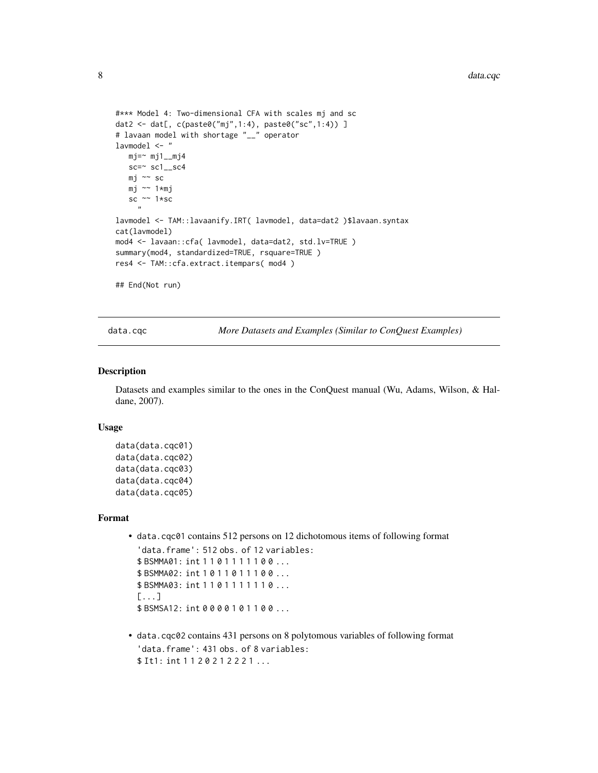```
#*** Model 4: Two-dimensional CFA with scales mj and sc
dat2 <- dat[, c(paste0("mj",1:4), paste0("sc",1:4)) ]
# lavaan model with shortage "__" operator
lavmodel <- "
  mj = ~ mj1_mj4
  sc=\approx sc1_sc4
  mj ~~ sc
  mj ~~ 1*mj
  sc ~~ 1*sc
     "
lavmodel <- TAM::lavaanify.IRT( lavmodel, data=dat2 )$lavaan.syntax
cat(lavmodel)
mod4 <- lavaan::cfa( lavmodel, data=dat2, std.lv=TRUE )
summary(mod4, standardized=TRUE, rsquare=TRUE )
res4 <- TAM::cfa.extract.itempars( mod4 )
## End(Not run)
```
data.cqc *More Datasets and Examples (Similar to ConQuest Examples)*

#### Description

Datasets and examples similar to the ones in the ConQuest manual (Wu, Adams, Wilson, & Haldane, 2007).

#### Usage

```
data(data.cqc01)
data(data.cqc02)
data(data.cqc03)
data(data.cqc04)
data(data.cqc05)
```
#### Format

• data.cqc01 contains 512 persons on 12 dichotomous items of following format 'data.frame': 512 obs. of 12 variables: \$ BSMMA01: int 1 1 0 1 1 1 1 1 0 0 ... \$ BSMMA02: int 1 0 1 1 0 1 1 1 0 0 ... \$ BSMMA03: int 1 1 0 1 1 1 1 1 1 0 ...

[...] \$ BSMSA12: int 0 0 0 0 1 0 1 1 0 0 ...

• data.cqc02 contains 431 persons on 8 polytomous variables of following format 'data.frame': 431 obs. of 8 variables: \$ It1: int 1 1 2 0 2 1 2 2 2 1 ...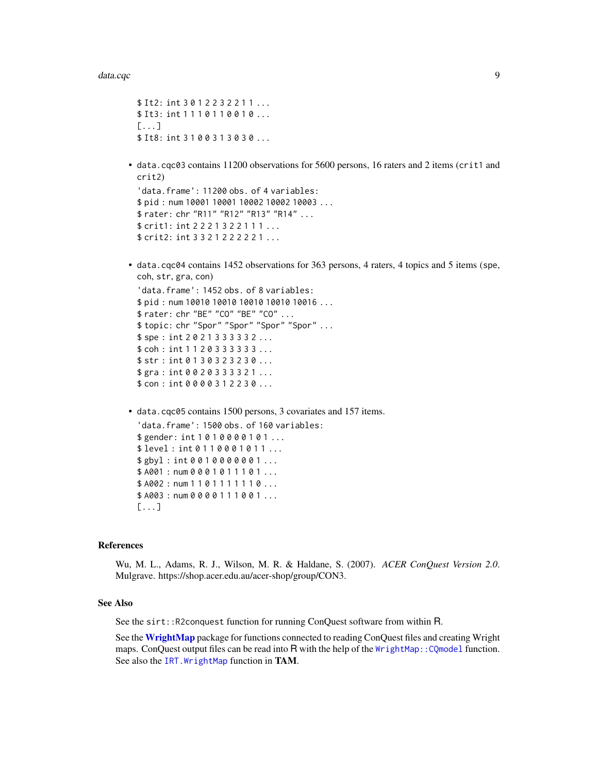```
$ It2: int 3 0 1 2 2 3 2 2 1 1 ...
$ It3: int 1 1 1 0 1 1 0 0 1 0 ...
[1, 1]$ It8: int 3 1 0 0 3 1 3 0 3 0 ...
```
• data.cqc03 contains 11200 observations for 5600 persons, 16 raters and 2 items (crit1 and crit2)

```
'data.frame': 11200 obs. of 4 variables:
$ pid : num 10001 10001 10002 10002 10003 ...
$ rater: chr "R11" "R12" "R13" "R14" ...
$ crit1: int 2 2 2 1 3 2 2 1 1 1 ...
$ crit2: int 3 3 2 1 2 2 2 2 2 1 ...
```
• data.cqc04 contains 1452 observations for 363 persons, 4 raters, 4 topics and 5 items (spe, coh, str, gra, con)

```
'data.frame': 1452 obs. of 8 variables:
$ pid : num 10010 10010 10010 10010 10016 ...
$ rater: chr "BE" "CO" "BE" "CO" ...
$ topic: chr "Spor" "Spor" "Spor" "Spor" ...
$ spe : int 2 0 2 1 3 3 3 3 3 2 ...
$ coh : int 1 1 2 0 3 3 3 3 3 3 ...
$ str : int 0 1 3 0 3 2 3 2 3 0 ...
$ gra : int 0 0 2 0 3 3 3 3 2 1 ...
$ con : int 0 0 0 0 3 1 2 2 3 0 ...
```
• data.cqc05 contains 1500 persons, 3 covariates and 157 items.

'data.frame': 1500 obs. of 160 variables: \$gender: int 1010000101... \$ level : int 0 1 1 0 0 0 1 0 1 1 ... \$ gbyl : int 0 0 1 0 0 0 0 0 0 1 ... \$ A001 : num 0 0 0 1 0 1 1 1 0 1 ... \$ A002 : num 1 1 0 1 1 1 1 1 1 0 ... \$ A003 : num 0 0 0 0 1 1 1 0 0 1 ... [...]

#### References

Wu, M. L., Adams, R. J., Wilson, M. R. & Haldane, S. (2007). *ACER ConQuest Version 2.0*. Mulgrave. https://shop.acer.edu.au/acer-shop/group/CON3.

# See Also

See the sirt::R2conquest function for running ConQuest software from within R.

See the [WrightMap](#page-0-0) package for functions connected to reading ConQuest files and creating Wright maps. ConQuest output files can be read into R with the help of the WrightMap:: CQmodel function. See also the [IRT.WrightMap](#page-58-1) function in TAM.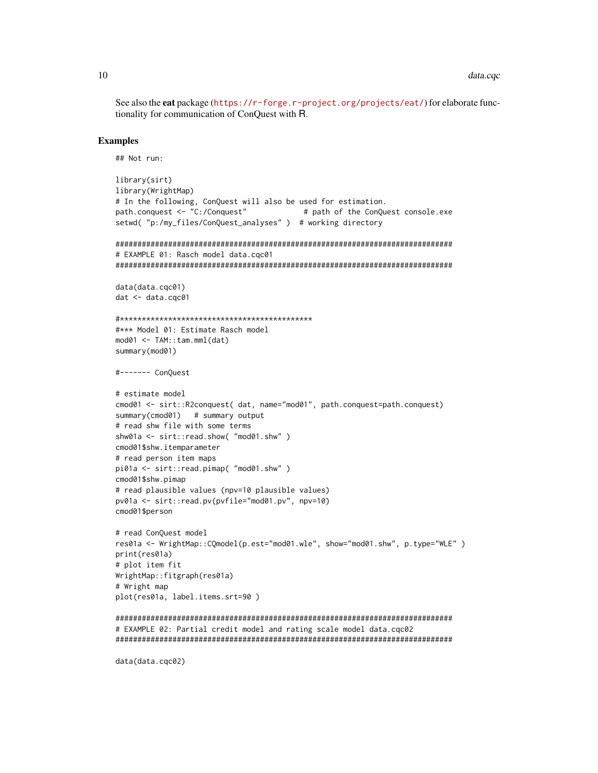See also the eat package (https://r-forge.r-project.org/projects/eat/) for elaborate functionality for communication of ConQuest with R.

#### **Examples**

```
## Not run:
```

```
library(sirt)
library(WrightMap)
# In the following, ConQuest will also be used for estimation.
path.conquest <- "C:/Conquest"
                                  # path of the ConQuest console.exe
setwd( "p:/my_files/ConQuest_analyses" ) # working directory
# EXAMPLE 01: Rasch model data.cqc01
data(data.cqc01)
dat <- data.cqc01
#*** Model 01: Estimate Rasch model
mod01 < -TAM: : tam.mml(data)summary(mod01)
#------- ConQuest
# estimate model
cmod01 <- sirt::R2conquest( dat, name="mod01", path.conquest=path.conquest)
summary(cmod01) # summary output
# read shw file with some terms
shw01a <- sirt::read.show( "mod01.shw")
cmod01$shw.itemparameter
# read person item maps
pi01a <- sirt::read.pimap( "mod01.shw")
cmod01$shw.pimap
# read plausible values (npv=10 plausible values)
pv01a <- sirt::read.pv(pvfile="mod01.pv", npv=10)
cmod01$person
# read ConQuest model
res01a <- WrightMap::CQmodel(p.est="mod01.wle", show="mod01.shw", p.type="WLE")
print(res01a)
# plot item fit
WrightMap::fitgraph(res01a)
# Wright map
plot(res01a, label.items.srt=90)
# EXAMPLE 02: Partial credit model and rating scale model data.cqc02
```
data(data.cqc02)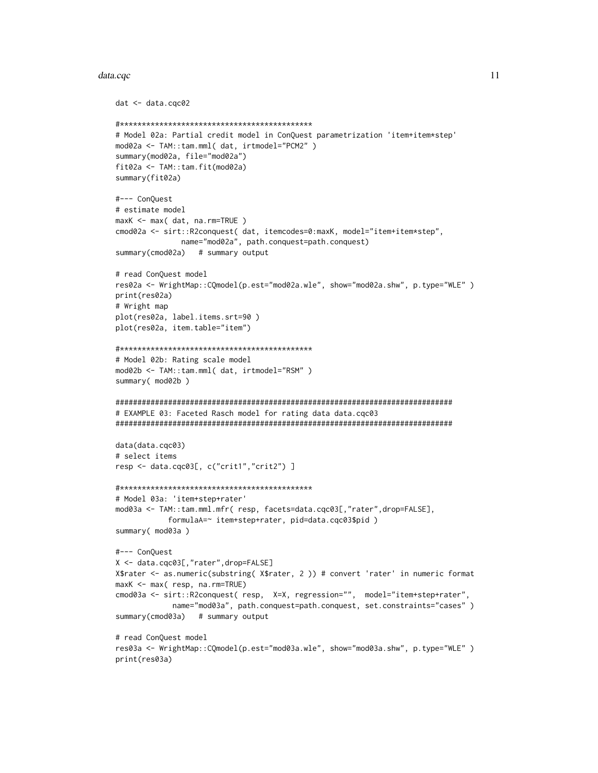# data.cqc

```
dat < - data.cqc02# Model 02a: Partial credit model in ConQuest parametrization 'item+item*step'
mod02a <- TAM::tam.mml( dat, irtmodel="PCM2" )
summary(mod02a, file="mod02a")
fit02a <- TAM::tam.fit(mod02a)
summary(fit02a)
#--- ConQuest
# estimate model
maxK <- max( dat, na.rm=TRUE )
cmod02a <- sirt::R2conquest( dat, itemcodes=0:maxK, model="item+item*step",
            name="mod02a", path.conquest=path.conquest)
summary(cmod02a) # summary output
# read ConQuest model
res02a <- WrightMap::CQmodel(p.est="mod02a.wle", show="mod02a.shw", p.type="WLE")
print(res02a)
# Wright map
plot(res02a, label.items.srt=90)
plot(res02a, item.table="item")
# Model 02b: Rating scale model
mod02b <- TAM::tam.mml( dat, irtmodel="RSM" )
summary( mod02b)
# EXAMPLE 03: Faceted Rasch model for rating data data.cqc03
data(data.cqc03)
# select items
resp <- data.cqc03[, c("crit1","crit2") ]
# Model 03a: 'item+step+rater'
mod03a <- TAM::tam.mml.mfr( resp, facets=data.cqc03[,"rater",drop=FALSE],
          formulaA=~ item+step+rater, pid=data.cqc03$pid)
summary( mod03a )
#--- ConQuest
X <- data.cqc03[,"rater",drop=FALSE]
X$rater <- as.numeric(substring(X$rater, 2)) # convert 'rater' in numeric format
maxK <- max( resp, na.rm=TRUE)
cmod03a <- sirt::R2conquest( resp, X=X, regression="", model="item+step+rater",
           name="mod03a", path.conquest=path.conquest, set.constraints="cases")
summary(cmod03a) # summary output
# read ConQuest model
res03a <- WrightMap::CQmodel(p.est="mod03a.wle", show="mod03a.shw", p.type="WLE")
print(res03a)
```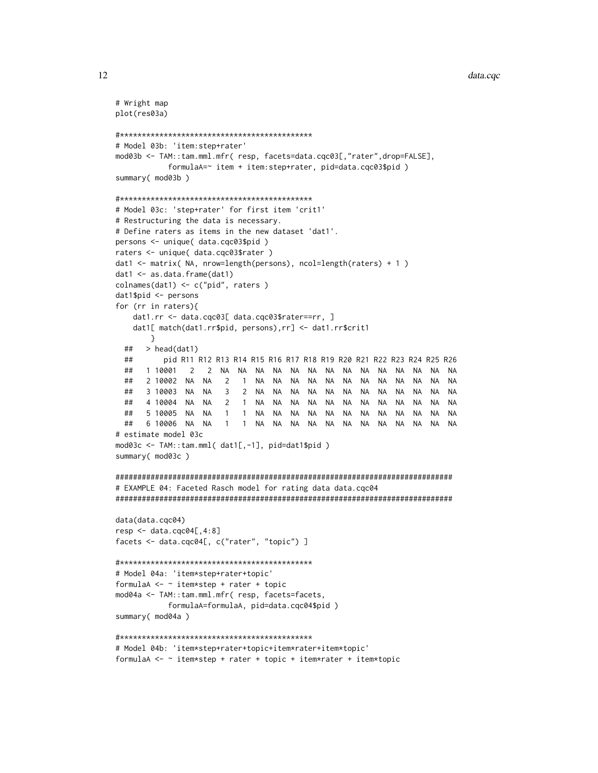```
data.cqc
```

```
# Wright map
plot(res03a)
# Model 03b: 'item:step+rater'
mod03b <- TAM::tam.mml.mfr( resp, facets=data.cqc03[,"rater",drop=FALSE],
        formulaA=~ item + item:step+rater, pid=data.cqc03$pid)
summary( mod03b )
# Model 03c: 'step+rater' for first item 'crit1'
# Restructuring the data is necessary.
# Define raters as items in the new dataset 'dat1'.
persons <- unique( data.cqc03$pid)
raters <- unique( data.cqc03$rater )
dat1 <- matrix( NA, nrow=length(persons), ncol=length(raters) + 1)
dat1 <- as.data.frame(dat1)
colnames(dat1) <- c("pid", \nraters)dat1$pid < - personsfor (rr in raters){
   dat1.rr <- data.cqc03[ data.cqc03$rater==rr, ]
   dat1[ match(dat1.rr$pid, persons),rr] <- dat1.rr$crit1
     \}> head(dat1)
 ##pid R11 R12 R13 R14 R15 R16 R17 R18 R19 R20 R21 R22 R23 R24 R25 R26
 ####1 10001
           2 10002 NA NA 2 1 NA NA NA NA
                                   NA NA
                                         NA NA NA NA NA
 ##NA
                 3 2 NA NA NA NA NA NA NA NA NA NA NA NA
 ##3 10003 NA NA
                                                        NA
 ##4 10004 NA NA
                 2 1 NA NA NA NA NA NA NA NA NA NA NA
                                                        NA
                 1 1 NA NA NA NA NA NA NA NA NA NA NA NA NA
 ##5 10005 NA NA
 ### estimate model 03c
mod03c <- TAM::tam.mml( dat1[,-1], pid=dat1$pid )
summary( mod03c )
# EXAMPLE 04: Faceted Rasch model for rating data data.cgc04
data(data.cqc04)
resp < - data.cqc04[,4:8]
facets <- data.cqc04[, c("rater", "topic") ]
# Model 04a: 'item*step+rater+topic'
formulaA <- \sim item*step + rater + topic
mod04a <- TAM::tam.mml.mfr( resp, facets=facets,
        formulaA=formulaA, pid=data.cqc04$pid)
summary( mod04a )
# Model 04b: 'item*step+rater+topic+item*rater+item*topic'
formulaA <- \sim item*step + rater + topic + item*rater + item*topic
```
12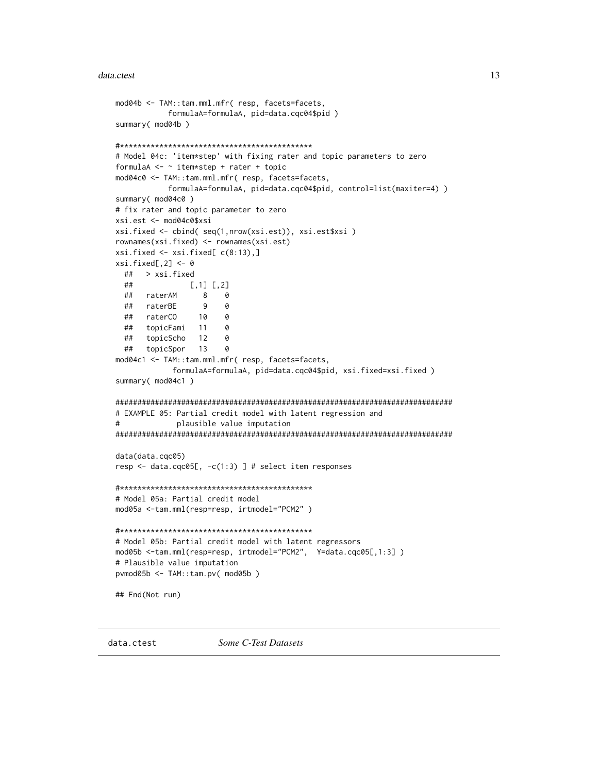# <span id="page-12-0"></span>data.ctest

```
mod04b <- TAM::tam.mml.mfr( resp, facets=facets,
         formulaA=formulaA, pid=data.cqc04$pid)
summary( mod04b)
# Model 04c: 'item*step' with fixing rater and topic parameters to zero
formulaA <- \sim item*step + rater + topic
mod04c0 <- TAM::tam.mml.mfr( resp, facets=facets,
         formulaA=formulaA, pid=data.cqc04$pid, control=list(maxiter=4))
summary( mod04c0)
# fix rater and topic parameter to zero
xsi.est <- mod04c0$xsi
xsi.fixed <- cbind( seq(1,nrow(xsi.est)), xsi.est$xsi )
rownames(xsi.fixed) <- rownames(xsi.est)
xsi.fixed \leftarrow xsi.fixed[c(8:13),]xsi.fixed[,2] < -0## > xsi.fixed
 ##[1, 1] [2]##raterAM
               8<sup>8</sup>\alpha## raterBE
                9
                    \theta## raterCO
               10
                    0
 ##topicFami 11
                    \alpha## topicScho 12
                    \theta## topicSpor
              130
mod04c1 <- TAM::tam.mml.mfr( resp, facets=facets,
          formulaA=formulaA, pid=data.cqc04$pid, xsi.fixed=xsi.fixed)
summary( mod04c1)
# EXAMPLE 05: Partial credit model with latent regression and
\pmplausible value imputation
data(data.cqc05)
resp <- data.cqc05[, -c(1:3) ] # select item responses
# Model 05a: Partial credit model
mod05a <-tam.mml(resp=resp, irtmodel="PCM2")
# Model 05b: Partial credit model with latent regressors
mod05b <-tam.mml(resp=resp, irtmodel="PCM2", Y=data.cqc05[,1:3])
# Plausible value imputation
pvmod05b <- TAM::tam.pv( mod05b)
## End(Not run)
```
data.ctest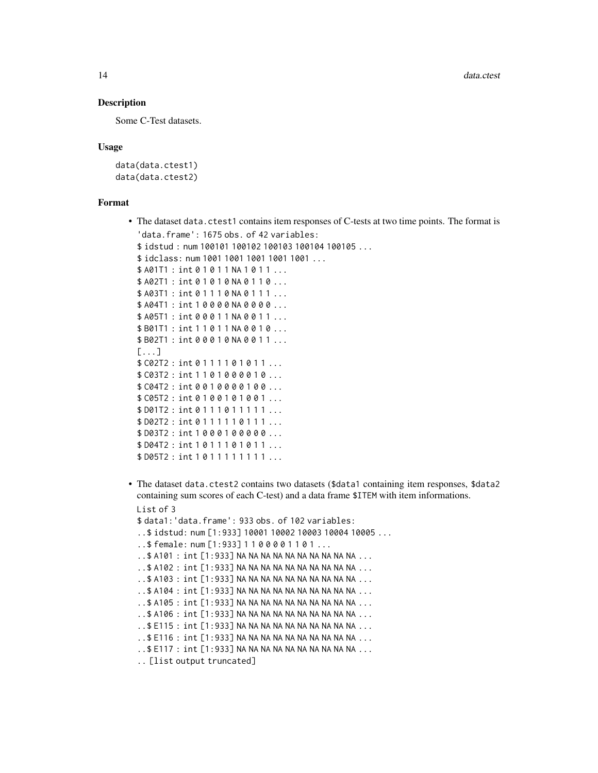# Description

Some C-Test datasets.

# Usage

data(data.ctest1) data(data.ctest2)

#### Format

- The dataset data.ctest1 contains item responses of C-tests at two time points. The format is 'data.frame': 1675 obs. of 42 variables: \$ idstud : num 100101 100102 100103 100104 100105 ... \$ idclass: num 1001 1001 1001 1001 1001 ... \$ A01T1 : int 0 1 0 1 1 NA 1 0 1 1 ... \$ A02T1: int 0 1 0 1 0 NA 0 1 1 0 ... \$ A03T1 : int 0 1 1 1 0 NA 0 1 1 1 ... \$ A04T1 : int 1 0 0 0 0 NA 0 0 0 0 ... \$ A05T1 : int 0 0 0 1 1 NA 0 0 1 1 ... \$ B01T1 : int 1 1 0 1 1 NA 0 0 1 0 ... \$ B02T1 : int 0 0 0 1 0 NA 0 0 1 1 ... [...] \$ C02T2: int 0 1 1 1 1 0 1 0 1 1 ... \$ C03T2 : int 1 1 0 1 0 0 0 0 1 0 ... \$ C04T2 : int 0 0 1 0 0 0 0 1 0 0 ... \$ C05T2 : int 0 1 0 0 1 0 1 0 0 1 ... \$ D01T2: int 0 1 1 1 0 1 1 1 1 1 ... \$ D02T2 : int 0 1 1 1 1 1 0 1 1 1 ... \$ D03T2 : int 1 0 0 0 1 0 0 0 0 0 ... \$ D04T2 : int 1 0 1 1 1 0 1 0 1 1 ... \$ D05T2 : int 1 0 1 1 1 1 1 1 1 1 ...
- The dataset data.ctest2 contains two datasets (\$data1 containing item responses, \$data2 containing sum scores of each C-test) and a data frame \$ITEM with item informations. List of 3

```
$ data1:'data.frame': 933 obs. of 102 variables:
..$ idstud: num [1:933] 10001 10002 10003 10004 10005 ...
..$ female: num [1:933] 1 1 0 0 0 0 1 1 0 1 ...
..$ A101 : int [1:933] NA NA NA NA NA NA NA NA NA NA ...
..$ A102 : int [1:933] NA NA NA NA NA NA NA NA NA NA ...
..$ A103 : int [1:933] NA NA NA NA NA NA NA NA NA NA ...
..$ A104 : int [1:933] NA NA NA NA NA NA NA NA NA NA ...
. .$ A105 : int [1:933] NA NA NA NA NA NA NA NA NA NA ...
..$ A106 : int [1:933] NA NA NA NA NA NA NA NA NA NA ...
. $ E115 : int [1:933] NA NA NA NA NA NA NA NA NA NA ...
..$ E116 : int [1:933] NA NA NA NA NA NA NA NA NA NA ...
..$ E117 : int [1:933] NA NA NA NA NA NA NA NA NA NA ...
.. [list output truncated]
```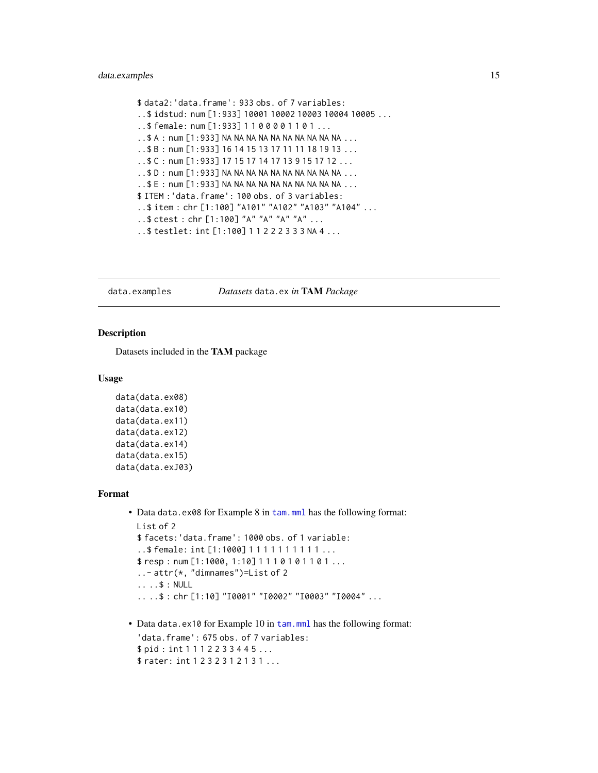# <span id="page-14-0"></span>data.examples 15

```
$ data2:'data.frame': 933 obs. of 7 variables:
..$ idstud: num [1:933] 10001 10002 10003 10004 10005 ...
..$ female: num [1:933] 1 1 0 0 0 0 1 1 0 1 ...
..$ A : num [1:933] NA NA NA NA NA NA NA NA NA NA ...
..$ B : num [1:933] 16 14 15 13 17 11 11 18 19 13 ...
..$ C : num [1:933] 17 15 17 14 17 13 9 15 17 12 ...
..$ D : num [1:933] NA NA NA NA NA NA NA NA NA NA ...
.5 E : num [1:933] NA NA NA NA NA NA NA NA NA NA NA ...
$ ITEM :'data.frame': 100 obs. of 3 variables:
..$ item : chr [1:100] "A101" "A102" "A103" "A104" ...
..$ ctest : chr [1:100] "A" "A" "A" "A" ...
..$ testlet: int [1:100] 1 1 2 2 2 3 3 3 NA 4 ...
```
data.examples *Datasets* data.ex *in* TAM *Package*

# Description

Datasets included in the TAM package

# Usage

```
data(data.ex08)
data(data.ex10)
data(data.ex11)
data(data.ex12)
data(data.ex14)
data(data.ex15)
data(data.exJ03)
```
# Format

```
tam.mml has the following format:
 List of 2
 $ facets:'data.frame': 1000 obs. of 1 variable:
 ..$ female: int [1:1000] 1 1 1 1 1 1 1 1 1 1 ...
 $ resp : num [1:1000, 1:10] 1110101101.....- attr(*, "dimnames")=List of 2
 .. ..$ : NULL
  .. ..$ : chr [1:10] "I0001" "I0002" "I0003" "I0004" ...
```
• Data data.ex10 for Example 10 in [tam.mml](#page-111-1) has the following format: 'data.frame': 675 obs. of 7 variables: \$ pid : int 1 1 1 2 2 3 3 4 4 5 ... \$ rater: int 1 2 3 2 3 1 2 1 3 1 ...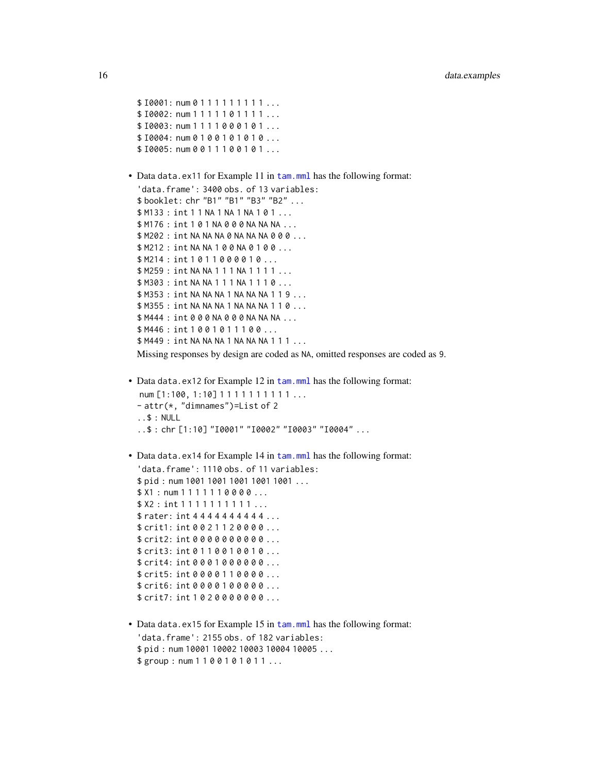```
$10001: num 0 1 1 1 1 1 1 1 1 1 ...
  $10002: num 1 1 1 1 1 0 1 1 1 1 ...
  $10003: num 1 1 1 1 0 0 0 1 0 1...
  $10004: num 0 1 0 0 1 0 1 0 1 0 ...
  $10005: num 0 0 1 1 1 0 0 1 0 1 ...
tam.mml has the following format:
  'data.frame': 3400 obs. of 13 variables:
  $ booklet: chr "B1" "B1" "B3" "B2" ...
  $ M133 : int 1 1 NA 1 NA 1 NA 1 0 1 ...
  $ M176 : int 1 0 1 NA 0 0 0 NA NA NA ...
  $ M202 : int NA NA NA 0 NA NA NA 0 0 0 ...
  $ M212 : int NA NA 1 0 0 NA 0 1 0 0 ...
  $ M214 : int 1 0 1 1 0 0 0 0 1 0 ...
  $ M259 : int NA NA 1 1 1 NA 1 1 1 1 ...
  $ M303 : int NA NA 1 1 1 NA 1 1 1 0 ...
  $ M353 : int NA NA NA 1 NA NA NA 1 1 9 ...
  $ M355 : int NA NA NA 1 NA NA NA 1 1 0 ...
  $ M444 : int 0 0 0 NA 0 0 0 NA NA NA ...
  $ M446 : int 1 0 0 1 0 1 1 1 0 0 ...
  $ M449 : int NA NA NA 1 NA NA NA 1 1 1 ...
 Missing responses by design are coded as NA, omitted responses are coded as 9.
tam.mml has the following format:
  num [1:100, 1:10] 1 1 1 1 1 1 1 1 1 1 ...
  - attr(*, "dimnames")=List of 2
  ..$ : NULL
  ..$ : chr [1:10] "I0001" "I0002" "I0003" "I0004" ...
tam.mml has the following format:
  'data.frame': 1110 obs. of 11 variables:
  $ pid : num 1001 1001 1001 1001 1001 ...
  $ X1 : num 1 1 1 1 1 1 0 0 0 0 ...
  $ X2 : int 1 1 1 1 1 1 1 1 1 1 ...
  $ rater: int 4 4 4 4 4 4 4 4 4 4 ...
  $ crit1: int 0 0 2 1 1 2 0 0 0 0 ...
  $ crit2: int 0 0 0 0 0 0 0 0 0 0 ...
  $ crit3: int 0 1 1 0 0 1 0 0 1 0 ...
  $ crit4: int 0 0 0 1 0 0 0 0 0 0 ...
  $ crit5: int 0 0 0 0 1 1 0 0 0 0 ...
  $ crit6: int 0 0 0 0 1 0 0 0 0 0 ...
  $ crit7: int 1 0 2 0 0 0 0 0 0 0 ...
```
• Data data.ex15 for Example 15 in [tam.mml](#page-111-1) has the following format: 'data.frame': 2155 obs. of 182 variables: \$ pid : num 10001 10002 10003 10004 10005 ... \$group: num 1 1 0 0 1 0 1 0 1 1 ...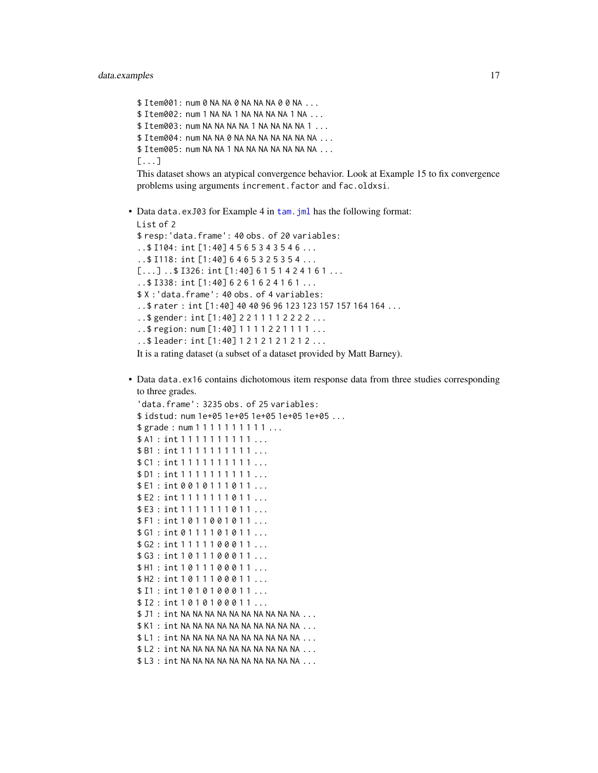\$ Item001: num 0 NA NA 0 NA NA NA 0 0 NA ... \$ Item002: num 1 NA NA 1 NA NA NA NA 1 NA ... \$ Item003: num NA NA NA NA 1 NA NA NA NA 1... \$ Item004: num NA NA 0 NA NA NA NA NA NA NA ... \$ Item005: num NA NA 1 NA NA NA NA NA NA NA ... [...]

This dataset shows an atypical convergence behavior. Look at Example 15 to fix convergence problems using arguments increment.factor and fac.oldxsi.

• Data data.exJ03 for Example 4 in [tam.jml](#page-96-1) has the following format:

```
List of 2
$ resp:'data.frame': 40 obs. of 20 variables:
..$ I104: int [1:40] 4 5 6 5 3 4 3 5 4 6 ...
..$ I118: int [1:40] 6 4 6 5 3 2 5 3 5 4 ...
[...].$ I326: int [1:40] 6 1 5 1 4 2 4 1 6 1 ...
..$ I338: int [1:40] 6 2 6 1 6 2 4 1 6 1 ...
$ X :'data.frame': 40 obs. of 4 variables:
..$ rater : int [1:40] 40 40 96 96 123 123 157 157 164 164 ...
..$ gender: int [1:40] 2 2 1 1 1 1 2 2 2 2 ...
..$ region: num [1:40] 1 1 1 1 2 2 1 1 1 1 ...
..$ leader: int [1:40] 1 2 1 2 1 2 1 2 1 2 ...
It is a rating dataset (a subset of a dataset provided by Matt Barney).
```
• Data data.ex16 contains dichotomous item response data from three studies corresponding to three grades.

```
'data.frame': 3235 obs. of 25 variables:
$ idstud: num 1e+05 1e+05 1e+05 1e+05 1e+05 ...
$ grade: num 1 1 1 1 1 1 1 1 1 1 ...
$ A1 : int 1 1 1 1 1 1 1 1 1 1 ...
$ B1 : int 1 1 1 1 1 1 1 1 1 1 ...
$ C1 : int 1 1 1 1 1 1 1 1 1 1 ...
$ D1 : int 1 1 1 1 1 1 1 1 1 1 ...
$ E1 : int 0 0 1 0 1 1 1 0 1 1 ...
$E2: int 1 1 1 1 1 1 1 0 1 1 ...
$E3: int 1 1 1 1 1 1 1 0 1 1 ...
$ F1 : int 1 0 1 1 0 0 1 0 1 1 ...
$ G1 : int 0 1 1 1 1 0 1 0 1 1 ...
$ G2 : int 1 1 1 1 1 0 0 0 1 1 ...
$ G3 : int 1 0 1 1 1 0 0 0 1 1 ...
$ H1 : int 1011100011...
$ H2 : int 1 0 1 1 1 0 0 0 1 1 ...
$ I1 : int 1 0 1 0 1 0 0 0 1 1 ...
$ I2 : int 1 0 1 0 1 0 0 0 1 1 ...
$ J1 : int NA NA NA NA NA NA NA NA NA NA ...
$ K1: int NA NA NA NA NA NA NA NA NA NA ...
$ L1: int NA NA NA NA NA NA NA NA NA NA ...
$ L2: int NA NA NA NA NA NA NA NA NA NA NA A....
$ L3 : int NA NA NA NA NA NA NA NA NA NA ...
```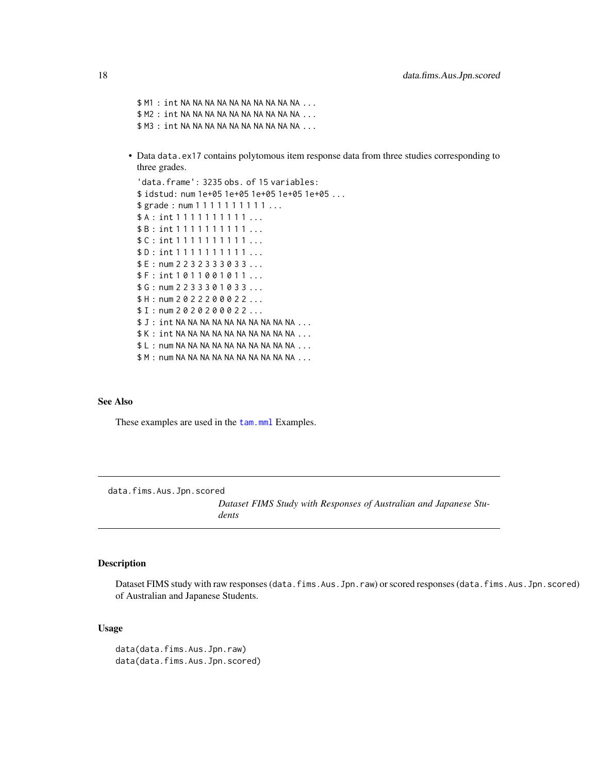<span id="page-17-0"></span>\$ M1 : int NA NA NA NA NA NA NA NA NA NA ... \$ M2 : int NA NA NA NA NA NA NA NA NA NA ... \$ M3 : int NA NA NA NA NA NA NA NA NA NA ...

• Data data.ex17 contains polytomous item response data from three studies corresponding to three grades.

```
'data.frame': 3235 obs. of 15 variables:
$ idstud: num 1e+05 1e+05 1e+05 1e+05 1e+05 ...
$ grade: num 1 1 1 1 1 1 1 1 1 1 ...
$A : int 1 1 1 1 1 1 1 1 1 1 ...
$ B : int 1 1 1 1 1 1 1 1 1 1 ...
$ C : int 1 1 1 1 1 1 1 1 1 1 ...
$ D : int 1 1 1 1 1 1 1 1 1 1 ...
$ E : num 2 2 3 2 3 3 3 0 3 3 ...
$ F : int 1 0 1 1 0 0 1 0 1 1 ...
$ G : num 2 2 3 3 3 0 1 0 3 3 ...
$ H : num 2 0 2 2 2 0 0 0 2 2 ...
$ I : num 2 0 2 0 2 0 0 0 2 2 ...
$J: int NA NA NA NA NA NA NA NA NA NA ...
$ K : int NA NA NA NA NA NA NA NA NA NA ...
$ L : num NA NA NA NA NA NA NA NA NA NA ...
$ M : num NA NA NA NA NA NA NA NA NA NA ...
```
# See Also

These examples are used in the [tam.mml](#page-111-1) Examples.

data.fims.Aus.Jpn.scored

*Dataset FIMS Study with Responses of Australian and Japanese Students*

# Description

Dataset FIMS study with raw responses (data.fims.Aus.Jpn.raw) or scored responses (data.fims.Aus.Jpn.scored) of Australian and Japanese Students.

# Usage

```
data(data.fims.Aus.Jpn.raw)
data(data.fims.Aus.Jpn.scored)
```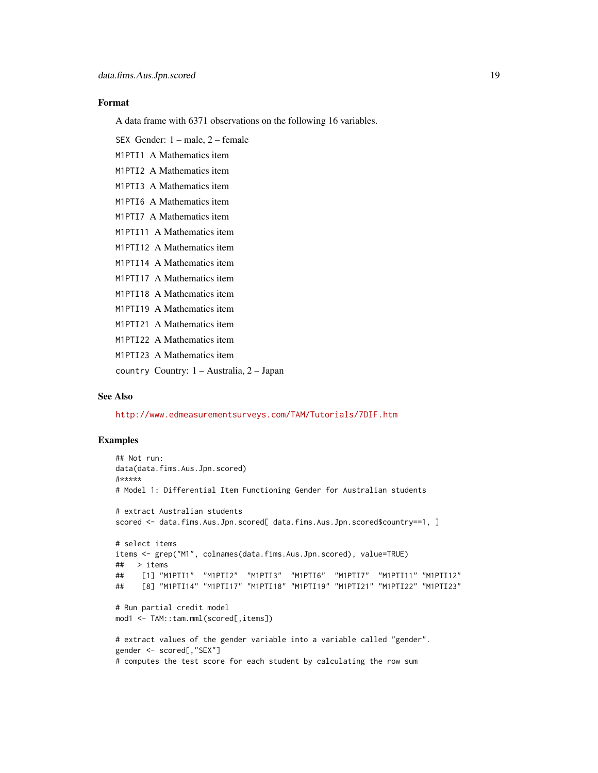#### Format

A data frame with 6371 observations on the following 16 variables.

SEX Gender: 1 – male, 2 – female

M1PTI1 A Mathematics item

M1PTI2 A Mathematics item

M1PTI3 A Mathematics item

M1PTI6 A Mathematics item

M1PTI7 A Mathematics item

M1PTI11 A Mathematics item

M1PTI12 A Mathematics item

M1PTI14 A Mathematics item

M1PTI17 A Mathematics item

M1PTI18 A Mathematics item

M1PTI19 A Mathematics item

M1PTI21 A Mathematics item

M1PTI22 A Mathematics item

M1PTI23 A Mathematics item

country Country: 1 – Australia, 2 – Japan

# See Also

<http://www.edmeasurementsurveys.com/TAM/Tutorials/7DIF.htm>

```
## Not run:
data(data.fims.Aus.Jpn.scored)
#*****
# Model 1: Differential Item Functioning Gender for Australian students
# extract Australian students
scored <- data.fims.Aus.Jpn.scored[ data.fims.Aus.Jpn.scored$country==1, ]
# select items
items <- grep("M1", colnames(data.fims.Aus.Jpn.scored), value=TRUE)
## > items
## [1] "M1PTI1" "M1PTI2" "M1PTI3" "M1PTI6" "M1PTI7" "M1PTI11" "M1PTI12"
## [8] "M1PTI14" "M1PTI17" "M1PTI18" "M1PTI19" "M1PTI21" "M1PTI22" "M1PTI23"
# Run partial credit model
mod1 <- TAM::tam.mml(scored[,items])
# extract values of the gender variable into a variable called "gender".
gender <- scored[,"SEX"]
# computes the test score for each student by calculating the row sum
```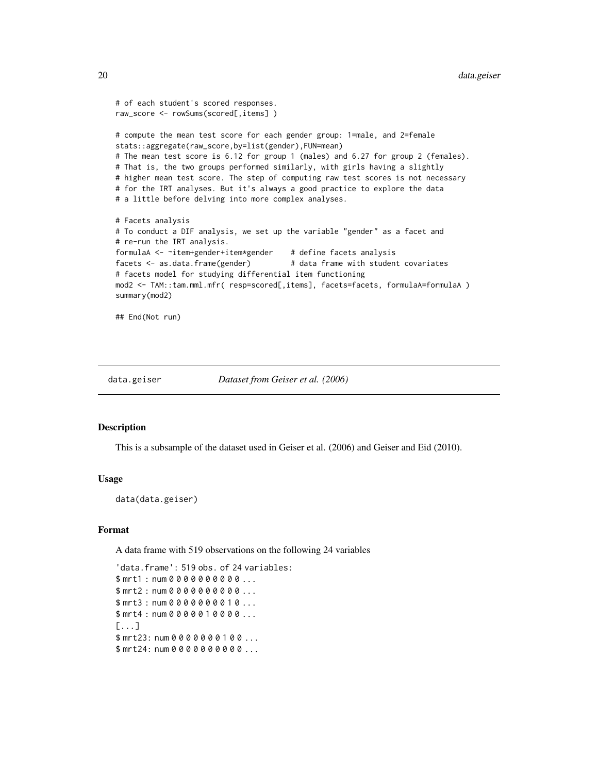```
# of each student's scored responses.
raw_score <- rowSums(scored[,items] )
# compute the mean test score for each gender group: 1=male, and 2=female
stats::aggregate(raw_score,by=list(gender),FUN=mean)
# The mean test score is 6.12 for group 1 (males) and 6.27 for group 2 (females).
# That is, the two groups performed similarly, with girls having a slightly
# higher mean test score. The step of computing raw test scores is not necessary
# for the IRT analyses. But it's always a good practice to explore the data
# a little before delving into more complex analyses.
# Facets analysis
# To conduct a DIF analysis, we set up the variable "gender" as a facet and
# re-run the IRT analysis.
formulaA <- ~item+gender+item*gender # define facets analysis
facets <- as.data.frame(gender) # data frame with student covariates
# facets model for studying differential item functioning
mod2 <- TAM::tam.mml.mfr( resp=scored[,items], facets=facets, formulaA=formulaA )
summary(mod2)
```
## End(Not run)

data.geiser *Dataset from Geiser et al. (2006)*

#### **Description**

This is a subsample of the dataset used in Geiser et al. (2006) and Geiser and Eid (2010).

# Usage

data(data.geiser)

#### Format

A data frame with 519 observations on the following 24 variables

'data.frame': 519 obs. of 24 variables: \$ mrt1 : num 0 0 0 0 0 0 0 0 0 0 ... \$ mrt2 : num 0 0 0 0 0 0 0 0 0 0 ... \$ mrt3 : num 0 0 0 0 0 0 0 0 1 0 ... \$ mrt4: num 0 0 0 0 0 1 0 0 0 0 ...  $[1, 1]$ \$ mrt23: num 0 0 0 0 0 0 0 1 0 0 ... \$ mrt24: num 0 0 0 0 0 0 0 0 0 0 ...

<span id="page-19-0"></span>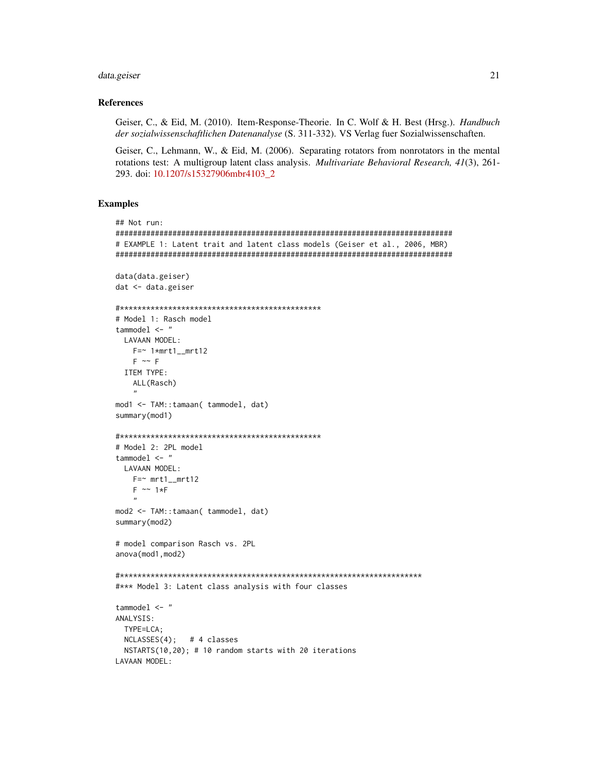# data.geiser

### **References**

Geiser, C., & Eid, M. (2010). Item-Response-Theorie. In C. Wolf & H. Best (Hrsg.). Handbuch der sozialwissenschaftlichen Datenanalyse (S. 311-332). VS Verlag fuer Sozialwissenschaften.

Geiser, C., Lehmann, W., & Eid, M. (2006). Separating rotators from nonrotators in the mental rotations test: A multigroup latent class analysis. Multivariate Behavioral Research, 41(3), 261-293. doi: 10.1207/s15327906mbr4103\_2

```
## Not run:
# EXAMPLE 1: Latent trait and latent class models (Geiser et al., 2006, MBR)
data(data.geiser)
dat <- data.geiser
# Model 1: Rasch model
tammodel \leq-"
 LAVAAN MODEL:
  F = ~ 1* mrt1_mrt12
  F \sim FITEM TYPE:
  ALL(Rasch)
mod1 <- TAM::tamaan( tammodel, dat)
summary(mod1)
# Model 2: 2PL model
tammodel \leq "
 LAVAAN MODEL:
  F = \sim mrt1_mrt12
  F \sim 1*Fmod2 <- TAM::tamaan( tammodel, dat)
summary(mod2)
# model comparison Rasch vs. 2PL
anova(mod1, mod2)
#*** Model 3: Latent class analysis with four classes
tammodel \leq "
ANALYSIS:
 TYPE=LCA;
 NCLASSES(4); # 4 classes
 NSTARTS(10,20); # 10 random starts with 20 iterations
LAVAAN MODEL:
```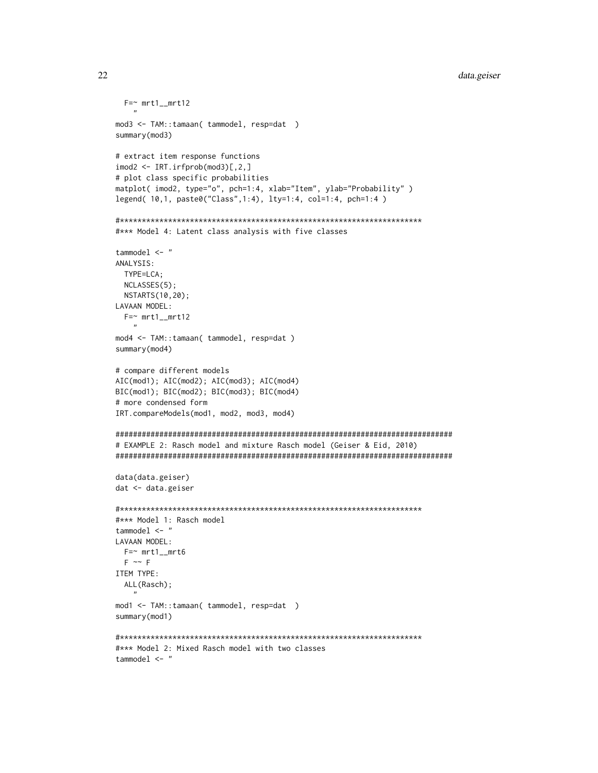# data.geiser

```
F = \sim mrt1_mrt12
mod3 <- TAM::tamaan( tammodel, resp=dat )
summary(mod3)
# extract item response functions
\text{imod2} \leq \text{IRT}.\text{irfprob}(\text{mod3})[0,2,1]# plot class specific probabilities
matplot( imod2, type="o", pch=1:4, xlab="Item", ylab="Probability")
legend( 10,1, paste0("Class",1:4), lty=1:4, col=1:4, pch=1:4)
#*** Model 4: Latent class analysis with five classes
tammodel \leq "
ANALYSIS:
 TYPE=LCA;
 NCLASSES(5);
 NSTARTS(10,20);
LAVAAN MODEL:
 F = \sim mrt1_mrt12
mod4 <- TAM::tamaan( tammodel, resp=dat )
summary(mod4)
# compare different models
AIC(mod1); AIC(mod2); AIC(mod3); AIC(mod4)
BIC(mod1); BIC(mod2); BIC(mod3); BIC(mod4)
# more condensed form
IRT.compareModels(mod1, mod2, mod3, mod4)
# EXAMPLE 2: Rasch model and mixture Rasch model (Geiser & Eid, 2010)
data(data.geiser)
dat < - data.getiser#*** Model 1: Rasch model
tammodel \leq "
LAVAAN MODEL:
 F = ~ mrt1_mrt6
 F \sim FITEM TYPE:
 ALL(Rasch);
mod1 <- TAM::tamaan( tammodel, resp=dat )
summary(mod1)
#*** Model 2: Mixed Rasch model with two classes
tammodel \leq "
```
22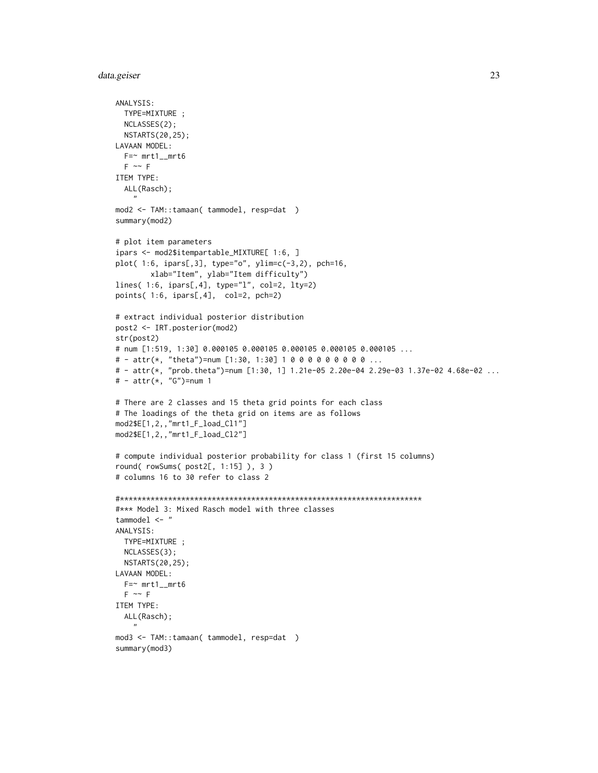# data.geiser 23

```
ANALYSIS:
  TYPE=MIXTURE ;
  NCLASSES(2);
  NSTARTS(20,25);
LAVAAN MODEL:
  F=- mrt1__mrt6
  F \sim FITEM TYPE:
  ALL(Rasch);
    "mod2 <- TAM::tamaan( tammodel, resp=dat )
summary(mod2)
# plot item parameters
ipars <- mod2$itempartable_MIXTURE[ 1:6, ]
plot( 1:6, ipars[,3], type="o", ylim=c(-3,2), pch=16,
        xlab="Item", ylab="Item difficulty")
lines( 1:6, ipars[,4], type="l", col=2, lty=2)
points( 1:6, ipars[,4], col=2, pch=2)
# extract individual posterior distribution
post2 <- IRT.posterior(mod2)
str(post2)
# num [1:519, 1:30] 0.000105 0.000105 0.000105 0.000105 0.000105 ...
# - attr(*, "theta")=num [1:30, 1:30] 1 0 0 0 0 0 0 0 0 0 ...
# - attr(*, "prob.theta")=num [1:30, 1] 1.21e-05 2.20e-04 2.29e-03 1.37e-02 4.68e-02 ...
# - attr(*, "G")=num 1
# There are 2 classes and 15 theta grid points for each class
# The loadings of the theta grid on items are as follows
mod2$E[1,2,,"mrt1_F_load_Cl1"]
mod2$E[1,2,,"mrt1_F_load_Cl2"]
# compute individual posterior probability for class 1 (first 15 columns)
round( rowSums( post2[, 1:15] ), 3 )
# columns 16 to 30 refer to class 2
#*********************************************************************
#*** Model 3: Mixed Rasch model with three classes
tammodel <- "
ANALYSIS:
  TYPE=MIXTURE ;
  NCLASSES(3);
  NSTARTS(20,25);
LAVAAN MODEL:
  F=- mrt1__mrt6
  F \sim FITEM TYPE:
  ALL(Rasch);
    "
mod3 <- TAM::tamaan( tammodel, resp=dat )
summary(mod3)
```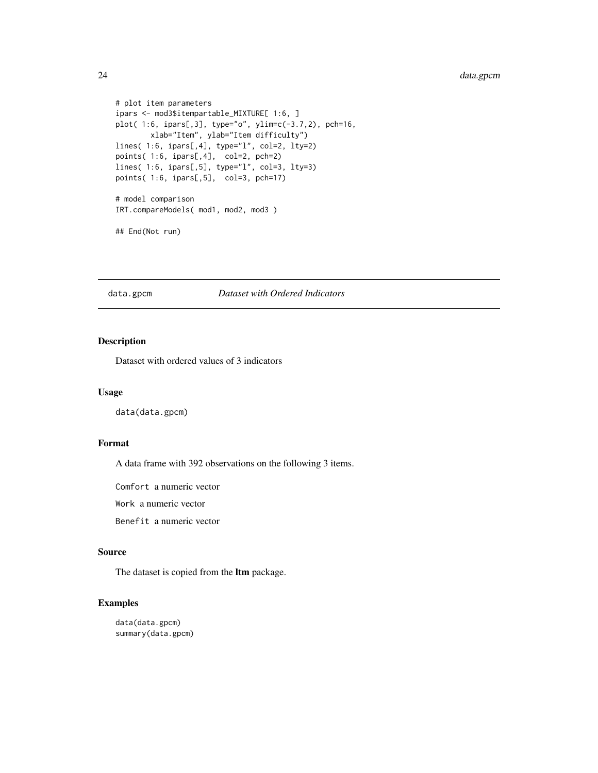```
# plot item parameters
ipars <- mod3$itempartable_MIXTURE[ 1:6, ]
plot( 1:6, ipars[,3], type="o", ylim=c(-3.7,2), pch=16,
       xlab="Item", ylab="Item difficulty")
lines( 1:6, ipars[,4], type="l", col=2, lty=2)
points( 1:6, ipars[,4], col=2, pch=2)
lines( 1:6, ipars[,5], type="l", col=3, lty=3)
points( 1:6, ipars[,5], col=3, pch=17)
# model comparison
IRT.compareModels( mod1, mod2, mod3 )
## End(Not run)
```
# data.gpcm *Dataset with Ordered Indicators*

# Description

Dataset with ordered values of 3 indicators

# Usage

data(data.gpcm)

# Format

A data frame with 392 observations on the following 3 items.

Comfort a numeric vector

Work a numeric vector

Benefit a numeric vector

# Source

The dataset is copied from the ltm package.

# Examples

data(data.gpcm) summary(data.gpcm)

<span id="page-23-0"></span>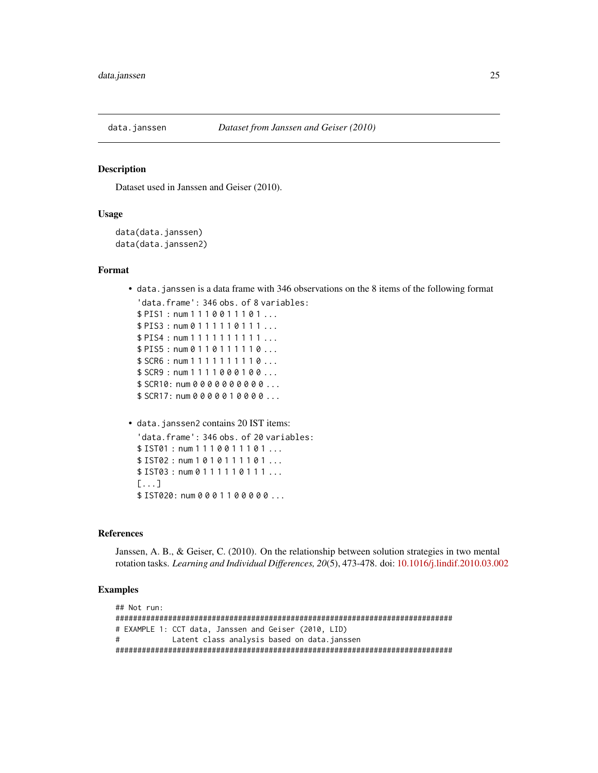<span id="page-24-0"></span>

# Description

Dataset used in Janssen and Geiser (2010).

# Usage

```
data(data.janssen)
data(data.janssen2)
```
#### Format

• data.janssen is a data frame with 346 observations on the 8 items of the following format 'data.frame': 346 obs. of 8 variables:

\$ PIS1 : num 1 1 1 0 0 1 1 1 0 1 ... \$ PIS3 : num 0 1 1 1 1 1 0 1 1 1 ... \$ PIS4 : num 1 1 1 1 1 1 1 1 1 1 ... \$ PIS5: num 0 1 1 0 1 1 1 1 1 1 0 ... \$ SCR6 : num 1 1 1 1 1 1 1 1 1 0 ... \$ SCR9 : num 1 1 1 1 0 0 0 1 0 0 ... \$ SCR10: num 0 0 0 0 0 0 0 0 0 0 ... \$ SCR17: num 0 0 0 0 0 1 0 0 0 0 ...

• data.janssen2 contains 20 IST items: 'data.frame': 346 obs. of 20 variables: \$ IST01 : num 1 1 1 0 0 1 1 1 0 1 ... \$ IST02 : num 1 0 1 0 1 1 1 1 0 1 ... \$ IST03 : num 0 1 1 1 1 1 0 1 1 1 ... [...] \$ IST020: num 0 0 0 1 1 0 0 0 0 0 ...

#### References

Janssen, A. B., & Geiser, C. (2010). On the relationship between solution strategies in two mental rotation tasks. *Learning and Individual Differences, 20*(5), 473-478. doi: [10.1016/j.lindif.2010.03.002](https://doi.org/10.1016/j.lindif.2010.03.002)

```
## Not run:
#############################################################################
# EXAMPLE 1: CCT data, Janssen and Geiser (2010, LID)
# Latent class analysis based on data.janssen
#############################################################################
```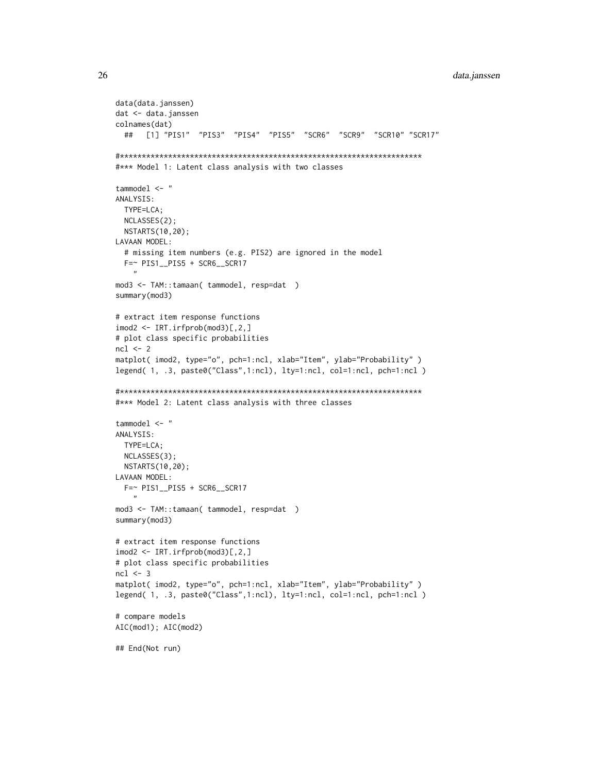# data.janssen

```
data(data.janssen)
dat <- data.janssen
colnames(dat)
 ## [1] "PIS1" "PIS3" "PIS4" "PIS5" "SCR6" "SCR9" "SCR10" "SCR17"
#*** Model 1: Latent class analysis with two classes
tammodel \leq "
ANALYSIS:
 TYPE=LCA;
 NCLASSES(2);
 NSTARTS(10,20);
LAVAAN MODEL:
 # missing item numbers (e.g. PIS2) are ignored in the model
 F=~ PIS1_PIS5 + SCR6_SCR17
mod3 <- TAM::tamaan( tammodel, resp=dat )
summary(mod3)
# extract item response functions
\text{imod2} \leq \text{IRT}.\text{irfprob}(\text{mod3})[0,2,1]# plot class specific probabilities
ncl \leftarrow 2matplot( imod2, type="o", pch=1:ncl, xlab="Item", ylab="Probability")
legend( 1, .3, paste0("Class",1:ncl), lty=1:ncl, col=1:ncl, pch=1:ncl )
#*** Model 2: Latent class analysis with three classes
tammodel \leq "
ANALYSIS:
 TYPE=LCA;
 NCLASSES(3);NSTARTS(10,20);
LAVAAN MODEL:
 F = \sim PIS1_PIS5 + SCR6_SCR17
mod3 <- TAM::tamaan( tammodel, resp=dat )
summary(mod3)
# extract item response functions
\text{imod2} \leq \text{IRT}.\text{irfprob}(\text{mod3})[,2,1]# plot class specific probabilities
ncl \leftarrow 3matplot( imod2, type="o", pch=1:ncl, xlab="Item", ylab="Probability")
legend( 1, .3, paste0("Class",1:ncl), lty=1:ncl, col=1:ncl, pch=1:ncl )
# compare models
AIC(mod1); AIC(mod2)
## End(Not run)
```
26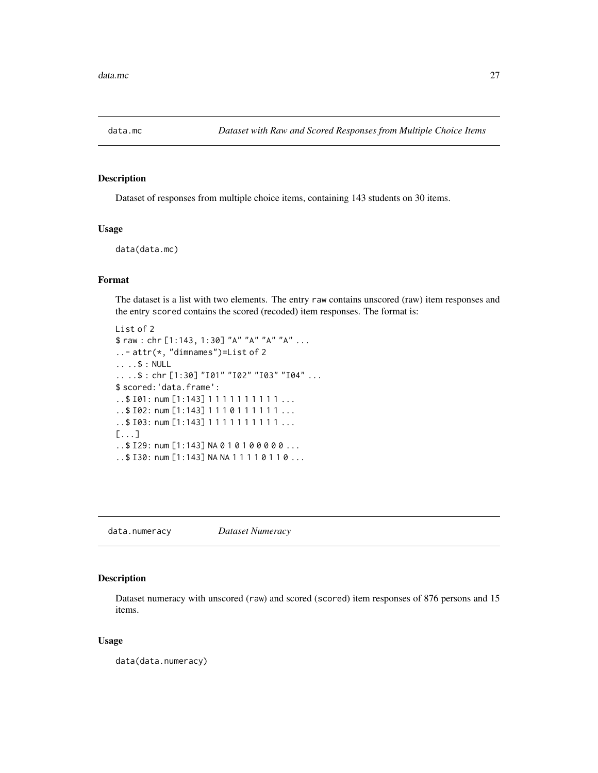<span id="page-26-0"></span>

# Description

Dataset of responses from multiple choice items, containing 143 students on 30 items.

### Usage

data(data.mc)

# Format

The dataset is a list with two elements. The entry raw contains unscored (raw) item responses and the entry scored contains the scored (recoded) item responses. The format is:

```
List of 2
$ raw : chr [1:143, 1:30] "A" "A" "A" "A" ...
..- attr(*, "dimnames")=List of 2
.. ..$ : NULL
.. ..$ : chr [1:30] "I01" "I02" "I03" "I04" ...
$ scored:'data.frame':
..$ 101: num [1:143] 1 1 1 1 1 1 1 1 1 1 ...
..$ I02: num [1:143] 1 1 1 0 1 1 1 1 1 1 ...
..$ I03: num [1:143] 1 1 1 1 1 1 1 1 1 1 ...
[...]
..$ I29: num [1:143] NA 0 1 0 1 0 0 0 0 0 ...
..$ I30: num [1:143] NA NA 1 1 1 1 0 1 1 0 ...
```
data.numeracy *Dataset Numeracy*

# Description

Dataset numeracy with unscored (raw) and scored (scored) item responses of 876 persons and 15 items.

#### Usage

data(data.numeracy)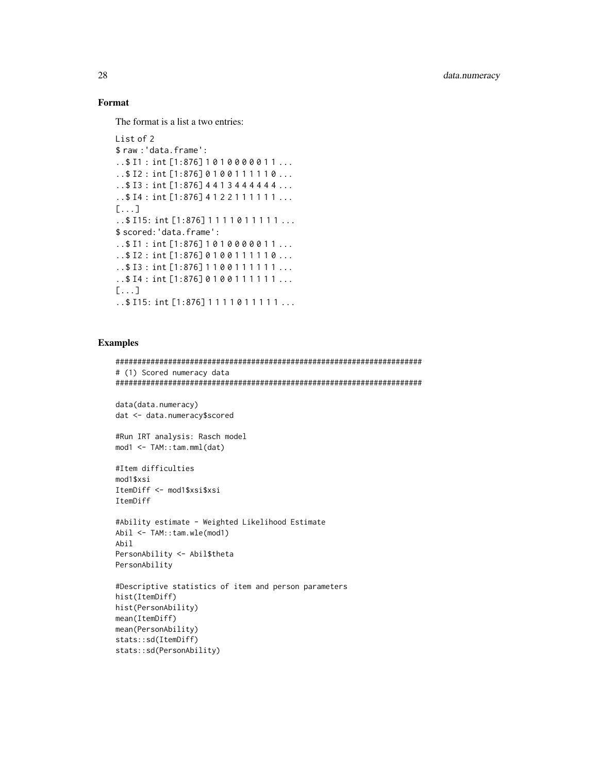# Format

The format is a list a two entries:

```
List of 2
$ raw : 'data.frame':
.. $11 : int [1:876] 1010000011...
.. $12 : int [1:876] 0100111110...
..$ I3: int [1:876] 4413444444 ...
.. $14 : int [1:876] 4122111111...
[\ldots].. $ I15: int [1:876] 1111011111...
$ scored: 'data.frame':
.. $11 : int [1:876] 1010000011...
..$12 : int [1:876] 0100111110...
.. $ I3 : int [1:876] 1100111111...
.. $14 : int [1:876] 0100111111...
[\ldots].. $ I15: int [1:876] 1 1 1 1 0 1 1 1 1 1 ...
```
# **Examples**

```
# (1) Scored numeracy data
data(data.numeracy)
dat <- data.numeracy$scored
#Run IRT analysis: Rasch model
mod1 < -TAM::tan.mml(data)#Item difficulties
mod1$xsi
ItemDiff <- mod1$xsi$xsi
ItemDiff
#Ability estimate - Weighted Likelihood Estimate
Abil \leftarrow \text{TAM}: \text{tam.wle}(\text{mod}1)Abil
PersonAbility <- Abil$theta
PersonAbility
#Descriptive statistics of item and person parameters
hist(ItemDiff)
hist(PersonAbility)
mean(ItemDiff)
mean(PersonAbility)
stats::sd(ItemDiff)
stats::sd(PersonAbility)
```
28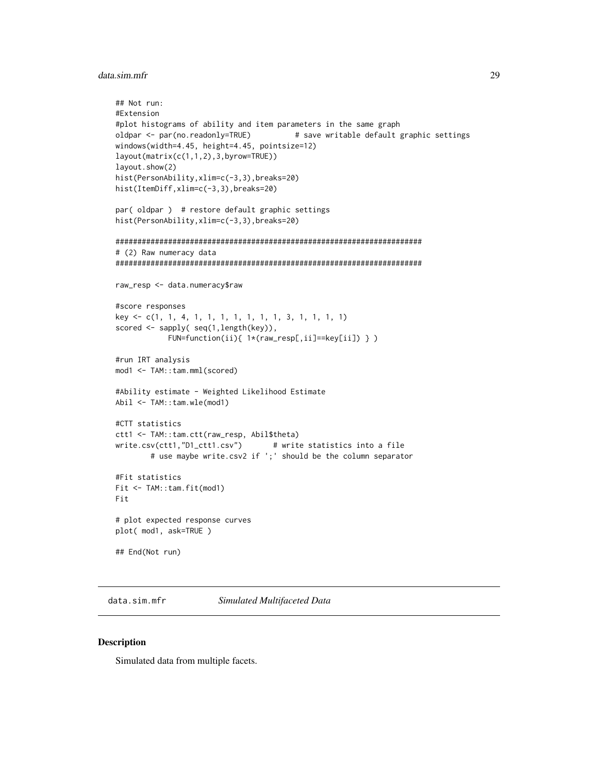# <span id="page-28-0"></span>data.sim.mfr

```
## Not run:
#Extension
#plot histograms of ability and item parameters in the same graph
oldpar <- par(no.readonly=TRUE)
                                  # save writable default graphic settings
windows(width=4.45, height=4.45, pointsize=12)
layout(matrix(c(1,1,2),3,byrow=TRUE))
layout.show(2)
hist(PersonAbility, xlim=c(-3,3), breaks=20)
hist(ItemDiff,xlim=c(-3,3),breaks=20)
par(oldpar) # restore default graphic settings
hist(PersonAbility, xlim=c(-3,3), breaks=20)
# (2) Raw numeracy data
raw_resp <- data.numeracy$raw
#score responses
key <- c(1, 1, 4, 1, 1, 1, 1, 1, 1, 1, 3, 1, 1, 1, 1)
scored <- sapply( seq(1,length(key)),
          FUN=function(ii){ 1*(raw_resp[,ii]==key[ii]) } )
#run IRT analysis
mod1 <- TAM::tam.mml(scored)
#Ability estimate - Weighted Likelihood Estimate
Abil <- TAM::tam.wle(mod1)
#CTT statistics
ctt1 <- TAM::tam.ctt(raw_resp, Abil$theta)
write.csv(ctt1,"D1_ctt1.csv")
                             # write statistics into a file
       # use maybe write.csv2 if ';' should be the column separator
#Fit statistics
Fit <- TAM::tam.fit(mod1)
Fit
# plot expected response curves
plot( mod1, ask=TRUE )
## End(Not run)
```
Simulated Multifaceted Data data.sim.mfr

# **Description**

Simulated data from multiple facets.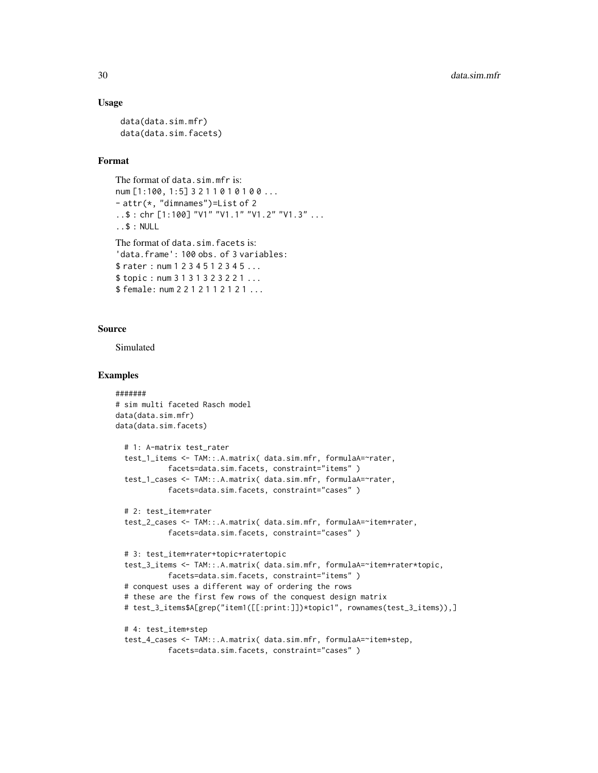# Usage

```
data(data.sim.mfr)
data(data.sim.facets)
```
# Format

```
The format of data.sim.mfr is:
num [1:100, 1:5] 3 2 1 1 0 1 0 1 0 0 ...
- attr(*, "dimnames")=List of 2
..$ : chr [1:100] "V1" "V1.1" "V1.2" "V1.3" ...
..$ : NULL
The format of data.sim.facets is:
'data.frame': 100 obs. of 3 variables:
$ rater : num 1 2 3 4 5 1 2 3 4 5 ...
$ topic : num 3 1 3 1 3 2 3 2 2 1 ...
$female: num 2 2 1 2 1 1 2 1 2 1 ...
```
#### Source

Simulated

```
#######
# sim multi faceted Rasch model
data(data.sim.mfr)
data(data.sim.facets)
 # 1: A-matrix test_rater
 test_1_items <- TAM::.A.matrix( data.sim.mfr, formulaA=~rater,
           facets=data.sim.facets, constraint="items" )
 test_1_cases <- TAM::.A.matrix( data.sim.mfr, formulaA=~rater,
           facets=data.sim.facets, constraint="cases" )
 # 2: test_item+rater
 test_2_cases <- TAM::.A.matrix( data.sim.mfr, formulaA=~item+rater,
           facets=data.sim.facets, constraint="cases" )
 # 3: test_item+rater+topic+ratertopic
 test_3_items <- TAM::.A.matrix( data.sim.mfr, formulaA=~item+rater*topic,
           facets=data.sim.facets, constraint="items" )
 # conquest uses a different way of ordering the rows
 # these are the first few rows of the conquest design matrix
 # test_3_items$A[grep("item1([[:print:]])*topic1", rownames(test_3_items)),]
 # 4: test_item+step
 test_4_cases <- TAM::.A.matrix( data.sim.mfr, formulaA=~item+step,
           facets=data.sim.facets, constraint="cases" )
```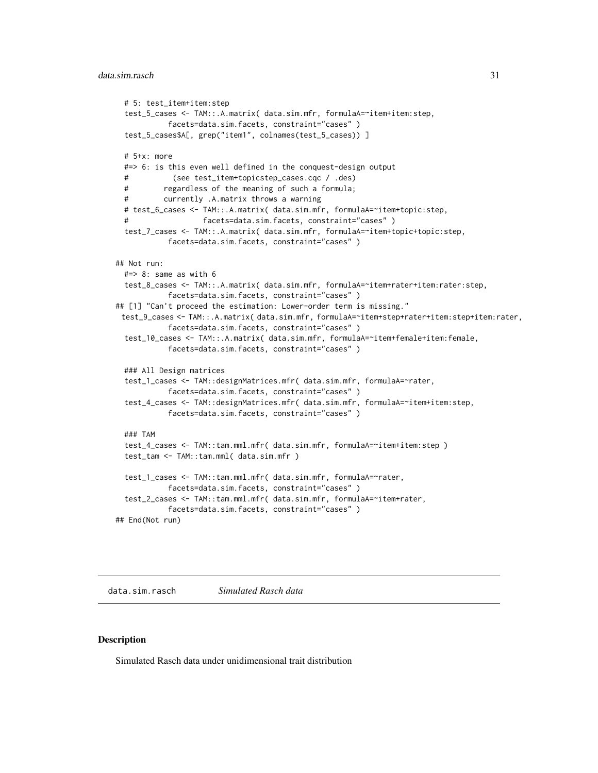```
# 5: test_item+item:step
 test_5_cases <- TAM::.A.matrix( data.sim.mfr, formulaA=~item+item:step,
           facets=data.sim.facets, constraint="cases" )
 test_5_cases$A[, grep("item1", colnames(test_5_cases)) ]
 # 5+x: more
 #=> 6: is this even well defined in the conquest-design output
            (see test_item+topicstep_cases.cqc / .des)
          regardless of the meaning of such a formula;
 # currently .A.matrix throws a warning
 # test_6_cases <- TAM::.A.matrix( data.sim.mfr, formulaA=~item+topic:step,
                    facets=data.sim.facets, constraint="cases")
 test_7_cases <- TAM::.A.matrix( data.sim.mfr, formulaA=~item+topic+topic:step,
           facets=data.sim.facets, constraint="cases" )
## Not run:
 #=> 8: same as with 6
 test_8_cases <- TAM::.A.matrix( data.sim.mfr, formulaA=~item+rater+item:rater:step,
           facets=data.sim.facets, constraint="cases" )
## [1] "Can't proceed the estimation: Lower-order term is missing."
 test_9_cases <- TAM::.A.matrix( data.sim.mfr, formulaA=~item+step+rater+item:step+item:rater,
           facets=data.sim.facets, constraint="cases" )
 test_10_cases <- TAM::.A.matrix( data.sim.mfr, formulaA=~item+female+item:female,
           facets=data.sim.facets, constraint="cases" )
 ### All Design matrices
 test_1_cases <- TAM::designMatrices.mfr( data.sim.mfr, formulaA=~rater,
           facets=data.sim.facets, constraint="cases" )
 test_4_cases <- TAM::designMatrices.mfr( data.sim.mfr, formulaA=~item+item:step,
           facets=data.sim.facets, constraint="cases" )
 ### TAM
 test_4_cases <- TAM::tam.mml.mfr( data.sim.mfr, formulaA=~item+item:step )
 test_tam <- TAM::tam.mml( data.sim.mfr )
 test_1_cases <- TAM::tam.mml.mfr( data.sim.mfr, formulaA=~rater,
           facets=data.sim.facets, constraint="cases" )
 test_2_cases <- TAM::tam.mml.mfr( data.sim.mfr, formulaA=~item+rater,
           facets=data.sim.facets, constraint="cases" )
## End(Not run)
```
data.sim.rasch *Simulated Rasch data*

# Description

Simulated Rasch data under unidimensional trait distribution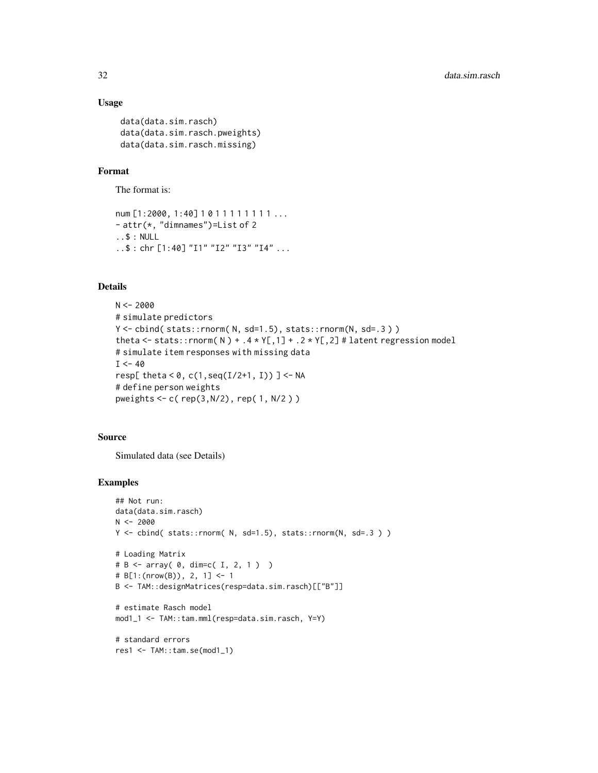# Usage

```
data(data.sim.rasch)
data(data.sim.rasch.pweights)
data(data.sim.rasch.missing)
```
# Format

The format is:

```
num [1:2000, 1:40] 1011111111...
- attr(*, "dimnames")=List of 2
..$ : NULL
..$ : chr [1:40] "I1" "I2" "I3" "I4" ...
```
# Details

```
N < -2000# simulate predictors
Y <- cbind(stats::rnorm(N, sd=1.5), stats::rnorm(N, sd=.3))
theta <- stats::rnorm(N) + .4 * Y[,1] + .2 * Y[,2] # latent regression model
# simulate item responses with missing data
I < -40resp[ theta < 0, c(1, seq(I/2+1, I)) ] <- NA
# define person weights
pweights <- c( rep(3,N/2), rep( 1, N/2 ) )
```
#### Source

Simulated data (see Details)

```
## Not run:
data(data.sim.rasch)
N < -2000Y <- cbind( stats::rnorm( N, sd=1.5), stats::rnorm(N, sd=.3 ) )
# Loading Matrix
# B <- array( 0, dim=c( I, 2, 1 ) )
# B[1:(nrow(B)), 2, 1] <- 1
B <- TAM::designMatrices(resp=data.sim.rasch)[["B"]]
# estimate Rasch model
mod1_1 <- TAM::tam.mml(resp=data.sim.rasch, Y=Y)
# standard errors
res1 <- TAM::tam.se(mod1_1)
```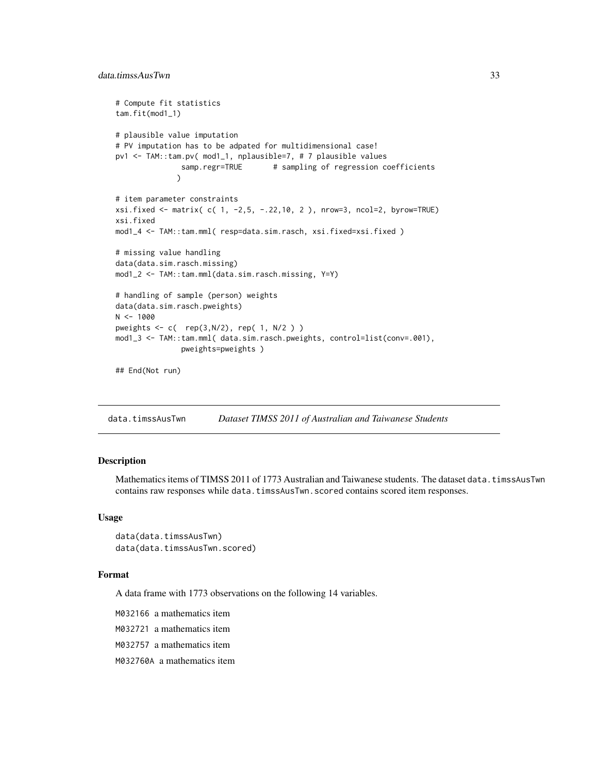```
# Compute fit statistics
tam.fit(mod1_1)
# plausible value imputation
# PV imputation has to be adpated for multidimensional case!
pv1 <- TAM::tam.pv( mod1_1, nplausible=7, # 7 plausible values
              samp.regr=TRUE # sampling of regression coefficients
             \lambda# item parameter constraints
xsi.fixed <- matrix( c( 1, -2,5, -.22,10, 2 ), nrow=3, ncol=2, byrow=TRUE)
xsi.fixed
mod1_4 <- TAM::tam.mml( resp=data.sim.rasch, xsi.fixed=xsi.fixed )
# missing value handling
data(data.sim.rasch.missing)
mod1_2 <- TAM::tam.mml(data.sim.rasch.missing, Y=Y)
# handling of sample (person) weights
data(data.sim.rasch.pweights)
N < - 1000pweights \leq c ( rep(3,N/2), rep( 1, N/2 ) )
mod1_3 <- TAM::tam.mml( data.sim.rasch.pweights, control=list(conv=.001),
               pweights=pweights )
```

```
## End(Not run)
```
data.timssAusTwn *Dataset TIMSS 2011 of Australian and Taiwanese Students*

# Description

Mathematics items of TIMSS 2011 of 1773 Australian and Taiwanese students. The dataset data.timssAusTwn contains raw responses while data.timssAusTwn.scored contains scored item responses.

#### Usage

```
data(data.timssAusTwn)
data(data.timssAusTwn.scored)
```
## Format

A data frame with 1773 observations on the following 14 variables.

M032166 a mathematics item

M032721 a mathematics item

M032757 a mathematics item

M032760A a mathematics item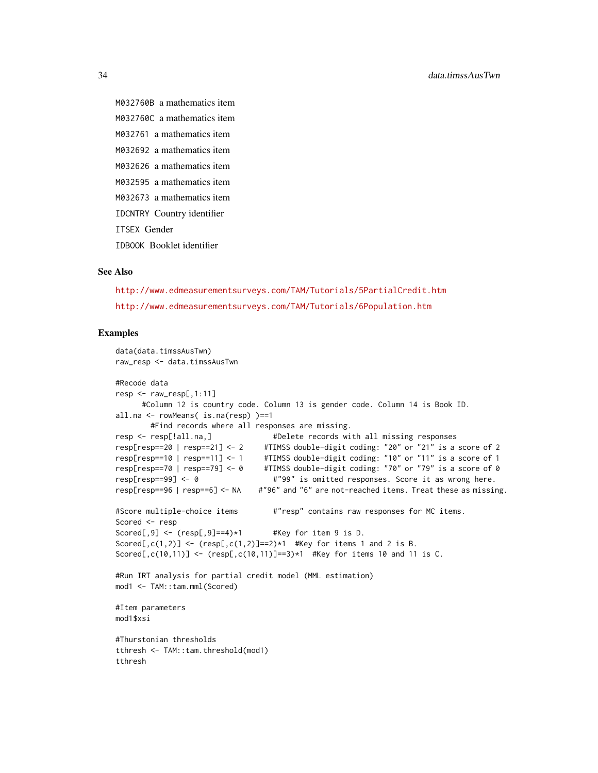M032760B a mathematics item M032760C a mathematics item M032761 a mathematics item M032692 a mathematics item M032626 a mathematics item M032595 a mathematics item M032673 a mathematics item IDCNTRY Country identifier ITSEX Gender IDBOOK Booklet identifier

# See Also

<http://www.edmeasurementsurveys.com/TAM/Tutorials/5PartialCredit.htm> <http://www.edmeasurementsurveys.com/TAM/Tutorials/6Population.htm>

```
data(data.timssAusTwn)
raw_resp <- data.timssAusTwn
#Recode data
resp < -raw\_resp[, 1:11]#Column 12 is country code. Column 13 is gender code. Column 14 is Book ID.
all.na <- rowMeans( is.na(resp) )==1
#Find records where all responses are missing.<br>resp <- resp[!all.na,] #Delete records wi
                                   #Delete records with all missing responses
resp[resp==20 | resp==21] <- 2 #TIMSS double-digit coding: "20" or "21" is a score of 2
resp[resp==10 | resp==11] <- 1 #TIMSS double-digit coding: "10" or "11" is a score of 1
resp[resp==70 | resp==79] <- 0 #TIMSS double-digit coding: "70" or "79" is a score of 0
resp[resp==99] <- 0 #"99" is omitted responses. Score it as wrong here.
resp[resp==96 | resp==6] <- NA #"96" and "6" are not-reached items. Treat these as missing.
#Score multiple-choice items \qquad #"resp" contains raw responses for MC items.
Scored <- resp
Scored[,9] \leq (resp[,9]==4)*1 #Key for item 9 is D.
Scored[,c(1,2)] <- (resp[,c(1,2)]==2)*1 #Key for items 1 and 2 is B.
Scored[,c(10,11)] <- (resp[,c(10,11)]==3)*1 #Key for items 10 and 11 is C.
#Run IRT analysis for partial credit model (MML estimation)
mod1 <- TAM::tam.mml(Scored)
#Item parameters
mod1$xsi
#Thurstonian thresholds
tthresh <- TAM::tam.threshold(mod1)
tthresh
```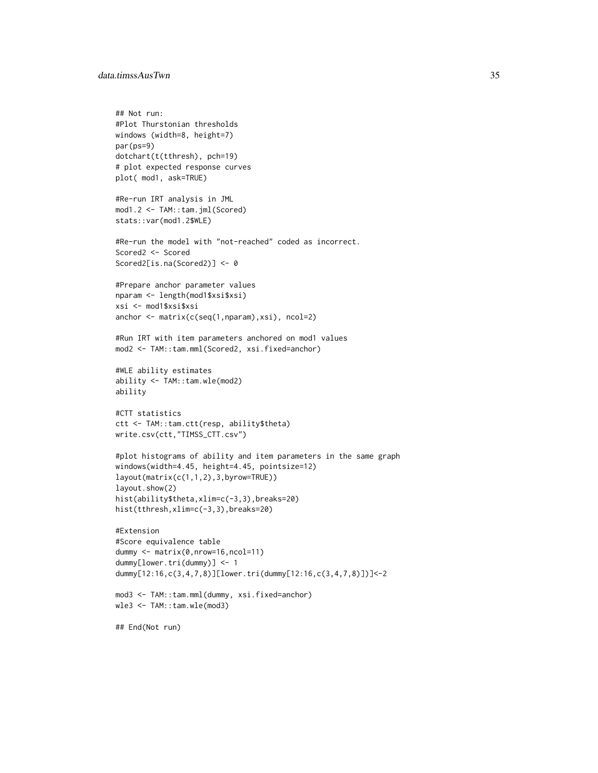# data.timssAusTwn 35

```
## Not run:
#Plot Thurstonian thresholds
windows (width=8, height=7)
par(ps=9)
dotchart(t(tthresh), pch=19)
# plot expected response curves
plot( mod1, ask=TRUE)
#Re-run IRT analysis in JML
mod1.2 <- TAM::tam.jml(Scored)
stats::var(mod1.2$WLE)
#Re-run the model with "not-reached" coded as incorrect.
Scored2 <- Scored
Scored2[is.na(Scored2)] <- 0
#Prepare anchor parameter values
nparam <- length(mod1$xsi$xsi)
xsi <- mod1$xsi$xsi
anchor <- matrix(c(seq(1,nparam),xsi), ncol=2)
#Run IRT with item parameters anchored on mod1 values
mod2 <- TAM::tam.mml(Scored2, xsi.fixed=anchor)
#WLE ability estimates
ability <- TAM::tam.wle(mod2)
ability
#CTT statistics
ctt <- TAM::tam.ctt(resp, ability$theta)
write.csv(ctt,"TIMSS_CTT.csv")
#plot histograms of ability and item parameters in the same graph
windows(width=4.45, height=4.45, pointsize=12)
layout(matrix(c(1,1,2),3,byrow=TRUE))
layout.show(2)
hist(ability$theta,xlim=c(-3,3),breaks=20)
hist(tthresh,xlim=c(-3,3),breaks=20)
#Extension
#Score equivalence table
dummy <- matrix(0,nrow=16,ncol=11)
dummy[lower.tri(dummy)] <- 1
dummy[12:16,c(3,4,7,8)][lower.tri(dummy[12:16,c(3,4,7,8)])]<-2
mod3 <- TAM::tam.mml(dummy, xsi.fixed=anchor)
wle3 <- TAM::tam.wle(mod3)
```

```
## End(Not run)
```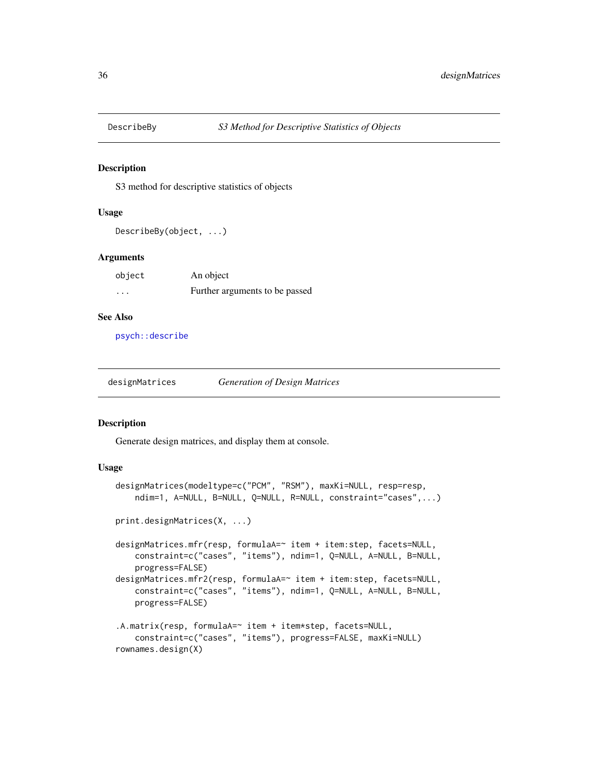<span id="page-35-0"></span>

# Description

S3 method for descriptive statistics of objects

# Usage

```
DescribeBy(object, ...)
```
# Arguments

| object | An object                      |
|--------|--------------------------------|
| .      | Further arguments to be passed |

# See Also

[psych::describe](#page-0-0)

| designMatrices | <b>Generation of Design Matrices</b> |
|----------------|--------------------------------------|
|                |                                      |

#### Description

Generate design matrices, and display them at console.

# Usage

```
designMatrices(modeltype=c("PCM", "RSM"), maxKi=NULL, resp=resp,
    ndim=1, A=NULL, B=NULL, Q=NULL, R=NULL, constraint="cases",...)
print.designMatrices(X, ...)
designMatrices.mfr(resp, formulaA=~ item + item:step, facets=NULL,
    constraint=c("cases", "items"), ndim=1, Q=NULL, A=NULL, B=NULL,
    progress=FALSE)
designMatrices.mfr2(resp, formulaA=~ item + item:step, facets=NULL,
   constraint=c("cases", "items"), ndim=1, Q=NULL, A=NULL, B=NULL,
    progress=FALSE)
.A.matrix(resp, formulaA=~ item + item*step, facets=NULL,
    constraint=c("cases", "items"), progress=FALSE, maxKi=NULL)
rownames.design(X)
```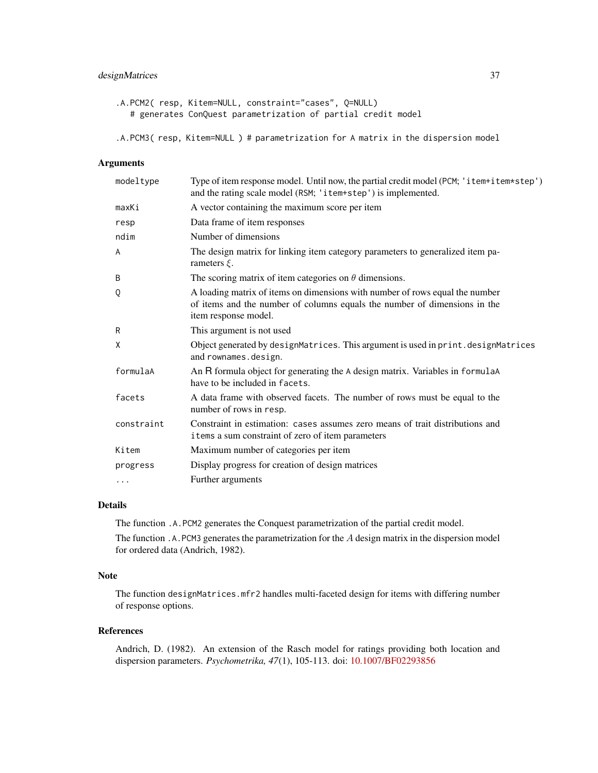# designMatrices 37

```
.A.PCM2( resp, Kitem=NULL, constraint="cases", Q=NULL)
  # generates ConQuest parametrization of partial credit model
```
.A.PCM3( resp, Kitem=NULL ) # parametrization for A matrix in the dispersion model

# Arguments

| modeltype  | Type of item response model. Until now, the partial credit model (PCM; 'item+item*step')<br>and the rating scale model (RSM; 'item+step') is implemented.                         |
|------------|-----------------------------------------------------------------------------------------------------------------------------------------------------------------------------------|
| maxKi      | A vector containing the maximum score per item                                                                                                                                    |
| resp       | Data frame of item responses                                                                                                                                                      |
| ndim       | Number of dimensions                                                                                                                                                              |
| A          | The design matrix for linking item category parameters to generalized item pa-<br>rameters $\xi$ .                                                                                |
| B          | The scoring matrix of item categories on $\theta$ dimensions.                                                                                                                     |
| Q          | A loading matrix of items on dimensions with number of rows equal the number<br>of items and the number of columns equals the number of dimensions in the<br>item response model. |
| R          | This argument is not used                                                                                                                                                         |
| X          | Object generated by designMatrices. This argument is used in print. designMatrices<br>and rownames.design.                                                                        |
| formulaA   | An R formula object for generating the A design matrix. Variables in formulaA<br>have to be included in facets.                                                                   |
| facets     | A data frame with observed facets. The number of rows must be equal to the<br>number of rows in resp.                                                                             |
| constraint | Constraint in estimation: cases assumes zero means of trait distributions and<br>items a sum constraint of zero of item parameters                                                |
| Kitem      | Maximum number of categories per item                                                                                                                                             |
| progress   | Display progress for creation of design matrices                                                                                                                                  |
| $\cdots$   | Further arguments                                                                                                                                                                 |
|            |                                                                                                                                                                                   |

# Details

The function .A.PCM2 generates the Conquest parametrization of the partial credit model.

The function .A.PCM3 generates the parametrization for the A design matrix in the dispersion model for ordered data (Andrich, 1982).

# Note

The function designMatrices.mfr2 handles multi-faceted design for items with differing number of response options.

### References

Andrich, D. (1982). An extension of the Rasch model for ratings providing both location and dispersion parameters. *Psychometrika, 47*(1), 105-113. doi: [10.1007/BF02293856](https://doi.org/10.1007/BF02293856)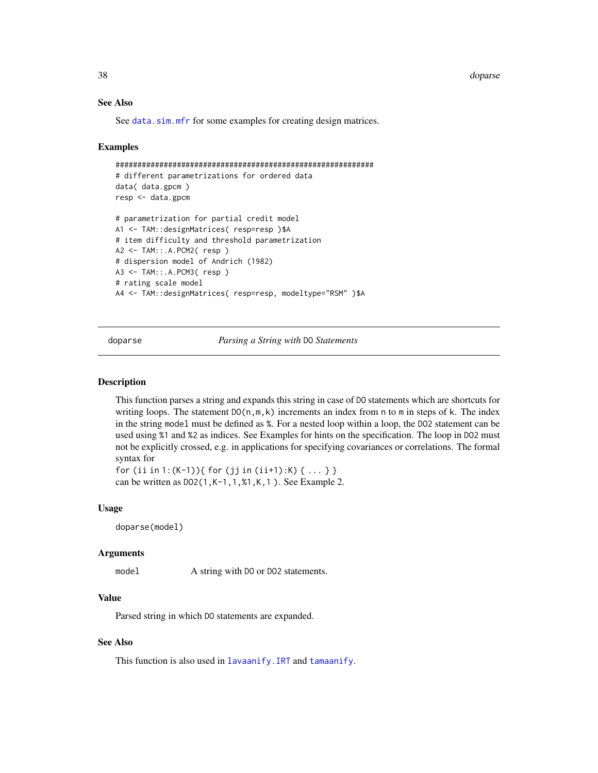38 doparse

## See Also

See [data.sim.mfr](#page-28-0) for some examples for creating design matrices.

### Examples

```
###########################################################
# different parametrizations for ordered data
data( data.gpcm )
resp <- data.gpcm
# parametrization for partial credit model
A1 <- TAM::designMatrices( resp=resp )$A
# item difficulty and threshold parametrization
A2 <- TAM::.A.PCM2( resp )
# dispersion model of Andrich (1982)
A3 <- TAM::.A.PCM3( resp )
# rating scale model
A4 <- TAM::designMatrices( resp=resp, modeltype="RSM" )$A
```
<span id="page-37-0"></span>doparse *Parsing a String with* DO *Statements*

# **Description**

This function parses a string and expands this string in case of DO statements which are shortcuts for writing loops. The statement  $DO(n, m, k)$  increments an index from n to m in steps of k. The index in the string model must be defined as %. For a nested loop within a loop, the DO2 statement can be used using %1 and %2 as indices. See Examples for hints on the specification. The loop in DO2 must not be explicitly crossed, e.g. in applications for specifying covariances or correlations. The formal syntax for

for (ii in 1:(K-1)){ for (jj in (ii+1):K) { ... } } can be written as DO2(1,K-1,1,%1,K,1 ). See Example 2.

#### Usage

doparse(model)

### Arguments

model A string with DO or DO2 statements.

## Value

Parsed string in which DO statements are expanded.

## See Also

This function is also used in [lavaanify.IRT](#page-69-0) and [tamaanify](#page-208-0).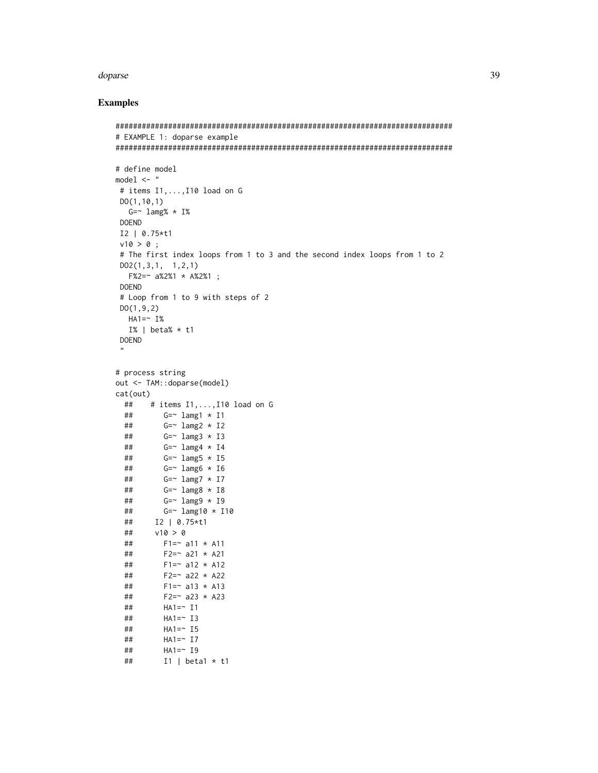# doparse

```
# EXAMPLE 1: doparse example
# define model
model \leftarrow "
# items I1, ..., I10 load on G
DO(1, 10, 1)G = \sim lamg% * I%
DOEND
I2 | 0.75*t1
v10 > 0;
# The first index loops from 1 to 3 and the second index loops from 1 to 2
D02(1,3,1, 1,2,1)F%2 = ~a%2%1 + A%2%1 ;DOEND
# Loop from 1 to 9 with steps of 2
DO(1, 9, 2)HA1 = ~I%I% | beta% * t1
DOEND
# process string
out <- TAM::doparse(model)
cat(out)# items I1,..., I10 load on G
 ##\##
         G = \sim lamg1 * I1
         G = \sim lamg2 * I2
 ##
         G = \sim lamg3 * I3
 ##G = \sim lamg4 * I4
 ##G = \sim lamg5 * I5
 \# \#G = \sim lamg6 * I6
 \# \#\# \#G = \sim lamg7 * I7
 \# \#G = \sim lamg8 * 18
 ##G = \sim lamg9 * I9
 \# \#G = \sim lamg10 * I10
 ##I2 | 0.75*t1
 ##v10 > 0##
         F1 = \sim a11 \times A11\# \#F2 = \infty a21 * A21
         F1 = ~ a12 ~ * A12\# \#F2 = ~a22 ~* A22##F1 = ~ a13 \times A13\# \#F2 = ~ a23 ~ * A23\# \#HA1 = \sim I1\# \#\# \#HA1 = \sim I3\# \#HA1 = ~ 15HA1 = ~ I7##HA1 = ~ 19##I1 | beta1 * t1
 \# \#
```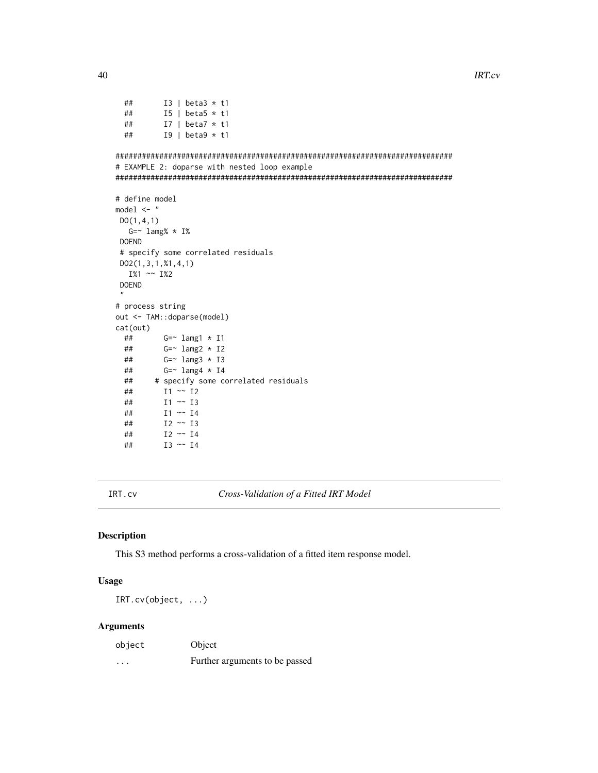```
40 and the state of the state of the state of the state of the state of the state of the state of the state of the state of the state of the state of the state of the state of the state of the state of the state of the sta
```

```
## I3 | beta3 * t1
 ## I5 | beta5 * t1
 ## I7 | beta7 * t1
 ## I9 | beta9 * t1
#############################################################################
# EXAMPLE 2: doparse with nested loop example
#############################################################################
# define model
model <- "
DO(1,4,1)
  G=~ lamg% * I%
DOEND
# specify some correlated residuals
DO2(1,3,1,%1,4,1)
  I%1 \sim I%2
DOEND
 "
# process string
out <- TAM::doparse(model)
cat(out)
 ## G=~ lamg1 * I1
 ## G=~ lamg2 * I2
 ## G=~ lamg3 * I3
 ## G=~ lamg4 * I4
 ## # specify some correlated residuals
 ## I1 ~~ I2
 ## I1 \sim I3<br>## I1 \sim I4I1 ~ \sim ~ I4## I2 ~~ I3
 ## I2 ~~ I4
 ## I3 ~~ I4
```
IRT.cv *Cross-Validation of a Fitted IRT Model*

#### Description

This S3 method performs a cross-validation of a fitted item response model.

# Usage

IRT.cv(object, ...)

### Arguments

| object   | Object                         |
|----------|--------------------------------|
| $\cdots$ | Further arguments to be passed |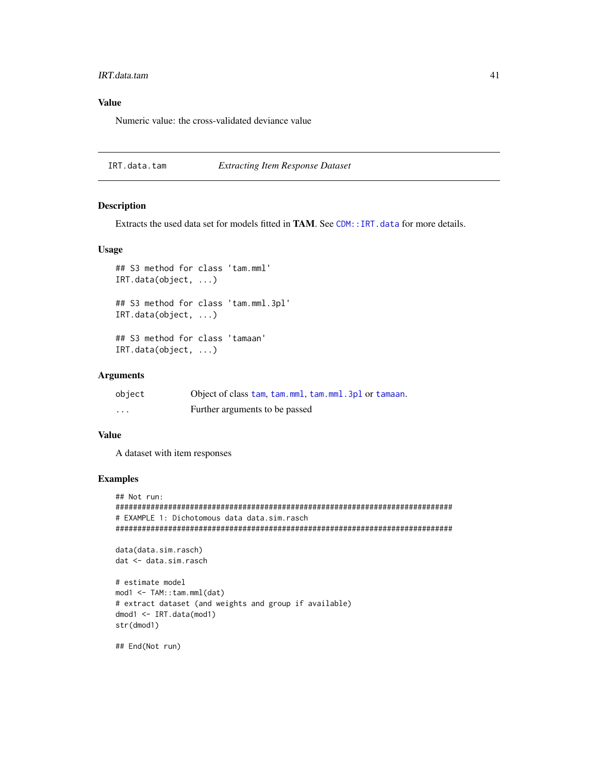#### IRT.data.tam 41

# Value

Numeric value: the cross-validated deviance value

IRT.data.tam *Extracting Item Response Dataset*

#### Description

Extracts the used data set for models fitted in **TAM**. See [CDM::IRT.data](#page-0-0) for more details.

#### Usage

```
## S3 method for class 'tam.mml'
IRT.data(object, ...)
```
## S3 method for class 'tam.mml.3pl' IRT.data(object, ...)

## S3 method for class 'tamaan' IRT.data(object, ...)

# Arguments

| object | Object of class tam, tam, mml, tam, mml, 3pl or tamaan. |
|--------|---------------------------------------------------------|
| .      | Further arguments to be passed                          |

## Value

A dataset with item responses

## Examples

```
## Not run:
#############################################################################
# EXAMPLE 1: Dichotomous data data.sim.rasch
#############################################################################
```

```
data(data.sim.rasch)
dat <- data.sim.rasch
```

```
# estimate model
mod1 <- TAM::tam.mml(dat)
# extract dataset (and weights and group if available)
dmod1 <- IRT.data(mod1)
str(dmod1)
```
## End(Not run)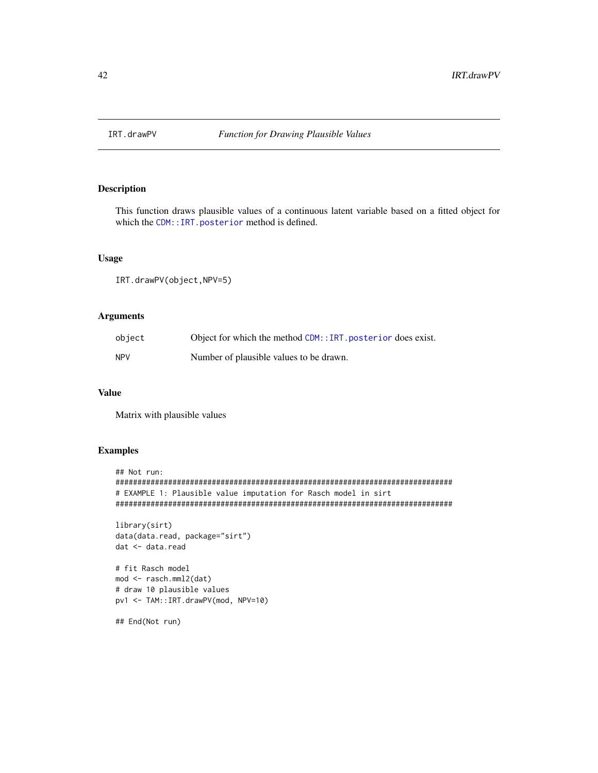# Description

This function draws plausible values of a continuous latent variable based on a fitted object for which the [CDM::IRT.posterior](#page-0-0) method is defined.

# Usage

```
IRT.drawPV(object,NPV=5)
```
# Arguments

| object     | Object for which the method CDM:: IRT. posterior does exist. |
|------------|--------------------------------------------------------------|
| <b>NPV</b> | Number of plausible values to be drawn.                      |

# Value

Matrix with plausible values

# Examples

```
## Not run:
#############################################################################
# EXAMPLE 1: Plausible value imputation for Rasch model in sirt
#############################################################################
```

```
library(sirt)
data(data.read, package="sirt")
dat <- data.read
```

```
# fit Rasch model
mod <- rasch.mml2(dat)
# draw 10 plausible values
pv1 <- TAM::IRT.drawPV(mod, NPV=10)
```
## End(Not run)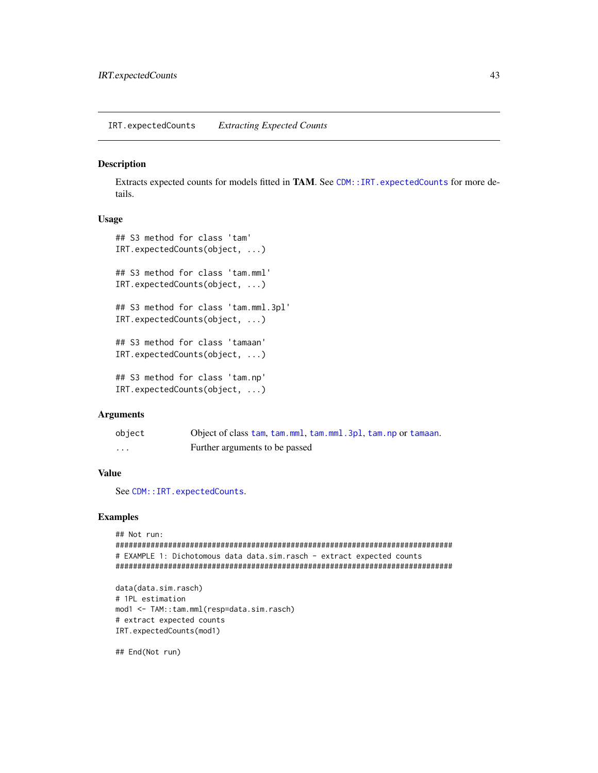IRT.expectedCounts *Extracting Expected Counts*

### Description

Extracts expected counts for models fitted in TAM. See [CDM::IRT.expectedCounts](#page-0-0) for more details.

## Usage

```
## S3 method for class 'tam'
IRT.expectedCounts(object, ...)
## S3 method for class 'tam.mml'
IRT.expectedCounts(object, ...)
## S3 method for class 'tam.mml.3pl'
IRT.expectedCounts(object, ...)
## S3 method for class 'tamaan'
IRT.expectedCounts(object, ...)
## S3 method for class 'tam.np'
IRT.expectedCounts(object, ...)
```
### Arguments

| object   | Object of class tam, tam, mml, tam, mml, 3pl, tam, np or tamaan. |
|----------|------------------------------------------------------------------|
| $\cdots$ | Further arguments to be passed                                   |

# Value

See [CDM::IRT.expectedCounts](#page-0-0).

## Examples

```
## Not run:
#############################################################################
# EXAMPLE 1: Dichotomous data data.sim.rasch - extract expected counts
#############################################################################
```

```
data(data.sim.rasch)
# 1PL estimation
mod1 <- TAM::tam.mml(resp=data.sim.rasch)
# extract expected counts
IRT.expectedCounts(mod1)
```
## End(Not run)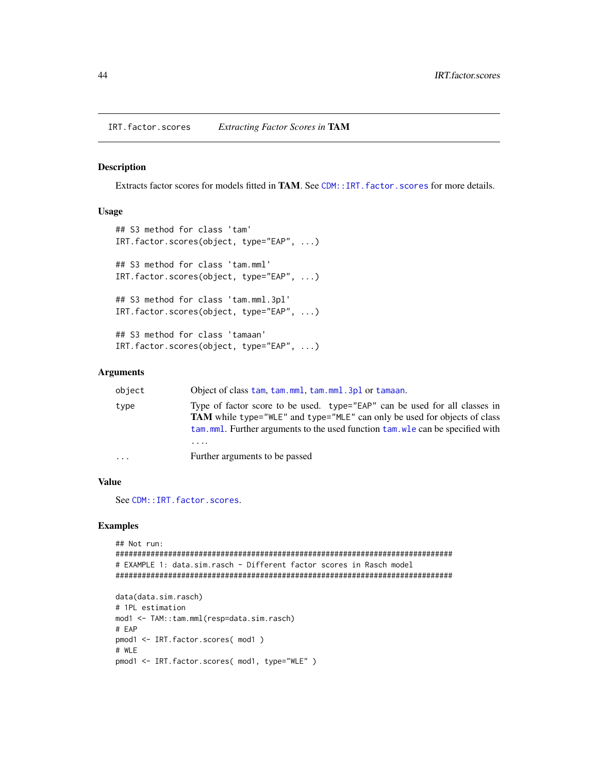#### Description

Extracts factor scores for models fitted in **TAM**. See [CDM::IRT.factor.scores](#page-0-0) for more details.

### Usage

```
## S3 method for class 'tam'
IRT.factor.scores(object, type="EAP", ...)
## S3 method for class 'tam.mml'
IRT.factor.scores(object, type="EAP", ...)
## S3 method for class 'tam.mml.3pl'
IRT.factor.scores(object, type="EAP", ...)
## S3 method for class 'tamaan'
IRT.factor.scores(object, type="EAP", ...)
```
#### Arguments

| object | Object of class tam, tam, mml, tam, mml, 3pl or tamaan.                                                                                                                                                                                           |
|--------|---------------------------------------------------------------------------------------------------------------------------------------------------------------------------------------------------------------------------------------------------|
| type   | Type of factor score to be used. type="EAP" can be used for all classes in<br><b>TAM</b> while type="WLE" and type="MLE" can only be used for objects of class<br>tam, mml. Further arguments to the used function tam, wle can be specified with |
|        |                                                                                                                                                                                                                                                   |
| .      | Further arguments to be passed                                                                                                                                                                                                                    |

## Value

See [CDM::IRT.factor.scores](#page-0-0).

```
## Not run:
#############################################################################
# EXAMPLE 1: data.sim.rasch - Different factor scores in Rasch model
#############################################################################
data(data.sim.rasch)
# 1PL estimation
mod1 <- TAM::tam.mml(resp=data.sim.rasch)
# EAP
pmod1 <- IRT.factor.scores( mod1 )
# WLE
pmod1 <- IRT.factor.scores( mod1, type="WLE" )
```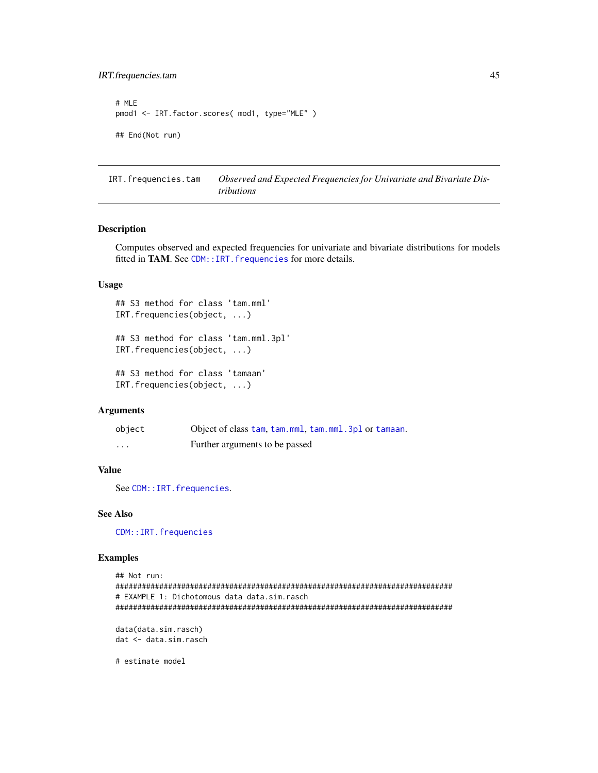```
# MLE
pmod1 <- IRT.factor.scores( mod1, type="MLE" )
## End(Not run)
```
IRT.frequencies.tam *Observed and Expected Frequencies for Univariate and Bivariate Distributions*

## Description

Computes observed and expected frequencies for univariate and bivariate distributions for models fitted in TAM. See CDM:: IRT. frequencies for more details.

# Usage

```
## S3 method for class 'tam.mml'
IRT.frequencies(object, ...)
```
## S3 method for class 'tam.mml.3pl' IRT.frequencies(object, ...)

## S3 method for class 'tamaan' IRT.frequencies(object, ...)

# Arguments

| object   | Object of class tam, tam, mml, tam, mml, 3pl or tamaan. |
|----------|---------------------------------------------------------|
| $\cdots$ | Further arguments to be passed                          |

# Value

See [CDM::IRT.frequencies](#page-0-0).

#### See Also

[CDM::IRT.frequencies](#page-0-0)

## Examples

```
## Not run:
#############################################################################
# EXAMPLE 1: Dichotomous data data.sim.rasch
#############################################################################
data(data.sim.rasch)
```
dat <- data.sim.rasch

# estimate model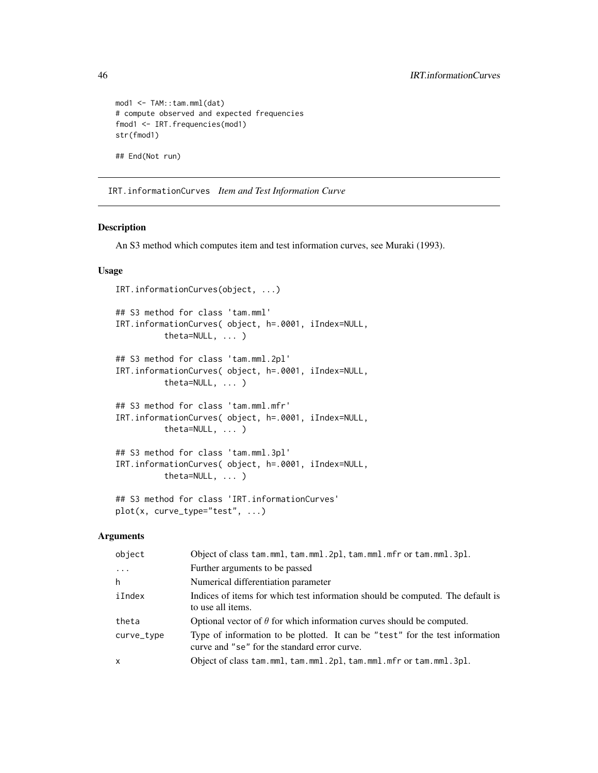```
mod1 <- TAM::tam.mml(dat)
# compute observed and expected frequencies
fmod1 <- IRT.frequencies(mod1)
str(fmod1)
## End(Not run)
```
IRT.informationCurves *Item and Test Information Curve*

# Description

An S3 method which computes item and test information curves, see Muraki (1993).

# Usage

```
IRT.informationCurves(object, ...)
## S3 method for class 'tam.mml'
IRT.informationCurves( object, h=.0001, iIndex=NULL,
          theta=NULL, ... )
## S3 method for class 'tam.mml.2pl'
IRT.informationCurves( object, h=.0001, iIndex=NULL,
         theta=NULL, ... )
## S3 method for class 'tam.mml.mfr'
IRT.informationCurves( object, h=.0001, iIndex=NULL,
          theta=NULL, ... )
## S3 method for class 'tam.mml.3pl'
IRT.informationCurves( object, h=.0001, iIndex=NULL,
          theta=NULL, ... )
## S3 method for class 'IRT.informationCurves'
plot(x, curve_type="test", ...)
```
#### **Arguments**

| object       | Object of class tam.mml, tam.mml.2pl, tam.mml.mfr or tam.mml.3pl.                                                            |
|--------------|------------------------------------------------------------------------------------------------------------------------------|
| $\cdots$     | Further arguments to be passed                                                                                               |
| h            | Numerical differentiation parameter                                                                                          |
| iIndex       | Indices of items for which test information should be computed. The default is<br>to use all items.                          |
| theta        | Optional vector of $\theta$ for which information curves should be computed.                                                 |
| curve_type   | Type of information to be plotted. It can be "test" for the test information<br>curve and "se" for the standard error curve. |
| $\mathsf{x}$ | Object of class tam.mml, tam.mml.2pl, tam.mml.mfr or tam.mml.3pl.                                                            |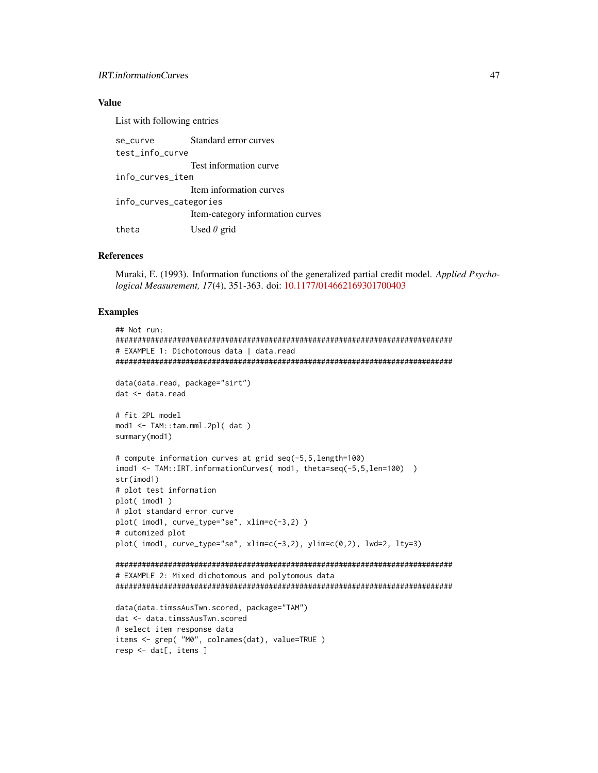## **IRT.informationCurves**

## **Value**

List with following entries

| se_curve               | Standard error curves            |
|------------------------|----------------------------------|
| test info curve        |                                  |
|                        | Test information curve           |
| info_curves_item       |                                  |
|                        | Item information curves          |
| info_curves_categories |                                  |
|                        | Item-category information curves |
| theta                  | Used $\theta$ grid               |

## **References**

Muraki, E. (1993). Information functions of the generalized partial credit model. Applied Psychological Measurement, 17(4), 351-363. doi: 10.1177/014662169301700403

```
## Not run:
# EXAMPLE 1: Dichotomous data | data.read
data(data.read, package="sirt")
dat <- data.read
# fit 2PL model
mod1 <- TAM::tam.mml.2pl(dat)
summary(mod1)
# compute information curves at grid seq(-5,5,length=100)
imod1 <- TAM::IRT.informationCurves( mod1, theta=seq(-5,5,len=100) )
str(imod1)# plot test information
plot( imod1)
# plot standard error curve
plot(imod1, curve_type="se", xlim=c(-3,2))
# cutomized plot
plot(imod1, curve_type="se", xlim=c(-3,2), ylim=c(0,2), lwd=2, lty=3)
# EXAMPLE 2: Mixed dichotomous and polytomous data
data(data.timssAusTwn.scored, package="TAM")
dat <- data.timssAusTwn.scored
# select item response data
items <- grep( "M0", colnames(dat), value=TRUE)
resp < - \text{dat}[, items ]
```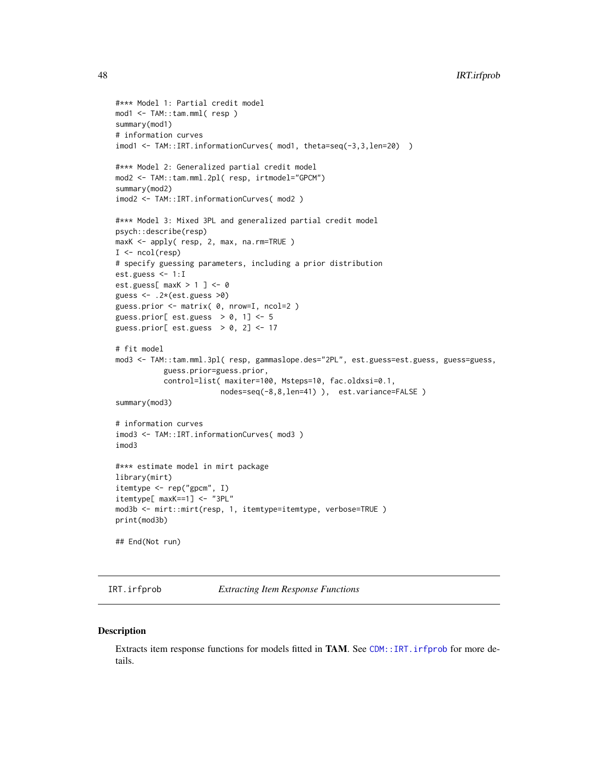```
#*** Model 1: Partial credit model
mod1 <- TAM::tam.mml( resp )
summary(mod1)
# information curves
imod1 <- TAM::IRT.informationCurves( mod1, theta=seq(-3,3,len=20) )
#*** Model 2: Generalized partial credit model
mod2 <- TAM::tam.mml.2pl( resp, irtmodel="GPCM")
summary(mod2)
imod2 <- TAM::IRT.informationCurves( mod2 )
#*** Model 3: Mixed 3PL and generalized partial credit model
psych::describe(resp)
maxK <- apply( resp, 2, max, na.rm=TRUE )
I \leftarrow \text{ncol}(\text{resp})# specify guessing parameters, including a prior distribution
est.guess <- 1:I
est.guess[ maxK > 1 ] <- 0
guess <- .2*(est.guess >0)
guess.prior <- matrix( 0, nrow=I, ncol=2 )
guess.prior[ est.guess > 0, 1] <- 5
guess.prior[ est.guess > 0, 2] <- 17
# fit model
mod3 <- TAM::tam.mml.3pl( resp, gammaslope.des="2PL", est.guess=est.guess, guess=guess,
           guess.prior=guess.prior,
           control=list( maxiter=100, Msteps=10, fac.oldxsi=0.1,
                        nodes=seq(-8,8,len=41) ), est.variance=FALSE )
summary(mod3)
# information curves
imod3 <- TAM::IRT.informationCurves( mod3 )
imod3
#*** estimate model in mirt package
library(mirt)
itemtype <- rep("gpcm", I)
itemtype[ maxK==1] <- "3PL"
mod3b <- mirt::mirt(resp, 1, itemtype=itemtype, verbose=TRUE )
print(mod3b)
## End(Not run)
```
<span id="page-47-0"></span>

IRT.irfprob *Extracting Item Response Functions*

#### Description

Extracts item response functions for models fitted in **TAM**. See [CDM::IRT.irfprob](#page-0-0) for more details.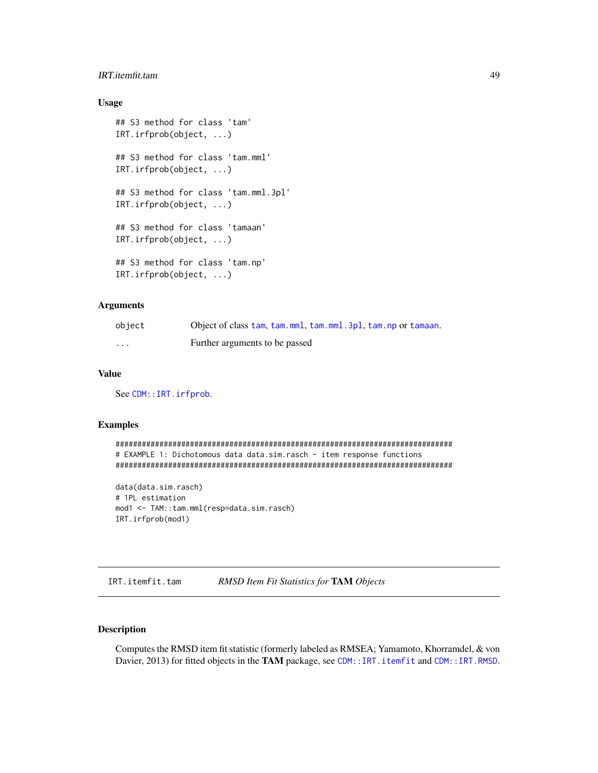# IRT.itemfit.tam 49

# Usage

```
## S3 method for class 'tam'
IRT.irfprob(object, ...)
## S3 method for class 'tam.mml'
IRT.irfprob(object, ...)
## S3 method for class 'tam.mml.3pl'
IRT.irfprob(object, ...)
## S3 method for class 'tamaan'
IRT.irfprob(object, ...)
## S3 method for class 'tam.np'
IRT.irfprob(object, ...)
```
# Arguments

| object   | Object of class tam, tam, mml, tam, mml, 3pl, tam, np or tamaan. |
|----------|------------------------------------------------------------------|
| $\cdots$ | Further arguments to be passed                                   |

## Value

See [CDM::IRT.irfprob](#page-0-0).

### Examples

```
#############################################################################
# EXAMPLE 1: Dichotomous data data.sim.rasch - item response functions
#############################################################################
```

```
data(data.sim.rasch)
# 1PL estimation
mod1 <- TAM::tam.mml(resp=data.sim.rasch)
IRT.irfprob(mod1)
```
IRT.itemfit.tam *RMSD Item Fit Statistics for* TAM *Objects*

# Description

Computes the RMSD item fit statistic (formerly labeled as RMSEA; Yamamoto, Khorramdel, & von Davier, 2013) for fitted objects in the TAM package, see [CDM::IRT.itemfit](#page-0-0) and [CDM::IRT.RMSD](#page-0-0).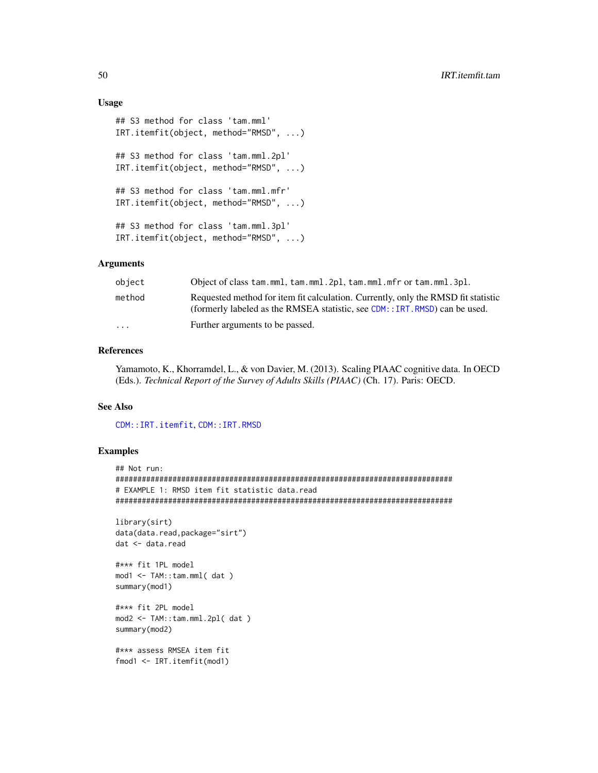## Usage

```
## S3 method for class 'tam.mml'
IRT.itemfit(object, method="RMSD", ...)
## S3 method for class 'tam.mml.2pl'
IRT.itemfit(object, method="RMSD", ...)
## S3 method for class 'tam.mml.mfr'
IRT.itemfit(object, method="RMSD", ...)
## S3 method for class 'tam.mml.3pl'
IRT.itemfit(object, method="RMSD", ...)
```
# Arguments

| object                  | Object of class tam.mml, tam.mml.2pl, tam.mml.mfr or tam.mml.3pl.                                                                                                 |
|-------------------------|-------------------------------------------------------------------------------------------------------------------------------------------------------------------|
| method                  | Requested method for item fit calculation. Currently, only the RMSD fit statistic<br>(formerly labeled as the RMSEA statistic, see CDM: : IRT. RMSD) can be used. |
| $\cdot$ $\cdot$ $\cdot$ | Further arguments to be passed.                                                                                                                                   |

# References

Yamamoto, K., Khorramdel, L., & von Davier, M. (2013). Scaling PIAAC cognitive data. In OECD (Eds.). *Technical Report of the Survey of Adults Skills (PIAAC)* (Ch. 17). Paris: OECD.

## See Also

[CDM::IRT.itemfit](#page-0-0), [CDM::IRT.RMSD](#page-0-0)

```
## Not run:
#############################################################################
# EXAMPLE 1: RMSD item fit statistic data.read
#############################################################################
library(sirt)
data(data.read,package="sirt")
dat <- data.read
#*** fit 1PL model
mod1 <- TAM::tam.mml( dat )
summary(mod1)
#*** fit 2PL model
mod2 <- TAM::tam.mml.2pl( dat )
summary(mod2)
#*** assess RMSEA item fit
fmod1 <- IRT.itemfit(mod1)
```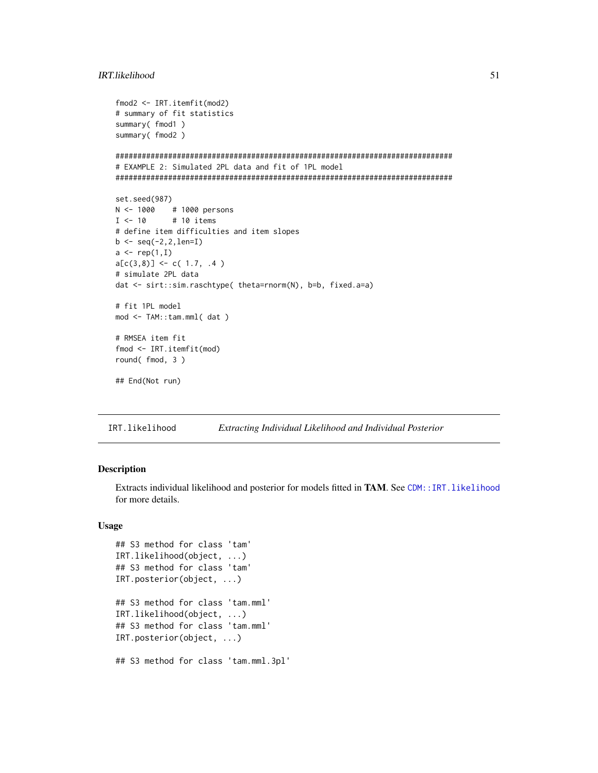## IRT.likelihood

```
fmod2 \leq TRT.itemfit(mod2)# summary of fit statistics
summary(fmod1)
summary(fmod2)
# EXAMPLE 2: Simulated 2PL data and fit of 1PL model
set.seed(987)
N < -1000# 1000 persons
I \leftarrow 10# 10 items
# define item difficulties and item slopes
b \leftarrow \text{seq}(-2, 2, \text{len=I})a \leftarrow rep(1, I)a[c(3,8)] \leftarrow c(1.7, .4)# simulate 2PL data
dat <- sirt::sim.raschtype( theta=rnorm(N), b=b, fixed.a=a)
# fit 1PL model
mod <- TAM::tam.mml(dat)
# RMSEA item fit
fmod <- IRT.itemfit(mod)
round(fmod, 3)
## End(Not run)
```
IRT.likelihood Extracting Individual Likelihood and Individual Posterior

### Description

Extracts individual likelihood and posterior for models fitted in TAM. See CDM::IRT.likelihood for more details.

# **Usage**

```
## S3 method for class 'tam'
IRT.likelihood(object, ...)
## S3 method for class 'tam'
IRT.posterior(object, ...)
## S3 method for class 'tam.mml'
IRT.likelihood(object, ...)
## S3 method for class 'tam.mml'
IRT.posterior(object, ...)
## S3 method for class 'tam.mml.3pl'
```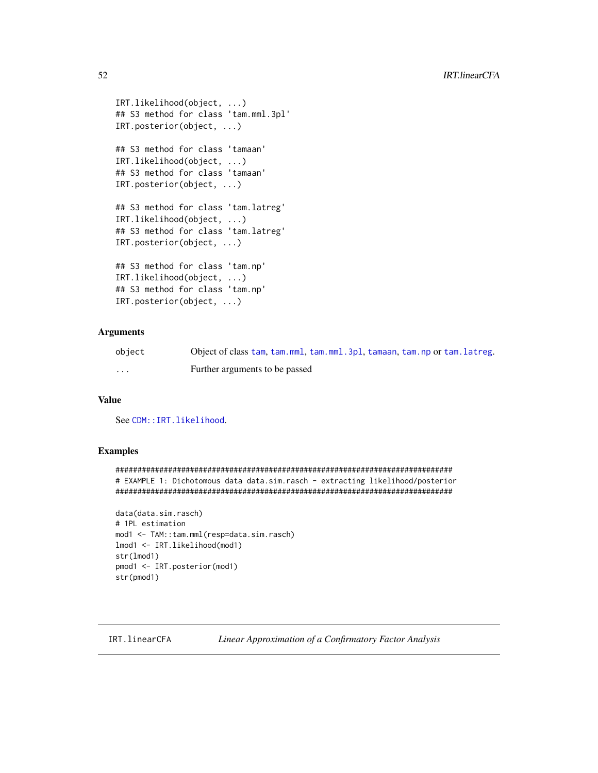```
IRT.likelihood(object, ...)
## S3 method for class 'tam.mml.3pl'
IRT.posterior(object, ...)
## S3 method for class 'tamaan'
IRT.likelihood(object, ...)
## S3 method for class 'tamaan'
IRT.posterior(object, ...)
## S3 method for class 'tam.latreg'
IRT.likelihood(object, ...)
## S3 method for class 'tam.latreg'
IRT.posterior(object, ...)
## S3 method for class 'tam.np'
IRT.likelihood(object, ...)
## S3 method for class 'tam.np'
IRT.posterior(object, ...)
```
# Arguments

| object | Object of class tam, tam, mml, tam, mml, 3pl, tamaan, tam, np or tam, latreg. |
|--------|-------------------------------------------------------------------------------|
| .      | Further arguments to be passed                                                |

# Value

See [CDM::IRT.likelihood](#page-0-0).

## Examples

```
#############################################################################
# EXAMPLE 1: Dichotomous data data.sim.rasch - extracting likelihood/posterior
#############################################################################
data(data.sim.rasch)
# 1PL estimation
mod1 <- TAM::tam.mml(resp=data.sim.rasch)
lmod1 <- IRT.likelihood(mod1)
str(lmod1)
pmod1 <- IRT.posterior(mod1)
str(pmod1)
```
IRT.linearCFA *Linear Approximation of a Confirmatory Factor Analysis*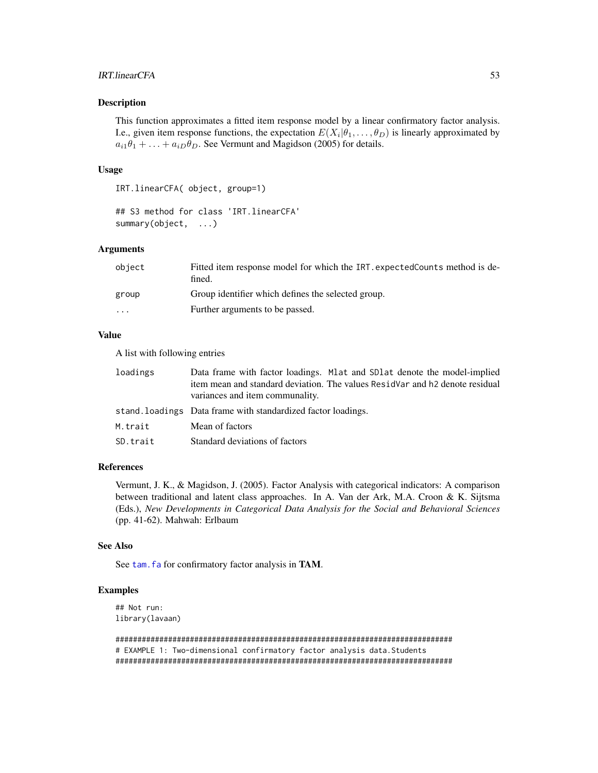# IRT.linearCFA 53

### Description

This function approximates a fitted item response model by a linear confirmatory factor analysis. I.e., given item response functions, the expectation  $E(X_i | \theta_1, \dots, \theta_D)$  is linearly approximated by  $a_{i1}\theta_1 + \ldots + a_{iD}\theta_D$ . See Vermunt and Magidson (2005) for details.

#### Usage

IRT.linearCFA( object, group=1)

## S3 method for class 'IRT.linearCFA' summary(object, ...)

### Arguments

| object                  | Fitted item response model for which the IRT, expected Counts method is de-<br>fined. |
|-------------------------|---------------------------------------------------------------------------------------|
| group                   | Group identifier which defines the selected group.                                    |
| $\cdot$ $\cdot$ $\cdot$ | Further arguments to be passed.                                                       |
|                         |                                                                                       |

### Value

A list with following entries

| loadings | Data frame with factor loadings. Mat and SD at denote the model-implied<br>item mean and standard deviation. The values ResidVar and h2 denote residual<br>variances and item communality. |
|----------|--------------------------------------------------------------------------------------------------------------------------------------------------------------------------------------------|
|          | stand. loadings Data frame with standardized factor loadings.                                                                                                                              |
| M.trait  | Mean of factors                                                                                                                                                                            |
| SD.trait | Standard deviations of factors                                                                                                                                                             |

# References

Vermunt, J. K., & Magidson, J. (2005). Factor Analysis with categorical indicators: A comparison between traditional and latent class approaches. In A. Van der Ark, M.A. Croon & K. Sijtsma (Eds.), *New Developments in Categorical Data Analysis for the Social and Behavioral Sciences* (pp. 41-62). Mahwah: Erlbaum

## See Also

See tam. fa for confirmatory factor analysis in TAM.

### Examples

## Not run: library(lavaan)

############################################################################# # EXAMPLE 1: Two-dimensional confirmatory factor analysis data. Students #############################################################################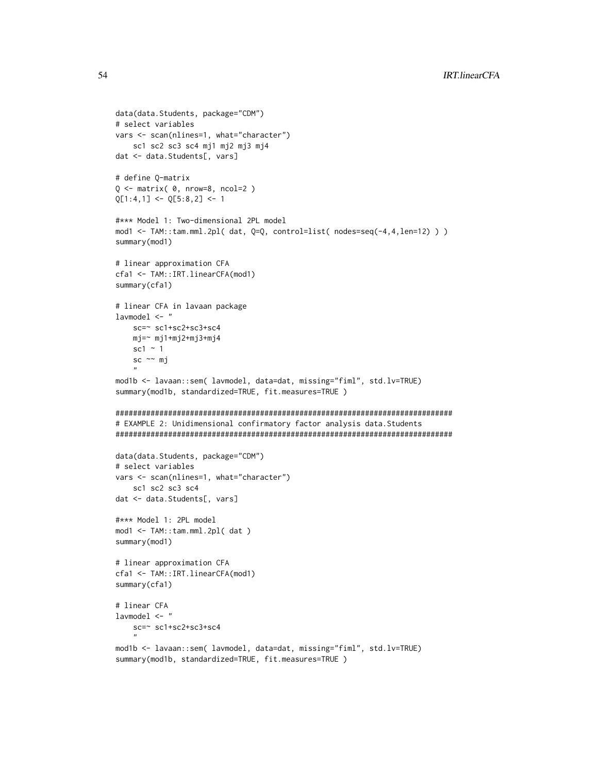```
data(data.Students, package="CDM")
# select variables
vars <- scan(nlines=1, what="character")
    sc1 sc2 sc3 sc4 mj1 mj2 mj3 mj4
dat <- data.Students[, vars]
# define Q-matrix
Q \leq - matrix( \theta, nrow=8, ncol=2 )
Q[1:4,1] <- Q[5:8,2] <- 1
#*** Model 1: Two-dimensional 2PL model
mod1 <- TAM::tam.mml.2pl( dat, Q=Q, control=list( nodes=seq(-4,4,len=12) ) )
summary(mod1)
# linear approximation CFA
cfa1 <- TAM::IRT.linearCFA(mod1)
summary(cfa1)
# linear CFA in lavaan package
lavmodel <- "
   sc=~ sc1+sc2+sc3+sc4
   mj=~ mj1+mj2+mj3+mj4
   sc1 \sim 1
   sc ~~ mj
    "
mod1b <- lavaan::sem( lavmodel, data=dat, missing="fiml", std.lv=TRUE)
summary(mod1b, standardized=TRUE, fit.measures=TRUE )
#############################################################################
# EXAMPLE 2: Unidimensional confirmatory factor analysis data.Students
#############################################################################
data(data.Students, package="CDM")
# select variables
vars <- scan(nlines=1, what="character")
    sc1 sc2 sc3 sc4
dat <- data.Students[, vars]
#*** Model 1: 2PL model
mod1 <- TAM::tam.mml.2pl( dat )
summary(mod1)
# linear approximation CFA
cfa1 <- TAM::IRT.linearCFA(mod1)
summary(cfa1)
# linear CFA
lavmodel <- "
   sc=~ sc1+sc2+sc3+sc4
    "
mod1b <- lavaan::sem( lavmodel, data=dat, missing="fiml", std.lv=TRUE)
summary(mod1b, standardized=TRUE, fit.measures=TRUE )
```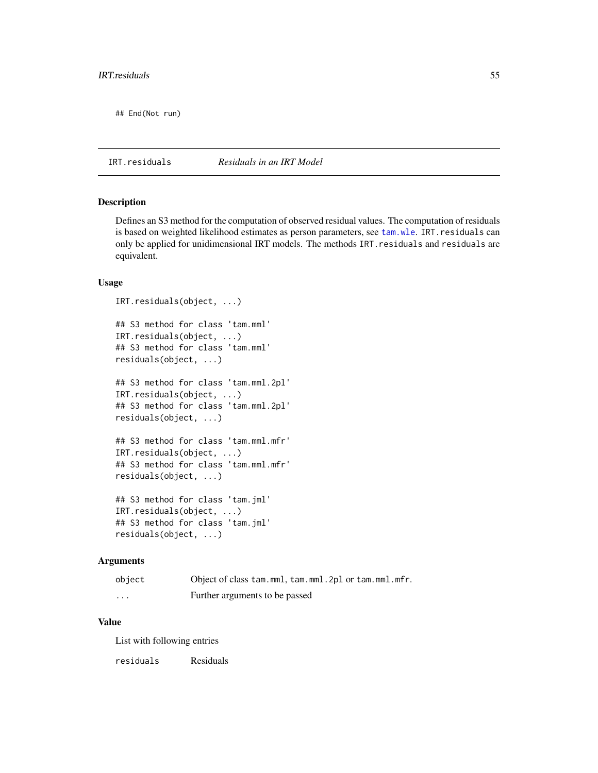## End(Not run)

IRT.residuals *Residuals in an IRT Model*

### Description

Defines an S3 method for the computation of observed residual values. The computation of residuals is based on weighted likelihood estimates as person parameters, see [tam.wle](#page-193-0). IRT.residuals can only be applied for unidimensional IRT models. The methods IRT.residuals and residuals are equivalent.

### Usage

```
IRT.residuals(object, ...)
## S3 method for class 'tam.mml'
IRT.residuals(object, ...)
## S3 method for class 'tam.mml'
residuals(object, ...)
## S3 method for class 'tam.mml.2pl'
IRT.residuals(object, ...)
## S3 method for class 'tam.mml.2pl'
residuals(object, ...)
## S3 method for class 'tam.mml.mfr'
IRT.residuals(object, ...)
## S3 method for class 'tam.mml.mfr'
residuals(object, ...)
## S3 method for class 'tam.jml'
IRT.residuals(object, ...)
## S3 method for class 'tam.jml'
residuals(object, ...)
```
#### Arguments

| object   | Object of class tam.mml, tam.mml. 2pl or tam.mml.mfr. |
|----------|-------------------------------------------------------|
| $\cdots$ | Further arguments to be passed                        |

# Value

List with following entries

residuals Residuals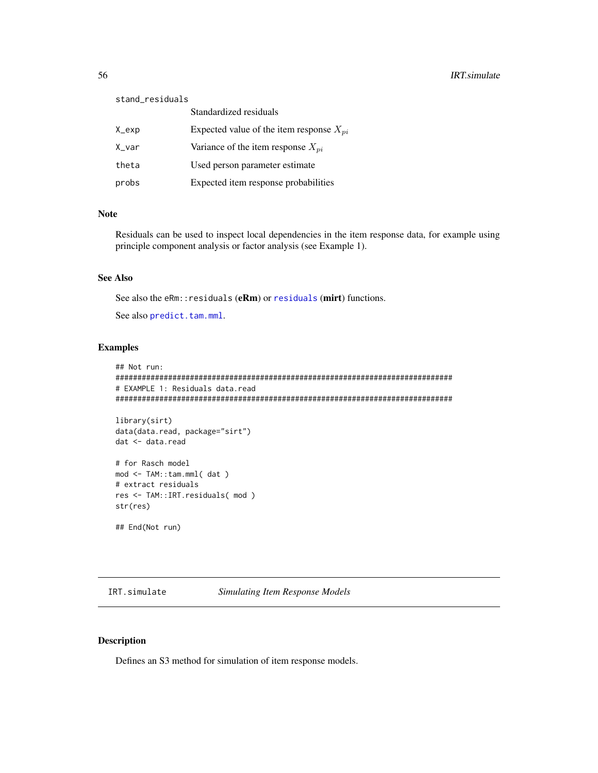| stand_residuals |                                              |
|-----------------|----------------------------------------------|
|                 | Standardized residuals                       |
| X_exp           | Expected value of the item response $X_{pi}$ |
| X_var           | Variance of the item response $X_{pi}$       |
| theta           | Used person parameter estimate               |
| probs           | Expected item response probabilities         |

## Note

Residuals can be used to inspect local dependencies in the item response data, for example using principle component analysis or factor analysis (see Example 1).

## See Also

See also the eRm:: [residuals](#page-0-0) (eRm) or residuals (mirt) functions.

See also [predict.tam.mml](#page-81-0).

### Examples

```
## Not run:
#############################################################################
# EXAMPLE 1: Residuals data.read
#############################################################################
library(sirt)
data(data.read, package="sirt")
dat <- data.read
# for Rasch model
mod <- TAM::tam.mml( dat )
# extract residuals
res <- TAM::IRT.residuals( mod )
str(res)
```
## End(Not run)

IRT.simulate *Simulating Item Response Models*

## Description

Defines an S3 method for simulation of item response models.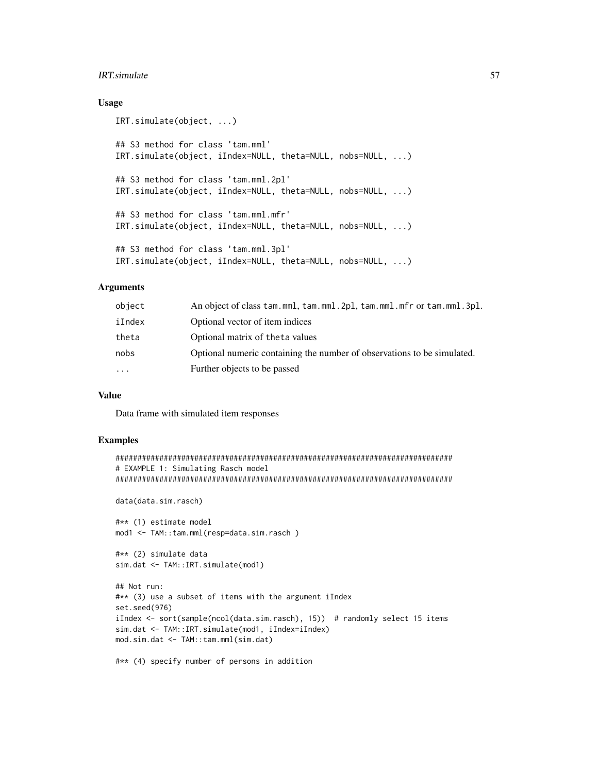### IRT.simulate 57

## Usage

```
IRT.simulate(object, ...)
## S3 method for class 'tam.mml'
IRT.simulate(object, iIndex=NULL, theta=NULL, nobs=NULL, ...)
## S3 method for class 'tam.mml.2pl'
IRT.simulate(object, iIndex=NULL, theta=NULL, nobs=NULL, ...)
## S3 method for class 'tam.mml.mfr'
IRT.simulate(object, iIndex=NULL, theta=NULL, nobs=NULL, ...)
## S3 method for class 'tam.mml.3pl'
IRT.simulate(object, iIndex=NULL, theta=NULL, nobs=NULL, ...)
```
#### Arguments

| object | An object of class tam.mml, tam.mml.2pl, tam.mml.mfr or tam.mml.3pl.    |
|--------|-------------------------------------------------------------------------|
| iIndex | Optional vector of item indices                                         |
| theta  | Optional matrix of the ta values                                        |
| nobs   | Optional numeric containing the number of observations to be simulated. |
| .      | Further objects to be passed                                            |
|        |                                                                         |

## Value

Data frame with simulated item responses

```
#############################################################################
# EXAMPLE 1: Simulating Rasch model
#############################################################################
data(data.sim.rasch)
#** (1) estimate model
mod1 <- TAM::tam.mml(resp=data.sim.rasch )
#** (2) simulate data
sim.dat <- TAM::IRT.simulate(mod1)
## Not run:
#** (3) use a subset of items with the argument iIndex
set.seed(976)
iIndex <- sort(sample(ncol(data.sim.rasch), 15)) # randomly select 15 items
sim.dat <- TAM::IRT.simulate(mod1, iIndex=iIndex)
mod.sim.dat <- TAM::tam.mml(sim.dat)
#** (4) specify number of persons in addition
```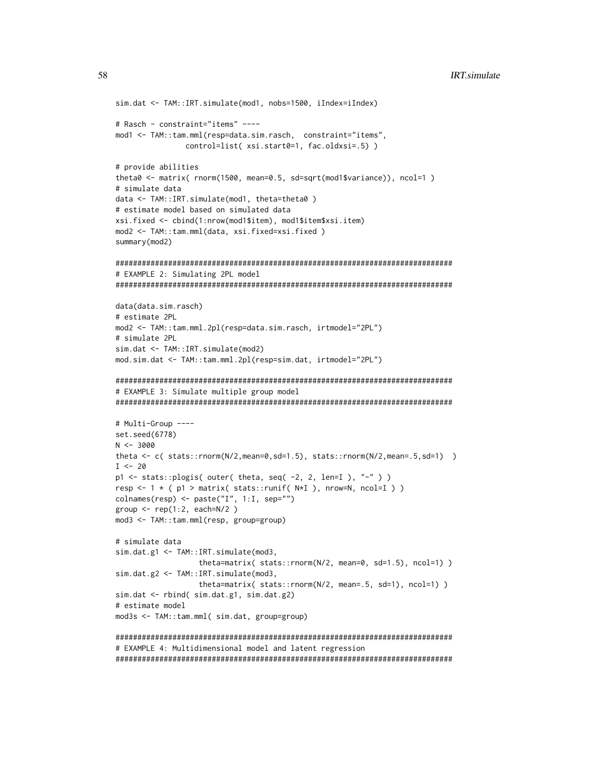```
sim.dat <- TAM::IRT.simulate(mod1, nobs=1500, iIndex=iIndex)
# Rasch - constraint="items" ----
mod1 <- TAM::tam.mml(resp=data.sim.rasch, constraint="items",
            control=list(xsi.start0=1, fac.oldxsi=.5))
# provide abilities
theta0 <- matrix( rnorm(1500, mean=0.5, sd=sqrt(mod15variance), ncol=1 )
# simulate data
data <- TAM::IRT.simulate(mod1, theta=theta0)
# estimate model based on simulated data
xsi.fixed <- cbind(1:nrow(mod1$item), mod1$item$xsi.item)
mod2 <- TAM::tam.mml(data, xsi.fixed=xsi.fixed)
summary(mod2)
# EXAMPLE 2: Simulating 2PL model
data(data.sim.rasch)
# estimate 2PL
mod2 <- TAM::tam.mml.2pl(resp=data.sim.rasch, irtmodel="2PL")
# simulate 2PL
sim.dat <- TAM::IRT.simulate(mod2)
mod.sim.dat <- TAM::tam.mml.2pl(resp=sim.dat, irtmodel="2PL")
# EXAMPLE 3: Simulate multiple group model
# Multi-Group ----
set.seed(6778)
N < -3000theta \leq c( stats::rnorm(N/2,mean=0,sd=1.5), stats::rnorm(N/2,mean=.5,sd=1) )
I \le -20p1 \le - stats::plogis (outer (theta, seq (-2, 2, len=I), "-"))
resp <- 1 * ( p1 > matrix( stats::runif( N*I ), nrow=N, ncol=I ) )
colnames(resp) <- paste("I", 1:I, sep="")
group <- rep(1:2, each=N/2)mod3 <- TAM::tam.mml(resp, group=group)
# simulate data
sim.dat.g1 <- TAM::IRT.simulate(mod3,
               theta=matrix( stats::rnorm(N/2, mean=0, sd=1.5), ncol=1) )
sim.dat.g2 <- TAM::IRT.simulate(mod3,
               theta=matrix( stats::rnorm(N/2, mean=.5, sd=1), ncol=1) )
sim.dat <- rbind( sim.dat.g1, sim.dat.g2)
# estimate model
mod3s <- TAM::tam.mml( sim.dat, group=group)
```
# EXAMPLE 4: Multidimensional model and latent regression 

58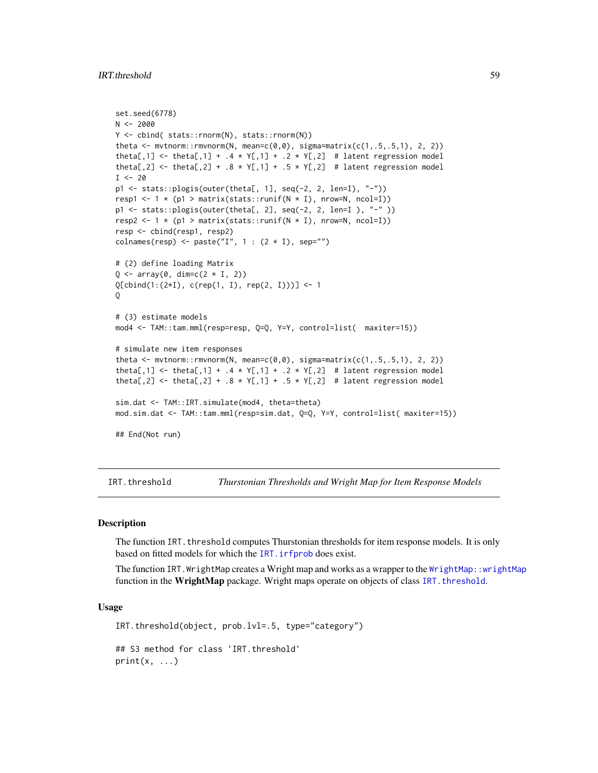# IRT.threshold 59

```
set.seed(6778)
N < -2000Y <- cbind( stats::rnorm(N), stats::rnorm(N))
theta \leq mvtnorm::rmvnorm(N, mean=c(\emptyset, \emptyset), sigma=matrix(c(1, .5, .5, 1), 2, 2))
theta[,1] <- theta[,1] + .4 \times Y[,1] + .2 \times Y[,2] # latent regression model
theta[,2] <- theta[,2] + .8 * Y[,1] + .5 * Y[,2] # latent regression model
I < -20p1 <- stats::plogis(outer(theta[, 1], seq(-2, 2, len=I), "-"))
resp1 <- 1 * (p1 > matrix(stats::runif(N * I), nrow=N, ncol=I))
p1 <- stats::plogis(outer(theta[, 2], seq(-2, 2, len=I ), "-" ))
resp2 <- 1 * (p1 > matrix(stats::runif(N * I), nrow=N, ncol=I))resp <- cbind(resp1, resp2)
colnames(resp) <- paste("I", 1: (2 * I), sep="")
# (2) define loading Matrix
Q \leftarrow \text{array}(\emptyset, \text{dim=}c(2 * I, 2))Q[cbind(1:(2*I), c(rep(1, I), rep(2, I)))] <- 1
\Omega# (3) estimate models
mod4 <- TAM::tam.mml(resp=resp, Q=Q, Y=Y, control=list( maxiter=15))
# simulate new item responses
theta \leq mvtnorm:: rmvnorm(N, mean=c(0,0), sigma=matrix(c(1,.5,.5,1), 2, 2))
theta[,1] <- theta[,1] + .4 * Y[,1] + .2 * Y[,2] # latent regression model
theta[,2] <- theta[,2] + .8 * Y[,1] + .5 * Y[,2] # latent regression model
sim.dat <- TAM::IRT.simulate(mod4, theta=theta)
mod.sim.dat <- TAM::tam.mml(resp=sim.dat, Q=Q, Y=Y, control=list( maxiter=15))
## End(Not run)
```
<span id="page-58-0"></span>IRT.threshold *Thurstonian Thresholds and Wright Map for Item Response Models*

# **Description**

The function IRT. threshold computes Thurstonian thresholds for item response models. It is only based on fitted models for which the [IRT.irfprob](#page-47-0) does exist.

The function IRT.WrightMap creates a Wright map and works as a wrapper to the [WrightMap::wrightMap](#page-0-0) function in the WrightMap package. Wright maps operate on objects of class IRT. threshold.

#### Usage

```
IRT.threshold(object, prob.lvl=.5, type="category")
## S3 method for class 'IRT.threshold'
print(x, \ldots)
```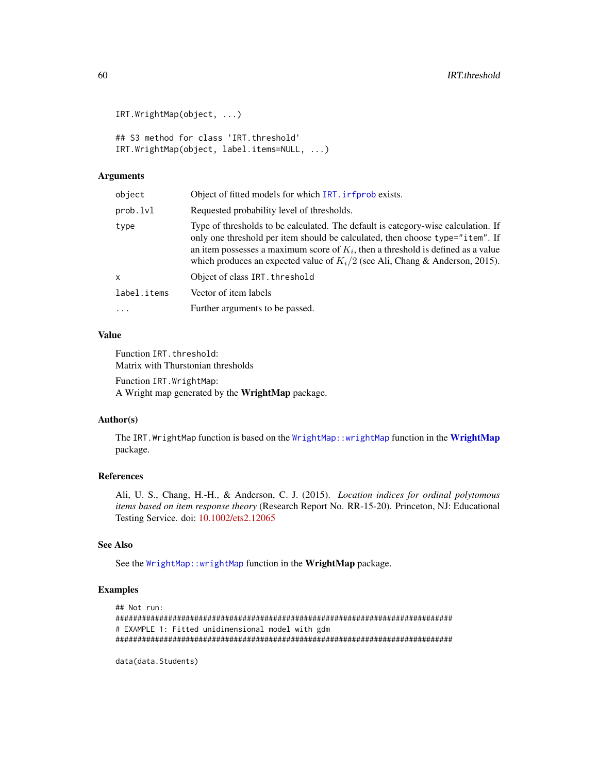```
IRT.WrightMap(object, ...)
```
## S3 method for class 'IRT.threshold' IRT.WrightMap(object, label.items=NULL, ...)

# Arguments

| object      | Object of fitted models for which IRT. infprob exists.                                                                                                                                                                                                                                                                                      |
|-------------|---------------------------------------------------------------------------------------------------------------------------------------------------------------------------------------------------------------------------------------------------------------------------------------------------------------------------------------------|
| prob.lvl    | Requested probability level of thresholds.                                                                                                                                                                                                                                                                                                  |
| type        | Type of thresholds to be calculated. The default is category-wise calculation. If<br>only one threshold per item should be calculated, then choose type="item". If<br>an item possesses a maximum score of $K_i$ , then a threshold is defined as a value<br>which produces an expected value of $K_i/2$ (see Ali, Chang & Anderson, 2015). |
| x           | Object of class IRT. threshold                                                                                                                                                                                                                                                                                                              |
| label.items | Vector of item labels                                                                                                                                                                                                                                                                                                                       |
| .           | Further arguments to be passed.                                                                                                                                                                                                                                                                                                             |
|             |                                                                                                                                                                                                                                                                                                                                             |

### Value

Function IRT. threshold: Matrix with Thurstonian thresholds

Function IRT.WrightMap: A Wright map generated by the WrightMap package.

## Author(s)

The IRT. WrightMap function is based on the [WrightMap::wrightMap](#page-0-0) function in the [WrightMap](#page-0-0) package.

# References

Ali, U. S., Chang, H.-H., & Anderson, C. J. (2015). *Location indices for ordinal polytomous items based on item response theory* (Research Report No. RR-15-20). Princeton, NJ: Educational Testing Service. doi: [10.1002/ets2.12065](https://doi.org/10.1002/ets2.12065)

# See Also

See the [WrightMap::wrightMap](#page-0-0) function in the WrightMap package.

## Examples

```
## Not run:
#############################################################################
# EXAMPLE 1: Fitted unidimensional model with gdm
#############################################################################
```
data(data.Students)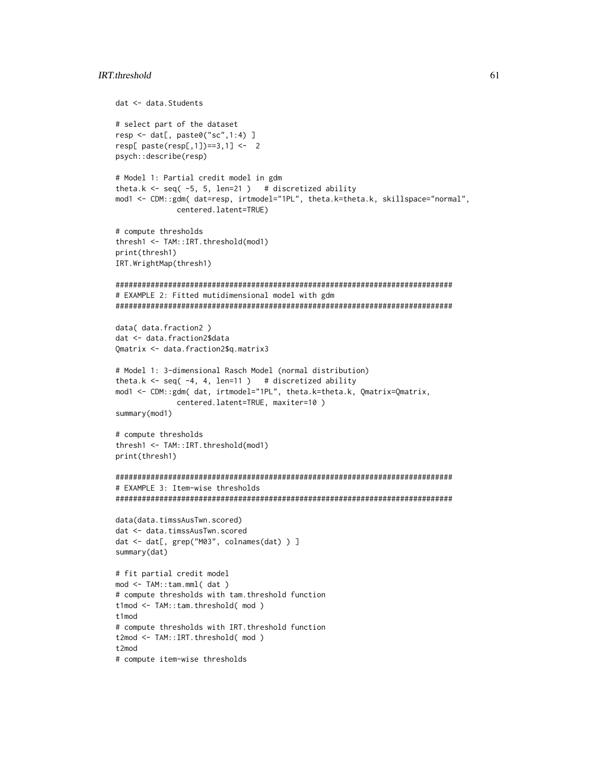# IRT.threshold 61

```
dat <- data.Students
# select part of the dataset
resp <- dat[, paste0("sc",1:4) ]
resp[ paste(resp[,1])==3,1] <- 2
psych::describe(resp)
# Model 1: Partial credit model in gdm
theta.k \leq seq( -5, 5, len=21 ) # discretized ability
mod1 <- CDM::gdm( dat=resp, irtmodel="1PL", theta.k=theta.k, skillspace="normal",
             centered.latent=TRUE)
# compute thresholds
thresh1 <- TAM::IRT.threshold(mod1)
print(thresh1)
IRT.WrightMap(thresh1)
#############################################################################
# EXAMPLE 2: Fitted mutidimensional model with gdm
#############################################################################
data( data.fraction2 )
dat <- data.fraction2$data
Qmatrix <- data.fraction2$q.matrix3
# Model 1: 3-dimensional Rasch Model (normal distribution)
theta.k \leq seq( -4, 4, len=11 ) # discretized ability
mod1 <- CDM::gdm( dat, irtmodel="1PL", theta.k=theta.k, Qmatrix=Qmatrix,
             centered.latent=TRUE, maxiter=10 )
summary(mod1)
# compute thresholds
thresh1 <- TAM::IRT.threshold(mod1)
print(thresh1)
#############################################################################
# EXAMPLE 3: Item-wise thresholds
#############################################################################
data(data.timssAusTwn.scored)
dat <- data.timssAusTwn.scored
dat <- dat[, grep("M03", colnames(dat) ) ]
summary(dat)
# fit partial credit model
mod <- TAM::tam.mml( dat )
# compute thresholds with tam.threshold function
t1mod <- TAM::tam.threshold( mod )
t1mod
# compute thresholds with IRT.threshold function
t2mod <- TAM::IRT.threshold( mod )
t2mod
# compute item-wise thresholds
```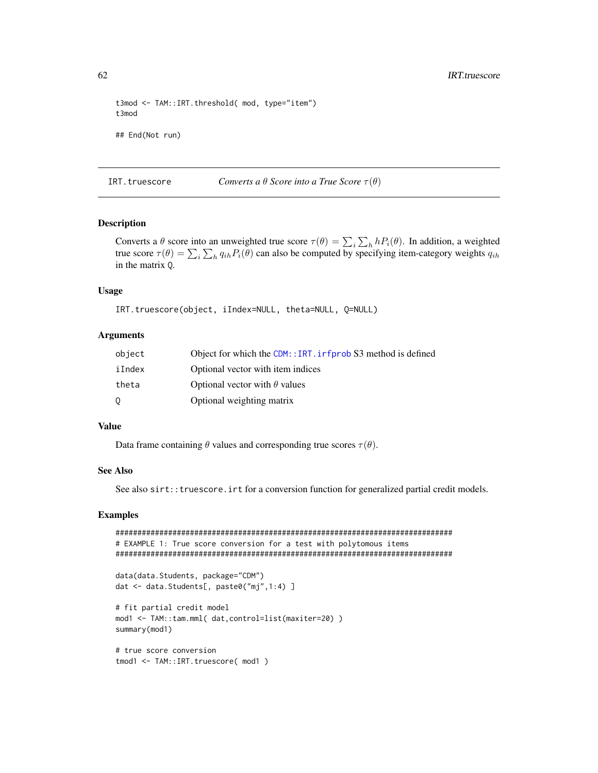```
t3mod <- TAM::IRT.threshold( mod, type="item")
t3mod
## End(Not run)
```
IRT.truescore *Converts a*  $\theta$  *Score into a True Score*  $\tau(\theta)$ 

# Description

Converts a  $\theta$  score into an unweighted true score  $\tau(\theta) = \sum_i \sum_h h P_i(\theta)$ . In addition, a weighted true score  $\tau(\theta) = \sum_i \sum_h q_{ih} P_i(\theta)$  can also be computed by specifying item-category weights  $q_{ih}$ in the matrix Q.

#### Usage

```
IRT.truescore(object, iIndex=NULL, theta=NULL, Q=NULL)
```
## Arguments

| object | Object for which the CDM:: IRT. irfprob S3 method is defined |
|--------|--------------------------------------------------------------|
| iIndex | Optional vector with item indices                            |
| theta  | Optional vector with $\theta$ values                         |
| 0      | Optional weighting matrix                                    |

### Value

Data frame containing  $\theta$  values and corresponding true scores  $\tau(\theta)$ .

### See Also

See also sirt::truescore.irt for a conversion function for generalized partial credit models.

```
#############################################################################
# EXAMPLE 1: True score conversion for a test with polytomous items
#############################################################################
data(data.Students, package="CDM")
dat <- data.Students[, paste0("mj",1:4) ]
# fit partial credit model
mod1 <- TAM::tam.mml( dat,control=list(maxiter=20) )
summary(mod1)
# true score conversion
tmod1 <- TAM::IRT.truescore( mod1 )
```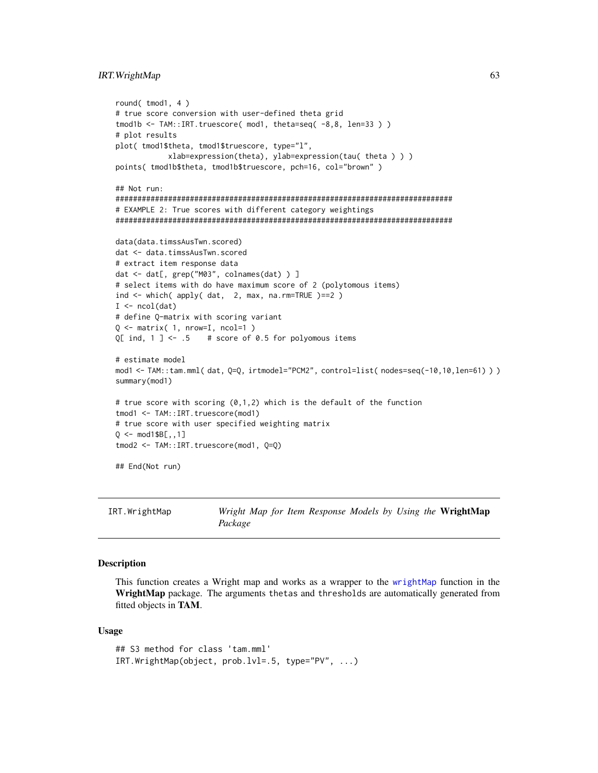### IRT. WrightMap

```
round(tmod1, 4)
# true score conversion with user-defined theta grid
tmod1b <- TAM::IRT.truescore( mod1, theta=seq( -8,8, len=33))
# plot results
plot( tmod1$theta, tmod1$truescore, type="l",
          xlab=expression(theta), ylab=expression(tau( theta ) ) )
points( tmod1b$theta, tmod1b$truescore, pch=16, col="brown")
## Not run:
# EXAMPLE 2: True scores with different category weightings
data(data.timssAusTwn.scored)
dat <- data.timssAusTwn.scored
# extract item response data
dat <- dat[, grep("M03", colnames(dat) ) ]
# select items with do have maximum score of 2 (polytomous items)
ind \le which( apply( dat, 2, max, na.rm=TRUE )==2)
I \leftarrow \text{ncol}(\text{dat})# define Q-matrix with scoring variant
Q \leftarrow matrix( 1, nrow=I, ncol=1)
Q[ ind, 1 ] <- .5
                  # score of 0.5 for polyomous items
# estimate model
mod1 <- TAM::tam.mml(dat, Q=Q, irtmodel="PCM2", control=list( nodes=seq(-10,10,len=61) ))
summary(mod1)
# true score with scoring (0,1,2) which is the default of the function
tmod1 <- TAM::IRT.truescore(mod1)
# true score with user specified weighting matrix
Q \leq - \text{mod} 1$B[ , , 1]tmod2 <- TAM::IRT.truescore(mod1, Q=Q)
## End(Not run)
```
IRT.WrightMap Wright Map for Item Response Models by Using the WrightMap Package

# **Description**

This function creates a Wright map and works as a wrapper to the wrightMap function in the WrightMap package. The arguments thetas and thresholds are automatically generated from fitted objects in TAM.

#### **Usage**

```
## S3 method for class 'tam.mml'
IRT.WrightMap(object, prob.lvl=.5, type="PV", ...)
```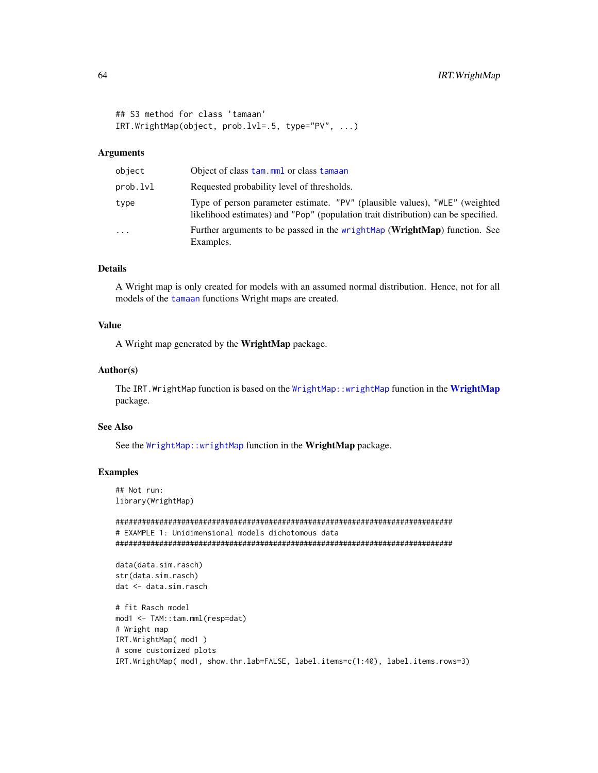```
## S3 method for class 'tamaan'
IRT.WrightMap(object, prob.lvl=.5, type="PV", ...)
```
# Arguments

| object   | Object of class tam.mml or class tamaan                                                                                                                          |
|----------|------------------------------------------------------------------------------------------------------------------------------------------------------------------|
| prob.lvl | Requested probability level of thresholds.                                                                                                                       |
| type     | Type of person parameter estimate. "PV" (plausible values), "WLE" (weighted<br>likelihood estimates) and "Pop" (population trait distribution) can be specified. |
| .        | Further arguments to be passed in the wrightMap (WrightMap) function. See<br>Examples.                                                                           |

# Details

A Wright map is only created for models with an assumed normal distribution. Hence, not for all models of the [tamaan](#page-199-0) functions Wright maps are created.

# Value

A Wright map generated by the WrightMap package.

## Author(s)

The IRT. WrightMap function is based on the [WrightMap::wrightMap](#page-0-0) function in the [WrightMap](#page-0-0) package.

#### See Also

See the [WrightMap::wrightMap](#page-0-0) function in the WrightMap package.

# Examples

## Not run: library(WrightMap)

```
#############################################################################
# EXAMPLE 1: Unidimensional models dichotomous data
#############################################################################
```

```
data(data.sim.rasch)
str(data.sim.rasch)
dat <- data.sim.rasch
```

```
# fit Rasch model
mod1 <- TAM::tam.mml(resp=dat)
# Wright map
IRT.WrightMap( mod1 )
# some customized plots
IRT.WrightMap( mod1, show.thr.lab=FALSE, label.items=c(1:40), label.items.rows=3)
```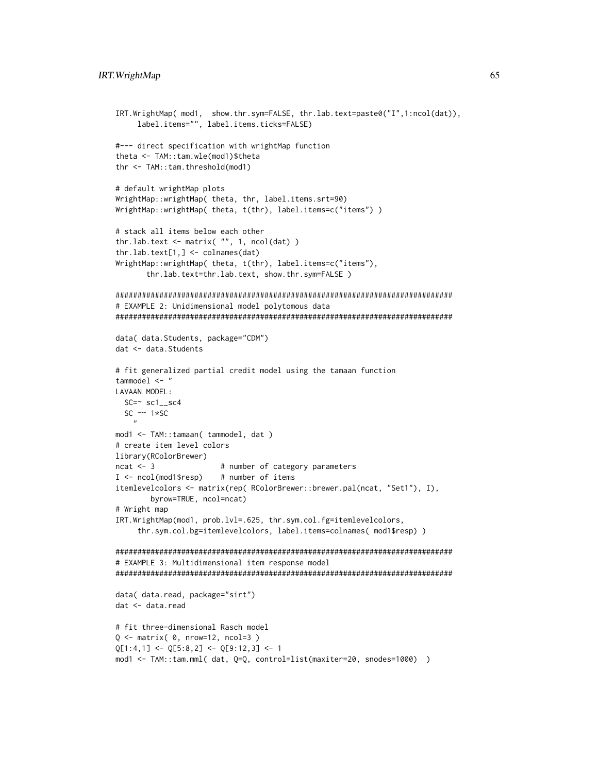```
IRT.WrightMap( mod1, show.thr.sym=FALSE, thr.lab.text=paste0("I",1:ncol(dat)),
     label.items="", label.items.ticks=FALSE)
#--- direct specification with wrightMap function
theta <- TAM::tam.wle(mod1)$theta
thr <- TAM::tam.threshold(mod1)
# default wrightMap plots
WrightMap::wrightMap( theta, thr, label.items.srt=90)
WrightMap::wrightMap( theta, t(thr), label.items=c("items") )
# stack all items below each other
thr.lab.text \leq matrix( "", 1, ncol(dat) )
thr.lab.text[1,] <- colnames(dat)
WrightMap::wrightMap( theta, t(thr), label.items=c("items"),
       thr.lab.text=thr.lab.text, show.thr.sym=FALSE )
#############################################################################
# EXAMPLE 2: Unidimensional model polytomous data
#############################################################################
data( data.Students, package="CDM")
dat <- data.Students
# fit generalized partial credit model using the tamaan function
tammodel <- "
LAVAAN MODEL:
  SC = \ncos(1 - \text{sc}^2)SC \sim 1*SC
    ,,
mod1 <- TAM::tamaan( tammodel, dat )
# create item level colors
library(RColorBrewer)
ncat <- 3 # number of category parameters
I <- ncol(mod1$resp) # number of items
itemlevelcolors <- matrix(rep( RColorBrewer::brewer.pal(ncat, "Set1"), I),
        byrow=TRUE, ncol=ncat)
# Wright map
IRT.WrightMap(mod1, prob.lvl=.625, thr.sym.col.fg=itemlevelcolors,
     thr.sym.col.bg=itemlevelcolors, label.items=colnames( mod1$resp) )
#############################################################################
# EXAMPLE 3: Multidimensional item response model
#############################################################################
data( data.read, package="sirt")
dat <- data.read
# fit three-dimensional Rasch model
Q \leq - matrix( \theta, nrow=12, ncol=3 )
Q[1:4,1] \leftarrow Q[5:8,2] \leftarrow Q[9:12,3] \leftarrow 1mod1 <- TAM::tam.mml( dat, Q=Q, control=list(maxiter=20, snodes=1000) )
```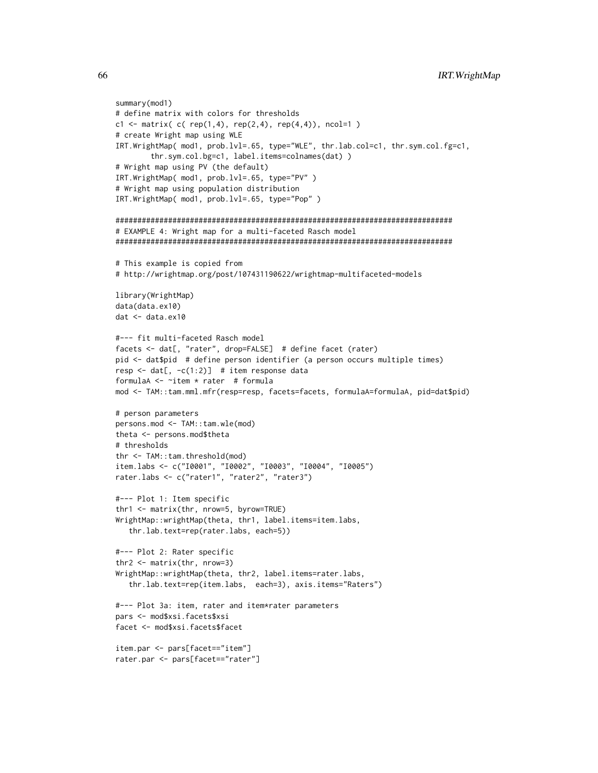```
summary(mod1)
# define matrix with colors for thresholds
c1 <- matrix( c( rep(1,4), rep(2,4), rep(4,4)), ncol=1 )
# create Wright map using WLE
IRT.WrightMap( mod1, prob.lvl=.65, type="WLE", thr.lab.col=c1, thr.sym.col.fg=c1,
        thr.sym.col.bg=c1, label.items=colnames(dat) )
# Wright map using PV (the default)
IRT.WrightMap( mod1, prob.lvl=.65, type="PV" )
# Wright map using population distribution
IRT.WrightMap( mod1, prob.lvl=.65, type="Pop" )
#############################################################################
# EXAMPLE 4: Wright map for a multi-faceted Rasch model
#############################################################################
# This example is copied from
# http://wrightmap.org/post/107431190622/wrightmap-multifaceted-models
library(WrightMap)
data(data.ex10)
dat <- data.ex10
#--- fit multi-faceted Rasch model
facets <- dat[, "rater", drop=FALSE] # define facet (rater)
pid <- dat$pid # define person identifier (a person occurs multiple times)
resp \le dat[, -c(1:2)] # item response data
formulaA <- ~item * rater # formula
mod <- TAM::tam.mml.mfr(resp=resp, facets=facets, formulaA=formulaA, pid=dat$pid)
# person parameters
persons.mod <- TAM::tam.wle(mod)
theta <- persons.mod$theta
# thresholds
thr <- TAM::tam.threshold(mod)
item.labs <- c("I0001", "I0002", "I0003", "I0004", "I0005")
rater.labs <- c("rater1", "rater2", "rater3")
#--- Plot 1: Item specific
thr1 <- matrix(thr, nrow=5, byrow=TRUE)
WrightMap::wrightMap(theta, thr1, label.items=item.labs,
   thr.lab.text=rep(rater.labs, each=5))
#--- Plot 2: Rater specific
thr2 <- matrix(thr, nrow=3)
WrightMap::wrightMap(theta, thr2, label.items=rater.labs,
   thr.lab.text=rep(item.labs, each=3), axis.items="Raters")
#--- Plot 3a: item, rater and item*rater parameters
pars <- mod$xsi.facets$xsi
facet <- mod$xsi.facets$facet
item.par <- pars[facet=="item"]
rater.par <- pars[facet=="rater"]
```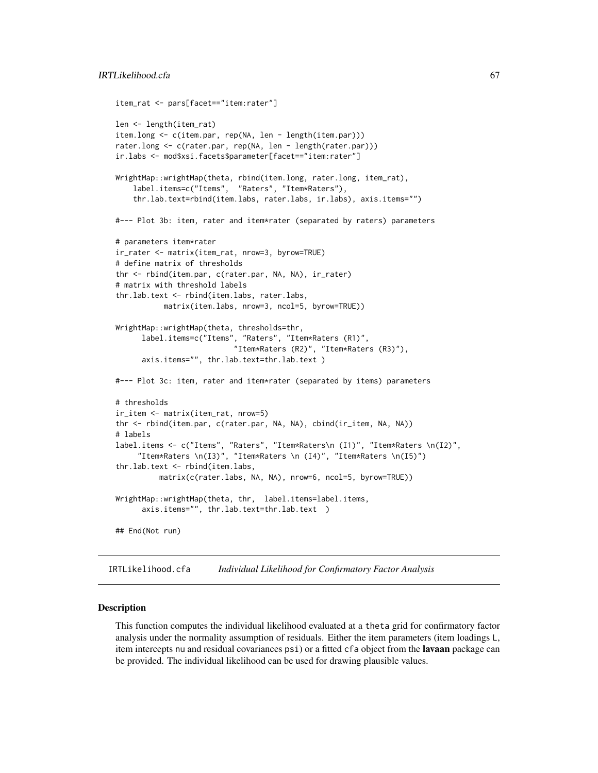```
item_rat <- pars[facet=="item:rater"]
len <- length(item_rat)
item.long <- c(item.par, rep(NA, len - length(item.par)))
rater.long <- c(rater.par, rep(NA, len - length(rater.par)))
ir.labs <- mod$xsi.facets$parameter[facet=="item:rater"]
WrightMap::wrightMap(theta, rbind(item.long, rater.long, item_rat),
    label.items=c("Items", "Raters", "Item*Raters"),
    thr.lab.text=rbind(item.labs, rater.labs, ir.labs), axis.items="")
#--- Plot 3b: item, rater and item*rater (separated by raters) parameters
# parameters item*rater
ir_rater <- matrix(item_rat, nrow=3, byrow=TRUE)
# define matrix of thresholds
thr <- rbind(item.par, c(rater.par, NA, NA), ir_rater)
# matrix with threshold labels
thr.lab.text <- rbind(item.labs, rater.labs,
           matrix(item.labs, nrow=3, ncol=5, byrow=TRUE))
WrightMap::wrightMap(theta, thresholds=thr,
      label.items=c("Items", "Raters", "Item*Raters (R1)",
                           "Item*Raters (R2)", "Item*Raters (R3)"),
      axis.items="", thr.lab.text=thr.lab.text )
#--- Plot 3c: item, rater and item*rater (separated by items) parameters
# thresholds
ir_item <- matrix(item_rat, nrow=5)
thr <- rbind(item.par, c(rater.par, NA, NA), cbind(ir_item, NA, NA))
# labels
label.items <- c("Items", "Raters", "Item*Raters\n (I1)", "Item*Raters \n(I2)",
     "Item*Raters \n(I3)", "Item*Raters \n (I4)", "Item*Raters \n(I5)")
thr.lab.text <- rbind(item.labs,
          matrix(c(rater.labs, NA, NA), nrow=6, ncol=5, byrow=TRUE))
WrightMap::wrightMap(theta, thr, label.items=label.items,
      axis.items="", thr.lab.text=thr.lab.text )
## End(Not run)
```
IRTLikelihood.cfa *Individual Likelihood for Confirmatory Factor Analysis*

#### Description

This function computes the individual likelihood evaluated at a theta grid for confirmatory factor analysis under the normality assumption of residuals. Either the item parameters (item loadings L, item intercepts nu and residual covariances psi) or a fitted cfa object from the **lavaan** package can be provided. The individual likelihood can be used for drawing plausible values.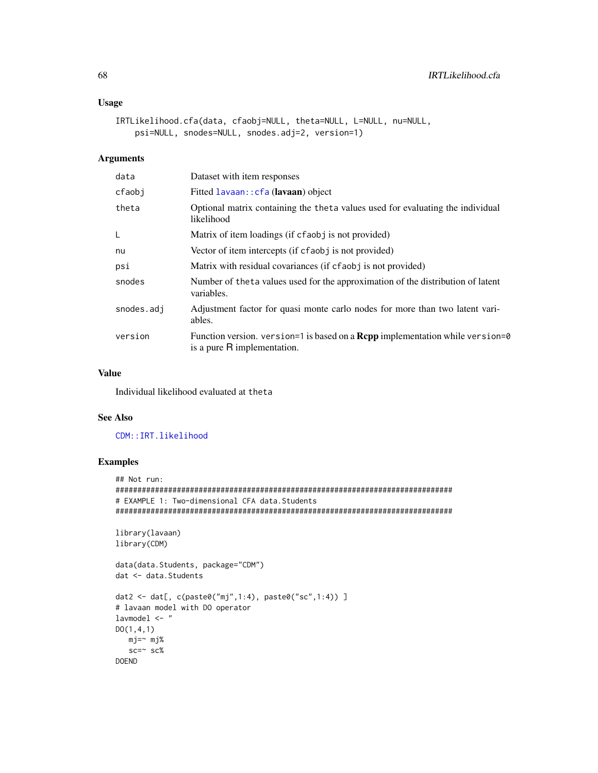# **Usage**

```
IRTLikelihood.cfa(data, cfaobj=NULL, theta=NULL, L=NULL, nu=NULL,
   psi=NULL, snodes=NULL, snodes.adj=2, version=1)
```
# **Arguments**

| data       | Dataset with item responses                                                                                         |
|------------|---------------------------------------------------------------------------------------------------------------------|
| cfaobj     | Fitted lavaan:: cfa (lavaan) object                                                                                 |
| theta      | Optional matrix containing the theta values used for evaluating the individual<br>likelihood                        |
| L          | Matrix of item loadings (if cfaobj is not provided)                                                                 |
| nu         | Vector of item intercepts (if cfaob j is not provided)                                                              |
| psi        | Matrix with residual covariances (if cfaobj is not provided)                                                        |
| snodes     | Number of the ta values used for the approximation of the distribution of latent<br>variables.                      |
| snodes.adi | Adjustment factor for quasi monte carlo nodes for more than two latent vari-<br>ables.                              |
| version    | Function version. version=1 is based on a <b>Repp</b> implementation while version=0<br>is a pure R implementation. |

## **Value**

Individual likelihood evaluated at theta

#### **See Also**

## CDM::IRT.likelihood

```
## Not run:
# EXAMPLE 1: Two-dimensional CFA data. Students
library(lavaan)
library(CDM)
data(data.Students, package="CDM")
dat <- data. Students
dat2 \leq dat[, c(paste0("mj", 1:4), paste0("sc", 1:4)) ]# lavaan model with DO operator
lavmodel <- "
D0(1, 4, 1)mj=~ mj%
 sc = \text{sc}\%DOEND
```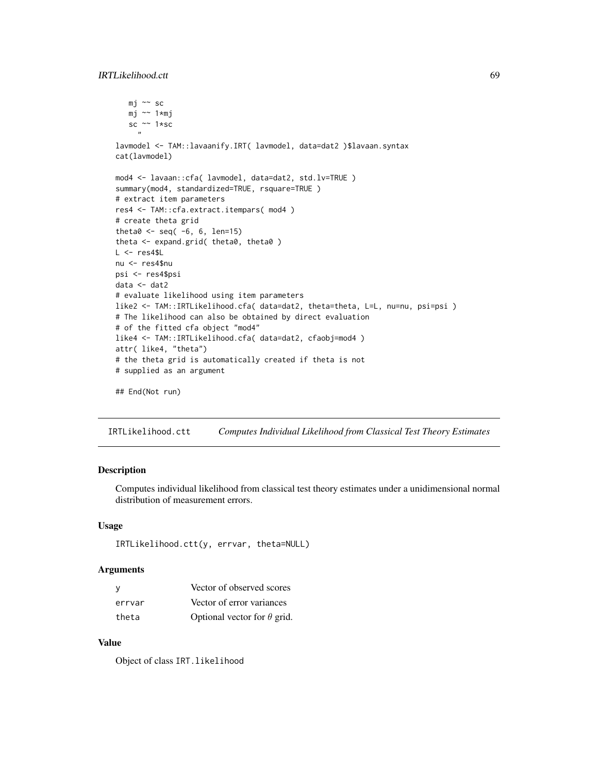# IRTLikelihood.ctt 69

```
mj ~~ sc
   mj ~~ 1*mj
   sc ~~ 1*sc
     "
lavmodel <- TAM::lavaanify.IRT( lavmodel, data=dat2 )$lavaan.syntax
cat(lavmodel)
mod4 <- lavaan::cfa( lavmodel, data=dat2, std.lv=TRUE )
summary(mod4, standardized=TRUE, rsquare=TRUE )
# extract item parameters
res4 <- TAM::cfa.extract.itempars( mod4 )
# create theta grid
theta0 \leq - \text{seq}(-6, 6, \text{len=15})theta <- expand.grid( theta0, theta0 )
L < - res4$L
nu <- res4$nu
psi <- res4$psi
data <- dat2
# evaluate likelihood using item parameters
like2 <- TAM::IRTLikelihood.cfa( data=dat2, theta=theta, L=L, nu=nu, psi=psi )
# The likelihood can also be obtained by direct evaluation
# of the fitted cfa object "mod4"
like4 <- TAM::IRTLikelihood.cfa( data=dat2, cfaobj=mod4 )
attr( like4, "theta")
# the theta grid is automatically created if theta is not
# supplied as an argument
## End(Not run)
```
IRTLikelihood.ctt *Computes Individual Likelihood from Classical Test Theory Estimates*

### Description

Computes individual likelihood from classical test theory estimates under a unidimensional normal distribution of measurement errors.

## Usage

```
IRTLikelihood.ctt(y, errvar, theta=NULL)
```
### Arguments

| - V    | Vector of observed scores          |
|--------|------------------------------------|
| errvar | Vector of error variances          |
| theta  | Optional vector for $\theta$ grid. |

## Value

Object of class IRT.likelihood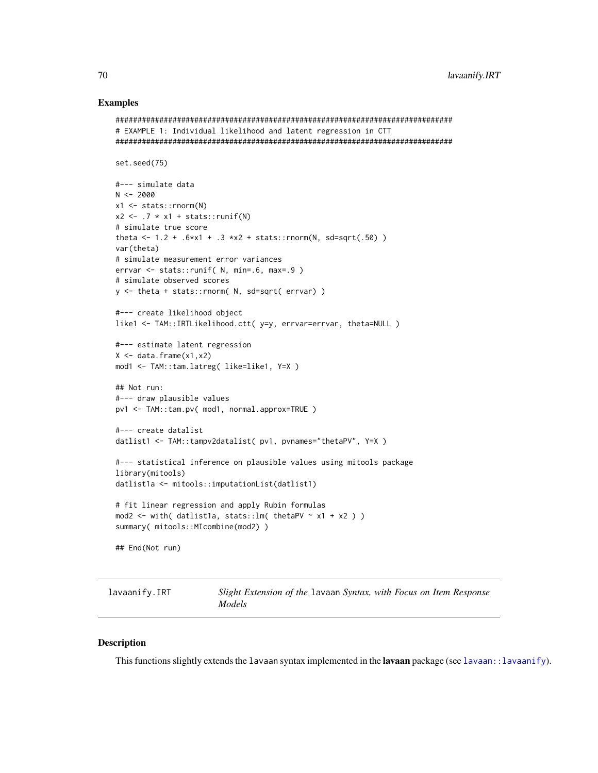# **Examples**

```
# EXAMPLE 1: Individual likelihood and latent regression in CTT
set.seed(75)
#--- simulate data
N < -2000x1 \leftarrow stats:: rnorm(N)
x2 \leftarrow .7 \times x1 + \text{stats::runif(N)}# simulate true score
theta <- 1.2 + .6*x1 + .3 *x2 + stats::rnorm(N, sd=sqrt(.50))
var(theta)
# simulate measurement error variances
error < - stats::runif( N, min=.6, max=.9 )# simulate observed scores
y \le - theta + stats:: rnorm( N, sd=sqrt( errvar) )
#--- create likelihood object
like1 <- TAM::IRTLikelihood.ctt( y=y, errvar=errvar, theta=NULL )
#--- estimate latent regression
X \leftarrow data . frame(x1, x2)mod1 <- TAM::tam.latreg( like=like1, Y=X )
## Not run:
#--- draw plausible values
pv1 <- TAM::tam.pv( mod1, normal.approx=TRUE )
#--- create datalist
datlist1 <- TAM::tampv2datalist( pv1, pvnames="thetaPV", Y=X )
#--- statistical inference on plausible values using mitools package
library(mitools)
datlist1a <- mitools::imputationList(datlist1)
# fit linear regression and apply Rubin formulas
mod2 <- with( datlist1a, stats::1m( thetaPV \sim x1 + x2 ) )
summary( mitools::MIcombine(mod2) )
## End(Not run)
```
<span id="page-69-0"></span>lavaanify.IRT Slight Extension of the lavaan Syntax, with Focus on Item Response Models

# **Description**

This functions slightly extends the lavaan syntax implemented in the lavaan package (see lavaan: : lavaanify).

70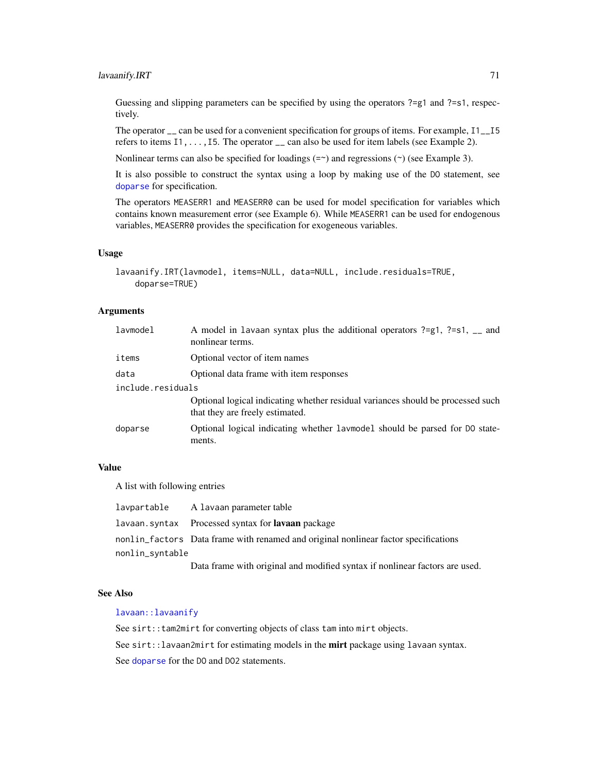# lavaanify.IRT 71

Guessing and slipping parameters can be specified by using the operators ?=g1 and ?=s1, respectively.

The operator \_\_ can be used for a convenient specification for groups of items. For example, I1\_\_I5 refers to items  $11, \ldots, 15$ . The operator  $\overline{\phantom{a}}$  can also be used for item labels (see Example 2).

Nonlinear terms can also be specified for loadings  $(=\gamma)$  and regressions  $(\gamma)$  (see Example 3).

It is also possible to construct the syntax using a loop by making use of the DO statement, see [doparse](#page-37-0) for specification.

The operators MEASERR1 and MEASERR0 can be used for model specification for variables which contains known measurement error (see Example 6). While MEASERR1 can be used for endogenous variables, MEASERR0 provides the specification for exogeneous variables.

### Usage

```
lavaanify.IRT(lavmodel, items=NULL, data=NULL, include.residuals=TRUE,
    doparse=TRUE)
```
## Arguments

| lavmodel          | A model in lavaan syntax plus the additional operators ?= $g1$ , ?= $s1$ , __ and<br>nonlinear terms.              |  |
|-------------------|--------------------------------------------------------------------------------------------------------------------|--|
| items             | Optional vector of item names                                                                                      |  |
| data              | Optional data frame with item responses                                                                            |  |
| include.residuals |                                                                                                                    |  |
|                   | Optional logical indicating whether residual variances should be processed such<br>that they are freely estimated. |  |
| doparse           | Optional logical indicating whether lavmodel should be parsed for DO state-<br>ments.                              |  |

# Value

A list with following entries

| lavpartable     | A lavaan parameter table                                                            |  |
|-----------------|-------------------------------------------------------------------------------------|--|
|                 | lavaan.syntax Processed syntax for <b>lavaan</b> package                            |  |
|                 | nonlin factors Data frame with renamed and original nonlinear factor specifications |  |
| nonlin_svntable |                                                                                     |  |
|                 | Data frame with original and modified syntax if nonlinear factors are used.         |  |

# See Also

### [lavaan::lavaanify](#page-0-0)

See sirt::tam2mirt for converting objects of class tam into mirt objects.

See sirt::lavaan2mirt for estimating models in the mirt package using lavaan syntax.

See [doparse](#page-37-0) for the DO and DO2 statements.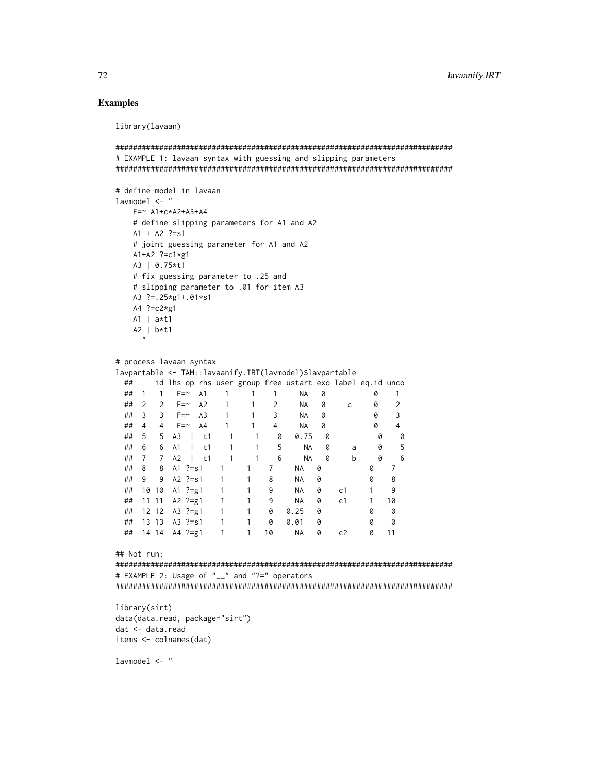## **Examples**

library(lavaan)

```
# EXAMPLE 1: lavaan syntax with guessing and slipping parameters
# define model in lavaan
1avmode1 < -"
  F = ~ A1 + c \times A2 + A3 + A4# define slipping parameters for A1 and A2
  A1 + A2 ?=s1
  # joint guessing parameter for A1 and A2
  A1+A2 ?=c1*g1A3 | 0.75*t1
  # fix guessing parameter to .25 and
  # slipping parameter to .01 for item A3
  A3 ? = .25 \times g1 + .01 \times s1A4 ?=c2*g1A1 | a*t1A2 | b*t1# process lavaan syntax
lavpartable <- TAM::lavaanify.IRT(lavmodel)$lavpartable
 ## id lhs op rhs user group free ustart exo label eq.id unco
 ## 1 1 F=~ A1 1 1 1 NA 0 0 1
 ## 2 2 F=~ A2 1 1 2 NA 0
                                        c \qquad \qquad \emptyset\overline{2}## 3 3 F=~ A3 1 1 3 NA 0
                                           \theta\overline{3}## 4 4 F=~ A4
                      1 4 NA 0
                                                 \overline{4}1\theta## 5 5 A3 | t1 1 1 0 0.75 0
                                            \theta\theta## 6 6 A1 | t1
                  1 \quad 1 \quad 5NA 0
                                         \mathsf{a}0
                                                 -5
 ## 7 7 A2 | t1 1 1 6
                               NA 0
                                             \bullet\mathbf{b}6
 ## 8 8 A1 ?=s1 1 1 7
                                            \circNA 0
                                                7\overline{ }\overline{1}## 9 9 A2 ?=s1
                 \overline{1}8\phantom{.0}NA 0
                                            0
                                                8
 ## 10 10 A1 ?=g1
                 \overline{1}\overline{1}9NA 0
                                      c1\mathbf{1}\overline{9}1 \quad 10## 11 11 A2 ?=g1 1
                     1 \qquad 9NA 0
                                      c1## 12 12 A3 ?=g1 1
                     1 0 0.25 0
                                            0 01 \t0 \t0.01 \t0## 13 13 A3 ?=s1 1
                                               \alpha\Omega## 14 14 A4 ?=g1 1 1 10 NA 0
                                       c20 11
## Not run:
# EXAMPLE 2: Usage of "__" and "?=" operators
library(sirt)
data(data.read, package="sirt")
dat <- data.read
items <- colnames(dat)
```
 $1$ avmode $1 < -$  "

72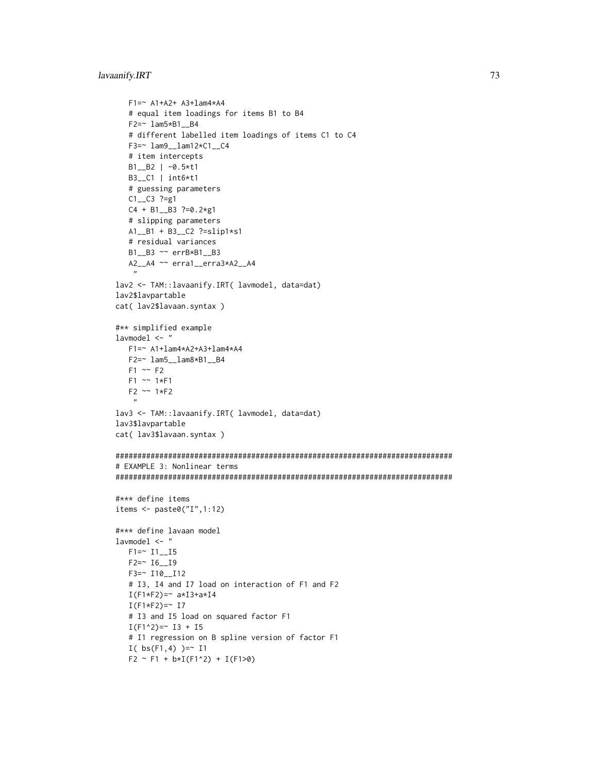### lavaanify.IRT 73

```
F1=~ A1+A2+ A3+lam4*A4
   # equal item loadings for items B1 to B4
   F2=~ lam5*B1__B4
   # different labelled item loadings of items C1 to C4
   F3=~ lam9__lam12*C1__C4
   # item intercepts
   B1__B2 | -0.5*t1
   B3__C1 | int6*t1
   # guessing parameters
   C1__C3 ?=g1
   C4 + B1__B3 ?=0.2*g1
   # slipping parameters
   A1__B1 + B3__C2 ?=slip1*s1
   # residual variances
   B1__B3 ~~ errB*B1__B3
   A2__A4 ~~ erra1__erra3*A2__A4
    "
lav2 <- TAM::lavaanify.IRT( lavmodel, data=dat)
lav2$lavpartable
cat( lav2$lavaan.syntax )
#** simplified example
lavmodel <- "
   F1=~ A1+lam4*A2+A3+lam4*A4
   F2=~ lam5__lam8*B1__B4
   F1 \sim F2F1 \sim 1*F1F2 ~~ 1*F2
    \boldsymbol{\eta}lav3 <- TAM::lavaanify.IRT( lavmodel, data=dat)
lav3$lavpartable
cat( lav3$lavaan.syntax )
#############################################################################
# EXAMPLE 3: Nonlinear terms
#############################################################################
#*** define items
items <- paste0("I",1:12)
#*** define lavaan model
lavmodel <- "
   F1 = ~ 11 - 15F2=~ I6__I9
   F3=~ I10__I12
   # I3, I4 and I7 load on interaction of F1 and F2
   I(F1*F2) = ~ a*I3+a*I4I(F1*F2) = ~ 17# I3 and I5 load on squared factor F1
   I(F1^2)=~ I3 + I5# I1 regression on B spline version of factor F1
   I( bs(F1,4) )= I1
   F2 \sim F1 + b*I(F1^2) + I(F1>0)
```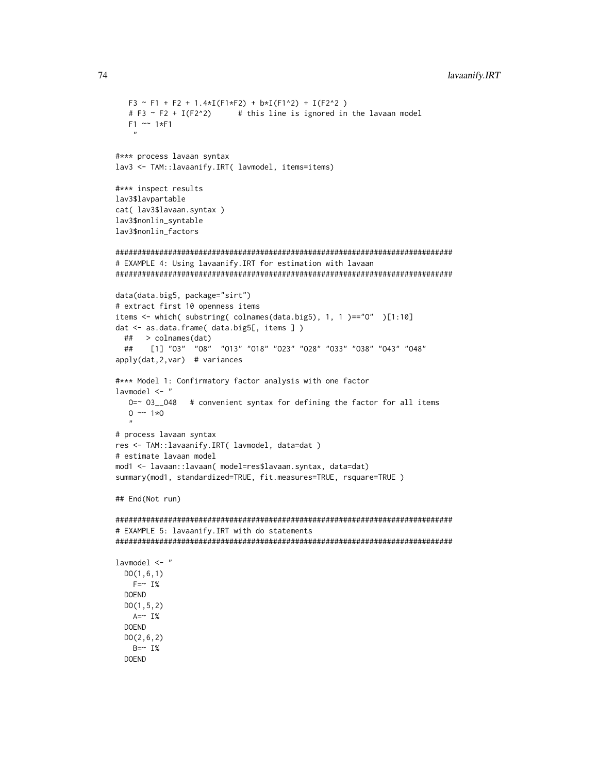```
F3 \sim F1 + F2 + 1.4 \times I(F1 \times F2) + b \times I(F1 \times 2) + I(F2 \times 2)# this line is ignored in the lavaan model
  # F3 \sim F2 + I(F2^2)
  F1 \sim 1*F1\overline{u}#*** process lavaan syntax
lav3 <- TAM::lavaanify.IRT( lavmodel, items=items)
#*** inspect results
lav3$lavpartable
cat(lav3$lavaan.syntax)
lav3$nonlin_syntable
lav3$nonlin_factors
# EXAMPLE 4: Using lavaanify. IRT for estimation with lavaan
data(data.big5, package="sirt")
# extract first 10 openness items
items <- which( substring( colnames(data.big5), 1, 1 )=="0" )[1:10]
dat <- as.data.frame( data.big5[, items ])
 ## > colnames(dat)
     [1] "03" "08" "013" "018" "023" "028" "033" "038" "043" "048"
 ##apply(data, 2, var) # variances
#*** Model 1: Confirmatory factor analysis with one factor
lavmodel < - "
  0 = ~ 03 048 # convenient syntax for defining the factor for all items
  0 \sim 1*0# process lavaan syntax
res <- TAM::lavaanify.IRT( lavmodel, data=dat )
# estimate lavaan model
mod1 <- lavaan::lavaan( model=res$lavaan.syntax, data=dat)
summary(mod1, standardized=TRUE, fit.measures=TRUE, rsquare=TRUE )
## End(Not run)
# EXAMPLE 5: lavaanify. IRT with do statements
1avmode1 <- "
 D0(1,6,1)F = \sim 1\%DOEND
 D0(1, 5, 2)A = \sim I\%DOEND
 D0(2, 6, 2)B = \sim I\%DOEND
```
74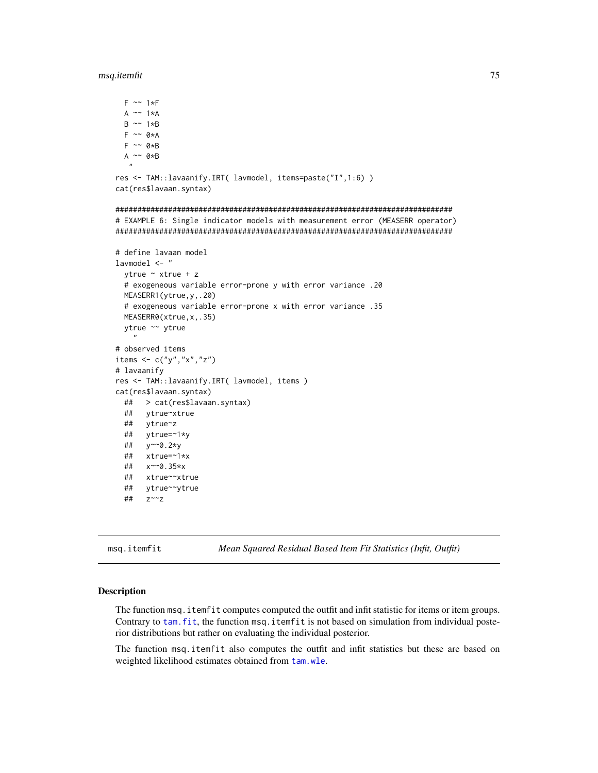#### msq.itemfit

```
F \sim 1*FA \sim 1*A
 B \sim 1*BF \sim \theta \star AF \sim \theta * BA \sim 0*B
res <- TAM::lavaanify.IRT( lavmodel, items=paste("I",1:6) )
cat(res$lavaan.syntax)
# EXAMPLE 6: Single indicator models with measurement error (MEASERR operator)
# define lavaan model
1avmode1 <- "
 ytrue \sim xtrue + z
 # exogeneous variable error-prone y with error variance .20
 MEASERR1(ytrue, y, .20)
 # exogeneous variable error-prone x with error variance .35
 MEASERR0(xtrue,x,.35)
 ytrue ~~ ytrue
   \boldsymbol{n}# observed items
items \leftarrow c("y","x","z")
# lavaanify
res <- TAM::lavaanify.IRT( lavmodel, items )
cat(res$lavaan.syntax)
 ## > cat(res$lavaan.syntax)
 ##ytrue~xtrue
 ##ytrue~z
 ##ytrue=~1*y
 ## y~~0.2*y
 ##xtrue=~1*x
     x~~0.35*x
 \##
 ##xtrue~~xtrue
     ytrue~~ytrue
 ##Z^{\sim}z
 ##
```

```
msq.itemfit
```
Mean Squared Residual Based Item Fit Statistics (Infit, Outfit)

#### **Description**

The function msq. i temf it computes computed the outfit and infit statistic for items or item groups. Contrary to tam. fit, the function msq. itemfit is not based on simulation from individual posterior distributions but rather on evaluating the individual posterior.

The function msq. itemfit also computes the outfit and infit statistics but these are based on weighted likelihood estimates obtained from tam.wle.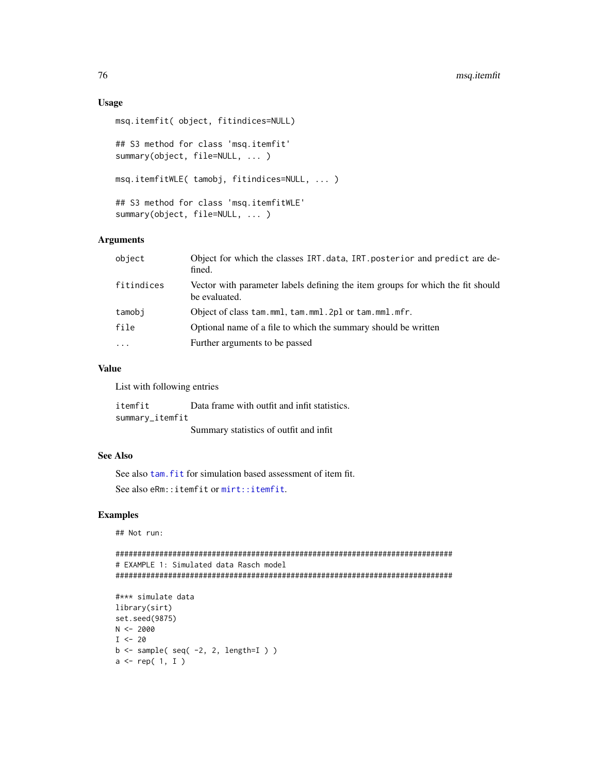### **Usage**

```
msq.itemfit( object, fitindices=NULL)
## S3 method for class 'msq.itemfit'
summary(object, file=NULL, ...)
msq.itemfitWLE(tamobj, fitindices=NULL, ...)
## S3 method for class 'msq.itemfitWLE'
summary(object, file=NULL, ...)
```
# **Arguments**

| object     | Object for which the classes IRT.data, IRT.posterior and predict are de-<br>fined.              |
|------------|-------------------------------------------------------------------------------------------------|
| fitindices | Vector with parameter labels defining the item groups for which the fit should<br>be evaluated. |
| tamobi     | Object of class tam.mml, tam.mml. 2pl or tam.mml.mfr.                                           |
| file       | Optional name of a file to which the summary should be written                                  |
| $\cdots$   | Further arguments to be passed                                                                  |
|            |                                                                                                 |

#### **Value**

List with following entries

Data frame with outfit and infit statistics. itemfit summary\_itemfit Summary statistics of outfit and infit

# **See Also**

See also tam, fit for simulation based assessment of item fit. See also eRm:: itemfit or mirt:: itemfit.

# **Examples**

## Not run:

```
# EXAMPLE 1: Simulated data Rasch model
```

```
#*** simulate data
library(sirt)
set.seed(9875)
N < -2000I < -20b \leftarrow sample( seq( -2, 2, length=I ) )
a \leftarrow rep(1, I)
```
76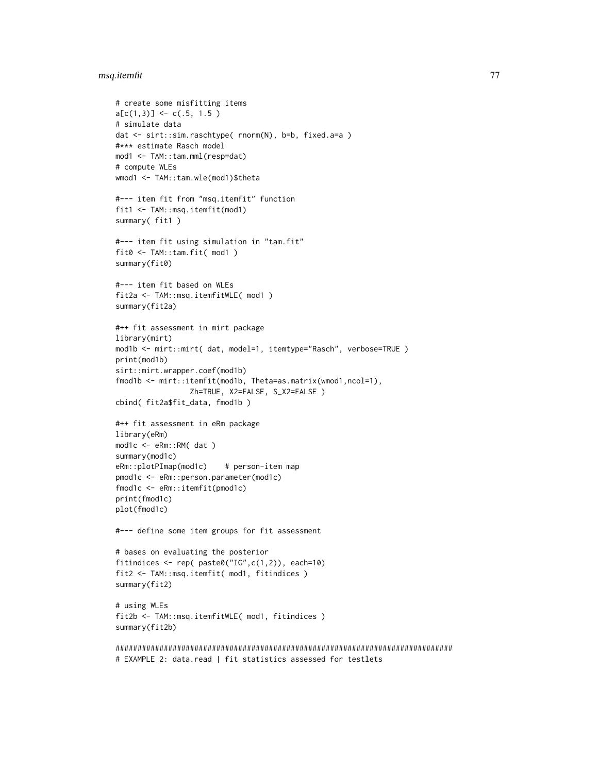# msq.itemfit 77

```
# create some misfitting items
a[c(1,3)] \leftarrow c(.5, 1.5)# simulate data
dat <- sirt::sim.raschtype( rnorm(N), b=b, fixed.a=a )
#*** estimate Rasch model
mod1 <- TAM::tam.mml(resp=dat)
# compute WLEs
wmod1 <- TAM::tam.wle(mod1)$theta
#--- item fit from "msq.itemfit" function
fit1 <- TAM::msq.itemfit(mod1)
summary( fit1 )
#--- item fit using simulation in "tam.fit"
fit0 <- TAM::tam.fit( mod1 )
summary(fit0)
#--- item fit based on WLEs
fit2a <- TAM::msq.itemfitWLE( mod1 )
summary(fit2a)
#++ fit assessment in mirt package
library(mirt)
mod1b <- mirt::mirt( dat, model=1, itemtype="Rasch", verbose=TRUE )
print(mod1b)
sirt::mirt.wrapper.coef(mod1b)
fmod1b <- mirt::itemfit(mod1b, Theta=as.matrix(wmod1,ncol=1),
                 Zh=TRUE, X2=FALSE, S_X2=FALSE )
cbind( fit2a$fit_data, fmod1b )
#++ fit assessment in eRm package
library(eRm)
mod1c <- eRm::RM( dat )
summary(mod1c)
eRm::plotPImap(mod1c) # person-item map
pmod1c <- eRm::person.parameter(mod1c)
fmod1c <- eRm::itemfit(pmod1c)
print(fmod1c)
plot(fmod1c)
#--- define some item groups for fit assessment
# bases on evaluating the posterior
fitindices <- rep( paste0("IG",c(1,2)), each=10)
fit2 <- TAM::msq.itemfit( mod1, fitindices )
summary(fit2)
# using WLEs
fit2b <- TAM::msq.itemfitWLE( mod1, fitindices )
summary(fit2b)
#############################################################################
```

```
# EXAMPLE 2: data.read | fit statistics assessed for testlets
```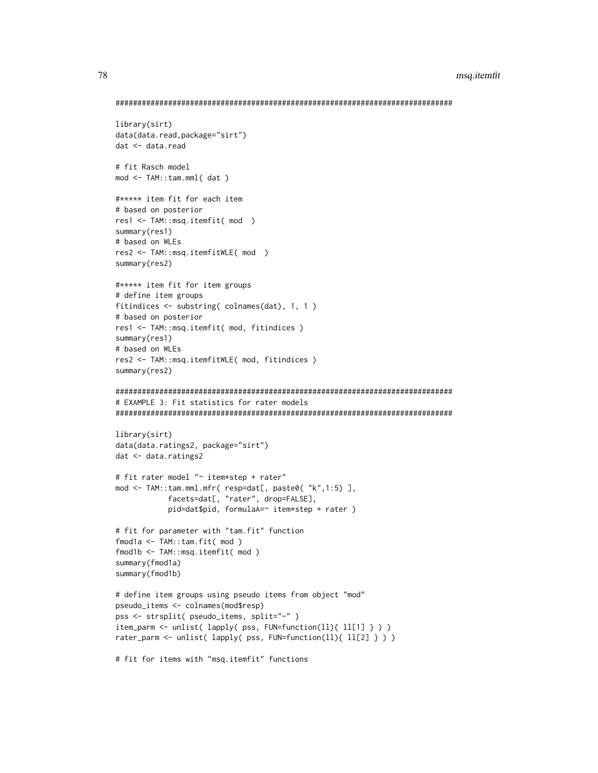```
library(sirt)
data(data.read,package="sirt")
dat <- data.read
# fit Rasch model
mod <- TAM::tam.mml( dat )
#***** item fit for each item
# based on posterior
res1 <- TAM::msq.itemfit( mod )
summary(res1)
# based on WLEs
res2 <- TAM::msq.itemfitWLE( mod )
summary(res2)
#***** item fit for item groups
# define item groups
fitindices \le substring( colnames(dat), 1, 1)
# based on posterior
res1 <- TAM::msq.itemfit( mod, fitindices )
summary(res1)
# based on WLEs
res2 <- TAM::msq.itemfitWLE( mod, fitindices )
summary(res2)
# EXAMPLE 3: Fit statistics for rater models
library(sirt)
data(data.ratings2, package="sirt")
dat <- data.ratings2
# fit rater model "~ item*step + rater"
mod <- TAM::tam.mml.mfr( resp=dat[, paste0( "k",1:5) ],
          facets=dat[, "rater", drop=FALSE],
          pid=dat$pid, formulaA=~ item*step + rater )
# fit for parameter with "tam.fit" function
fmod1a <- TAM::tam.fit( mod )
fmod1b <- TAM::msq.itemfit( mod )
summary(fmod1a)
summary(fmod1b)
# define item groups using pseudo items from object "mod"
pseudo_items <- colnames(mod$resp)
pss <- strsplit( pseudo_items, split="-" )
item_parm <- unlist( lapply( pss, FUN=function(ll){ ll[1] } ) )
rater_parm <- unlist( lapply( pss, FUN=function(11){ 11[2] } ) )
# fit for items with "msq.itemfit" functions
```
78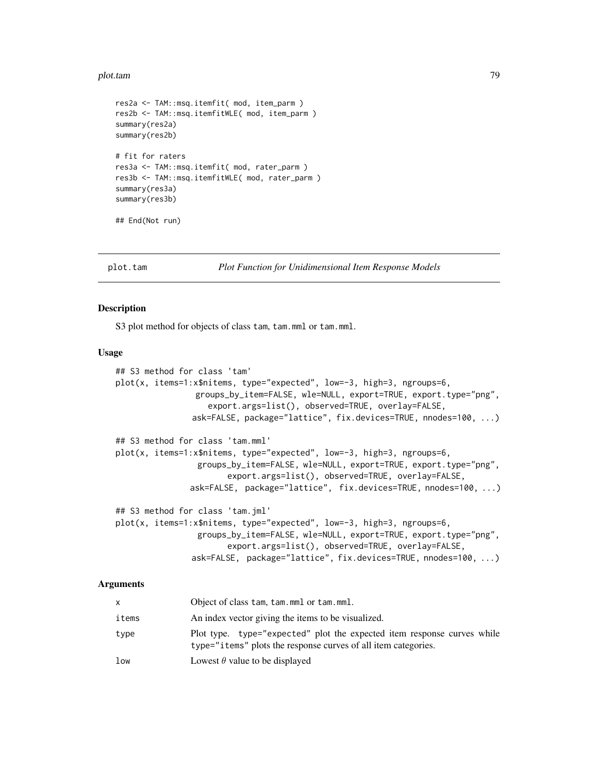#### plot.tam 2008 and 2008 and 2008 and 2008 and 2008 and 2008 and 2008 and 2008 and 2008 and 2008 and 2008 and 20

```
res2a <- TAM::msq.itemfit( mod, item_parm )
res2b <- TAM::msq.itemfitWLE( mod, item_parm )
summary(res2a)
summary(res2b)
# fit for raters
res3a <- TAM::msq.itemfit( mod, rater_parm )
res3b <- TAM::msq.itemfitWLE( mod, rater_parm )
summary(res3a)
summary(res3b)
## End(Not run)
```
plot.tam *Plot Function for Unidimensional Item Response Models*

#### Description

S3 plot method for objects of class tam, tam.mml or tam.mml.

#### Usage

```
## S3 method for class 'tam'
plot(x, items=1:x$nitems, type="expected", low=-3, high=3, ngroups=6,
                groups_by_item=FALSE, wle=NULL, export=TRUE, export.type="png",
                   export.args=list(), observed=TRUE, overlay=FALSE,
               ask=FALSE, package="lattice", fix.devices=TRUE, nnodes=100, ...)
## S3 method for class 'tam.mml'
plot(x, items=1:x$nitems, type="expected", low=-3, high=3, ngroups=6,
                 groups_by_item=FALSE, wle=NULL, export=TRUE, export.type="png",
                       export.args=list(), observed=TRUE, overlay=FALSE,
               ask=FALSE, package="lattice", fix.devices=TRUE, nnodes=100, ...)
## S3 method for class 'tam.jml'
plot(x, items=1:x$nitems, type="expected", low=-3, high=3, ngroups=6,
                 groups_by_item=FALSE, wle=NULL, export=TRUE, export.type="png",
                       export.args=list(), observed=TRUE, overlay=FALSE,
               ask=FALSE, package="lattice", fix.devices=TRUE, nnodes=100, ...)
```

|       | Object of class tam, tam.mml or tam.mml.                                                                                                  |
|-------|-------------------------------------------------------------------------------------------------------------------------------------------|
| items | An index vector giving the items to be visualized.                                                                                        |
| type  | Plot type. type="expected" plot the expected item response curves while<br>type="items" plots the response curves of all item categories. |
| low   | Lowest $\theta$ value to be displayed                                                                                                     |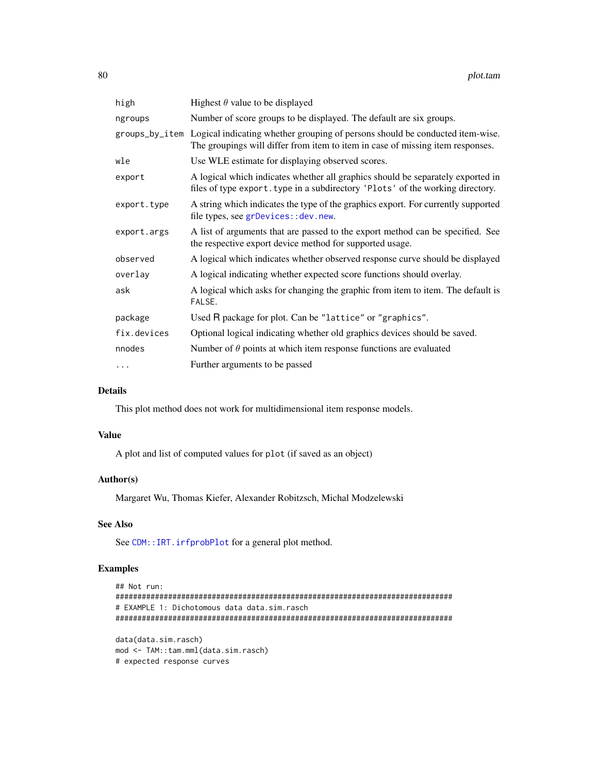| high        | Highest $\theta$ value to be displayed                                                                                                                                         |
|-------------|--------------------------------------------------------------------------------------------------------------------------------------------------------------------------------|
| ngroups     | Number of score groups to be displayed. The default are six groups.                                                                                                            |
|             | groups_by_item Logical indicating whether grouping of persons should be conducted item-wise.<br>The groupings will differ from item to item in case of missing item responses. |
| wle         | Use WLE estimate for displaying observed scores.                                                                                                                               |
| export      | A logical which indicates whether all graphics should be separately exported in<br>files of type export. type in a subdirectory 'Plots' of the working directory.              |
| export.type | A string which indicates the type of the graphics export. For currently supported<br>file types, see grDevices: : dev.new.                                                     |
| export.args | A list of arguments that are passed to the export method can be specified. See<br>the respective export device method for supported usage.                                     |
| observed    | A logical which indicates whether observed response curve should be displayed                                                                                                  |
| overlay     | A logical indicating whether expected score functions should overlay.                                                                                                          |
| ask         | A logical which asks for changing the graphic from item to item. The default is<br>FALSE.                                                                                      |
| package     | Used R package for plot. Can be "lattice" or "graphics".                                                                                                                       |
| fix.devices | Optional logical indicating whether old graphics devices should be saved.                                                                                                      |
| nnodes      | Number of $\theta$ points at which item response functions are evaluated                                                                                                       |
| .           | Further arguments to be passed                                                                                                                                                 |

# Details

This plot method does not work for multidimensional item response models.

## Value

A plot and list of computed values for plot (if saved as an object)

#### Author(s)

Margaret Wu, Thomas Kiefer, Alexander Robitzsch, Michal Modzelewski

# See Also

See [CDM::IRT.irfprobPlot](#page-0-0) for a general plot method.

# Examples

```
## Not run:
#############################################################################
# EXAMPLE 1: Dichotomous data data.sim.rasch
#############################################################################
data(data.sim.rasch)
mod <- TAM::tam.mml(data.sim.rasch)
# expected response curves
```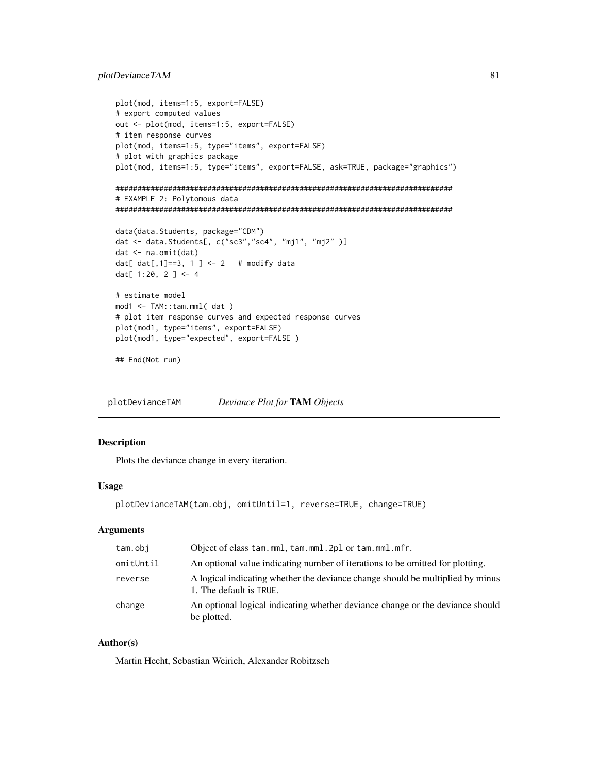# plotDevianceTAM 81

```
plot(mod, items=1:5, export=FALSE)
# export computed values
out <- plot(mod, items=1:5, export=FALSE)
# item response curves
plot(mod, items=1:5, type="items", export=FALSE)
# plot with graphics package
plot(mod, items=1:5, type="items", export=FALSE, ask=TRUE, package="graphics")
#############################################################################
# EXAMPLE 2: Polytomous data
#############################################################################
data(data.Students, package="CDM")
dat <- data.Students[, c("sc3","sc4", "mj1", "mj2" )]
dat <- na.omit(dat)
dat[ dat[, 1]==3, 1] < -2 # modify data
dat[ 1:20, 2 ] <- 4
# estimate model
mod1 <- TAM::tam.mml( dat )
# plot item response curves and expected response curves
plot(mod1, type="items", export=FALSE)
plot(mod1, type="expected", export=FALSE )
## End(Not run)
```
plotDevianceTAM *Deviance Plot for* TAM *Objects*

# Description

Plots the deviance change in every iteration.

#### Usage

```
plotDevianceTAM(tam.obj, omitUntil=1, reverse=TRUE, change=TRUE)
```
### Arguments

| tam.obj   | Object of class tam.mml, tam.mml.2pl or tam.mml.mfr.                                                      |
|-----------|-----------------------------------------------------------------------------------------------------------|
| omitUntil | An optional value indicating number of iterations to be omitted for plotting.                             |
| reverse   | A logical indicating whether the deviance change should be multiplied by minus<br>1. The default is TRUE. |
| change    | An optional logical indicating whether deviance change or the deviance should<br>be plotted.              |

# Author(s)

Martin Hecht, Sebastian Weirich, Alexander Robitzsch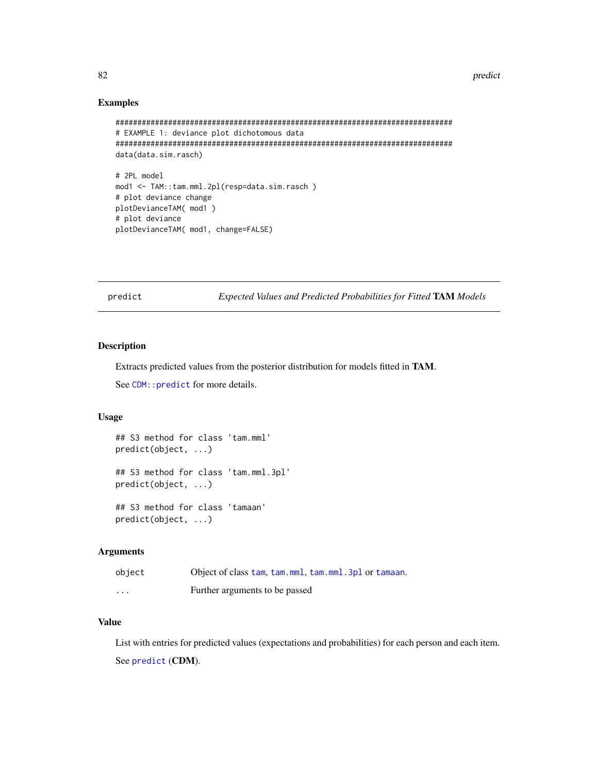#### 82 predict the set of the set of the set of the set of the set of the set of the set of the set of the set of the set of the set of the set of the set of the set of the set of the set of the set of the set of the set of th

## Examples

```
#############################################################################
# EXAMPLE 1: deviance plot dichotomous data
#############################################################################
data(data.sim.rasch)
# 2PL model
mod1 <- TAM::tam.mml.2pl(resp=data.sim.rasch )
# plot deviance change
plotDevianceTAM( mod1 )
# plot deviance
plotDevianceTAM( mod1, change=FALSE)
```
<span id="page-81-0"></span>predict *Expected Values and Predicted Probabilities for Fitted* TAM *Models*

# Description

Extracts predicted values from the posterior distribution for models fitted in TAM.

See CDM:: predict for more details.

#### Usage

```
## S3 method for class 'tam.mml'
predict(object, ...)
## S3 method for class 'tam.mml.3pl'
predict(object, ...)
## S3 method for class 'tamaan'
```
predict(object, ...)

# Arguments

| object   | Object of class tam, tam, mml, tam, mml, 3pl or tamaan. |
|----------|---------------------------------------------------------|
| $\cdots$ | Further arguments to be passed                          |

# Value

List with entries for predicted values (expectations and probabilities) for each person and each item. See [predict](#page-81-0) (CDM).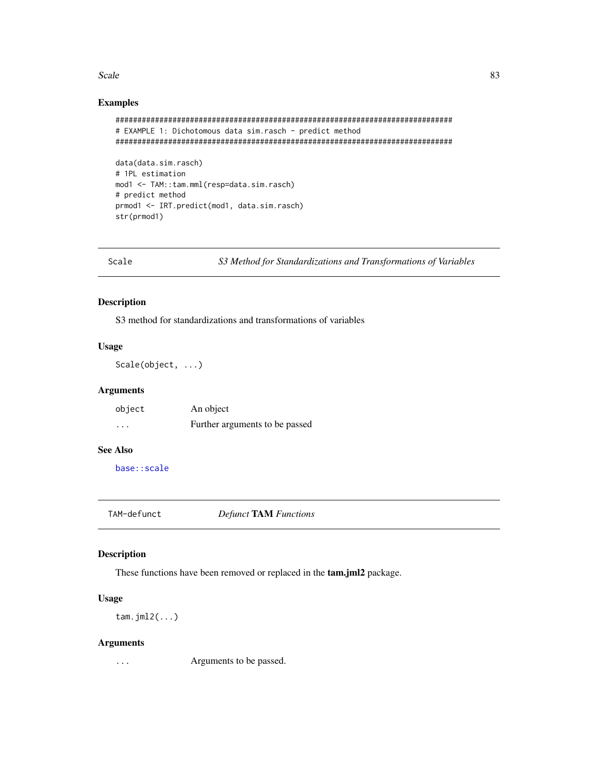#### $Scale$  83

# Examples

```
#############################################################################
# EXAMPLE 1: Dichotomous data sim.rasch - predict method
#############################################################################
data(data.sim.rasch)
# 1PL estimation
mod1 <- TAM::tam.mml(resp=data.sim.rasch)
# predict method
```
prmod1 <- IRT.predict(mod1, data.sim.rasch) str(prmod1)

Scale *S3 Method for Standardizations and Transformations of Variables*

# Description

S3 method for standardizations and transformations of variables

#### Usage

Scale(object, ...)

# Arguments

| object | An object                      |
|--------|--------------------------------|
| .      | Further arguments to be passed |

# See Also

[base::scale](#page-0-0)

TAM-defunct *Defunct* TAM *Functions*

# Description

These functions have been removed or replaced in the tam.jml2 package.

# Usage

tam.jml2(...)

#### Arguments

... Arguments to be passed.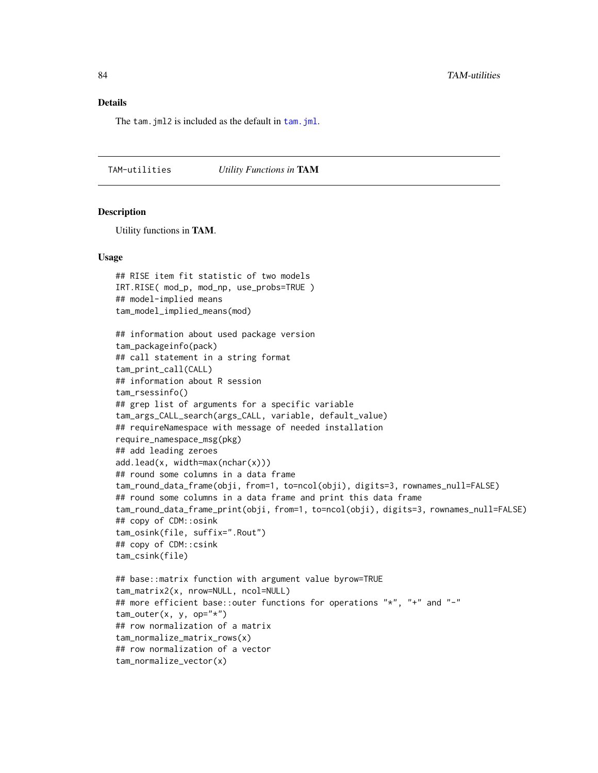# Details

The tam. jml2 is included as the default in tam. jml.

TAM-utilities *Utility Functions in* TAM

#### Description

Utility functions in TAM.

## row normalization of a matrix tam\_normalize\_matrix\_rows(x) ## row normalization of a vector

tam\_normalize\_vector(x)

#### Usage

```
## RISE item fit statistic of two models
IRT.RISE( mod_p, mod_np, use_probs=TRUE )
## model-implied means
tam_model_implied_means(mod)
## information about used package version
tam_packageinfo(pack)
## call statement in a string format
tam_print_call(CALL)
## information about R session
tam_rsessinfo()
## grep list of arguments for a specific variable
tam_args_CALL_search(args_CALL, variable, default_value)
## requireNamespace with message of needed installation
require_namespace_msg(pkg)
## add leading zeroes
add.lead(x, width=max(nchar(x)))
## round some columns in a data frame
tam_round_data_frame(obji, from=1, to=ncol(obji), digits=3, rownames_null=FALSE)
## round some columns in a data frame and print this data frame
tam_round_data_frame_print(obji, from=1, to=ncol(obji), digits=3, rownames_null=FALSE)
## copy of CDM::osink
tam_osink(file, suffix=".Rout")
## copy of CDM::csink
tam_csink(file)
## base::matrix function with argument value byrow=TRUE
tam_matrix2(x, nrow=NULL, ncol=NULL)
## more efficient base::outer functions for operations "*", "+" and "-"
tam\_outer(x, y, op="*)
```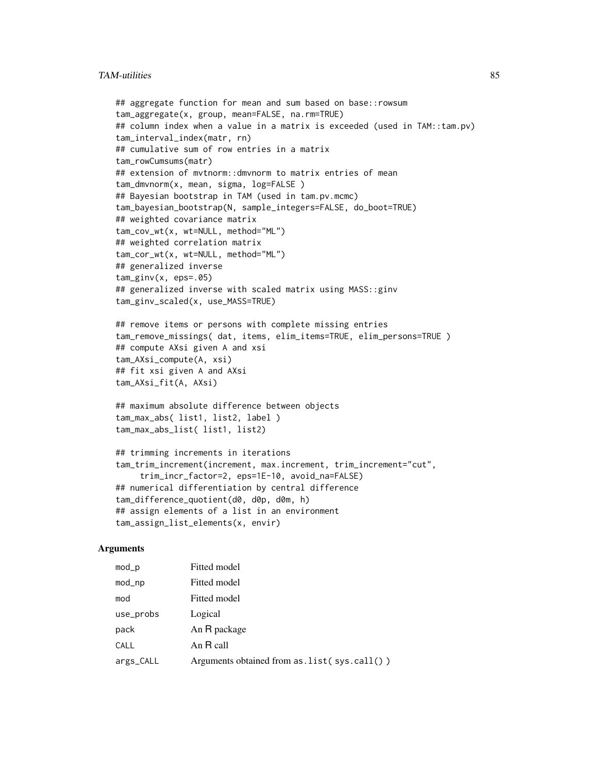# TAM-utilities 85

```
## aggregate function for mean and sum based on base::rowsum
tam_aggregate(x, group, mean=FALSE, na.rm=TRUE)
## column index when a value in a matrix is exceeded (used in TAM::tam.pv)
tam_interval_index(matr, rn)
## cumulative sum of row entries in a matrix
tam_rowCumsums(matr)
## extension of mvtnorm::dmvnorm to matrix entries of mean
tam_dmvnorm(x, mean, sigma, log=FALSE )
## Bayesian bootstrap in TAM (used in tam.pv.mcmc)
tam_bayesian_bootstrap(N, sample_integers=FALSE, do_boot=TRUE)
## weighted covariance matrix
tam_cov_wt(x, wt=NULL, method="ML")
## weighted correlation matrix
tam_cor_wt(x, wt=NULL, method="ML")
## generalized inverse
tam_ginv(x, eps=.05)
## generalized inverse with scaled matrix using MASS::ginv
tam_ginv_scaled(x, use_MASS=TRUE)
## remove items or persons with complete missing entries
tam_remove_missings( dat, items, elim_items=TRUE, elim_persons=TRUE )
## compute AXsi given A and xsi
tam_AXsi_compute(A, xsi)
## fit xsi given A and AXsi
tam_AXsi_fit(A, AXsi)
```

```
## maximum absolute difference between objects
tam_max_abs( list1, list2, label )
tam_max_abs_list( list1, list2)
```

```
## trimming increments in iterations
tam_trim_increment(increment, max.increment, trim_increment="cut",
    trim_incr_factor=2, eps=1E-10, avoid_na=FALSE)
## numerical differentiation by central difference
tam_difference_quotient(d0, d0p, d0m, h)
## assign elements of a list in an environment
tam_assign_list_elements(x, envir)
```

| $mod\_p$  | Fitted model                                  |
|-----------|-----------------------------------------------|
| mod_np    | Fitted model                                  |
| mod       | Fitted model                                  |
| use_probs | Logical                                       |
| pack      | An R package                                  |
| CALL      | An R call                                     |
| args_CALL | Arguments obtained from $as.list(sys-call())$ |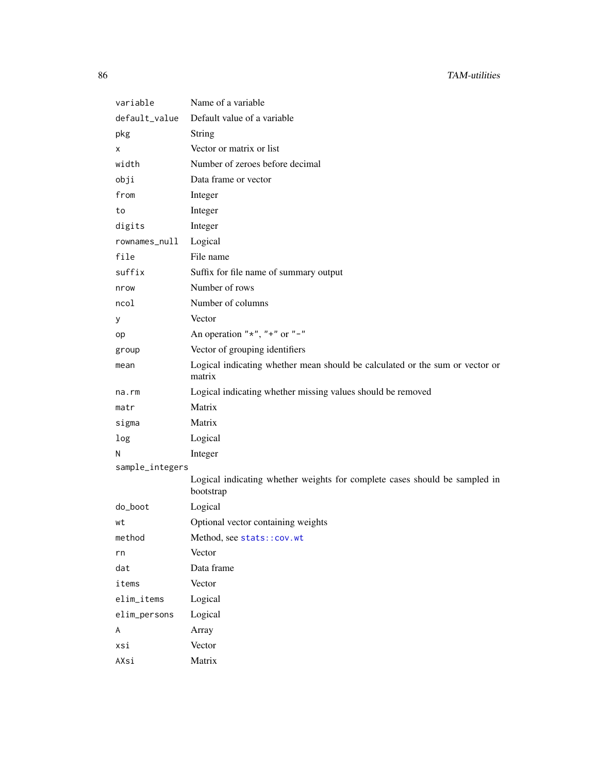| variable        | Name of a variable                                                                      |
|-----------------|-----------------------------------------------------------------------------------------|
| default_value   | Default value of a variable                                                             |
| pkg             | <b>String</b>                                                                           |
| Χ               | Vector or matrix or list                                                                |
| width           | Number of zeroes before decimal                                                         |
| obji            | Data frame or vector                                                                    |
| from            | Integer                                                                                 |
| to              | Integer                                                                                 |
| digits          | Integer                                                                                 |
| rownames_null   | Logical                                                                                 |
| file            | File name                                                                               |
| suffix          | Suffix for file name of summary output                                                  |
| nrow            | Number of rows                                                                          |
| ncol            | Number of columns                                                                       |
| У               | Vector                                                                                  |
| op              | An operation " $\star$ ", " $\star$ " or "-"                                            |
| group           | Vector of grouping identifiers                                                          |
| mean            | Logical indicating whether mean should be calculated or the sum or vector or<br>matrix  |
| na.rm           | Logical indicating whether missing values should be removed                             |
| matr            | Matrix                                                                                  |
| sigma           | Matrix                                                                                  |
| log             | Logical                                                                                 |
| N               | Integer                                                                                 |
| sample_integers |                                                                                         |
|                 | Logical indicating whether weights for complete cases should be sampled in<br>bootstrap |
| do_boot         | Logical                                                                                 |
| wt              | Optional vector containing weights                                                      |
| method          | Method, see stats:: cov.wt                                                              |
| rn              | Vector                                                                                  |
| dat             | Data frame                                                                              |
| items           | Vector                                                                                  |
| elim_items      | Logical                                                                                 |
| elim_persons    | Logical                                                                                 |
| A               | Array                                                                                   |
| xsi             | Vector                                                                                  |
| AXsi            | Matrix                                                                                  |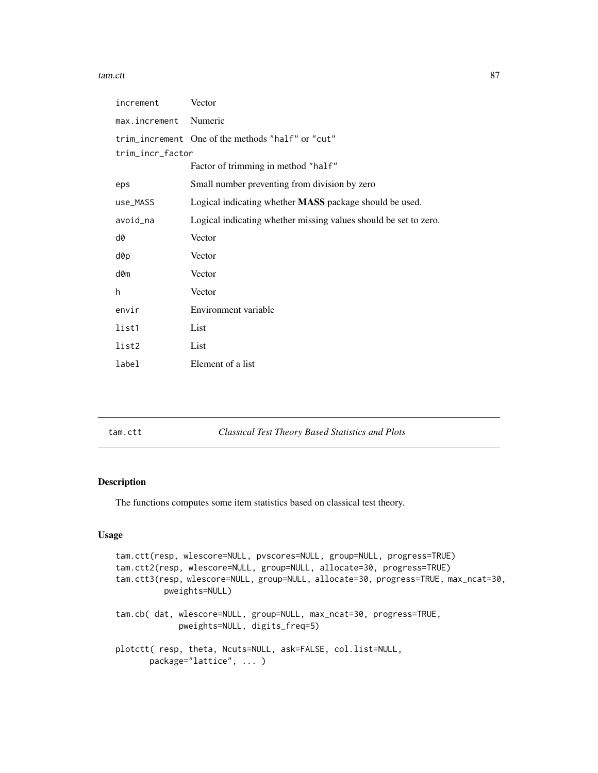#### tam.ctt 87

| increment        | Vector                                                           |
|------------------|------------------------------------------------------------------|
| max.increment    | Numeric                                                          |
|                  | trim_increment One of the methods "half" or "cut"                |
| trim_incr_factor |                                                                  |
|                  | Factor of trimming in method "half"                              |
| eps              | Small number preventing from division by zero                    |
| use_MASS         | Logical indicating whether <b>MASS</b> package should be used.   |
| avoid_na         | Logical indicating whether missing values should be set to zero. |
| d0               | Vector                                                           |
| d0p              | Vector                                                           |
| d0m              | Vector                                                           |
| h                | Vector                                                           |
| envir            | Environment variable                                             |
| list1            | List                                                             |
| list2            | List                                                             |
| label            | Element of a list                                                |

tam.ctt *Classical Test Theory Based Statistics and Plots*

# Description

The functions computes some item statistics based on classical test theory.

#### Usage

```
tam.ctt(resp, wlescore=NULL, pvscores=NULL, group=NULL, progress=TRUE)
tam.ctt2(resp, wlescore=NULL, group=NULL, allocate=30, progress=TRUE)
tam.ctt3(resp, wlescore=NULL, group=NULL, allocate=30, progress=TRUE, max_ncat=30,
         pweights=NULL)
tam.cb( dat, wlescore=NULL, group=NULL, max_ncat=30, progress=TRUE,
            pweights=NULL, digits_freq=5)
plotctt( resp, theta, Ncuts=NULL, ask=FALSE, col.list=NULL,
      package="lattice", ... )
```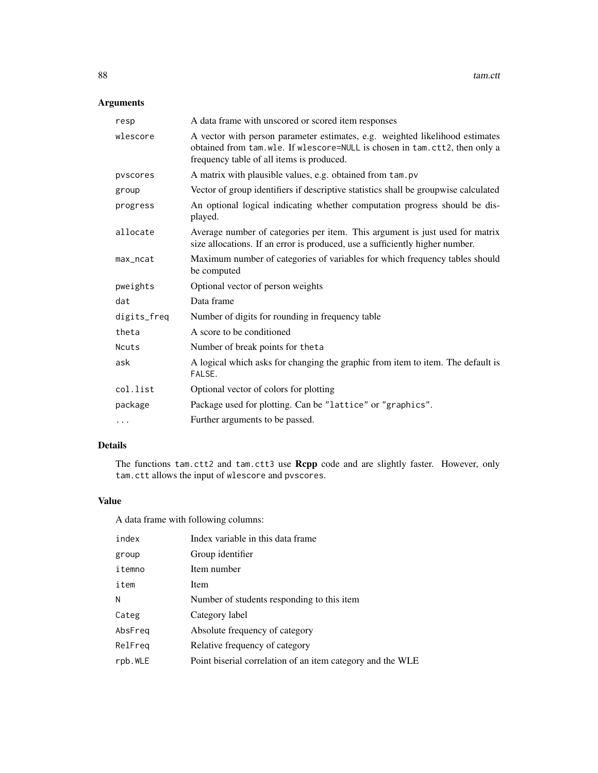# Arguments

| resp        | A data frame with unscored or scored item responses                                                                                                                                                     |
|-------------|---------------------------------------------------------------------------------------------------------------------------------------------------------------------------------------------------------|
| wlescore    | A vector with person parameter estimates, e.g. weighted likelihood estimates<br>obtained from tam.wle. If wlescore=NULL is chosen in tam.ctt2, then only a<br>frequency table of all items is produced. |
| pvscores    | A matrix with plausible values, e.g. obtained from tam.pv                                                                                                                                               |
| group       | Vector of group identifiers if descriptive statistics shall be groupwise calculated                                                                                                                     |
| progress    | An optional logical indicating whether computation progress should be dis-<br>played.                                                                                                                   |
| allocate    | Average number of categories per item. This argument is just used for matrix<br>size allocations. If an error is produced, use a sufficiently higher number.                                            |
| max_ncat    | Maximum number of categories of variables for which frequency tables should<br>be computed                                                                                                              |
| pweights    | Optional vector of person weights                                                                                                                                                                       |
| dat         | Data frame                                                                                                                                                                                              |
| digits_freq | Number of digits for rounding in frequency table                                                                                                                                                        |
| theta       | A score to be conditioned                                                                                                                                                                               |
| Ncuts       | Number of break points for theta                                                                                                                                                                        |
| ask         | A logical which asks for changing the graphic from item to item. The default is<br>FALSE.                                                                                                               |
| col.list    | Optional vector of colors for plotting                                                                                                                                                                  |
| package     | Package used for plotting. Can be "lattice" or "graphics".                                                                                                                                              |
| $\cdots$    | Further arguments to be passed.                                                                                                                                                                         |

# Details

The functions tam.ctt2 and tam.ctt3 use Rcpp code and are slightly faster. However, only tam.ctt allows the input of wlescore and pvscores.

# Value

A data frame with following columns:

| index   | Index variable in this data frame                          |
|---------|------------------------------------------------------------|
| group   | Group identifier                                           |
| itemno  | Item number                                                |
| item    | Item                                                       |
| N       | Number of students responding to this item                 |
| Categ   | Category label                                             |
| AbsFreq | Absolute frequency of category                             |
| RelFreg | Relative frequency of category                             |
| rpb.WLE | Point biserial correlation of an item category and the WLE |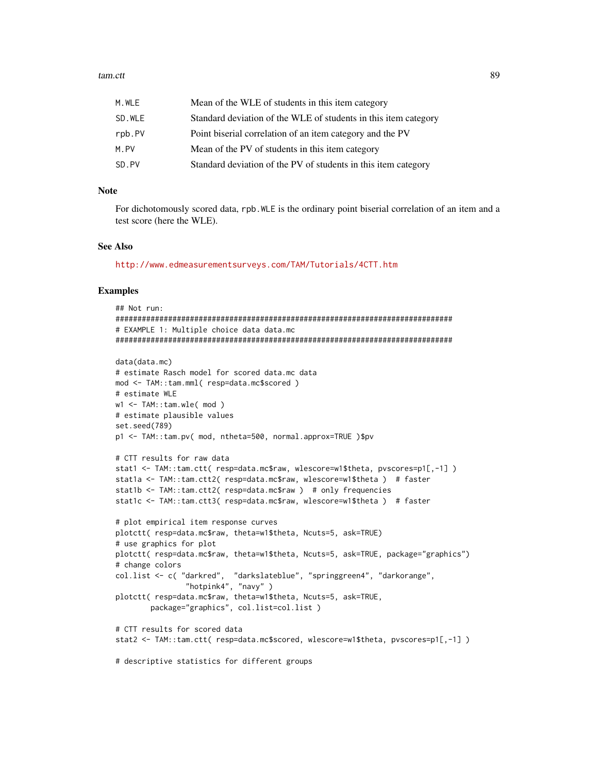#### tam.ctt 89

| M.WLE  | Mean of the WLE of students in this item category               |
|--------|-----------------------------------------------------------------|
| SD.WLE | Standard deviation of the WLE of students in this item category |
| rpb.PV | Point biserial correlation of an item category and the PV       |
| M.PV   | Mean of the PV of students in this item category                |
| SD.PV  | Standard deviation of the PV of students in this item category  |

### Note

For dichotomously scored data, rpb.WLE is the ordinary point biserial correlation of an item and a test score (here the WLE).

#### See Also

<http://www.edmeasurementsurveys.com/TAM/Tutorials/4CTT.htm>

#### Examples

```
## Not run:
#############################################################################
# EXAMPLE 1: Multiple choice data data.mc
#############################################################################
data(data.mc)
# estimate Rasch model for scored data.mc data
mod <- TAM::tam.mml( resp=data.mc$scored )
# estimate WLE
w1 <- TAM::tam.wle( mod )
# estimate plausible values
set.seed(789)
p1 <- TAM::tam.pv( mod, ntheta=500, normal.approx=TRUE )$pv
# CTT results for raw data
stat1 <- TAM::tam.ctt( resp=data.mc$raw, wlescore=w1$theta, pvscores=p1[,-1] )
stat1a <- TAM::tam.ctt2( resp=data.mc$raw, wlescore=w1$theta ) # faster
stat1b <- TAM::tam.ctt2( resp=data.mc$raw ) # only frequencies
stat1c <- TAM::tam.ctt3( resp=data.mc$raw, wlescore=w1$theta ) # faster
# plot empirical item response curves
plotctt( resp=data.mc$raw, theta=w1$theta, Ncuts=5, ask=TRUE)
# use graphics for plot
plotctt( resp=data.mc$raw, theta=w1$theta, Ncuts=5, ask=TRUE, package="graphics")
# change colors
col.list <- c( "darkred", "darkslateblue", "springgreen4", "darkorange",
                "hotpink4", "navy" )
plotctt( resp=data.mc$raw, theta=w1$theta, Ncuts=5, ask=TRUE,
        package="graphics", col.list=col.list )
# CTT results for scored data
stat2 <- TAM::tam.ctt( resp=data.mc$scored, wlescore=w1$theta, pvscores=p1[,-1] )
# descriptive statistics for different groups
```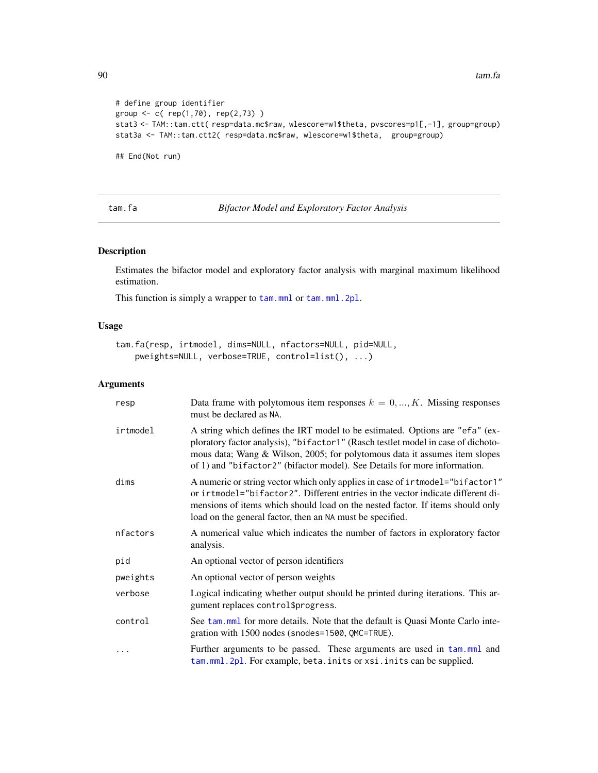```
# define group identifier
group <- c( rep(1,70), rep(2,73) )
stat3 <- TAM::tam.ctt( resp=data.mc$raw, wlescore=w1$theta, pvscores=p1[,-1], group=group)
stat3a <- TAM::tam.ctt2( resp=data.mc$raw, wlescore=w1$theta, group=group)
## End(Not run)
```
tam.fa *Bifactor Model and Exploratory Factor Analysis*

#### Description

Estimates the bifactor model and exploratory factor analysis with marginal maximum likelihood estimation.

This function is simply a wrapper to  $\tan.mml$  or  $\tan.mml$ . 2pl.

#### Usage

```
tam.fa(resp, irtmodel, dims=NULL, nfactors=NULL, pid=NULL,
   pweights=NULL, verbose=TRUE, control=list(), ...)
```

| resp     | Data frame with polytomous item responses $k = 0, , K$ . Missing responses<br>must be declared as NA.                                                                                                                                                                                                                       |
|----------|-----------------------------------------------------------------------------------------------------------------------------------------------------------------------------------------------------------------------------------------------------------------------------------------------------------------------------|
| irtmodel | A string which defines the IRT model to be estimated. Options are "efa" (ex-<br>ploratory factor analysis), "bifactor1" (Rasch testlet model in case of dichoto-<br>mous data; Wang & Wilson, 2005; for polytomous data it assumes item slopes<br>of 1) and "bifactor2" (bifactor model). See Details for more information. |
| dims     | A numeric or string vector which only applies in case of irtmodel="bifactor1"<br>or intmodel="bifactor2". Different entries in the vector indicate different di-<br>mensions of items which should load on the nested factor. If items should only<br>load on the general factor, then an NA must be specified.             |
| nfactors | A numerical value which indicates the number of factors in exploratory factor<br>analysis.                                                                                                                                                                                                                                  |
| pid      | An optional vector of person identifiers                                                                                                                                                                                                                                                                                    |
| pweights | An optional vector of person weights                                                                                                                                                                                                                                                                                        |
| verbose  | Logical indicating whether output should be printed during iterations. This ar-<br>gument replaces control\$progress.                                                                                                                                                                                                       |
| control  | See tam. mml for more details. Note that the default is Quasi Monte Carlo inte-<br>gration with 1500 nodes (snodes=1500, QMC=TRUE).                                                                                                                                                                                         |
| $\cdots$ | Further arguments to be passed. These arguments are used in tam.mml and<br>tam.mml.2pl. For example, beta.inits or xsi.inits can be supplied.                                                                                                                                                                               |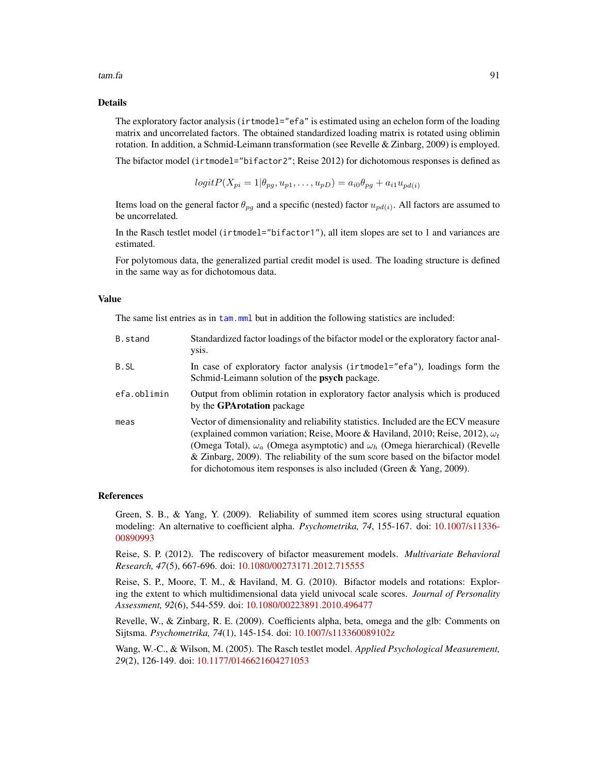tam.fa 91

#### Details

The exploratory factor analysis (irtmodel="efa" is estimated using an echelon form of the loading matrix and uncorrelated factors. The obtained standardized loading matrix is rotated using oblimin rotation. In addition, a Schmid-Leimann transformation (see Revelle & Zinbarg, 2009) is employed.

The bifactor model (irtmodel="bifactor2"; Reise 2012) for dichotomous responses is defined as

$$
logitP(X_{pi}=1|\theta_{pg},u_{p1},\ldots,u_{pD})=a_{i0}\theta_{pg}+a_{i1}u_{pd(i)}
$$

Items load on the general factor  $\theta_{pg}$  and a specific (nested) factor  $u_{pd(i)}$ . All factors are assumed to be uncorrelated.

In the Rasch testlet model (irtmodel="bifactor1"), all item slopes are set to 1 and variances are estimated.

For polytomous data, the generalized partial credit model is used. The loading structure is defined in the same way as for dichotomous data.

#### Value

The same list entries as in [tam.mml](#page-111-0) but in addition the following statistics are included:

| B.stand     | Standardized factor loadings of the bifactor model or the exploratory factor anal-<br>VSIS.                                                                                                                                                                                                                                                                                                                                          |
|-------------|--------------------------------------------------------------------------------------------------------------------------------------------------------------------------------------------------------------------------------------------------------------------------------------------------------------------------------------------------------------------------------------------------------------------------------------|
| B.SL        | In case of exploratory factor analysis (introdel="efa"), loadings form the<br>Schmid-Leimann solution of the <b>psych</b> package.                                                                                                                                                                                                                                                                                                   |
| efa.oblimin | Output from oblimin rotation in exploratory factor analysis which is produced<br>by the <b>GPArotation</b> package                                                                                                                                                                                                                                                                                                                   |
| meas        | Vector of dimensionality and reliability statistics. Included are the ECV measure<br>(explained common variation; Reise, Moore & Haviland, 2010; Reise, 2012), $\omega_t$<br>(Omega Total), $\omega_a$ (Omega asymptotic) and $\omega_h$ (Omega hierarchical) (Revelle<br>& Zinbarg, 2009). The reliability of the sum score based on the bifactor model<br>for dichotomous item responses is also included (Green $\&$ Yang, 2009). |

#### References

Green, S. B., & Yang, Y. (2009). Reliability of summed item scores using structural equation modeling: An alternative to coefficient alpha. *Psychometrika, 74*, 155-167. doi: [10.1007/s11336-](https://doi.org/10.1007/s11336-008-9099-3) [00890993](https://doi.org/10.1007/s11336-008-9099-3)

Reise, S. P. (2012). The rediscovery of bifactor measurement models. *Multivariate Behavioral Research, 47*(5), 667-696. doi: [10.1080/00273171.2012.715555](https://doi.org/10.1080/00273171.2012.715555)

Reise, S. P., Moore, T. M., & Haviland, M. G. (2010). Bifactor models and rotations: Exploring the extent to which multidimensional data yield univocal scale scores. *Journal of Personality Assessment, 92*(6), 544-559. doi: [10.1080/00223891.2010.496477](https://doi.org/10.1080/00223891.2010.496477)

Revelle, W., & Zinbarg, R. E. (2009). Coefficients alpha, beta, omega and the glb: Comments on Sijtsma. *Psychometrika, 74*(1), 145-154. doi: [10.1007/s113360089102z](https://doi.org/10.1007/s11336-008-9102-z)

Wang, W.-C., & Wilson, M. (2005). The Rasch testlet model. *Applied Psychological Measurement, 29*(2), 126-149. doi: [10.1177/0146621604271053](https://doi.org/10.1177/0146621604271053)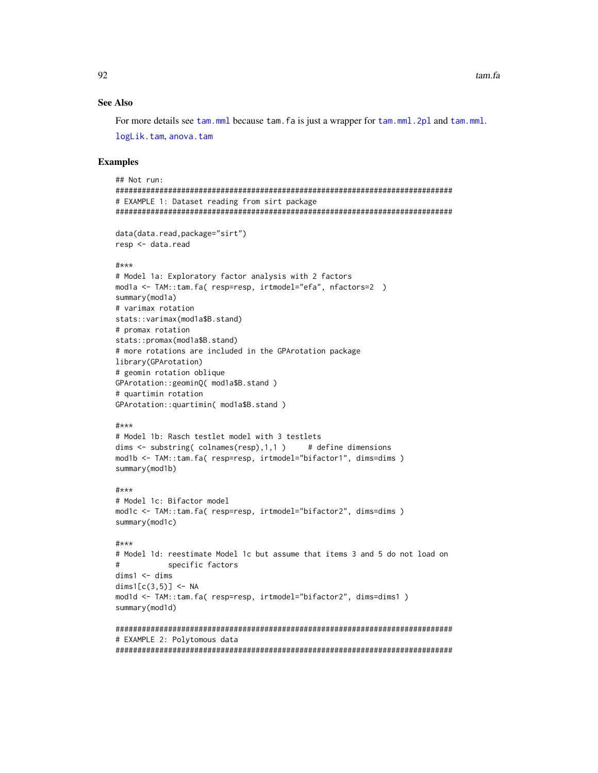#### **See Also**

For more details see tam, mml because tam, fa is just a wrapper for tam, mml, 2pl and tam, mml.

logLik.tam, anova.tam

#### **Examples**

```
## Not run:
# EXAMPLE 1: Dataset reading from sirt package
data(data.read,package="sirt")
resp <- data.read
#***# Model 1a: Exploratory factor analysis with 2 factors
mod1a <- TAM::tam.fa( resp=resp, irtmodel="efa", nfactors=2 )
summary(mod1a)
# varimax rotation
stats::varimax(modla$B.stand)
# promax rotation
stats::promax(mod1a$B.stand)
# more rotations are included in the GPArotation package
library(GPArotation)
# geomin rotation oblique
GPArotation::geominQ( mod1a$B.stand )
# quartimin rotation
GPArotation:: quartimin( mod1a$B.stand )
#***
# Model 1b: Rasch testlet model with 3 testlets
dims \leq substring(colnames(resp), 1, 1)
                                    # define dimensions
mod1b <- TAM::tam.fa( resp=resp, irtmodel="bifactor1", dims=dims )
summary(mod1b)
#***
# Model 1c: Bifactor model
mod1c <- TAM::tam.fa( resp=resp, irtmodel="bifactor2", dims=dims )
summary(mod1c)
#***# Model 1d: reestimate Model 1c but assume that items 3 and 5 do not load on
\#specific factors
dims1 < - dimsdims1[c(3,5)] \leftarrow NAmod1d <- TAM::tam.fa( resp=resp, irtmodel="bifactor2", dims=dims1 )
summary(mod1d)
# EXAMPLE 2: Polytomous data
```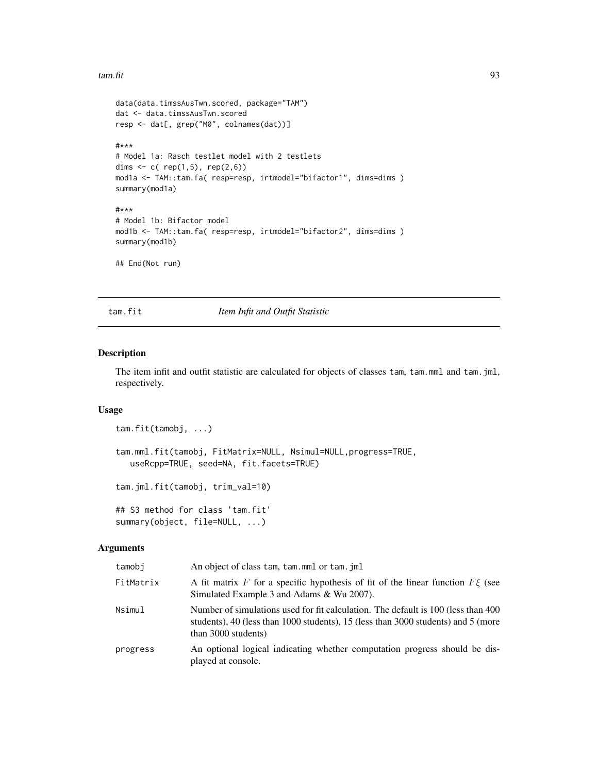#### tam.fit 93

```
data(data.timssAusTwn.scored, package="TAM")
dat <- data.timssAusTwn.scored
resp <- dat[, grep("M0", colnames(dat))]
#***
# Model 1a: Rasch testlet model with 2 testlets
dims \leq c ( rep(1,5), rep(2,6))
mod1a <- TAM::tam.fa( resp=resp, irtmodel="bifactor1", dims=dims )
summary(mod1a)
#***
# Model 1b: Bifactor model
mod1b <- TAM::tam.fa( resp=resp, irtmodel="bifactor2", dims=dims )
summary(mod1b)
## End(Not run)
```
<span id="page-92-0"></span>tam.fit *Item Infit and Outfit Statistic*

# <span id="page-92-1"></span>Description

The item infit and outfit statistic are calculated for objects of classes tam, tam.mml and tam.jml, respectively.

#### Usage

```
tam.fit(tamobj, ...)
tam.mml.fit(tamobj, FitMatrix=NULL, Nsimul=NULL,progress=TRUE,
  useRcpp=TRUE, seed=NA, fit.facets=TRUE)
tam.jml.fit(tamobj, trim_val=10)
```

```
## S3 method for class 'tam.fit'
summary(object, file=NULL, ...)
```

| tamobi    | An object of class tam, tam, mml or tam, iml                                                                                                                                                   |
|-----------|------------------------------------------------------------------------------------------------------------------------------------------------------------------------------------------------|
| FitMatrix | A fit matrix F for a specific hypothesis of fit of the linear function $F\xi$ (see<br>Simulated Example 3 and Adams & Wu 2007).                                                                |
| Nsimul    | Number of simulations used for fit calculation. The default is 100 (less than 400)<br>students), 40 (less than 1000 students), 15 (less than 3000 students) and 5 (more<br>than 3000 students) |
| progress  | An optional logical indicating whether computation progress should be dis-<br>played at console.                                                                                               |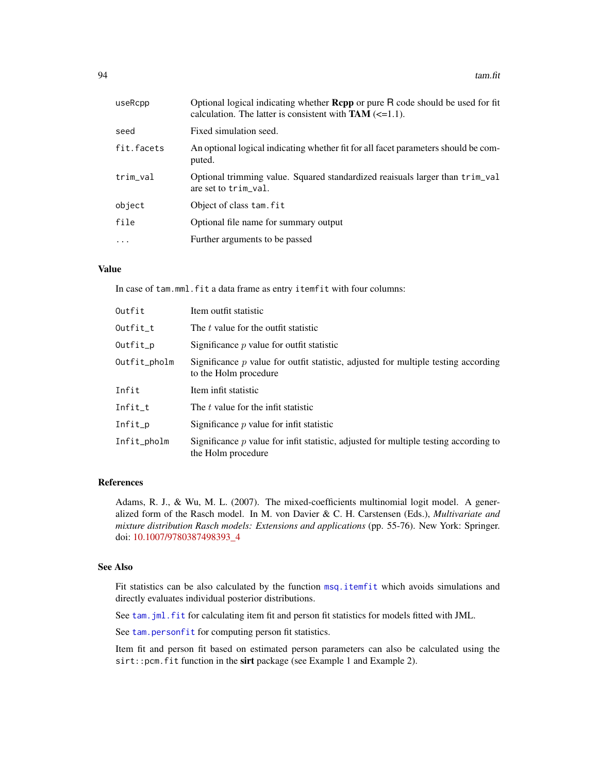| useRcpp    | Optional logical indicating whether <b>Repp</b> or pure R code should be used for fit<br>calculation. The latter is consistent with $TAM \approx 1.1$ . |
|------------|---------------------------------------------------------------------------------------------------------------------------------------------------------|
| seed       | Fixed simulation seed.                                                                                                                                  |
| fit.facets | An optional logical indicating whether fit for all facet parameters should be com-<br>puted.                                                            |
| trim_val   | Optional trimming value. Squared standardized reaisuals larger than trim_val<br>are set to trim_val.                                                    |
| object     | Object of class tam. fit                                                                                                                                |
| file       | Optional file name for summary output                                                                                                                   |
| $\cdot$    | Further arguments to be passed                                                                                                                          |

# Value

In case of tam.mml.fit a data frame as entry itemfit with four columns:

| Outfit       | Item outfit statistic                                                                                         |
|--------------|---------------------------------------------------------------------------------------------------------------|
| Outfit t     | The t value for the outfit statistic                                                                          |
| Outfit_p     | Significance $p$ value for outfit statistic                                                                   |
| Outfit_pholm | Significance $p$ value for outfit statistic, adjusted for multiple testing according<br>to the Holm procedure |
| Infit        | Item infit statistic                                                                                          |
| Infit_t      | The t value for the infit statistic                                                                           |
| Infit_p      | Significance $p$ value for infit statistic                                                                    |
| Infit_pholm  | Significance $p$ value for infit statistic, adjusted for multiple testing according to<br>the Holm procedure  |

## References

Adams, R. J., & Wu, M. L. (2007). The mixed-coefficients multinomial logit model. A generalized form of the Rasch model. In M. von Davier & C. H. Carstensen (Eds.), *Multivariate and mixture distribution Rasch models: Extensions and applications* (pp. 55-76). New York: Springer. doi: [10.1007/9780387498393\\_4](https://doi.org/10.1007/978-0-387-49839-3_4)

#### See Also

Fit statistics can be also calculated by the function [msq.itemfit](#page-74-0) which avoids simulations and directly evaluates individual posterior distributions.

See [tam.jml.fit](#page-92-1) for calculating item fit and person fit statistics for models fitted with JML.

See [tam.personfit](#page-179-0) for computing person fit statistics.

Item fit and person fit based on estimated person parameters can also be calculated using the sirt::pcm.fit function in the sirt package (see Example 1 and Example 2).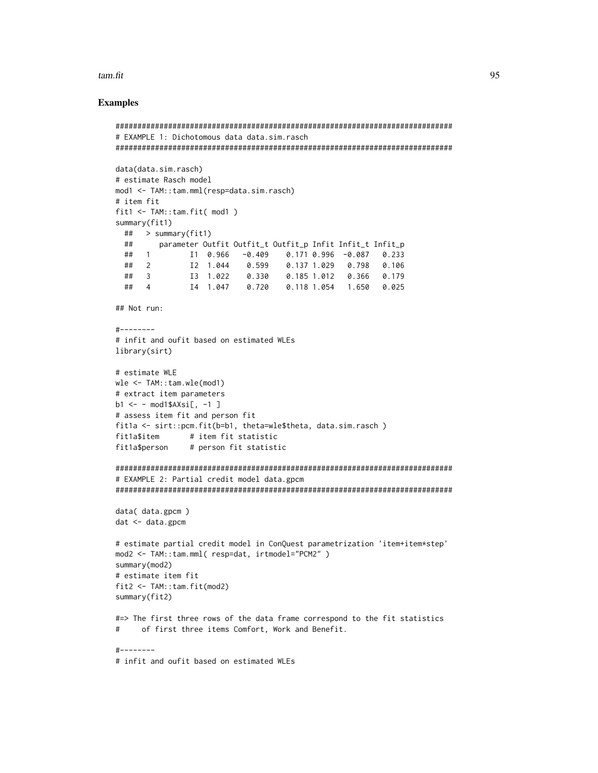#### tam.fit

#### **Examples**

```
# EXAMPLE 1: Dichotomous data data.sim.rasch
data(data.sim.rasch)
# estimate Rasch model
mod1 <- TAM::tam.mml(resp=data.sim.rasch)
# item fit
fit1 \leftarrow \text{TAM::} \text{tam.fit}(\text{mod1})summary(fit1)
 \# > summary(fit1)
 ##
      parameter Outfit Outfit_t Outfit_p Infit Infit_t Infit_p
 \## 1
            I1 0.966 -0.409 0.171 0.996 -0.087 0.233
 \## 2
            I2 1.044  0.599
                                0.137 1.029  0.798  0.106
            13 1.022  0.330  0.185  1.012  0.366  0.179
 \## 3
            I4 1.047  0.720  0.118  1.054  1.650  0.025
 \## 4
## Not run:
\#--------
# infit and oufit based on estimated WLEs
library(sirt)
# estimate WLE
wle < -TAM: : tam. wle(mod1)# extract item parameters
b1 \le - \mod 1$AXsi[, -1]
# assess item fit and person fit
fit1a <- sirt::pcm.fit(b=b1, theta=wle$theta, data.sim.rasch)
            # item fit statistic
fit1a$item
fit1a$person
              # person fit statistic
# EXAMPLE 2: Partial credit model data.gpcm
data( data.gpcm)
dat < - data.gpcm# estimate partial credit model in ConQuest parametrization 'item+item*step'
mod2 <- TAM::tam.mml( resp=dat, irtmodel="PCM2" )
summary(mod2)
# estimate item fit
fit2 \leftarrow \text{TAM::} \text{tam.fit}(\text{mod2})summary(fit2)
#=> The first three rows of the data frame correspond to the fit statistics
#of first three items Comfort, Work and Benefit.
\frac{1}{1} - - - - - - - -
```
# infit and oufit based on estimated WLEs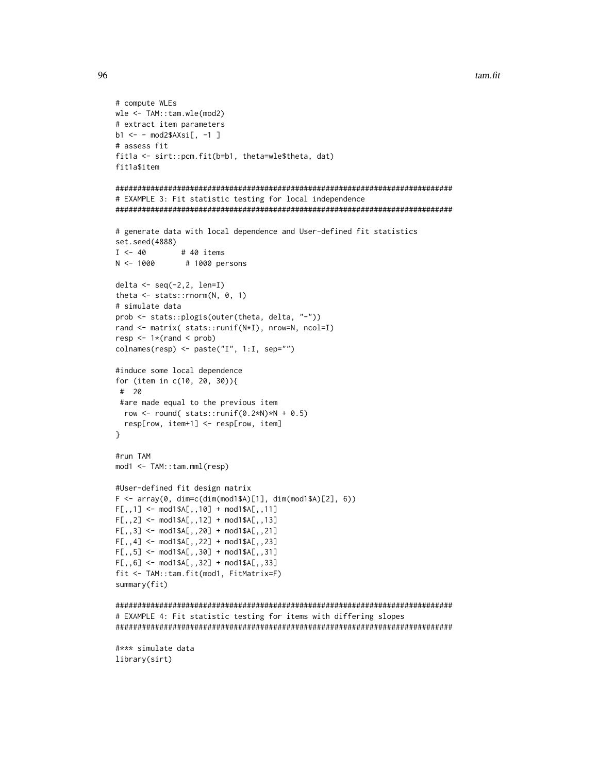```
tam.fit
```

```
# compute WLEs
wle < -TAM: : tam. wle(mod2)# extract item parameters
b1 <- - mod2$AXsi[, -1 ]
# assess fit
fit1a <- sirt::pcm.fit(b=b1, theta=wle$theta, dat)
fit1a$item
# EXAMPLE 3: Fit statistic testing for local independence
# generate data with local dependence and User-defined fit statistics
set.seed(4888)
I \leftarrow 40# 40 items
N < -1000# 1000 persons
delta <- seq(-2, 2, len=I)theta \leq stats:: rnorm(N, 0, 1)
# simulate data
prob <- stats::plogis(outer(theta, delta, "-"))
rand <- matrix( stats::runif(N*I), nrow=N, ncol=I)
resp < -1*(rand < prob)colnames(resp) <- paste("I", 1:I, sep="")
#induce some local dependence
for (item in c(10, 20, 30)){
# 20
#are made equal to the previous item
 row <- round( stats::runif(0.2*N) *N + 0.5)
 resp[row, item+1] <- resp[row, item]
\mathcal{L}#run TAM
mod1 < -TAM:: tam.mml(resp)
#User-defined fit design matrix
F \leq -\arctan(0, \dim=c(\dim(\text{mod1\$A})[1], \dim(\text{mod1\$A})[2], 6))F[,, 1] <- mod1$A[,, 10] + mod1$A[,, 11]F[,, 2] <- mod1$A[,, 12] + mod1$A[,, 13]
F[,, 3] <- mod1$A[,, 20] + mod1$A[,, 21]
F[, 4] <- mod1$A[, 22] + mod1$A[, 23]F[,, 5] <- mod1$A[, , 30] + mod1$A[, , 31]
F[,, 6] <- mod1$A[, , 32] + mod1$A[, , 33]
fit <- TAM::tam.fit(mod1, FitMatrix=F)
summary(fit)
# EXAMPLE 4: Fit statistic testing for items with differing slopes
#*** simulate data
library(sirt)
```
96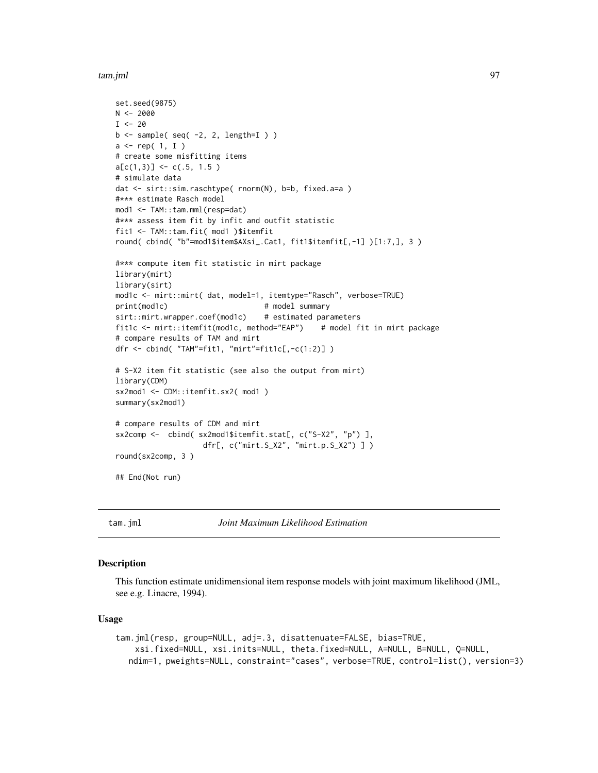tam.jml 97

```
set.seed(9875)
N < -2000I < - 20b \leftarrow sample( seq( -2, 2, length=I ) )
a \leftarrow rep(1, I)# create some misfitting items
a[c(1,3)] \leftarrow c(.5, 1.5)# simulate data
dat <- sirt::sim.raschtype( rnorm(N), b=b, fixed.a=a )
#*** estimate Rasch model
mod1 <- TAM::tam.mml(resp=dat)
#*** assess item fit by infit and outfit statistic
fit1 <- TAM::tam.fit( mod1 )$itemfit
round( cbind( "b"=mod1$item$AXsi_.Cat1, fit1$itemfit[,-1] )[1:7,], 3 )
#*** compute item fit statistic in mirt package
library(mirt)
library(sirt)
mod1c <- mirt::mirt( dat, model=1, itemtype="Rasch", verbose=TRUE)
print(mod1c) # model summary
sirt::mirt.wrapper.coef(mod1c) # estimated parameters
fit1c <- mirt::itemfit(mod1c, method="EAP") # model fit in mirt package
# compare results of TAM and mirt
dfr <- cbind( "TAM"=fit1, "mirt"=fit1c[,-c(1:2)] )
# S-X2 item fit statistic (see also the output from mirt)
library(CDM)
sx2mod1 <- CDM::itemfit.sx2( mod1 )
summary(sx2mod1)
# compare results of CDM and mirt
sx2comp <- cbind( sx2mod1$itemfit.stat[, c("S-X2", "p") ],
                    dfr[, c("mirt.S_X2", "mirt.p.S_X2") ] )
round(sx2comp, 3 )
## End(Not run)
```
<span id="page-96-0"></span>

tam.jml *Joint Maximum Likelihood Estimation*

#### Description

This function estimate unidimensional item response models with joint maximum likelihood (JML, see e.g. Linacre, 1994).

#### Usage

```
tam.jml(resp, group=NULL, adj=.3, disattenuate=FALSE, bias=TRUE,
   xsi.fixed=NULL, xsi.inits=NULL, theta.fixed=NULL, A=NULL, B=NULL, Q=NULL,
  ndim=1, pweights=NULL, constraint="cases", verbose=TRUE, control=list(), version=3)
```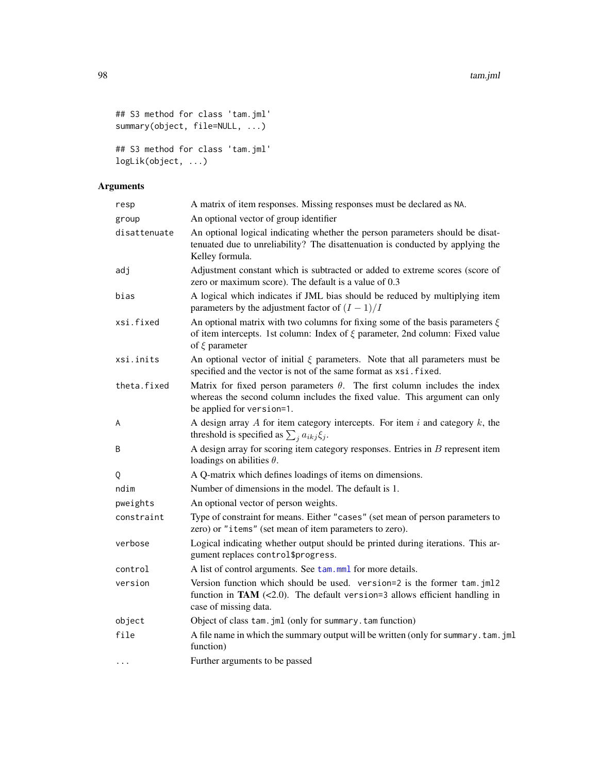```
## S3 method for class 'tam.jml'
summary(object, file=NULL, ...)
## S3 method for class 'tam.jml'
```
logLik(object, ...)

| resp         | A matrix of item responses. Missing responses must be declared as NA.                                                                                                                        |
|--------------|----------------------------------------------------------------------------------------------------------------------------------------------------------------------------------------------|
| group        | An optional vector of group identifier                                                                                                                                                       |
| disattenuate | An optional logical indicating whether the person parameters should be disat-<br>tenuated due to unreliability? The disattenuation is conducted by applying the<br>Kelley formula.           |
| adj          | Adjustment constant which is subtracted or added to extreme scores (score of<br>zero or maximum score). The default is a value of 0.3                                                        |
| bias         | A logical which indicates if JML bias should be reduced by multiplying item<br>parameters by the adjustment factor of $(I - 1)/I$                                                            |
| xsi.fixed    | An optional matrix with two columns for fixing some of the basis parameters $\xi$<br>of item intercepts. 1st column: Index of $\xi$ parameter, 2nd column: Fixed value<br>of $\xi$ parameter |
| xsi.inits    | An optional vector of initial $\xi$ parameters. Note that all parameters must be<br>specified and the vector is not of the same format as xsi. fixed.                                        |
| theta.fixed  | Matrix for fixed person parameters $\theta$ . The first column includes the index<br>whereas the second column includes the fixed value. This argument can only<br>be applied for version=1. |
| A            | A design array $A$ for item category intercepts. For item $i$ and category $k$ , the<br>threshold is specified as $\sum_{i} a_{ikj} \xi_i$ .                                                 |
| B            | A design array for scoring item category responses. Entries in $B$ represent item<br>loadings on abilities $\theta$ .                                                                        |
| Q            | A Q-matrix which defines loadings of items on dimensions.                                                                                                                                    |
| ndim         | Number of dimensions in the model. The default is 1.                                                                                                                                         |
| pweights     | An optional vector of person weights.                                                                                                                                                        |
| constraint   | Type of constraint for means. Either "cases" (set mean of person parameters to<br>zero) or "items" (set mean of item parameters to zero).                                                    |
| verbose      | Logical indicating whether output should be printed during iterations. This ar-<br>gument replaces control\$progress.                                                                        |
| control      | A list of control arguments. See tam.mml for more details.                                                                                                                                   |
| version      | Version function which should be used. version=2 is the former tam.jml2<br>function in TAM $(<2.0$ ). The default version=3 allows efficient handling in<br>case of missing data.            |
| object       | Object of class tam. jml (only for summary. tam function)                                                                                                                                    |
| file         | A file name in which the summary output will be written (only for summary.tam.jml<br>function)                                                                                               |
| $\cdots$     | Further arguments to be passed                                                                                                                                                               |
|              |                                                                                                                                                                                              |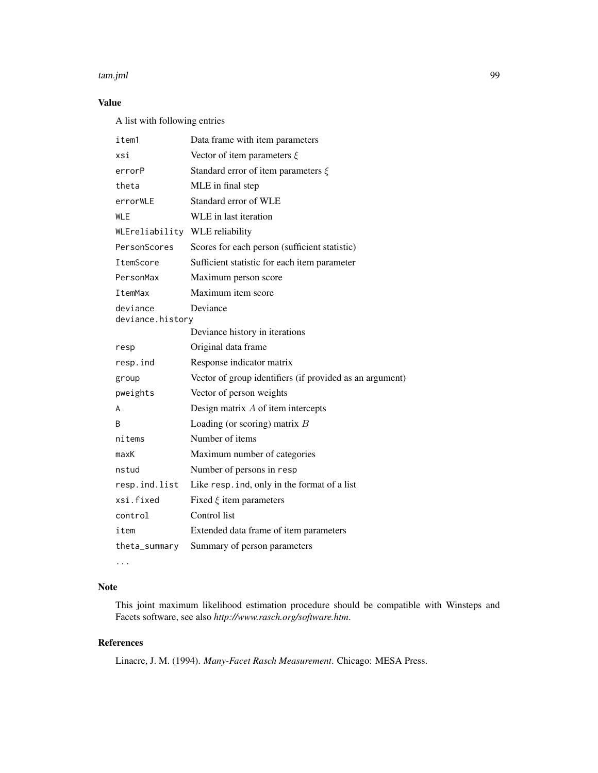#### tam.jml 99

# Value

A list with following entries

| item1                          | Data frame with item parameters                          |
|--------------------------------|----------------------------------------------------------|
| xsi                            | Vector of item parameters $\xi$                          |
| errorP                         | Standard error of item parameters $\xi$                  |
| theta                          | MLE in final step                                        |
| errorWLE                       | Standard error of WLE                                    |
| <b>WLE</b>                     | WLE in last iteration                                    |
| WLEreliability WLE reliability |                                                          |
| PersonScores                   | Scores for each person (sufficient statistic)            |
| ItemScore                      | Sufficient statistic for each item parameter             |
| PersonMax                      | Maximum person score                                     |
| ItemMax                        | Maximum item score                                       |
| deviance<br>deviance.history   | Deviance                                                 |
|                                | Deviance history in iterations                           |
| resp                           | Original data frame                                      |
| resp.ind                       | Response indicator matrix                                |
| group                          | Vector of group identifiers (if provided as an argument) |
| pweights                       | Vector of person weights                                 |
| A                              | Design matrix $A$ of item intercepts                     |
| B                              | Loading (or scoring) matrix $B$                          |
| nitems                         | Number of items                                          |
| maxK                           | Maximum number of categories                             |
| nstud                          | Number of persons in resp                                |
| resp.ind.list                  | Like resp. ind, only in the format of a list             |
| xsi.fixed                      | Fixed $\xi$ item parameters                              |
| control                        | Control list                                             |
| item                           | Extended data frame of item parameters                   |
| theta_summary                  | Summary of person parameters                             |

...

# Note

This joint maximum likelihood estimation procedure should be compatible with Winsteps and Facets software, see also *http://www.rasch.org/software.htm*.

# References

Linacre, J. M. (1994). *Many-Facet Rasch Measurement*. Chicago: MESA Press.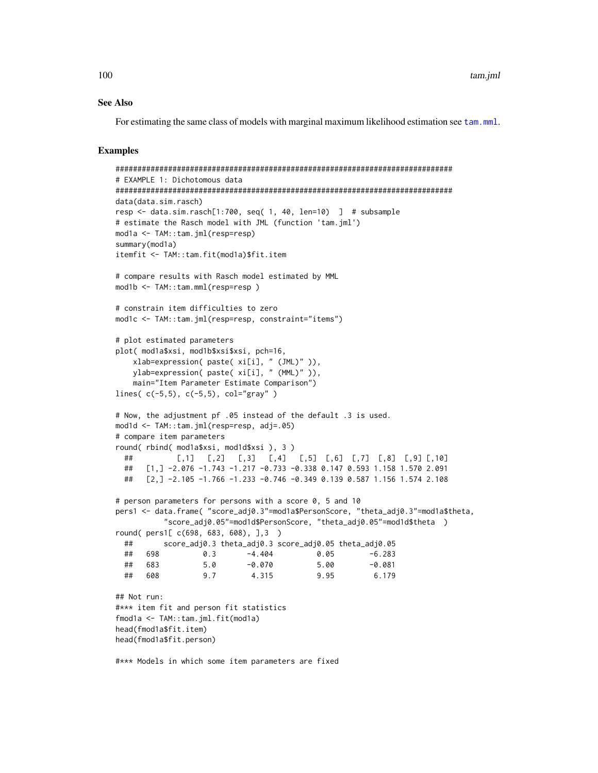#### **See Also**

For estimating the same class of models with marginal maximum likelihood estimation see tam.mml.

### **Examples**

```
# EXAMPLE 1: Dichotomous data
data(data.sim.rasch)
resp <- data.sim.rasch[1:700, seq( 1, 40, len=10) ] # subsample
# estimate the Rasch model with JML (function 'tam.jml')
mod1a <- TAM::tam.jml(resp=resp)
summary(mod1a)
itemfit <- TAM::tam.fit(mod1a)$fit.item
# compare results with Rasch model estimated by MML
mod1b <- TAM::tam.mml(resp=resp)
# constrain item difficulties to zero
mod1c <- TAM::tam.jml(resp=resp, constraint="items")
# plot estimated parameters
plot( mod1a$xsi, mod1b$xsi$xsi, pch=16,
   xlab=expression(paste(xi[i], "(JML)")),
   ylab=expression( paste( xi[i], " (MML)" )),
   main="Item Parameter Estimate Comparison")
lines(c(-5,5), c(-5,5), col="gray")
# Now, the adjustment pf .05 instead of the default .3 is used.
mod1d <- TAM::tam.jml(resp=resp, adj=.05)
# compare item parameters
round(rbind(modla$xsi, modld$xsi), 3)
            [0,1] [0,2] [0,3] [0,4] [0,5] [0,6] [0,7] [0,8] [0,9] [0,10]####[1,] -2.076 -1.743 -1.217 -0.733 -0.338 0.147 0.593 1.158 1.570 2.091
     [2,] -2.105 -1.766 -1.233 -0.746 -0.349 0.139 0.587 1.156 1.574 2.108
 ### person parameters for persons with a score 0, 5 and 10
pers1 <- data.frame( "score_adj0.3"=mod1a$PersonScore, "theta_adj0.3"=mod1a$theta,
         "score_adj0.05"=mod1d$PersonScore, "theta_adj0.05"=mod1d$theta )
round(pers1[ c(698, 683, 608), ],3 )
         score_adj0.3 theta_adj0.3 score_adj0.05 theta_adj0.05
 ##\##
     698
                 0.3-4.4040.05
                                                  -6.283## 683
                         -0.0705.00
                                                   -0.0815.0608
                          4.315
                                       9.95
                                                   6.179
 ##9.7## Not run:
#*** item fit and person fit statistics
fmodla <- TAM::tam.jml.fit(modla)
head(fmod1a$fit.item)
head(fmod1a$fit.person)
```
#\*\*\* Models in which some item parameters are fixed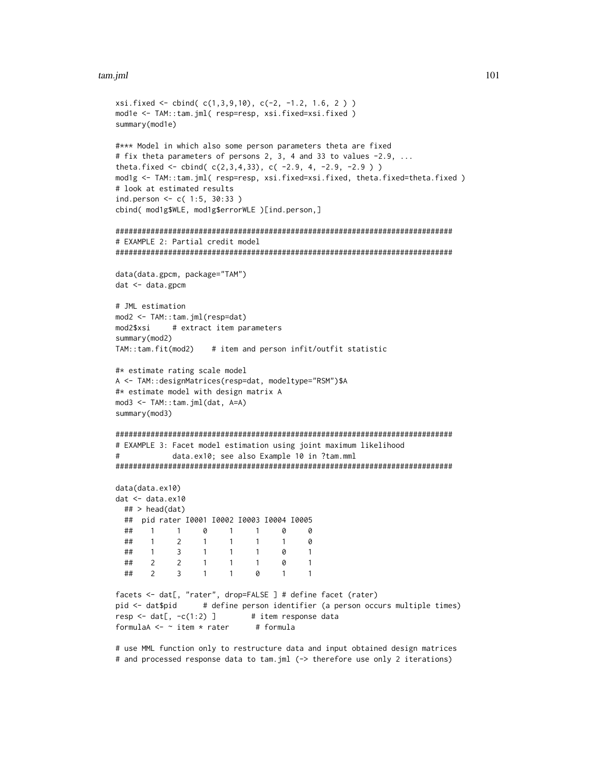#### tam.jml

```
xsi.fixed \leftarrow cbind( c(1,3,9,10), c(-2, -1.2, 1.6, 2) )mod1e <- TAM::tam.jml( resp=resp, xsi.fixed=xsi.fixed )
summary(mod1e)
#*** Model in which also some person parameters theta are fixed
# fix theta parameters of persons 2, 3, 4 and 33 to values -2.9, ...
theta.fixed <- cbind(c(2,3,4,33), c(-2.9, 4, -2.9, -2.9))
mod1g <- TAM::tam.jml( resp=resp, xsi.fixed=xsi.fixed, theta.fixed=theta.fixed )
# look at estimated results
ind.person <- c( 1:5, 30:33 )cbind( mod1g$WLE, mod1g$errorWLE )[ind.person,]
# EXAMPLE 2: Partial credit model
data(data.gpcm, package="TAM")
dat <- data.gpcm
# JML estimation
mod2 <- TAM::tam.jml(resp=dat)
mod2$xsi
            # extract item parameters
summary(mod2)
TAM::tam.fit(mod2) # item and person infit/outfit statistic
#* estimate rating scale model
A <- TAM::designMatrices(resp=dat, modeltype="RSM")$A
#* estimate model with design matrix A
mod3 <- TAM::tam.jml(dat, A=A)
summary(mod3)
# EXAMPLE 3: Facet model estimation using joint maximum likelihood
#data.ex10; see also Example 10 in ?tam.mml
data(data.ex10)
dat < - data.ex10## > head(dat)
 ## pid rater 10001 10002 10003 10004 10005
                  \theta##\overline{1}\overline{1}\overline{1}\overline{1}\Omega\theta\# \#\overline{2}\overline{1}\mathbf{1}0
       \overline{1}\mathbf{1}\mathbf{1}##\overline{1}\overline{3}\overline{1}\overline{1}\mathbf{1}0
                                           \overline{1}##\overline{2}\overline{2}\overline{1}\overline{1}\mathbf{1}\Omega\overline{1}##\mathcal{P}\overline{z}\overline{1}\overline{1}\alpha\blacksquare\mathbf{1}facets <- dat[, "rater", drop=FALSE ] # define facet (rater)
                  # define person identifier (a person occurs multiple times)
pid <- dat$pid
resp < - \text{dat}[ , -c(1:2) ]# item response data
formulaA \leq - item * rater
                               # formula
```
# use MML function only to restructure data and input obtained design matrices # and processed response data to tam.jml (-> therefore use only 2 iterations)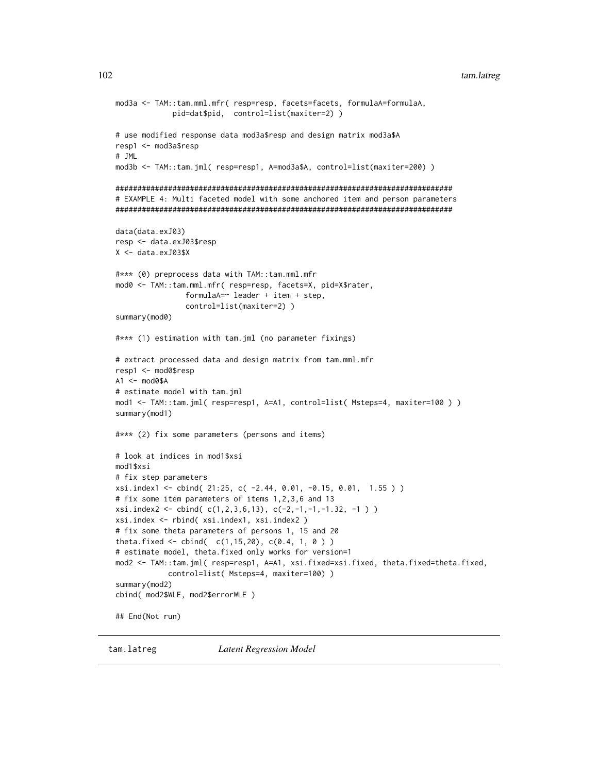#### tam.latreg

```
mod3a <- TAM::tam.mml.mfr( resp=resp, facets=facets, formulaA=formulaA,
           pid=dat$pid, control=list(maxiter=2))
# use modified response data mod3a$resp and design matrix mod3a$A
resp1 <- mod3a$resp
# JML
mod3b <- TAM::tam.jml( resp=resp1, A=mod3a$A, control=list(maxiter=200) )
# EXAMPLE 4: Multi faceted model with some anchored item and person parameters
data(data.exJ03)
resp <- data.exJ03$resp
X < - data.exJ03$X
#*** (0) preprocess data with TAM::tam.mml.mfr
mod0 <- TAM::tam.mml.mfr( resp=resp, facets=X, pid=X$rater,
              formulaA = \sim leader + item + step,control=list(maxiter=2))
summary(mod0)
#*** (1) estimation with tam.jml (no parameter fixings)
# extract processed data and design matrix from tam.mml.mfr
resp1 <- mod0$resp
A1 \leq - mod0$A
# estimate model with tam.jml
mod1 <- TAM::tam.jml( resp=resp1, A=A1, control=list( Msteps=4, maxiter=100 ) )
summary(mod1)
#*** (2) fix some parameters (persons and items)
# look at indices in mod1$xsi
mod1$xsi
# fix step parameters
xsi.index1 <- cbind( 21:25, c( -2.44, 0.01, -0.15, 0.01, 1.55))
# fix some item parameters of items 1,2,3,6 and 13
xsi.index2 \leq - \text{cbind}(c(1,2,3,6,13), c(-2,-1,-1,-1.32, -1))xsi.index <- rbind( xsi.index1, xsi.index2 )
# fix some theta parameters of persons 1, 15 and 20
theta.fixed <- cbind(c(1,15,20), c(0.4, 1, 0))
# estimate model, theta.fixed only works for version=1
mod2 <- TAM::tam.jml( resp=resp1, A=A1, xsi.fixed=xsi.fixed, theta.fixed=theta.fixed,
           control=list( Msteps=4, maxiter=100) )
summary(mod2)
cbind( mod2$WLE, mod2$errorWLE )
## End(Not run)
```
tam.latreg

**Latent Regression Model** 

102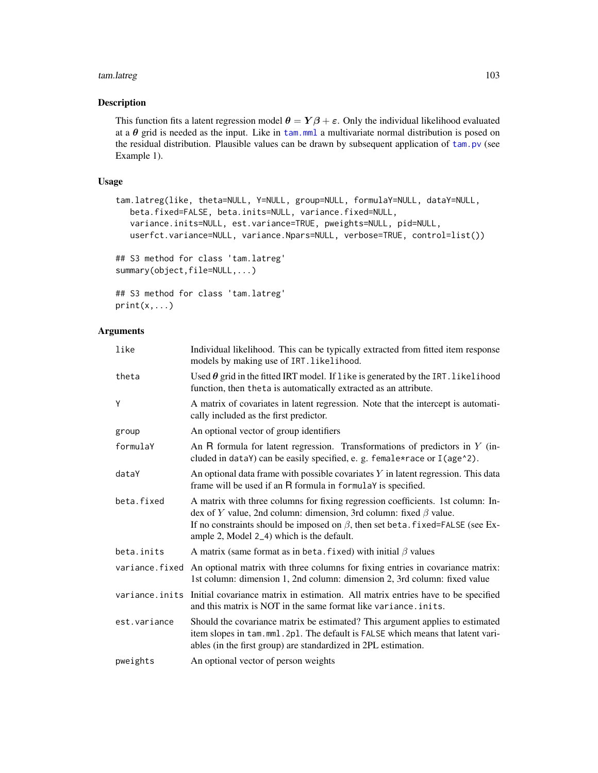#### tam.latreg 103

# Description

This function fits a latent regression model  $\theta = Y\beta + \varepsilon$ . Only the individual likelihood evaluated at a  $\theta$  grid is needed as the input. Like in [tam.mml](#page-111-0) a multivariate normal distribution is posed on the residual distribution. Plausible values can be drawn by subsequent application of [tam.pv](#page-180-0) (see Example 1).

### Usage

```
tam.latreg(like, theta=NULL, Y=NULL, group=NULL, formulaY=NULL, dataY=NULL,
  beta.fixed=FALSE, beta.inits=NULL, variance.fixed=NULL,
  variance.inits=NULL, est.variance=TRUE, pweights=NULL, pid=NULL,
  userfct.variance=NULL, variance.Npars=NULL, verbose=TRUE, control=list())
## S3 method for class 'tam.latreg'
summary(object,file=NULL,...)
## S3 method for class 'tam.latreg'
```

```
print(x,...)
```

| like         | Individual likelihood. This can be typically extracted from fitted item response<br>models by making use of IRT. likelihood.                                                                                                                                                                    |
|--------------|-------------------------------------------------------------------------------------------------------------------------------------------------------------------------------------------------------------------------------------------------------------------------------------------------|
| theta        | Used $\theta$ grid in the fitted IRT model. If like is generated by the IRT. likelihood<br>function, then theta is automatically extracted as an attribute.                                                                                                                                     |
| Y            | A matrix of covariates in latent regression. Note that the intercept is automati-<br>cally included as the first predictor.                                                                                                                                                                     |
| group        | An optional vector of group identifiers                                                                                                                                                                                                                                                         |
| formulaY     | An $R$ formula for latent regression. Transformations of predictors in $Y$ (in-<br>cluded in dataY) can be easily specified, e. g. female*race or I(age^2).                                                                                                                                     |
| dataY        | An optional data frame with possible covariates $Y$ in latent regression. This data<br>frame will be used if an R formula in formulaY is specified.                                                                                                                                             |
| beta.fixed   | A matrix with three columns for fixing regression coefficients. 1st column: In-<br>dex of Y value, 2nd column: dimension, 3rd column: fixed $\beta$ value.<br>If no constraints should be imposed on $\beta$ , then set beta. fixed=FALSE (see Ex-<br>ample 2, Model 2_4) which is the default. |
| beta.inits   | A matrix (same format as in beta. fixed) with initial $\beta$ values                                                                                                                                                                                                                            |
|              | variance. fixed An optional matrix with three columns for fixing entries in covariance matrix:<br>1st column: dimension 1, 2nd column: dimension 2, 3rd column: fixed value                                                                                                                     |
|              | variance.inits Initial covariance matrix in estimation. All matrix entries have to be specified<br>and this matrix is NOT in the same format like variance. inits.                                                                                                                              |
| est.variance | Should the covariance matrix be estimated? This argument applies to estimated<br>item slopes in tam.mml.2pl. The default is FALSE which means that latent vari-<br>ables (in the first group) are standardized in 2PL estimation.                                                               |
| pweights     | An optional vector of person weights                                                                                                                                                                                                                                                            |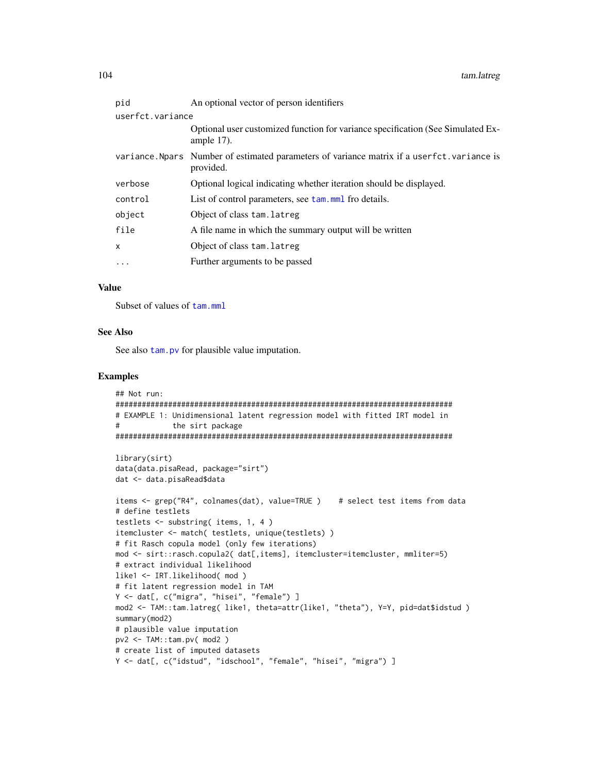| An optional vector of person identifiers                                                                 |  |
|----------------------------------------------------------------------------------------------------------|--|
| userfct.variance                                                                                         |  |
| Optional user customized function for variance specification (See Simulated Ex-<br>ample $17$ ).         |  |
| variance. Nearly Number of estimated parameters of variance matrix if a userfct variance is<br>provided. |  |
| Optional logical indicating whether iteration should be displayed.                                       |  |
| List of control parameters, see tam, mml fro details.                                                    |  |
| Object of class tam. latreg                                                                              |  |
| A file name in which the summary output will be written                                                  |  |
| Object of class tam. latreg                                                                              |  |
| Further arguments to be passed                                                                           |  |
|                                                                                                          |  |

#### **Value**

Subset of values of tam.mml

#### **See Also**

See also tam. pv for plausible value imputation.

#### **Examples**

```
## Not run:
# EXAMPLE 1: Unidimensional latent regression model with fitted IRT model in
           the sirt package
#library(sirt)
data(data.pisaRead, package="sirt")
dat <- data.pisaRead$data
items <- grep("R4", colnames(dat), value=TRUE ) # select test items from data
# define testlets
testlets \le substring( items, 1, 4 )
itemcluster <- match( testlets, unique(testlets))
# fit Rasch copula model (only few iterations)
mod <- sirt::rasch.copula2( dat[,items], itemcluster=itemcluster, mmliter=5)
# extract individual likelihood
like1 <- IRT.likelihood(mod)
# fit latent regression model in TAM
Y <- dat[, c("migra", "hisei", "female") ]
mod2 <- TAM::tam.latreg( like1, theta=attr(like1, "theta"), Y=Y, pid=dat$idstud )
summary(mod2)
# plausible value imputation
pv2 \leq TM: :tam.pv( mod2 )
# create list of imputed datasets
Y <- dat[, c("idstud", "idschool", "female", "hisei", "migra") ]
```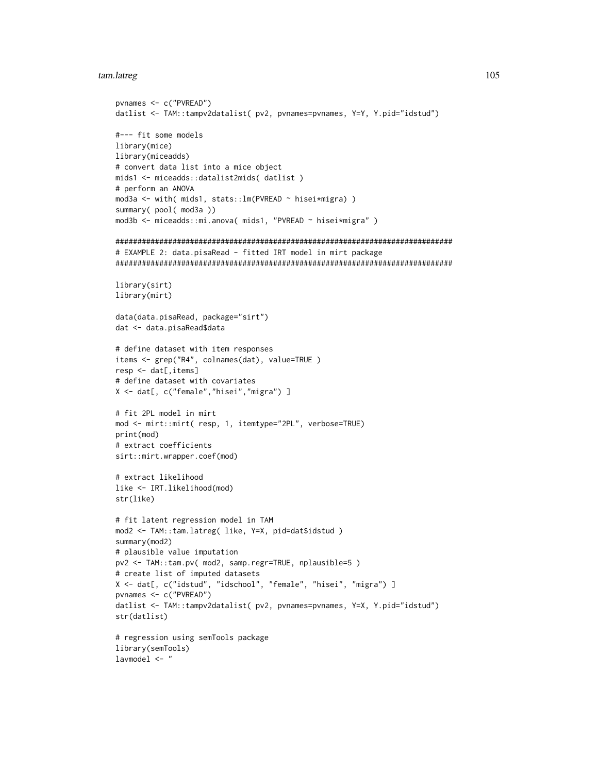#### tam.latreg

```
pvnames <- c("PVREAD")
datlist <- TAM::tampv2datalist( pv2, pvnames=pvnames, Y=Y, Y.pid="idstud")
#--- fit some models
library(mice)
library(miceadds)
# convert data list into a mice object
mids1 <- miceadds::datalist2mids( datlist)
# perform an ANOVA
mod3a <- with( mids1, stats:: lm(PVREAD ~ hisei*migra) )
summary( pool( mod3a ))
mod3b <- miceadds::mi.anova( mids1, "PVREAD ~ hisei*migra" )
# EXAMPLE 2: data.pisaRead - fitted IRT model in mirt package
library(sirt)
library(mirt)
data(data.pisaRead, package="sirt")
dat <- data.pisaRead$data
# define dataset with item responses
items <- grep("R4", colnames(dat), value=TRUE)
resp <- dat[, items]
# define dataset with covariates
X <- dat[, c("female","hisei","migra") ]
# fit 2PL model in mirt
mod <- mirt::mirt( resp, 1, itemtype="2PL", verbose=TRUE)
print(mod)
# extract coefficients
sirt::mirt.wrapper.coef(mod)
# extract likelihood
like <- IRT.likelihood(mod)
str(like)
# fit latent regression model in TAM
mod2 <- TAM::tam.latreg( like, Y=X, pid=dat$idstud )
summary(mod2)
# plausible value imputation
pv2 <- TAM::tam.pv( mod2, samp.regr=TRUE, nplausible=5)
# create list of imputed datasets
X <- dat[, c("idstud", "idschool", "female", "hisei", "migra") ]
pvnames <- c("PVREAD")
datlist <- TAM::tampv2datalist( pv2, pvnames=pvnames, Y=X, Y.pid="idstud")
str(datlist)
# regression using semTools package
library(semTools)
1avmode1 < -"
```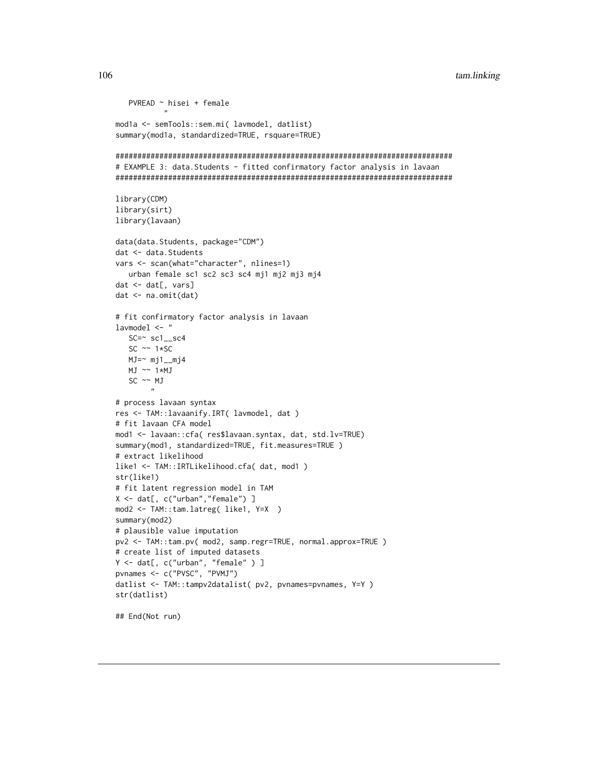tam.linking

```
PVREAD ~ hisei + female
          \mathbf{u}mod1a <- semTools::sem.mi( lavmodel, datlist)
summary(mod1a, standardized=TRUE, rsquare=TRUE)
# EXAMPLE 3: data.Students - fitted confirmatory factor analysis in lavaan
library(CDM)
library(sirt)
library(lavaan)
data(data.Students, package="CDM")
dat <- data. Students
vars <- scan(what="character", nlines=1)
  urban female sc1 sc2 sc3 sc4 mj1 mj2 mj3 mj4
dat < - dat[, vars]dat \leftarrow na.mit(data)# fit confirmatory factor analysis in lavaan
1avmode1 <- "
  SC = \ncos(1 - sc4)SC \sim 1*SC
  MJ=\sim mj1_mj4
  MJ \sim 1*MJSC \sim MJ
# process lavaan syntax
res <- TAM::lavaanify.IRT( lavmodel, dat )
# fit lavaan CFA model
mod1 <- lavaan::cfa( res$lavaan.syntax, dat, std.lv=TRUE)
summary(mod1, standardized=TRUE, fit.measures=TRUE)
# extract likelihood
like1 <- TAM::IRTLikelihood.cfa( dat, mod1)
str(like1)
# fit latent regression model in TAM
X \leq dat[, c("urban","female")]
mod2 <- TAM::tam.latreg( like1, Y=X )
summary(mod2)
# plausible value imputation
pv2 <- TAM::tam.pv( mod2, samp.regr=TRUE, normal.approx=TRUE )
# create list of imputed datasets
Y <- dat[, c("urban", "female" ) ]<br>pvnames <- c("PVSC", "PVMJ")
datlist <- TAM::tampv2datalist( pv2, pvnames=pvnames, Y=Y )
str(datlist)
```
## End(Not run)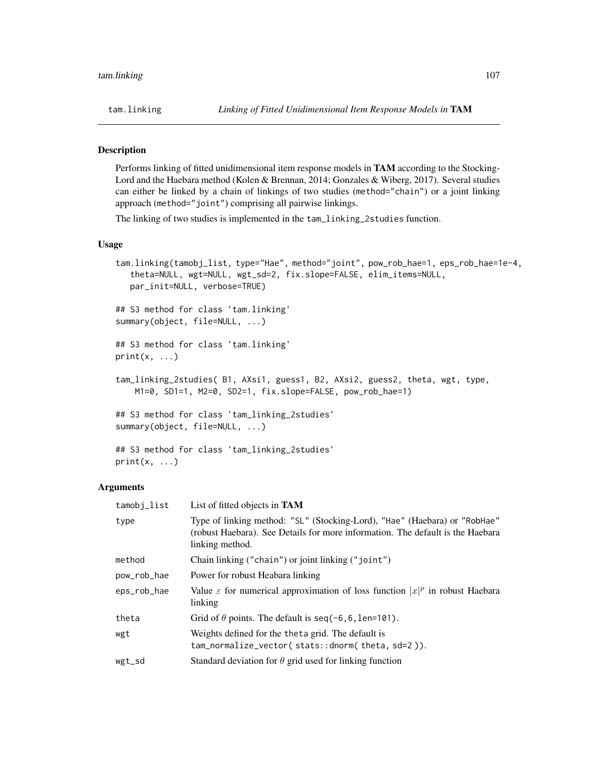# Description

Performs linking of fitted unidimensional item response models in TAM according to the Stocking-Lord and the Haebara method (Kolen & Brennan, 2014; Gonzales & Wiberg, 2017). Several studies can either be linked by a chain of linkings of two studies (method="chain") or a joint linking approach (method="joint") comprising all pairwise linkings.

The linking of two studies is implemented in the tam\_linking\_2studies function.

# Usage

```
tam.linking(tamobj_list, type="Hae", method="joint", pow_rob_hae=1, eps_rob_hae=1e-4,
   theta=NULL, wgt=NULL, wgt_sd=2, fix.slope=FALSE, elim_items=NULL,
   par_init=NULL, verbose=TRUE)
## S3 method for class 'tam.linking'
summary(object, file=NULL, ...)
## S3 method for class 'tam.linking'
print(x, \ldots)tam_linking_2studies( B1, AXsi1, guess1, B2, AXsi2, guess2, theta, wgt, type,
   M1=0, SD1=1, M2=0, SD2=1, fix.slope=FALSE, pow_rob_hae=1)
## S3 method for class 'tam_linking_2studies'
summary(object, file=NULL, ...)
## S3 method for class 'tam_linking_2studies'
```
 $print(x, \ldots)$ 

| tamobj_list | List of fitted objects in <b>TAM</b>                                                                                                                                           |
|-------------|--------------------------------------------------------------------------------------------------------------------------------------------------------------------------------|
| type        | Type of linking method: "SL" (Stocking-Lord), "Hae" (Haebara) or "RobHae"<br>(robust Haebara). See Details for more information. The default is the Haebara<br>linking method. |
| method      | Chain linking ("chain") or joint linking ("joint")                                                                                                                             |
| pow_rob_hae | Power for robust Heabara linking                                                                                                                                               |
| eps_rob_hae | Value $\varepsilon$ for numerical approximation of loss function $ x ^p$ in robust Haebara<br>linking                                                                          |
| theta       | Grid of $\theta$ points. The default is seq(-6,6, len=101).                                                                                                                    |
| wgt         | Weights defined for the theta grid. The default is<br>tam_normalize_vector(stats::dnorm(theta,sd=2)).                                                                          |
| wgt_sd      | Standard deviation for $\theta$ grid used for linking function                                                                                                                 |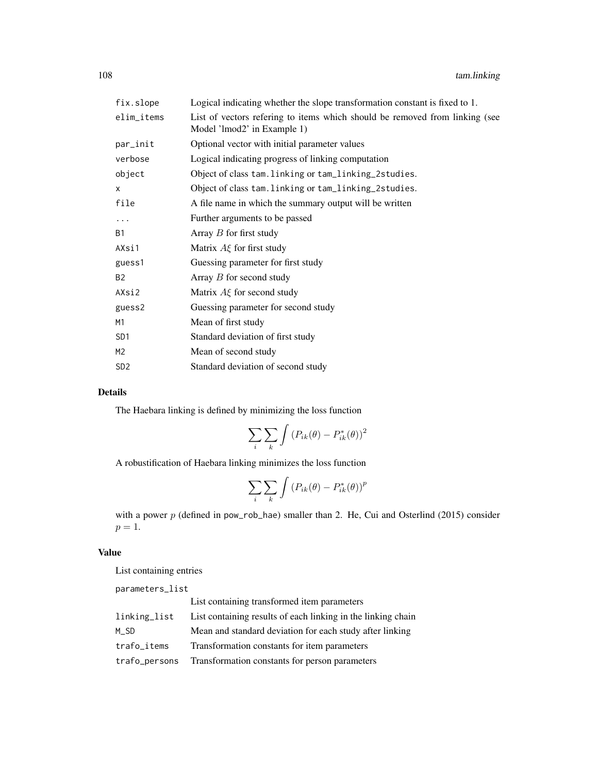| fix.slope       | Logical indicating whether the slope transformation constant is fixed to 1.                                |
|-----------------|------------------------------------------------------------------------------------------------------------|
| elim_items      | List of vectors refering to items which should be removed from linking (see<br>Model 'lmod2' in Example 1) |
| par_init        | Optional vector with initial parameter values                                                              |
| verbose         | Logical indicating progress of linking computation                                                         |
| object          | Object of class tam. linking or tam_linking_2studies.                                                      |
| X               | Object of class tam. linking or tam_linking_2studies.                                                      |
| file            | A file name in which the summary output will be written                                                    |
| .               | Further arguments to be passed                                                                             |
| <b>B1</b>       | Array $B$ for first study                                                                                  |
| AXsi1           | Matrix $A\xi$ for first study                                                                              |
| guess1          | Guessing parameter for first study                                                                         |
| <b>B2</b>       | Array $B$ for second study                                                                                 |
| AXsi2           | Matrix $A\xi$ for second study                                                                             |
| guess2          | Guessing parameter for second study                                                                        |
| M1              | Mean of first study                                                                                        |
| SD <sub>1</sub> | Standard deviation of first study                                                                          |
| M <sub>2</sub>  | Mean of second study                                                                                       |
| SD <sub>2</sub> | Standard deviation of second study                                                                         |
|                 |                                                                                                            |

# Details

The Haebara linking is defined by minimizing the loss function

$$
\sum_{i} \sum_{k} \int \left( P_{ik}(\theta) - P_{ik}^*(\theta) \right)^2
$$

A robustification of Haebara linking minimizes the loss function

$$
\sum_{i} \sum_{k} \int \left( P_{ik}(\theta) - P_{ik}^*(\theta) \right)^p
$$

with a power p (defined in pow\_rob\_hae) smaller than 2. He, Cui and Osterlind (2015) consider  $p=1$ .

# Value

List containing entries

|               | List containing transformed item parameters                  |
|---------------|--------------------------------------------------------------|
| linking_list  | List containing results of each linking in the linking chain |
| M SD          | Mean and standard deviation for each study after linking     |
| trafo_items   | Transformation constants for item parameters                 |
| trafo_persons | Transformation constants for person parameters               |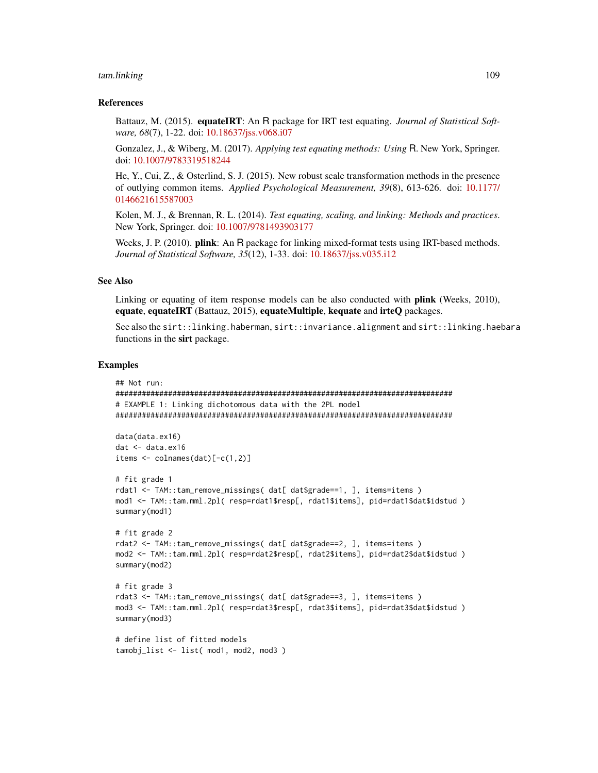# tam.linking 109

# References

Battauz, M. (2015). equateIRT: An R package for IRT test equating. *Journal of Statistical Software, 68*(7), 1-22. doi: [10.18637/jss.v068.i07](https://doi.org/10.18637/jss.v068.i07)

Gonzalez, J., & Wiberg, M. (2017). *Applying test equating methods: Using* R. New York, Springer. doi: [10.1007/9783319518244](https://doi.org/10.1007/978-3-319-51824-4)

He, Y., Cui, Z., & Osterlind, S. J. (2015). New robust scale transformation methods in the presence of outlying common items. *Applied Psychological Measurement, 39*(8), 613-626. doi: [10.1177/](https://doi.org/10.1177/0146621615587003) [0146621615587003](https://doi.org/10.1177/0146621615587003)

Kolen, M. J., & Brennan, R. L. (2014). *Test equating, scaling, and linking: Methods and practices*. New York, Springer. doi: [10.1007/9781493903177](https://doi.org/10.1007/978-1-4939-0317-7)

Weeks, J. P. (2010). **plink**: An R package for linking mixed-format tests using IRT-based methods. *Journal of Statistical Software, 35*(12), 1-33. doi: [10.18637/jss.v035.i12](https://doi.org/10.18637/jss.v035.i12)

# See Also

Linking or equating of item response models can be also conducted with **plink** (Weeks, 2010), equate, equateIRT (Battauz, 2015), equateMultiple, kequate and irteQ packages.

See also the sirt::linking.haberman, sirt::invariance.alignment and sirt::linking.haebara functions in the sirt package.

# Examples

```
## Not run:
#############################################################################
# EXAMPLE 1: Linking dichotomous data with the 2PL model
#############################################################################
data(data.ex16)
dat <- data.ex16
items <- colnames(dat)[-c(1,2)]
# fit grade 1
rdat1 <- TAM::tam_remove_missings( dat[ dat$grade==1, ], items=items )
mod1 <- TAM::tam.mml.2pl( resp=rdat1$resp[, rdat1$items], pid=rdat1$dat$idstud )
summary(mod1)
# fit grade 2
rdat2 <- TAM::tam_remove_missings( dat[ dat$grade==2, ], items=items )
mod2 <- TAM::tam.mml.2pl( resp=rdat2$resp[, rdat2$items], pid=rdat2$dat$idstud )
summary(mod2)
# fit grade 3
rdat3 <- TAM::tam_remove_missings( dat[ dat$grade==3, ], items=items )
mod3 <- TAM::tam.mml.2pl( resp=rdat3$resp[, rdat3$items], pid=rdat3$dat$idstud )
summary(mod3)
```

```
# define list of fitted models
tamobj_list <- list( mod1, mod2, mod3 )
```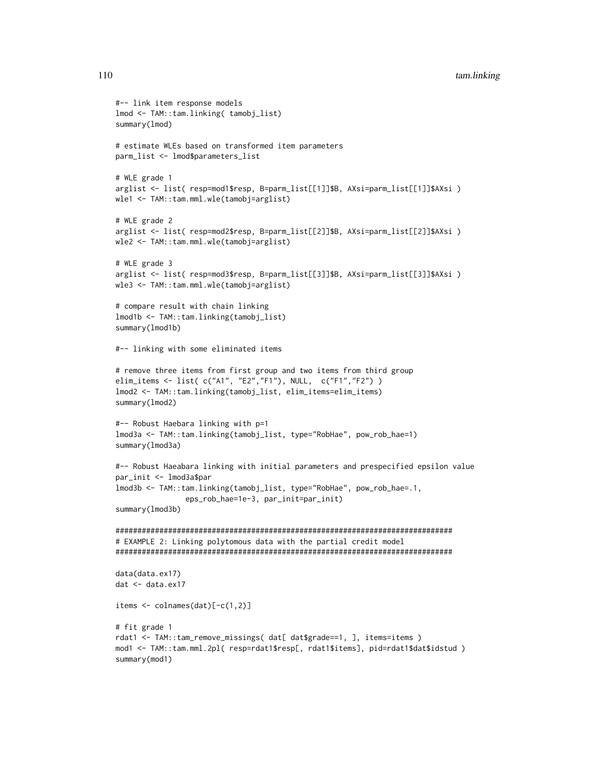```
#-- link item response models
lmod <- TAM::tam.linking( tamobj_list)
summary(lmod)
# estimate WLEs based on transformed item parameters
parm_list <- lmod$parameters_list
# WLE grade 1
arglist <- list( resp=mod1$resp, B=parm_list[[1]]$B, AXsi=parm_list[[1]]$AXsi )
wle1 <- TAM::tam.mml.wle(tamobj=arglist)
# WLE grade 2
arglist <- list( resp=mod2$resp, B=parm_list[[2]]$B, AXsi=parm_list[[2]]$AXsi )
wle2 <- TAM::tam.mml.wle(tamobj=arglist)
# WLE grade 3
arglist <- list( resp=mod3$resp, B=parm_list[[3]]$B, AXsi=parm_list[[3]]$AXsi )
wle3 <- TAM::tam.mml.wle(tamobj=arglist)
# compare result with chain linking
lmod1b <- TAM::tam.linking(tamobj_list)
summary(lmod1b)
#-- linking with some eliminated items
# remove three items from first group and two items from third group
elim_items <- list( c("A1", "E2","F1"), NULL, c("F1","F2") )
lmod2 <- TAM::tam.linking(tamobj_list, elim_items=elim_items)
summary(lmod2)
#-- Robust Haebara linking with p=1
lmod3a <- TAM::tam.linking(tamobj_list, type="RobHae", pow_rob_hae=1)
summary(lmod3a)
#-- Robust Haeabara linking with initial parameters and prespecified epsilon value
par_init <- lmod3a$par
lmod3b <- TAM::tam.linking(tamobj_list, type="RobHae", pow_rob_hae=.1,
                eps_rob_hae=1e-3, par_init=par_init)
summary(lmod3b)
#############################################################################
# EXAMPLE 2: Linking polytomous data with the partial credit model
#############################################################################
data(data.ex17)
dat <- data.ex17
items <- colnames(dat)[-c(1,2)]
# fit grade 1
rdat1 <- TAM::tam_remove_missings( dat[ dat$grade==1, ], items=items )
mod1 <- TAM::tam.mml.2pl( resp=rdat1$resp[, rdat1$items], pid=rdat1$dat$idstud )
summary(mod1)
```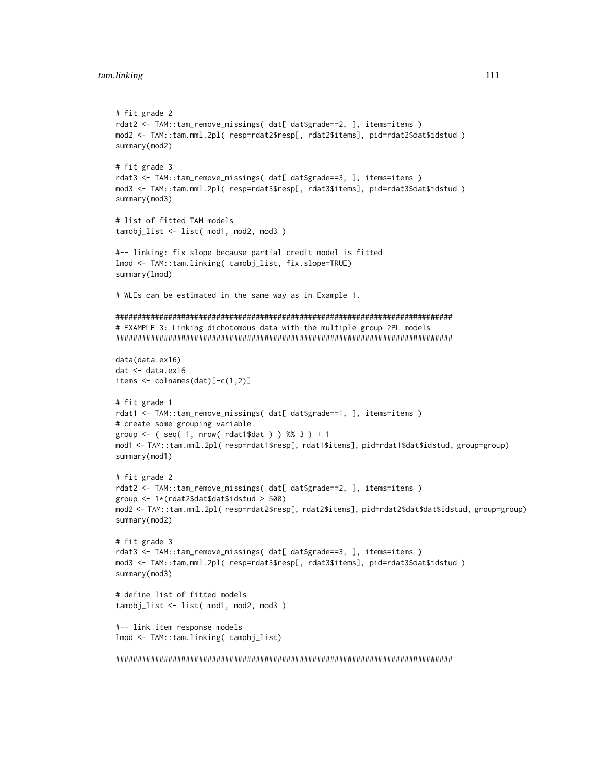```
# fit grade 2
rdat2 <- TAM::tam_remove_missings( dat[ dat$grade==2, ], items=items )
mod2 <- TAM::tam.mml.2pl( resp=rdat2$resp[, rdat2$items], pid=rdat2$dat$idstud )
summary(mod2)
# fit grade 3
rdat3 <- TAM::tam_remove_missings( dat[ dat$grade==3, ], items=items )
mod3 <- TAM::tam.mml.2pl( resp=rdat3$resp[, rdat3$items], pid=rdat3$dat$idstud )
summary(mod3)
# list of fitted TAM models
tamobj_list <- list( mod1, mod2, mod3 )
#-- linking: fix slope because partial credit model is fitted
lmod <- TAM::tam.linking( tamobj_list, fix.slope=TRUE)
summary(lmod)
# WLEs can be estimated in the same way as in Example 1.
#############################################################################
# EXAMPLE 3: Linking dichotomous data with the multiple group 2PL models
#############################################################################
data(data.ex16)
dat <- data.ex16
items <- colnames(dat)[-c(1,2)]
# fit grade 1
rdat1 <- TAM::tam_remove_missings( dat[ dat$grade==1, ], items=items )
# create some grouping variable
group \leq - ( seq( 1, nrow( rdat1$dat ) ) %% 3 ) + 1
mod1 <- TAM::tam.mml.2pl( resp=rdat1$resp[, rdat1$items], pid=rdat1$dat$idstud, group=group)
summary(mod1)
# fit grade 2
rdat2 <- TAM::tam_remove_missings( dat[ dat$grade==2, ], items=items )
group <- 1*(rdat2$dat$dat$idstud > 500)
mod2 <- TAM::tam.mml.2pl( resp=rdat2$resp[, rdat2$items], pid=rdat2$dat$dat$idstud, group=group)
summary(mod2)
# fit grade 3
rdat3 <- TAM::tam_remove_missings( dat[ dat$grade==3, ], items=items )
mod3 <- TAM::tam.mml.2pl( resp=rdat3$resp[, rdat3$items], pid=rdat3$dat$idstud )
summary(mod3)
# define list of fitted models
tamobj_list <- list( mod1, mod2, mod3 )
#-- link item response models
lmod <- TAM::tam.linking( tamobj_list)
#############################################################################
```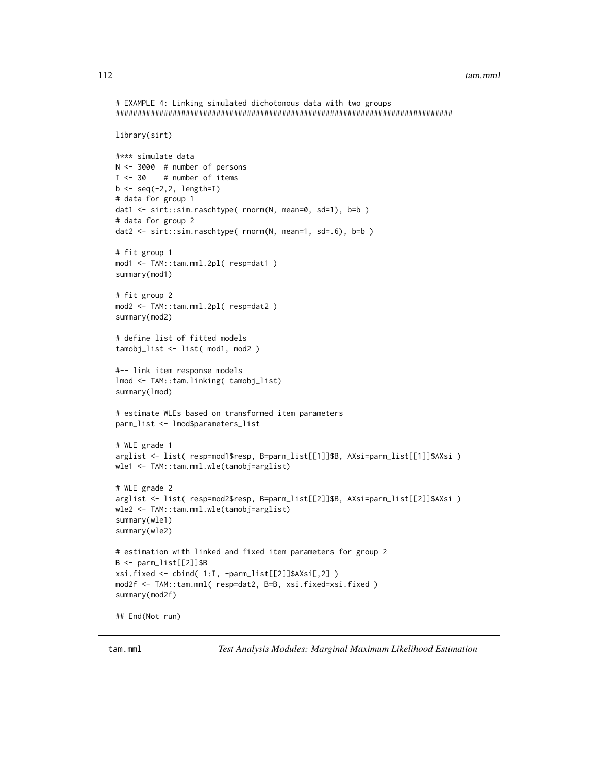```
# EXAMPLE 4: Linking simulated dichotomous data with two groups
#############################################################################
library(sirt)
#*** simulate data
N <- 3000 # number of persons
I \le -30 # number of items
b \leftarrow \text{seq}(-2, 2, \text{ length=I})# data for group 1
dat1 <- sirt::sim.raschtype( rnorm(N, mean=0, sd=1), b=b )
# data for group 2
dat2 <- sirt::sim.raschtype( rnorm(N, mean=1, sd=.6), b=b )
# fit group 1
mod1 <- TAM::tam.mml.2pl( resp=dat1 )
summary(mod1)
# fit group 2
mod2 <- TAM::tam.mml.2pl( resp=dat2 )
summary(mod2)
# define list of fitted models
tamobj_list <- list( mod1, mod2 )
#-- link item response models
lmod <- TAM::tam.linking( tamobj_list)
summary(lmod)
# estimate WLEs based on transformed item parameters
parm_list <- lmod$parameters_list
# WLE grade 1
arglist <- list( resp=mod1$resp, B=parm_list[[1]]$B, AXsi=parm_list[[1]]$AXsi )
wle1 <- TAM::tam.mml.wle(tamobj=arglist)
# WLE grade 2
arglist <- list( resp=mod2$resp, B=parm_list[[2]]$B, AXsi=parm_list[[2]]$AXsi )
wle2 <- TAM::tam.mml.wle(tamobj=arglist)
summary(wle1)
summary(wle2)
# estimation with linked and fixed item parameters for group 2
B <- parm_list[[2]]$B
xsi.fixed <- cbind( 1:I, -parm_list[[2]]$AXsi[,2] )
mod2f <- TAM::tam.mml( resp=dat2, B=B, xsi.fixed=xsi.fixed )
summary(mod2f)
## End(Not run)
```
tam.mml *Test Analysis Modules: Marginal Maximum Likelihood Estimation*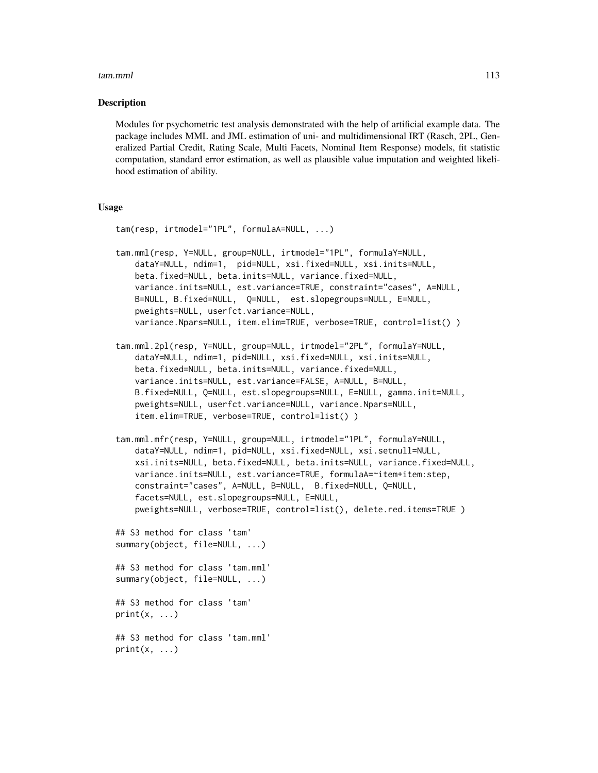# Description

Modules for psychometric test analysis demonstrated with the help of artificial example data. The package includes MML and JML estimation of uni- and multidimensional IRT (Rasch, 2PL, Generalized Partial Credit, Rating Scale, Multi Facets, Nominal Item Response) models, fit statistic computation, standard error estimation, as well as plausible value imputation and weighted likelihood estimation of ability.

# Usage

```
tam(resp, irtmodel="1PL", formulaA=NULL, ...)
tam.mml(resp, Y=NULL, group=NULL, irtmodel="1PL", formulaY=NULL,
   dataY=NULL, ndim=1, pid=NULL, xsi.fixed=NULL, xsi.inits=NULL,
   beta.fixed=NULL, beta.inits=NULL, variance.fixed=NULL,
   variance.inits=NULL, est.variance=TRUE, constraint="cases", A=NULL,
   B=NULL, B.fixed=NULL, Q=NULL, est.slopegroups=NULL, E=NULL,
   pweights=NULL, userfct.variance=NULL,
   variance.Npars=NULL, item.elim=TRUE, verbose=TRUE, control=list() )
tam.mml.2pl(resp, Y=NULL, group=NULL, irtmodel="2PL", formulaY=NULL,
   dataY=NULL, ndim=1, pid=NULL, xsi.fixed=NULL, xsi.inits=NULL,
   beta.fixed=NULL, beta.inits=NULL, variance.fixed=NULL,
   variance.inits=NULL, est.variance=FALSE, A=NULL, B=NULL,
   B.fixed=NULL, Q=NULL, est.slopegroups=NULL, E=NULL, gamma.init=NULL,
   pweights=NULL, userfct.variance=NULL, variance.Npars=NULL,
    item.elim=TRUE, verbose=TRUE, control=list() )
tam.mml.mfr(resp, Y=NULL, group=NULL, irtmodel="1PL", formulaY=NULL,
   dataY=NULL, ndim=1, pid=NULL, xsi.fixed=NULL, xsi.setnull=NULL,
   xsi.inits=NULL, beta.fixed=NULL, beta.inits=NULL, variance.fixed=NULL,
   variance.inits=NULL, est.variance=TRUE, formulaA=~item+item:step,
   constraint="cases", A=NULL, B=NULL, B.fixed=NULL, Q=NULL,
   facets=NULL, est.slopegroups=NULL, E=NULL,
   pweights=NULL, verbose=TRUE, control=list(), delete.red.items=TRUE )
## S3 method for class 'tam'
summary(object, file=NULL, ...)
## S3 method for class 'tam.mml'
summary(object, file=NULL, ...)
## S3 method for class 'tam'
print(x, \ldots)## S3 method for class 'tam.mml'
print(x, \ldots)
```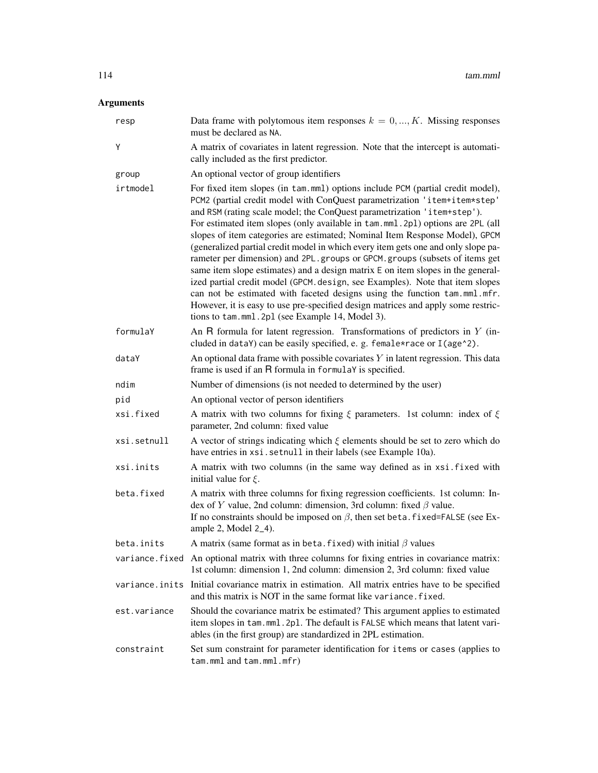# Arguments

| resp           | Data frame with polytomous item responses $k = 0, , K$ . Missing responses<br>must be declared as NA.                                                                                                                                                                                                                                                                                                                                                                                                                                                                                                                                                                                                                                                                                                                                                                                                                                                              |
|----------------|--------------------------------------------------------------------------------------------------------------------------------------------------------------------------------------------------------------------------------------------------------------------------------------------------------------------------------------------------------------------------------------------------------------------------------------------------------------------------------------------------------------------------------------------------------------------------------------------------------------------------------------------------------------------------------------------------------------------------------------------------------------------------------------------------------------------------------------------------------------------------------------------------------------------------------------------------------------------|
| Y              | A matrix of covariates in latent regression. Note that the intercept is automati-<br>cally included as the first predictor.                                                                                                                                                                                                                                                                                                                                                                                                                                                                                                                                                                                                                                                                                                                                                                                                                                        |
| group          | An optional vector of group identifiers                                                                                                                                                                                                                                                                                                                                                                                                                                                                                                                                                                                                                                                                                                                                                                                                                                                                                                                            |
| irtmodel       | For fixed item slopes (in tam.mml) options include PCM (partial credit model),<br>PCM2 (partial credit model with ConQuest parametrization 'item+item*step'<br>and RSM (rating scale model; the ConQuest parametrization 'item+step').<br>For estimated item slopes (only available in tam.mml.2pl) options are 2PL (all<br>slopes of item categories are estimated; Nominal Item Response Model), GPCM<br>(generalized partial credit model in which every item gets one and only slope pa-<br>rameter per dimension) and 2PL.groups or GPCM.groups (subsets of items get<br>same item slope estimates) and a design matrix E on item slopes in the general-<br>ized partial credit model (GPCM. design, see Examples). Note that item slopes<br>can not be estimated with faceted designs using the function tam.mml.mfr.<br>However, it is easy to use pre-specified design matrices and apply some restric-<br>tions to tam.mml.2pl (see Example 14, Model 3). |
| formulaY       | An R formula for latent regression. Transformations of predictors in $Y$ (in-<br>cluded in dataY) can be easily specified, e. g. female*race or I(age^2).                                                                                                                                                                                                                                                                                                                                                                                                                                                                                                                                                                                                                                                                                                                                                                                                          |
| dataY          | An optional data frame with possible covariates $Y$ in latent regression. This data<br>frame is used if an R formula in formulaY is specified.                                                                                                                                                                                                                                                                                                                                                                                                                                                                                                                                                                                                                                                                                                                                                                                                                     |
| ndim           | Number of dimensions (is not needed to determined by the user)                                                                                                                                                                                                                                                                                                                                                                                                                                                                                                                                                                                                                                                                                                                                                                                                                                                                                                     |
| pid            | An optional vector of person identifiers                                                                                                                                                                                                                                                                                                                                                                                                                                                                                                                                                                                                                                                                                                                                                                                                                                                                                                                           |
| xsi.fixed      | A matrix with two columns for fixing $\xi$ parameters. 1st column: index of $\xi$<br>parameter, 2nd column: fixed value                                                                                                                                                                                                                                                                                                                                                                                                                                                                                                                                                                                                                                                                                                                                                                                                                                            |
| xsi.setnull    | A vector of strings indicating which $\xi$ elements should be set to zero which do<br>have entries in xsi.setnull in their labels (see Example 10a).                                                                                                                                                                                                                                                                                                                                                                                                                                                                                                                                                                                                                                                                                                                                                                                                               |
| xsi.inits      | A matrix with two columns (in the same way defined as in xsi. fixed with<br>initial value for $\xi$ .                                                                                                                                                                                                                                                                                                                                                                                                                                                                                                                                                                                                                                                                                                                                                                                                                                                              |
| beta.fixed     | A matrix with three columns for fixing regression coefficients. 1st column: In-<br>dex of Y value, 2nd column: dimension, 3rd column: fixed $\beta$ value.<br>If no constraints should be imposed on $\beta$ , then set beta. fixed=FALSE (see Ex-<br>ample 2, Model $2_4$ ).                                                                                                                                                                                                                                                                                                                                                                                                                                                                                                                                                                                                                                                                                      |
| beta.inits     | A matrix (same format as in beta. fixed) with initial $\beta$ values                                                                                                                                                                                                                                                                                                                                                                                                                                                                                                                                                                                                                                                                                                                                                                                                                                                                                               |
|                | variance. fixed An optional matrix with three columns for fixing entries in covariance matrix:<br>1st column: dimension 1, 2nd column: dimension 2, 3rd column: fixed value                                                                                                                                                                                                                                                                                                                                                                                                                                                                                                                                                                                                                                                                                                                                                                                        |
| variance.inits | Initial covariance matrix in estimation. All matrix entries have to be specified<br>and this matrix is NOT in the same format like variance. fixed.                                                                                                                                                                                                                                                                                                                                                                                                                                                                                                                                                                                                                                                                                                                                                                                                                |
| est.variance   | Should the covariance matrix be estimated? This argument applies to estimated<br>item slopes in tam.mml.2pl. The default is FALSE which means that latent vari-<br>ables (in the first group) are standardized in 2PL estimation.                                                                                                                                                                                                                                                                                                                                                                                                                                                                                                                                                                                                                                                                                                                                  |
| constraint     | Set sum constraint for parameter identification for items or cases (applies to<br>tam.mml and tam.mml.mfr)                                                                                                                                                                                                                                                                                                                                                                                                                                                                                                                                                                                                                                                                                                                                                                                                                                                         |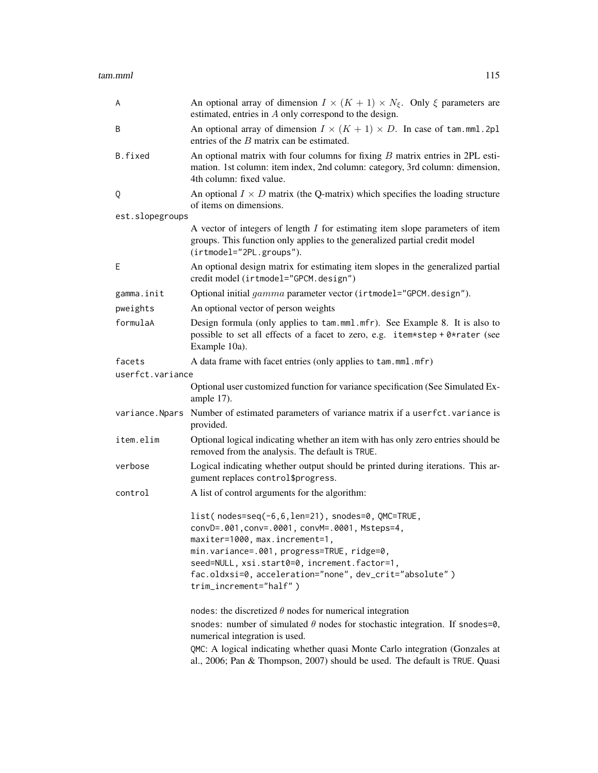| A                | An optional array of dimension $I \times (K + 1) \times N_{\xi}$ . Only $\xi$ parameters are<br>estimated, entries in A only correspond to the design.                                                                                                                                                                                                  |
|------------------|---------------------------------------------------------------------------------------------------------------------------------------------------------------------------------------------------------------------------------------------------------------------------------------------------------------------------------------------------------|
| B                | An optional array of dimension $I \times (K + 1) \times D$ . In case of tam.mml.2pl<br>entries of the $B$ matrix can be estimated.                                                                                                                                                                                                                      |
| B.fixed          | An optional matrix with four columns for fixing $B$ matrix entries in 2PL esti-<br>mation. 1st column: item index, 2nd column: category, 3rd column: dimension,<br>4th column: fixed value.                                                                                                                                                             |
| Q                | An optional $I \times D$ matrix (the Q-matrix) which specifies the loading structure<br>of items on dimensions.                                                                                                                                                                                                                                         |
| est.slopegroups  |                                                                                                                                                                                                                                                                                                                                                         |
|                  | A vector of integers of length $I$ for estimating item slope parameters of item<br>groups. This function only applies to the generalized partial credit model<br>(irtmodel="2PL.groups").                                                                                                                                                               |
| Ε                | An optional design matrix for estimating item slopes in the generalized partial<br>credit model (irtmodel="GPCM.design")                                                                                                                                                                                                                                |
| gamma.init       | Optional initial gamma parameter vector (irtmodel="GPCM.design").                                                                                                                                                                                                                                                                                       |
| pweights         | An optional vector of person weights                                                                                                                                                                                                                                                                                                                    |
| formulaA         | Design formula (only applies to tam.mml.mfr). See Example 8. It is also to<br>possible to set all effects of a facet to zero, e.g. item*step + 0*rater (see<br>Example 10a).                                                                                                                                                                            |
| facets           | A data frame with facet entries (only applies to tam.mml.mfr)                                                                                                                                                                                                                                                                                           |
| userfct.variance |                                                                                                                                                                                                                                                                                                                                                         |
|                  | Optional user customized function for variance specification (See Simulated Ex-<br>ample 17).                                                                                                                                                                                                                                                           |
| variance.Npars   | Number of estimated parameters of variance matrix if a userfct. variance is<br>provided.                                                                                                                                                                                                                                                                |
| item.elim        | Optional logical indicating whether an item with has only zero entries should be<br>removed from the analysis. The default is TRUE.                                                                                                                                                                                                                     |
| verbose          | Logical indicating whether output should be printed during iterations. This ar-<br>gument replaces control\$progress.                                                                                                                                                                                                                                   |
| control          | A list of control arguments for the algorithm:                                                                                                                                                                                                                                                                                                          |
|                  | list(nodes=seq(-6,6,len=21), snodes=0, QMC=TRUE,<br>convD=.001, conv=.0001, convM=.0001, Msteps=4,<br>maxiter=1000, max.increment=1,<br>min.variance=.001, progress=TRUE, ridge=0,<br>seed=NULL, xsi.start0=0, increment.factor=1,<br>fac.oldxsi=0, acceleration="none", dev_crit="absolute")<br>trim_increment="half")                                 |
|                  | nodes: the discretized $\theta$ nodes for numerical integration<br>snodes: number of simulated $\theta$ nodes for stochastic integration. If snodes=0,<br>numerical integration is used.<br>QMC: A logical indicating whether quasi Monte Carlo integration (Gonzales at<br>al., 2006; Pan & Thompson, 2007) should be used. The default is TRUE. Quasi |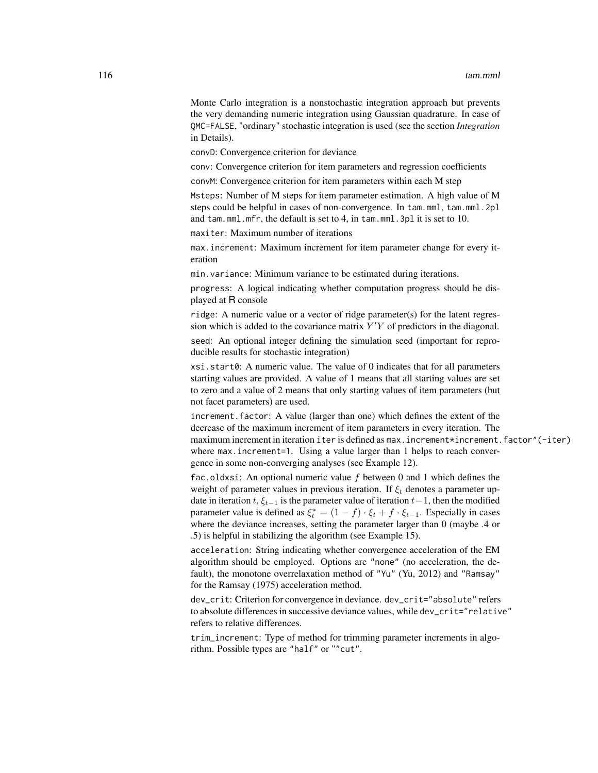Monte Carlo integration is a nonstochastic integration approach but prevents the very demanding numeric integration using Gaussian quadrature. In case of QMC=FALSE, "ordinary" stochastic integration is used (see the section *Integration* in Details).

convD: Convergence criterion for deviance

conv: Convergence criterion for item parameters and regression coefficients

convM: Convergence criterion for item parameters within each M step

Msteps: Number of M steps for item parameter estimation. A high value of M steps could be helpful in cases of non-convergence. In tam.mml, tam.mml.2pl and tam.mml.mfr, the default is set to 4, in tam.mml.3pl it is set to 10.

maxiter: Maximum number of iterations

max.increment: Maximum increment for item parameter change for every iteration

min.variance: Minimum variance to be estimated during iterations.

progress: A logical indicating whether computation progress should be displayed at R console

ridge: A numeric value or a vector of ridge parameter(s) for the latent regression which is added to the covariance matrix  $Y'Y$  of predictors in the diagonal.

seed: An optional integer defining the simulation seed (important for reproducible results for stochastic integration)

xsi.start0: A numeric value. The value of 0 indicates that for all parameters starting values are provided. A value of 1 means that all starting values are set to zero and a value of 2 means that only starting values of item parameters (but not facet parameters) are used.

increment.factor: A value (larger than one) which defines the extent of the decrease of the maximum increment of item parameters in every iteration. The maximum increment in iteration iter is defined as max.increment\*increment.factor^(-iter) where max.increment=1. Using a value larger than 1 helps to reach convergence in some non-converging analyses (see Example 12).

fac.oldxsi: An optional numeric value  $f$  between 0 and 1 which defines the weight of parameter values in previous iteration. If  $\xi_t$  denotes a parameter update in iteration t,  $\xi_{t-1}$  is the parameter value of iteration  $t-1$ , then the modified parameter value is defined as  $\xi_t^* = (1 - f) \cdot \xi_t + f \cdot \xi_{t-1}$ . Especially in cases where the deviance increases, setting the parameter larger than 0 (maybe .4 or .5) is helpful in stabilizing the algorithm (see Example 15).

acceleration: String indicating whether convergence acceleration of the EM algorithm should be employed. Options are "none" (no acceleration, the default), the monotone overrelaxation method of "Yu" (Yu, 2012) and "Ramsay" for the Ramsay (1975) acceleration method.

dev\_crit: Criterion for convergence in deviance. dev\_crit="absolute" refers to absolute differences in successive deviance values, while dev\_crit="relative" refers to relative differences.

trim\_increment: Type of method for trimming parameter increments in algorithm. Possible types are "half" or ""cut".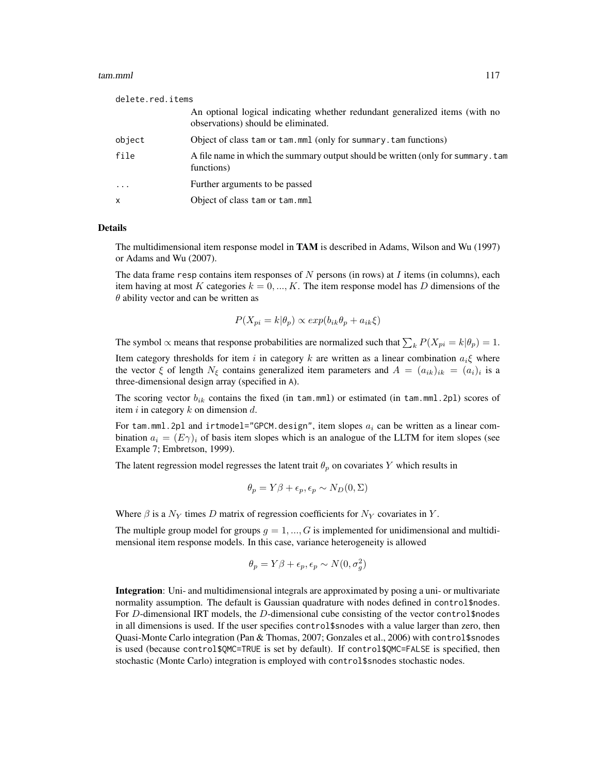# tam.mml and the contract of the contract of the contract of the contract of the contract of the contract of the contract of the contract of the contract of the contract of the contract of the contract of the contract of th

| delete.red.items |                                                                                                                    |  |
|------------------|--------------------------------------------------------------------------------------------------------------------|--|
|                  | An optional logical indicating whether redundant generalized items (with no<br>observations) should be eliminated. |  |
| object           | Object of class tam or tam.mml (only for summary. tam functions)                                                   |  |
| file             | A file name in which the summary output should be written (only for summary. tam<br>functions)                     |  |
| $\cdots$         | Further arguments to be passed                                                                                     |  |
| $\mathsf{x}$     | Object of class tam or tam.mml                                                                                     |  |

#### Details

The multidimensional item response model in TAM is described in Adams, Wilson and Wu (1997) or Adams and Wu (2007).

The data frame resp contains item responses of  $N$  persons (in rows) at  $I$  items (in columns), each item having at most K categories  $k = 0, ..., K$ . The item response model has D dimensions of the  $\theta$  ability vector and can be written as

$$
P(X_{pi} = k | \theta_p) \propto exp(b_{ik}\theta_p + a_{ik}\xi)
$$

The symbol  $\propto$  means that response probabilities are normalized such that  $\sum_{k} P(X_{pi} = k | \theta_{p}) = 1$ . Item category thresholds for item i in category k are written as a linear combination  $a_i \xi$  where the vector  $\xi$  of length  $N_{\xi}$  contains generalized item parameters and  $A = (a_{ik})_{ik} = (a_i)_i$  is a three-dimensional design array (specified in A).

The scoring vector  $b_{ik}$  contains the fixed (in tam.mml) or estimated (in tam.mml.2pl) scores of item i in category  $k$  on dimension d.

For tam.mml.2pl and irtmodel="GPCM.design", item slopes  $a_i$  can be written as a linear combination  $a_i = (E\gamma)_i$  of basis item slopes which is an analogue of the LLTM for item slopes (see Example 7; Embretson, 1999).

The latent regression model regresses the latent trait  $\theta_p$  on covariates Y which results in

$$
\theta_p = Y\beta + \epsilon_p, \epsilon_p \sim N_D(0, \Sigma)
$$

Where  $\beta$  is a  $N_Y$  times D matrix of regression coefficients for  $N_Y$  covariates in Y.

The multiple group model for groups  $g = 1, ..., G$  is implemented for unidimensional and multidimensional item response models. In this case, variance heterogeneity is allowed

$$
\theta_p = Y\beta + \epsilon_p, \epsilon_p \sim N(0, \sigma_g^2)
$$

Integration: Uni- and multidimensional integrals are approximated by posing a uni- or multivariate normality assumption. The default is Gaussian quadrature with nodes defined in control\$nodes. For D-dimensional IRT models, the D-dimensional cube consisting of the vector control\$nodes in all dimensions is used. If the user specifies control\$snodes with a value larger than zero, then Quasi-Monte Carlo integration (Pan & Thomas, 2007; Gonzales et al., 2006) with control\$snodes is used (because control\$QMC=TRUE is set by default). If control\$QMC=FALSE is specified, then stochastic (Monte Carlo) integration is employed with control\$snodes stochastic nodes.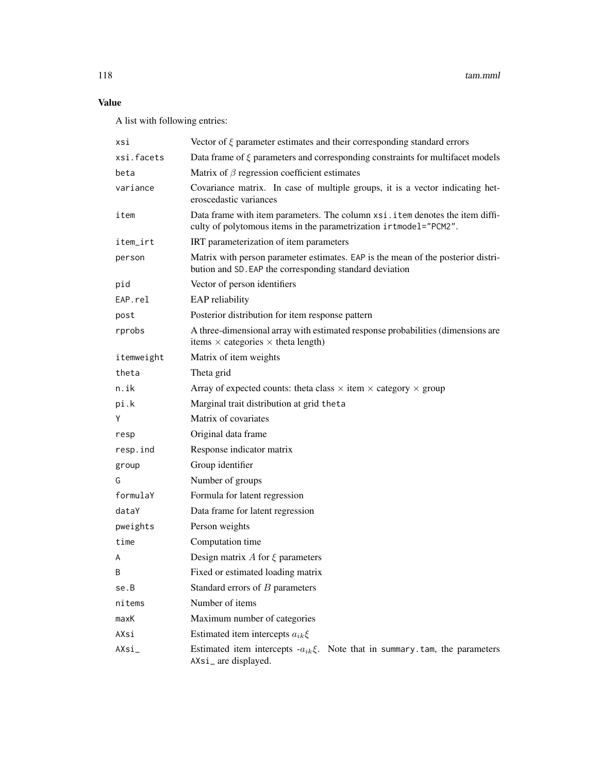# Value

A list with following entries:

| xsi        | Vector of $\xi$ parameter estimates and their corresponding standard errors                                                                        |
|------------|----------------------------------------------------------------------------------------------------------------------------------------------------|
| xsi.facets | Data frame of $\xi$ parameters and corresponding constraints for multifacet models                                                                 |
| beta       | Matrix of $\beta$ regression coefficient estimates                                                                                                 |
| variance   | Covariance matrix. In case of multiple groups, it is a vector indicating het-<br>eroscedastic variances                                            |
| item       | Data frame with item parameters. The column xsi. item denotes the item diffi-<br>culty of polytomous items in the parametrization irtmodel="PCM2". |
| item_irt   | IRT parameterization of item parameters                                                                                                            |
| person     | Matrix with person parameter estimates. EAP is the mean of the posterior distri-<br>bution and SD. EAP the corresponding standard deviation        |
| pid        | Vector of person identifiers                                                                                                                       |
| EAP.rel    | EAP reliability                                                                                                                                    |
| post       | Posterior distribution for item response pattern                                                                                                   |
| rprobs     | A three-dimensional array with estimated response probabilities (dimensions are<br>items $\times$ categories $\times$ theta length)                |
| itemweight | Matrix of item weights                                                                                                                             |
| theta      | Theta grid                                                                                                                                         |
| n.ik       | Array of expected counts: theta class $\times$ item $\times$ category $\times$ group                                                               |
| pi.k       | Marginal trait distribution at grid theta                                                                                                          |
| Y          | Matrix of covariates                                                                                                                               |
| resp       | Original data frame                                                                                                                                |
| resp.ind   | Response indicator matrix                                                                                                                          |
| group      | Group identifier                                                                                                                                   |
| G          | Number of groups                                                                                                                                   |
| formulaY   | Formula for latent regression                                                                                                                      |
| dataY      | Data frame for latent regression                                                                                                                   |
| pweights   | Person weights                                                                                                                                     |
| time       | Computation time                                                                                                                                   |
| A          | Design matrix A for $\xi$ parameters                                                                                                               |
| B          | Fixed or estimated loading matrix                                                                                                                  |
| se.B       | Standard errors of $B$ parameters                                                                                                                  |
| nitems     | Number of items                                                                                                                                    |
| maxK       | Maximum number of categories                                                                                                                       |
| AXsi       | Estimated item intercepts $a_{ik}\xi$                                                                                                              |
| AXsi       | Estimated item intercepts $-a_{ik}\xi$ . Note that in summary tam, the parameters<br>AXsi_are displayed.                                           |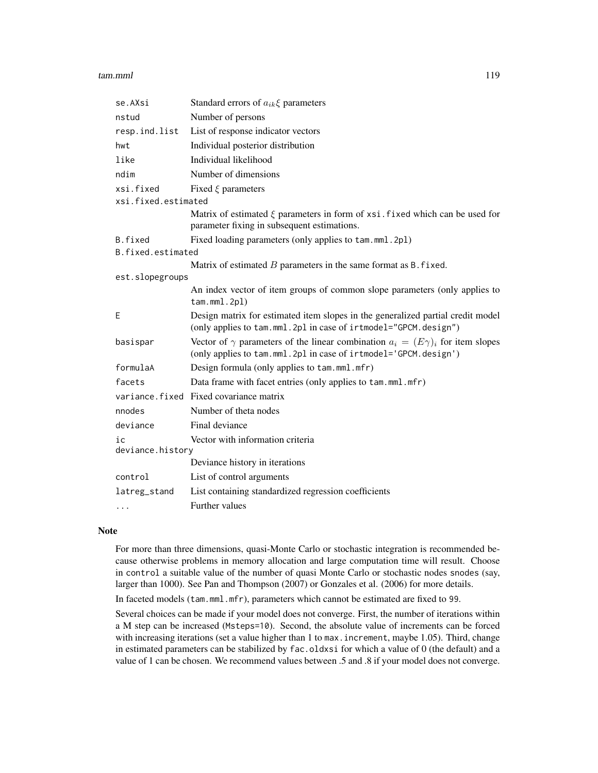# tam.mml and the contract of the contract of the contract of the contract of the contract of the contract of the contract of the contract of the contract of the contract of the contract of the contract of the contract of th

| se.AXsi             | Standard errors of $a_{ik}\xi$ parameters                                                                                                                      |
|---------------------|----------------------------------------------------------------------------------------------------------------------------------------------------------------|
| nstud               | Number of persons                                                                                                                                              |
| resp.ind.list       | List of response indicator vectors                                                                                                                             |
| hwt                 | Individual posterior distribution                                                                                                                              |
| like                | Individual likelihood                                                                                                                                          |
| ndim                | Number of dimensions                                                                                                                                           |
| xsi.fixed           | Fixed $\xi$ parameters                                                                                                                                         |
| xsi.fixed.estimated |                                                                                                                                                                |
|                     | Matrix of estimated $\xi$ parameters in form of xsi. fixed which can be used for<br>parameter fixing in subsequent estimations.                                |
| B.fixed             | Fixed loading parameters (only applies to tam.mml.2pl)                                                                                                         |
| B.fixed.estimated   |                                                                                                                                                                |
|                     | Matrix of estimated $B$ parameters in the same format as B. fixed.                                                                                             |
| est.slopegroups     |                                                                                                                                                                |
|                     | An index vector of item groups of common slope parameters (only applies to<br>$t$ am.mml.2pl)                                                                  |
| Ε                   | Design matrix for estimated item slopes in the generalized partial credit model<br>(only applies to tam.mml.2pl in case of irtmodel="GPCM.design")             |
| basispar            | Vector of $\gamma$ parameters of the linear combination $a_i = (E\gamma)_i$ for item slopes<br>(only applies to tam.mml.2pl in case of irtmodel='GPCM.design') |
| formulaA            | Design formula (only applies to tam.mml.mfr)                                                                                                                   |
| facets              | Data frame with facet entries (only applies to tam.mml.mfr)                                                                                                    |
|                     | variance.fixed Fixed covariance matrix                                                                                                                         |
| nnodes              | Number of theta nodes                                                                                                                                          |
| deviance            | Final deviance                                                                                                                                                 |
| ic                  | Vector with information criteria                                                                                                                               |
| deviance.history    |                                                                                                                                                                |
|                     | Deviance history in iterations                                                                                                                                 |
| control             | List of control arguments                                                                                                                                      |
| latreg_stand        | List containing standardized regression coefficients                                                                                                           |
| .                   | Further values                                                                                                                                                 |

# Note

For more than three dimensions, quasi-Monte Carlo or stochastic integration is recommended because otherwise problems in memory allocation and large computation time will result. Choose in control a suitable value of the number of quasi Monte Carlo or stochastic nodes snodes (say, larger than 1000). See Pan and Thompson (2007) or Gonzales et al. (2006) for more details.

In faceted models (tam.mml.mfr), parameters which cannot be estimated are fixed to 99.

Several choices can be made if your model does not converge. First, the number of iterations within a M step can be increased (Msteps=10). Second, the absolute value of increments can be forced with increasing iterations (set a value higher than 1 to max.increment, maybe 1.05). Third, change in estimated parameters can be stabilized by fac.oldxsi for which a value of 0 (the default) and a value of 1 can be chosen. We recommend values between .5 and .8 if your model does not converge.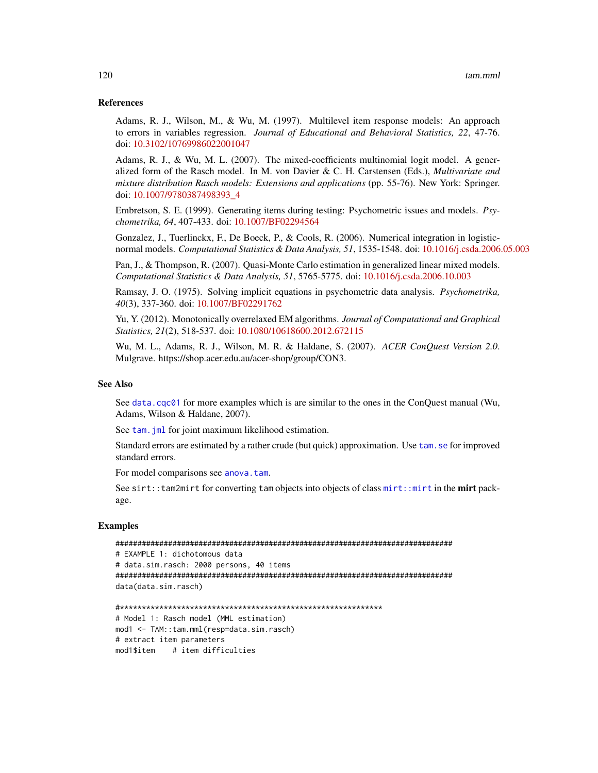# References

Adams, R. J., Wilson, M., & Wu, M. (1997). Multilevel item response models: An approach to errors in variables regression. *Journal of Educational and Behavioral Statistics, 22*, 47-76. doi: [10.3102/10769986022001047](https://doi.org/10.3102/10769986022001047)

Adams, R. J., & Wu, M. L. (2007). The mixed-coefficients multinomial logit model. A generalized form of the Rasch model. In M. von Davier & C. H. Carstensen (Eds.), *Multivariate and mixture distribution Rasch models: Extensions and applications* (pp. 55-76). New York: Springer. doi: [10.1007/9780387498393\\_4](https://doi.org/10.1007/978-0-387-49839-3_4)

Embretson, S. E. (1999). Generating items during testing: Psychometric issues and models. *Psychometrika, 64*, 407-433. doi: [10.1007/BF02294564](https://doi.org/10.1007/BF02294564)

Gonzalez, J., Tuerlinckx, F., De Boeck, P., & Cools, R. (2006). Numerical integration in logisticnormal models. *Computational Statistics & Data Analysis, 51*, 1535-1548. doi: [10.1016/j.csda.2006.05.003](https://doi.org/10.1016/j.csda.2006.05.003)

Pan, J., & Thompson, R. (2007). Quasi-Monte Carlo estimation in generalized linear mixed models. *Computational Statistics & Data Analysis, 51*, 5765-5775. doi: [10.1016/j.csda.2006.10.003](https://doi.org/10.1016/j.csda.2006.10.003)

Ramsay, J. O. (1975). Solving implicit equations in psychometric data analysis. *Psychometrika, 40*(3), 337-360. doi: [10.1007/BF02291762](https://doi.org/10.1007/BF02291762)

Yu, Y. (2012). Monotonically overrelaxed EM algorithms. *Journal of Computational and Graphical Statistics, 21*(2), 518-537. doi: [10.1080/10618600.2012.672115](https://doi.org/10.1080/10618600.2012.672115)

Wu, M. L., Adams, R. J., Wilson, M. R. & Haldane, S. (2007). *ACER ConQuest Version 2.0*. Mulgrave. https://shop.acer.edu.au/acer-shop/group/CON3.

#### See Also

See [data.cqc01](#page-7-0) for more examples which is are similar to the ones in the ConQuest manual (Wu, Adams, Wilson & Haldane, 2007).

See tam. jml for joint maximum likelihood estimation.

Standard errors are estimated by a rather crude (but quick) approximation. Use [tam.se](#page-189-0) for improved standard errors.

For model comparisons see [anova.tam](#page-3-0).

See sirt:: tam2mirt for converting tam objects into objects of class mirt: : mirt in the mirt package.

# Examples

```
#############################################################################
# EXAMPLE 1: dichotomous data
# data.sim.rasch: 2000 persons, 40 items
#############################################################################
data(data.sim.rasch)
```

```
#************************************************************
# Model 1: Rasch model (MML estimation)
mod1 <- TAM::tam.mml(resp=data.sim.rasch)
# extract item parameters
mod1$item # item difficulties
```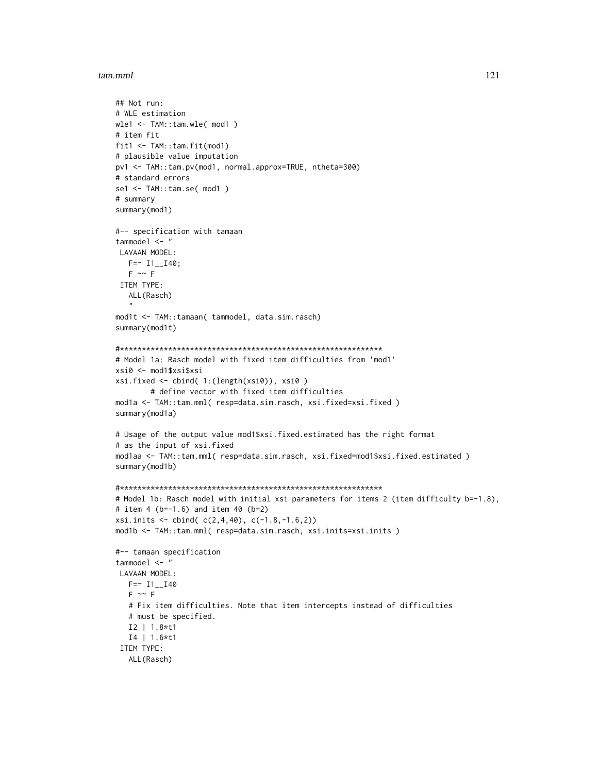```
## Not run:
# WLE estimation
wle1 \le -TAM::tam.wle(mod1)# item fit
fit1 \leftarrow \text{TAM::} \text{tam.fit}(\text{mod1})# plausible value imputation
pv1 <- TAM::tam.pv(mod1, normal.approx=TRUE, ntheta=300)
# standard errors
sel \leftarrow \text{TAM::tam.se( mod1)}# summary
summary(mod1)
#-- specification with tamaan
tammodel \leq-"
LAVAAN MODEL:
  F = 11 - 140;F \sim FITEM TYPE:
  ALL(Rasch)
mod1t <- TAM::tamaan( tammodel, data.sim.rasch)
summary(mod1t)
# Model 1a: Rasch model with fixed item difficulties from 'mod1'
xsi0 <- mod1$xsi$xsi
xsi.fixed \leftarrow child(1:(length(xsi\theta)), xsi\theta)# define vector with fixed item difficulties
mod1a <- TAM::tam.mml( resp=data.sim.rasch, xsi.fixed=xsi.fixed )
summary(mod1a)
# Usage of the output value mod1$xsi.fixed.estimated has the right format
# as the input of xsi.fixed
modlaa <- TAM::tam.mml( resp=data.sim.rasch, xsi.fixed=mod1$xsi.fixed.estimated )
summary(mod1b)
# Model 1b: Rasch model with initial xsi parameters for items 2 (item difficulty b=-1.8),
# item 4 (b=-1.6) and item 40 (b=2)
xsi. inits \leftarrow \text{cbind}(c(2,4,40), c(-1.8,-1.6,2))mod1b <- TAM::tam.mml( resp=data.sim.rasch, xsi.inits=xsi.inits )
#-- tamaan specification
tammodel \leq "
LAVAAN MODEL:
  F = 11 - 140F \sim F# Fix item difficulties. Note that item intercepts instead of difficulties
  # must be specified.
  I2 | 1.8*t1
  I4 | 1.6*t1
ITEM TYPE:
  ALL(Rasch)
```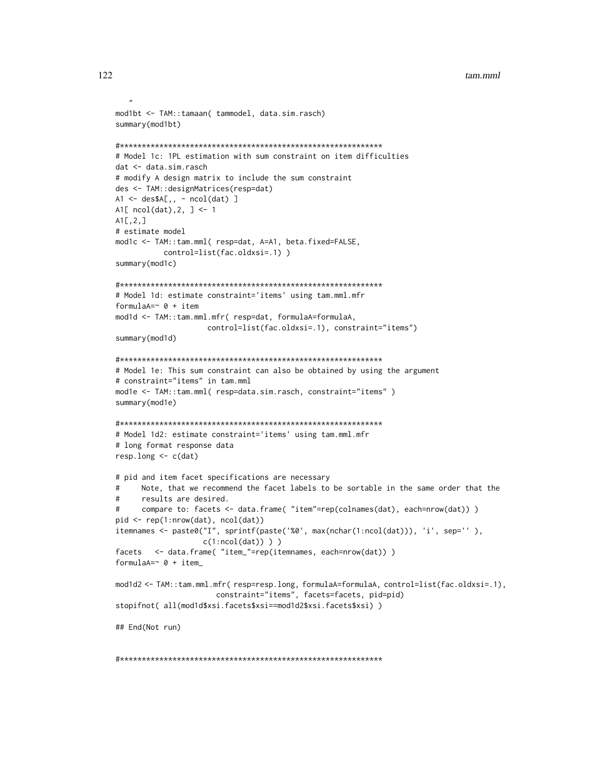```
mod1bt <- TAM::tamaan( tammodel, data.sim.rasch)
summary(mod1bt)
# Model 1c: 1PL estimation with sum constraint on item difficulties
dat <- data.sim.rasch
# modify A design matrix to include the sum constraint
des <- TAM::designMatrices(resp=dat)
A1 \leftarrow des$A[, - ncol(data) ]A1[ ncol(data), 2, ] <- 1
AI[,2,]\# estimate model
mod1c <- TAM::tam.mml( resp=dat, A=A1, beta.fixed=FALSE,
         control=list(fac.oldxsi=.1))
summary(mod1c)
# Model 1d: estimate constraint='items' using tam.mml.mfr
formulaA=\sim 0 + item
mod1d <- TAM::tam.mml.mfr( resp=dat, formulaA=formulaA,
                  control=list(fac.oldxsi=.1), constraint="items")
summary(mod1d)
# Model 1e: This sum constraint can also be obtained by using the argument
# constraint="items" in tam.mml
modle <- TAM::tam.mml( resp=data.sim.rasch, constraint="items")
summary(mod1e)
# Model 1d2: estimate constraint='items' using tam.mml.mfr
# long format response data
resp. long < -c(data)# pid and item facet specifications are necessary
     Note, that we recommend the facet labels to be sortable in the same order that the
     results are desired.
\pmb{\pm}compare to: facets <- data.frame( "item"=rep(colnames(dat), each=nrow(dat)))
#pid \leftarrow rep(1:nrow(data), ncol(data))itemnames <- paste0("I", sprintf(paste('%0', max(nchar(1:ncol(dat))), 'i', sep='' ),
                 c(1:ncol(data))))
facets <- data.frame( "item_"=rep(itemnames, each=nrow(dat)))
formulaA=\sim 0 + item_
mod1d2 <- TAM::tam.mml.mfr( resp=resp.long, formulaA=formulaA, control=list(fac.oldxsi=.1),
                   constraint="items", facets=facets, pid=pid)
stopifnot( all(mod1d$xsi.facets$xsi==mod1d2$xsi.facets$xsi) )
## End(Not run)
```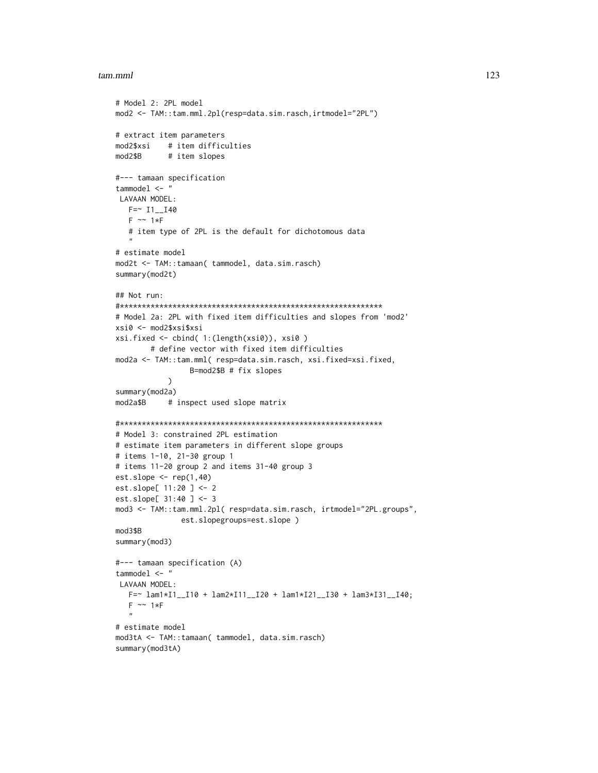```
# Model 2: 2PL model
mod2 <- TAM::tam.mml.2pl(resp=data.sim.rasch,irtmodel="2PL")
# extract item parameters
mod2$xsi # item difficulties
mod2$B # item slopes
#--- tamaan specification
tammodel <- "
LAVAAN MODEL:
  F = ~ I1 - I40F \sim 1*F# item type of 2PL is the default for dichotomous data
   "
# estimate model
mod2t <- TAM::tamaan( tammodel, data.sim.rasch)
summary(mod2t)
## Not run:
#************************************************************
# Model 2a: 2PL with fixed item difficulties and slopes from 'mod2'
xsi0 <- mod2$xsi$xsi
xsi.fixed <- cbind( 1:(length(xsi0)), xsi0 )
        # define vector with fixed item difficulties
mod2a <- TAM::tam.mml( resp=data.sim.rasch, xsi.fixed=xsi.fixed,
                 B=mod2$B # fix slopes
            )
summary(mod2a)
mod2a$B # inspect used slope matrix
#************************************************************
# Model 3: constrained 2PL estimation
# estimate item parameters in different slope groups
# items 1-10, 21-30 group 1
# items 11-20 group 2 and items 31-40 group 3
est.slope \leq rep(1,40)
est.slope[ 11:20 ] <- 2
est.slope[ 31:40 ] <- 3
mod3 <- TAM::tam.mml.2pl( resp=data.sim.rasch, irtmodel="2PL.groups",
               est.slopegroups=est.slope )
mod3$B
summary(mod3)
#--- tamaan specification (A)
tammodel <- "
LAVAAN MODEL:
  F=~ lam1*I1__I10 + lam2*I11__I20 + lam1*I21__I30 + lam3*I31__I40;
   F \sim 1*F"
# estimate model
mod3tA <- TAM::tamaan( tammodel, data.sim.rasch)
summary(mod3tA)
```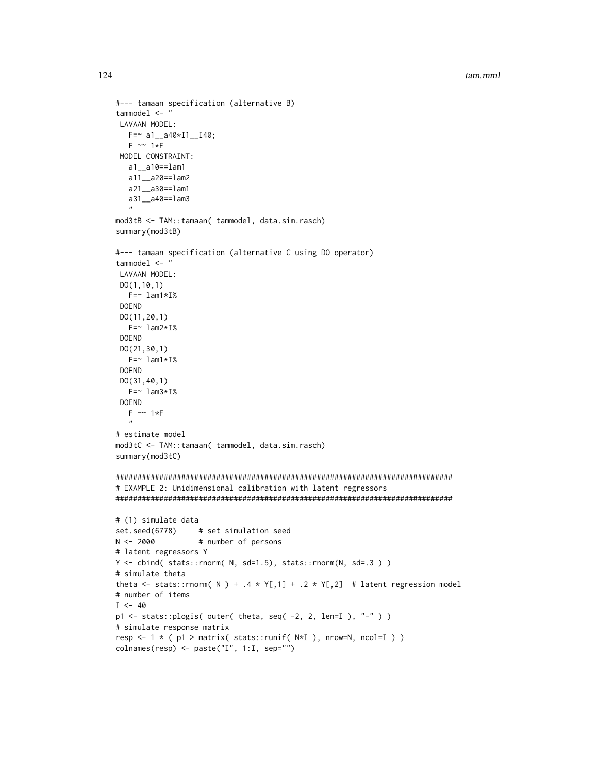```
#--- tamaan specification (alternative B)
tammodel \leq "
LAVAAN MODEL:
  F = \sim a1 - a40 \times 11 - 140;
  F \sim 1*FMODEL CONSTRAINT:
  a1__a10==lam1
  a11__a20==lam2
  a21 - a30 = -1am1a31__a40==lam3
mod3tB <- TAM::tamaan( tammodel, data.sim.rasch)
summary(mod3tB)
#--- tamaan specification (alternative C using DO operator)
tammodel \leq-"
LAVAAN MODEL:
DO(1, 10, 1)F = \sim 1am1*I%
DOEND
D0(11, 20, 1)F = \sim 1am2*I%
DOEND
DO(21, 30, 1)F = \sim 1am1*I%
DOEND
DO(31, 40, 1)F = \sim 1am3*I%
DOEND
  F \sim 1*F\ddot{\phantom{a}}# estimate model
mod3tC <- TAM::tamaan( tammodel, data.sim.rasch)
summary(mod3tC)
# EXAMPLE 2: Unidimensional calibration with latent regressors
# (1) simulate data
set.seed(6778)
                 # set simulation seed
N < -2000# number of persons
# latent regressors Y
Y \le cbind(stats::rnorm(N,sd=1.5),stats::rnorm(N,sd=.3))
# simulate theta
theta <- stats::rnorm( N ) + .4 * Y[,1] + .2 * Y[,2] # latent regression model
# number of items
I \le -40p1 \leq - stats::plogis( outer( theta, seq( -2, 2, len=I ), "-" ))
# simulate response matrix
resp <- 1 * ( p1 > matrix( stats::runif( N*I ), nrow=N, ncol=I ) )
colnames(resp) <- paste("I", 1:1, sep="")
```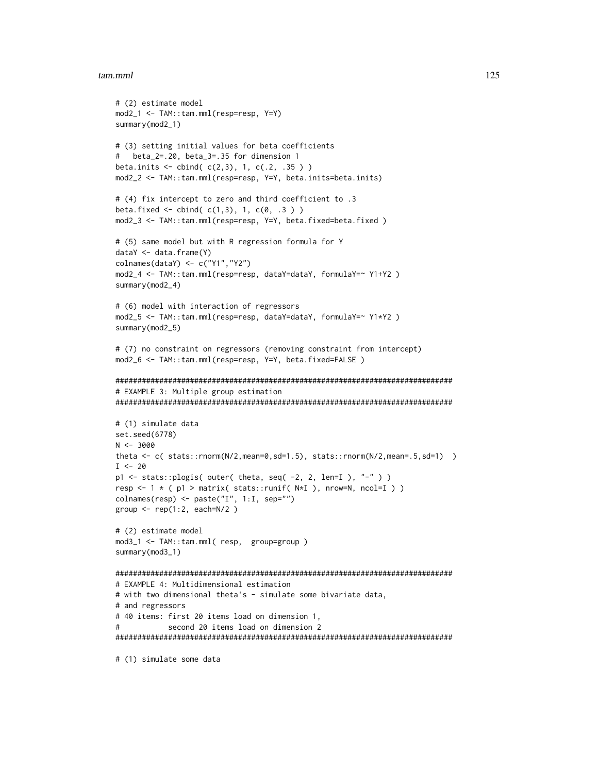```
# (2) estimate model
mod2_1 <- TAM::tam.mml(resp=resp, Y=Y)
summary(mod2_1)
# (3) setting initial values for beta coefficients
# beta_2=.20, beta_3=.35 for dimension 1
beta.inits \le cbind( c(2,3), 1, c(.2, .35 ))
mod2_2 <- TAM::tam.mml(resp=resp, Y=Y, beta.inits=beta.inits)
# (4) fix intercept to zero and third coefficient to .3
beta.fixed <- cbind(c(1,3), 1, c(0, .3))
mod2_3 <- TAM::tam.mml(resp=resp, Y=Y, beta.fixed=beta.fixed )
# (5) same model but with R regression formula for Y
dataY <- data.frame(Y)
colnames(dataY) <- c("Y1","Y2")
mod2_4 <- TAM::tam.mml(resp=resp, dataY=dataY, formulaY=~ Y1+Y2 )
summary(mod2_4)
# (6) model with interaction of regressors
mod2_5 <- TAM::tam.mml(resp=resp, dataY=dataY, formulaY=~ Y1*Y2 )
summary(mod2_5)
# (7) no constraint on regressors (removing constraint from intercept)
mod2_6 <- TAM::tam.mml(resp=resp, Y=Y, beta.fixed=FALSE )
#############################################################################
# EXAMPLE 3: Multiple group estimation
#############################################################################
# (1) simulate data
set.seed(6778)
N < -3000theta <- c( stats::rnorm(N/2,mean=0,sd=1.5), stats::rnorm(N/2,mean=.5,sd=1) )
I < -20p1 <- stats::plogis( outer( theta, seq( -2, 2, len=I ), "-" ) )
resp <- 1 * (p1 > matrix( stats::runif( N*I ), nrow=N, ncol=I ) )colnames(resp) <- paste("I", 1:I, sep="")
group \leq rep(1:2, each=N/2 )
# (2) estimate model
mod3_1 <- TAM::tam.mml( resp, group=group )
summary(mod3_1)
#############################################################################
# EXAMPLE 4: Multidimensional estimation
# with two dimensional theta's - simulate some bivariate data,
# and regressors
# 40 items: first 20 items load on dimension 1,
# second 20 items load on dimension 2
#############################################################################
# (1) simulate some data
```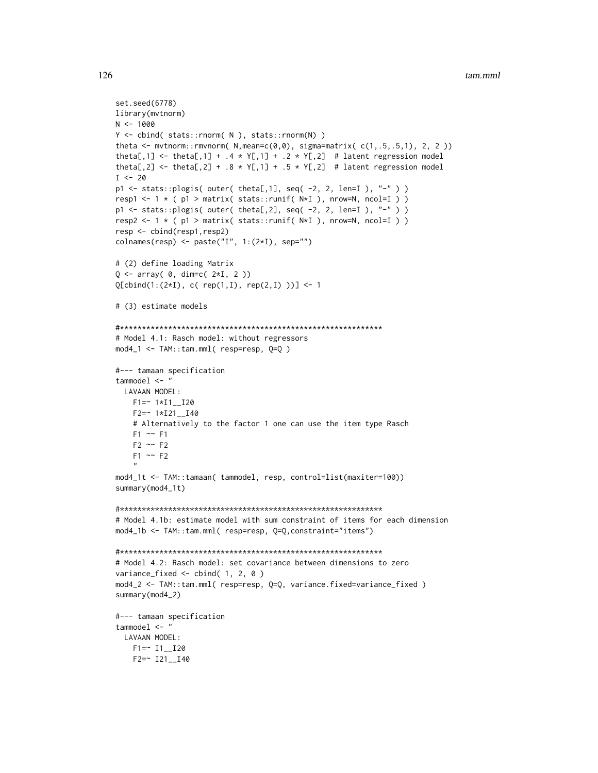```
set.seed(6778)
library(mvtnorm)
N < -1000Y <- cbind( stats::rnorm( N ), stats::rnorm(N) )
theta <- mvtnorm::rmvnorm(N,mean=c(0, 0), sigma=matrix(c(1, .5, .5, 1), 2, 2))
theta[,1] <- theta[,1] + .4 \times Y[,1] + .2 \times Y[,2] # latent regression model
theta[,2] <- theta[,2] + .8 * Y[,1] + .5 * Y[,2] # latent regression model
I \le -20p1 <- stats::plogis( outer( theta[,1], seq( -2, 2, len=I ), "-" ) )
resp1 <- 1 * (p1 > matrix( stats::runif(N*I), nrow=N, ncol=I))
p1 \le - stats::plogis( outer( theta[,2], seq( -2, 2, len=I ), "-" ) )
resp2 <- 1 * (p1 > matrix( stats::runif(N*I), nrow=N, ncol=I))
resp <- cbind(resp1,resp2)
colnames(resp) <- paste("I", 1:(2*I), sep="")
# (2) define loading Matrix
Q \leq -\arctan(0, \dim= c(2 \times I, 2))Q[cbind(1:(2*I), c( rep(1,I), rep(2,I)))] <- 1
# (3) estimate models
# Model 4.1: Rasch model: without regressors
mod4_1 \leftarrow TM::tam.mml(resp=resp, Q=Q)#--- tamaan specification
tammodel \leq "
 LAVAAN MODEL:
   F1 = ~ 1*I1_I20
   F2 = ~ 1*I21 - I40# Alternatively to the factor 1 one can use the item type Rasch
   F1 \sim F1F2 \sim F2F1 \sim F2mod4_1t <- TAM::tamaan( tammodel, resp, control=list(maxiter=100))
summary(mod4_1t)
# Model 4.1b: estimate model with sum constraint of items for each dimension
mod4_1b <- TAM::tam.mml( resp=resp, Q=Q, constraint="items")
# Model 4.2: Rasch model: set covariance between dimensions to zero
variance_fixed \le cbind( 1, 2, 0 )
mod4_2 <- TAM::tam.mml( resp=resp, Q=Q, variance.fixed=variance_fixed )
summary(mod4_2)
#--- tamaan specification
tammodel \leq - "
 LAVAAN MODEL:
   F1 = 11 - 120F2 = 121 - 140
```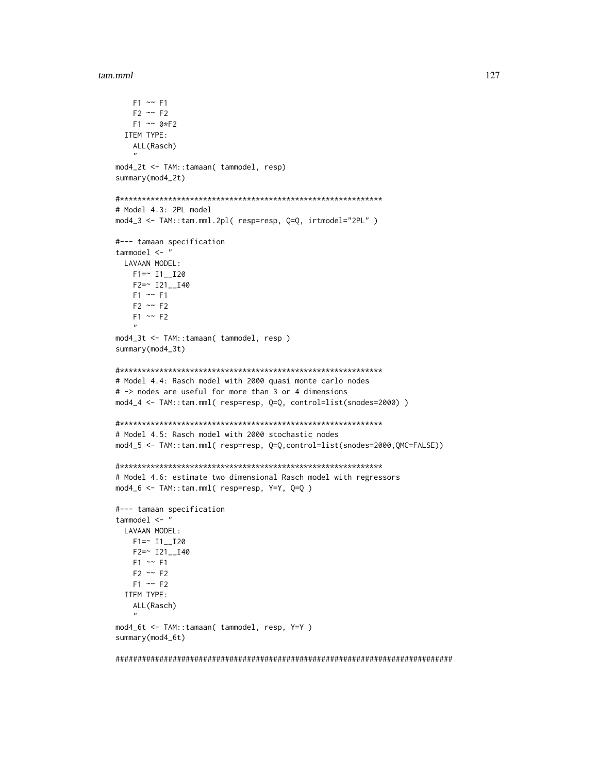```
F1 \sim F1F2 \sim F2F1 \sim 0*F2ITEM TYPE:
   ALL(Rasch)
mod4_2t <- TAM::tamaan( tammodel, resp)
summary(mod4_2t)
# Model 4.3: 2PL model
mod4_3 <- TAM::tam.mml.2pl( resp=resp, Q=Q, irtmodel="2PL" )
#--- tamaan specification
tammodel \leq "
 LAVAAN MODEL:
   F1 = 11 - 120F2=~ I21__I40
   F1 \sim F1F2 \sim F2F1 \sim F2mod4_3t <- TAM::tamaan( tammodel, resp )
summary(mod4_3t)
# Model 4.4: Rasch model with 2000 quasi monte carlo nodes
# -> nodes are useful for more than 3 or 4 dimensions
mod4_4 <- TAM::tam.mml( resp=resp, Q=Q, control=list(snodes=2000) )
# Model 4.5: Rasch model with 2000 stochastic nodes
mod4_5 <- TAM::tam.mml( resp=resp, Q=Q,control=list(snodes=2000,QMC=FALSE))
# Model 4.6: estimate two dimensional Rasch model with regressors
mod4_6 <- TAM::tam.mml( resp=resp, Y=Y, Q=Q )
#--- tamaan specification
tammodel \leq "
 LAVAAN MODEL:
   F1 = 11 - 120F2 = ~ I21 - I40F1 \sim F1F2 \sim F2F1 \sim F2ITEM TYPE:
   ALL(Rasch)
mod4_6t <- TAM::tamaan( tammodel, resp, Y=Y )
summary(mod4_6t)
```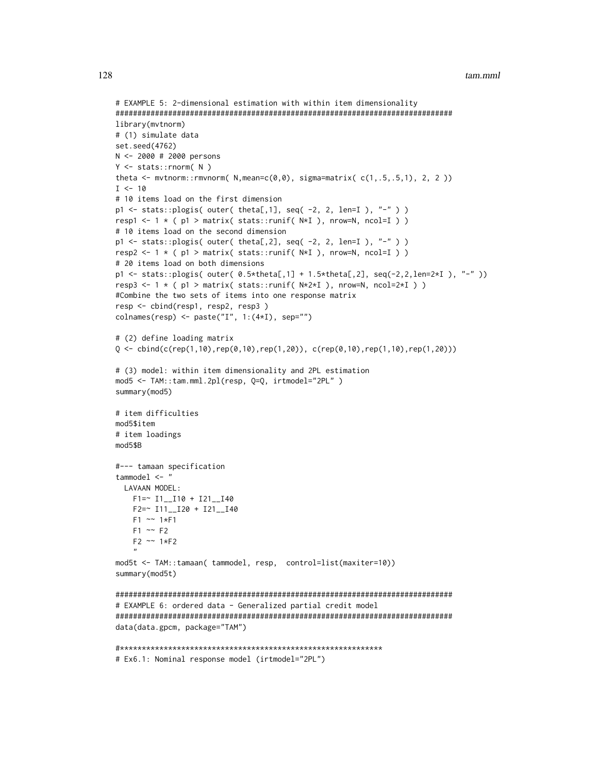```
# EXAMPLE 5: 2-dimensional estimation with within item dimensionality
#############################################################################
library(mvtnorm)
# (1) simulate data
set.seed(4762)
N <- 2000 # 2000 persons
Y <- stats::rnorm( N )
theta \leq mvtnorm:: rmvnorm( N, mean=c(0,0), sigma=matrix( c(1,.5,.5,1), 2, 2))
I < -10# 10 items load on the first dimension
p1 <- stats::plogis( outer( theta[,1], seq( -2, 2, len=I ), "-" ) )
resp1 <- 1 * (p1 > matrix( stats::runif(N*I), nrow=N, ncol=I))
# 10 items load on the second dimension
p1 \le stats::plogis( outer( theta[,2], seq( -2, 2, len=I ), "-" ) )
resp2 <- 1 * (p1 > matrix( stats::runif( N*I), nrow=N, ncol=I) )# 20 items load on both dimensions
p1 <- stats::plogis( outer( 0.5*theta[,1] + 1.5*theta[,2], seq(-2,2,len=2*I ), "-" ))
resp3 <- 1 * (p1 > matrix( stats::runif( N*2*I ) , nrow=N, ncol=2*I ) )#Combine the two sets of items into one response matrix
resp <- cbind(resp1, resp2, resp3 )
colnames(resp) <- paste("I", 1:(4*I), sep="")
# (2) define loading matrix
Q \leftarrow \text{cbind}(c(\text{rep}(1, 10), \text{rep}(0, 10), \text{rep}(1, 20)), c(\text{rep}(0, 10), \text{rep}(1, 10), \text{rep}(1, 20)))# (3) model: within item dimensionality and 2PL estimation
mod5 <- TAM::tam.mml.2pl(resp, Q=Q, irtmodel="2PL" )
summary(mod5)
# item difficulties
mod5$item
# item loadings
mod5$B
#--- tamaan specification
tammodel <- "
  LAVAAN MODEL:
    F1=~ I1__I10 + I21__I40
    F2=~ I11__I20 + I21__I40
    F1 ~~ 1*F1
    F1 \sim F2F2 ~~ 1*F2
    "
mod5t <- TAM::tamaan( tammodel, resp, control=list(maxiter=10))
summary(mod5t)
#############################################################################
# EXAMPLE 6: ordered data - Generalized partial credit model
#############################################################################
data(data.gpcm, package="TAM")
#************************************************************
```
# Ex6.1: Nominal response model (irtmodel="2PL")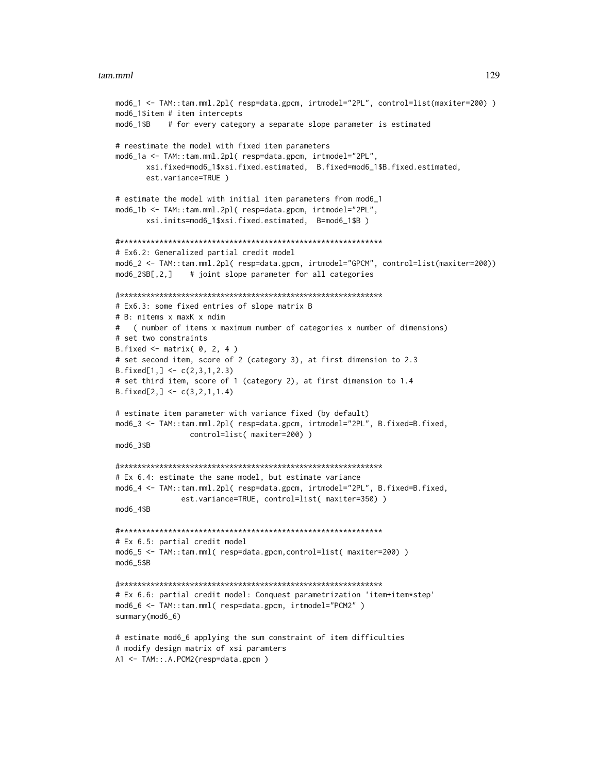```
mod6_1 <- TAM::tam.mml.2pl( resp=data.gpcm, irtmodel="2PL", control=list(maxiter=200) )
mod6_1$item # item intercepts
mod6_1$B # for every category a separate slope parameter is estimated
# reestimate the model with fixed item parameters
mod6_1a <- TAM::tam.mml.2pl( resp=data.gpcm, irtmodel="2PL",
       xsi.fixed=mod6_1$xsi.fixed.estimated, B.fixed=mod6_1$B.fixed.estimated,
       est.variance=TRUE )
# estimate the model with initial item parameters from mod6_1
mod6_1b <- TAM::tam.mml.2pl( resp=data.gpcm, irtmodel="2PL",
       xsi.inits=mod6_1$xsi.fixed.estimated, B=mod6_1$B )
#************************************************************
# Ex6.2: Generalized partial credit model
mod6_2 <- TAM::tam.mml.2pl( resp=data.gpcm, irtmodel="GPCM", control=list(maxiter=200))
mod6_2$B[,2,] # joint slope parameter for all categories
#************************************************************
# Ex6.3: some fixed entries of slope matrix B
# B: nitems x maxK x ndim
   # ( number of items x maximum number of categories x number of dimensions)
# set two constraints
B.fixed \leq matrix( \theta, 2, 4 )
# set second item, score of 2 (category 3), at first dimension to 2.3
B.fixed[1,] < -c(2,3,1,2.3)# set third item, score of 1 (category 2), at first dimension to 1.4
B.fixed[2,] < -c(3,2,1,1.4)# estimate item parameter with variance fixed (by default)
mod6_3 <- TAM::tam.mml.2pl( resp=data.gpcm, irtmodel="2PL", B.fixed=B.fixed,
                 control=list( maxiter=200) )
mod6_3$B
#************************************************************
# Ex 6.4: estimate the same model, but estimate variance
mod6_4 <- TAM::tam.mml.2pl( resp=data.gpcm, irtmodel="2PL", B.fixed=B.fixed,
               est.variance=TRUE, control=list( maxiter=350) )
mod6_4$B
#************************************************************
# Ex 6.5: partial credit model
mod6_5 <- TAM::tam.mml( resp=data.gpcm,control=list( maxiter=200) )
mod6_5$B
#************************************************************
# Ex 6.6: partial credit model: Conquest parametrization 'item+item*step'
mod6_6 <- TAM::tam.mml( resp=data.gpcm, irtmodel="PCM2" )
summary(mod6_6)
# estimate mod6_6 applying the sum constraint of item difficulties
# modify design matrix of xsi paramters
```

```
A1 <- TAM::.A.PCM2(resp=data.gpcm )
```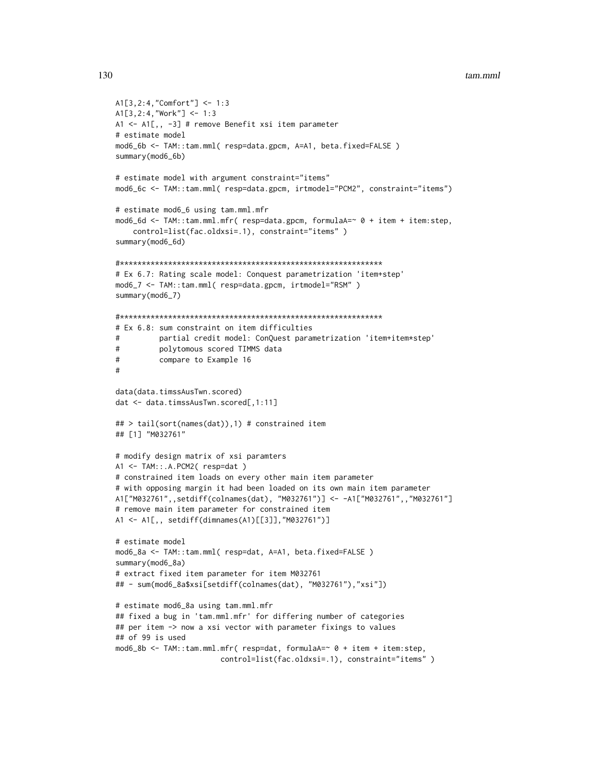```
A1[3,2:4,"Comfort"] <- 1:3
A1[3,2:4,"Work"] <- 1:3
A1 <- A1[,, -3] # remove Benefit xsi item parameter
# estimate model
mod6_6b <- TAM::tam.mml( resp=data.gpcm, A=A1, beta.fixed=FALSE )
summary(mod6_6b)
# estimate model with argument constraint="items"
mod6_6c <- TAM::tam.mml( resp=data.gpcm, irtmodel="PCM2", constraint="items")
# estimate mod6_6 using tam.mml.mfr
mod6_6d <- TAM::tam.mml.mfr( resp=data.gpcm, formulaA=~ 0 + item + item:step,
    control=list(fac.oldxsi=.1), constraint="items" )
summary(mod6_6d)
#************************************************************
# Ex 6.7: Rating scale model: Conquest parametrization 'item+step'
mod6_7 <- TAM::tam.mml( resp=data.gpcm, irtmodel="RSM" )
summary(mod6_7)
#************************************************************
# Ex 6.8: sum constraint on item difficulties
# partial credit model: ConQuest parametrization 'item+item*step'
# polytomous scored TIMMS data
# compare to Example 16
#
data(data.timssAusTwn.scored)
dat <- data.timssAusTwn.scored[,1:11]
## > tail(sort(names(dat)),1) # constrained item
## [1] "M032761"
# modify design matrix of xsi paramters
A1 <- TAM::.A.PCM2( resp=dat )
# constrained item loads on every other main item parameter
# with opposing margin it had been loaded on its own main item parameter
A1["M032761",,setdiff(colnames(dat), "M032761")] <- -A1["M032761",,"M032761"]
# remove main item parameter for constrained item
A1 <- A1[,, setdiff(dimnames(A1)[[3]],"M032761")]
# estimate model
mod6_8a <- TAM::tam.mml( resp=dat, A=A1, beta.fixed=FALSE )
summary(mod6_8a)
# extract fixed item parameter for item M032761
## - sum(mod6_8a$xsi[setdiff(colnames(dat), "M032761"),"xsi"])
# estimate mod6_8a using tam.mml.mfr
## fixed a bug in 'tam.mml.mfr' for differing number of categories
## per item -> now a xsi vector with parameter fixings to values
## of 99 is used
mod6_8b <- TAM::tam.mml.mfr( resp=dat, formulaA=~ 0 + item + item:step,
                        control=list(fac.oldxsi=.1), constraint="items" )
```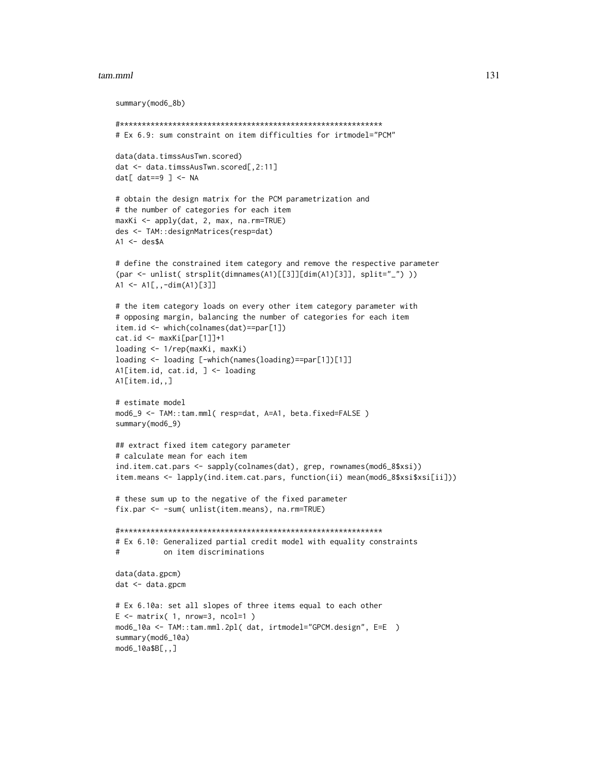```
summary(mod6_8b)
#************************************************************
# Ex 6.9: sum constraint on item difficulties for irtmodel="PCM"
data(data.timssAusTwn.scored)
dat <- data.timssAusTwn.scored[,2:11]
dat[ dat==9 ] <- NA
# obtain the design matrix for the PCM parametrization and
# the number of categories for each item
maxKi <- apply(dat, 2, max, na.rm=TRUE)
des <- TAM::designMatrices(resp=dat)
A1 \leftarrow des$A# define the constrained item category and remove the respective parameter
(par <- unlist( strsplit(dimnames(A1)[[3]][dim(A1)[3]], split="_") ))
A1 <- A1[,,-dim(A1)[3]]
# the item category loads on every other item category parameter with
# opposing margin, balancing the number of categories for each item
item.id <- which(colnames(dat)==par[1])
cat.id <- maxKi[par[1]]+1
loading <- 1/rep(maxKi, maxKi)
loading <- loading [-which(names(loading)==par[1])[1]]
A1[item.id, cat.id, ] <- loading
A1[item.id,,]
# estimate model
mod6_9 <- TAM::tam.mml( resp=dat, A=A1, beta.fixed=FALSE )
summary(mod6_9)
## extract fixed item category parameter
# calculate mean for each item
ind.item.cat.pars <- sapply(colnames(dat), grep, rownames(mod6_8$xsi))
item.means <- lapply(ind.item.cat.pars, function(ii) mean(mod6_8$xsi$xsi[ii]))
# these sum up to the negative of the fixed parameter
fix.par <- -sum( unlist(item.means), na.rm=TRUE)
#************************************************************
# Ex 6.10: Generalized partial credit model with equality constraints
# on item discriminations
data(data.gpcm)
dat <- data.gpcm
# Ex 6.10a: set all slopes of three items equal to each other
E \le - matrix( 1, nrow=3, ncol=1)
mod6_10a <- TAM::tam.mml.2pl( dat, irtmodel="GPCM.design", E=E )
summary(mod6_10a)
mod6_10a$B[,,]
```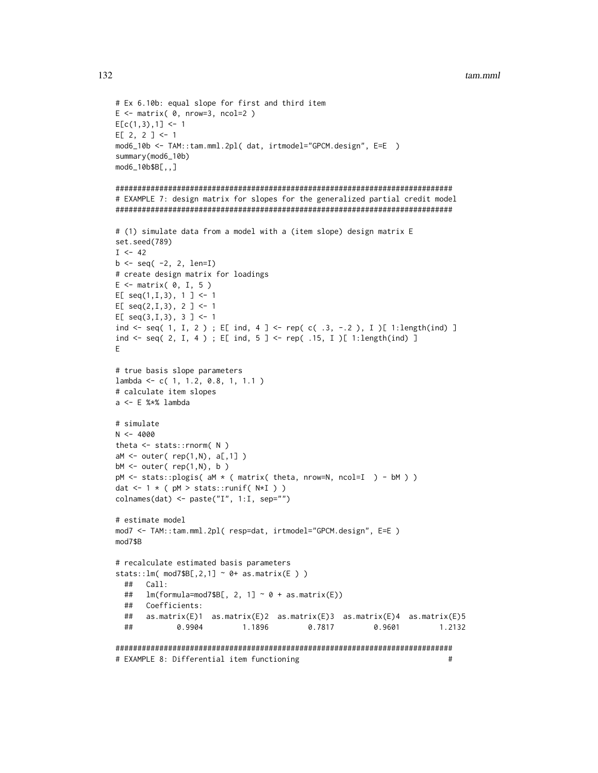$#$ 

```
# Ex 6.10b: equal slope for first and third item
E \le - matrix(\theta, nrow=3, ncol=2)
E[c(1,3),1] < -1E[2, 2] <-1
mod6_10b <- TAM::tam.mml.2pl( dat, irtmodel="GPCM.design", E=E )
summary(mod6_10b)
mod6_10b$B[,, ]# EXAMPLE 7: design matrix for slopes for the generalized partial credit model
# (1) simulate data from a model with a (item slope) design matrix E
set.seed(789)
I \le -42b \leq -seq(-2, 2, len=I)# create design matrix for loadings
E \le - matrix(\theta, I, 5)
E[ seq(1,1,3), 1 ] <- 1
E[ seq(2,1,3), 2 ] <- 1
E[ seq(3,1,3), 3 ] <- 1
ind <- seq( 1, I, 2); E[ ind, 4 ] <- rep( c( .3, -.2), I )[ 1:length(ind) ]
ind <- seq( 2, I, 4 ) ; E[ ind, 5 ] <- rep( .15, I )[ 1:length(ind) ]
Ε
# true basis slope parameters
lambda <- c( 1, 1.2, 0.8, 1, 1.1 )
# calculate item slopes
a \leftarrow E %*% lambda
# simulate
N < -4000theta \leq stats:: rnorm(N)
aM \leq outer(\ rep(1,N), a[, 1])bM \leftarrow outer(\text{rep}(1,N), b)pM <- stats::plogis( aM * ( matrix( theta, nrow=N, ncol=I ) - bM ) )
dat <- 1 * ( pM > stats::runif( N*I ) )
colnames(dat) <- paste("I", 1:I, sep="")
# estimate model
mod7 <- TAM::tam.mml.2pl( resp=dat, irtmodel="GPCM.design", E=E )
mod7$B
# recalculate estimated basis parameters
stats::lm( mod7$B[,2,1] ~ 0+ as.matrix(E ) )
 ## Call:
      lm(formula=mod7$B[, 2, 1] ~ 0 + as_matrix(E))####Coefficients:
 ##as.matrix(E)1 as.matrix(E)2 as.matrix(E)3 as.matrix(E)4 as.matrix(E)5##0.9904
                        1.1896
                                      0.7817
                                                   0.9601
                                                                1 2132
```
# EXAMPLE 8: Differential item functioning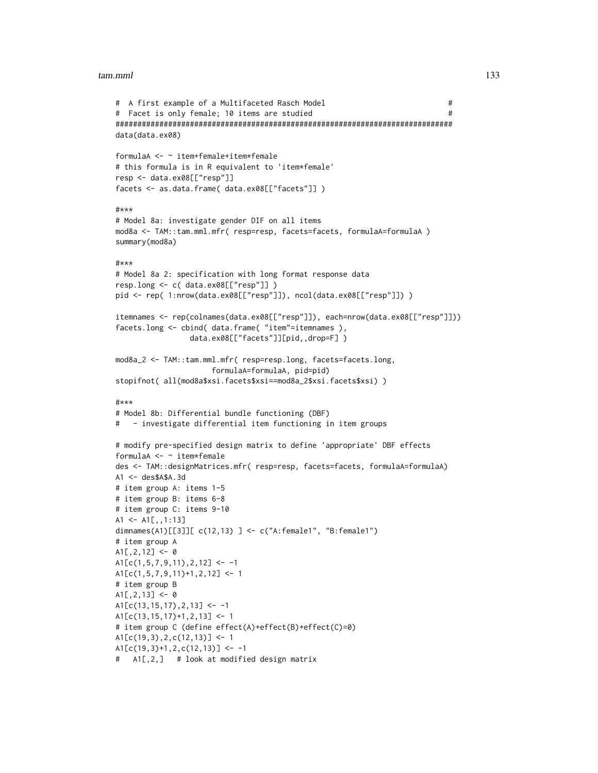```
# A first example of a Multifaceted Rasch Model #
# Facet is only female; 10 items are studied #
#############################################################################
data(data.ex08)
formulaA <- ~ item+female+item*female
# this formula is in R equivalent to 'item*female'
resp <- data.ex08[["resp"]]
facets <- as.data.frame( data.ex08[["facets"]] )
#***
# Model 8a: investigate gender DIF on all items
mod8a <- TAM::tam.mml.mfr( resp=resp, facets=facets, formulaA=formulaA )
summary(mod8a)
#***
# Model 8a 2: specification with long format response data
resp.long <- c( data.ex08[["resp"]] )
pid <- rep( 1:nrow(data.ex08[["resp"]]), ncol(data.ex08[["resp"]]) )
itemnames <- rep(colnames(data.ex08[["resp"]]), each=nrow(data.ex08[["resp"]]))
facets.long <- cbind( data.frame( "item"=itemnames ),
                data.ex08[["facets"]][pid,,drop=F] )
mod8a_2 <- TAM::tam.mml.mfr( resp=resp.long, facets=facets.long,
                     formulaA=formulaA, pid=pid)
stopifnot( all(mod8a$xsi.facets$xsi==mod8a_2$xsi.facets$xsi) )
#***
# Model 8b: Differential bundle functioning (DBF)
# - investigate differential item functioning in item groups
# modify pre-specified design matrix to define 'appropriate' DBF effects
formulaA <- ~ item*female
des <- TAM::designMatrices.mfr( resp=resp, facets=facets, formulaA=formulaA)
A1 <- des$A$A.3d
# item group A: items 1-5
# item group B: items 6-8
# item group C: items 9-10
A1 <- A1[,,1:13]
dimnames(A1)[[3]][ c(12,13) ] <- c("A:female1", "B:female1")
# item group A
A1[, 2, 12] <- 0
A1[C(1,5,7,9,11),2,12] <- -1
A1[c(1,5,7,9,11)+1,2,12] <- 1
# item group B
A1[, 2, 13] <- 0
A1[C(13, 15, 17), 2, 13] <- -1
A1[c(13,15,17)+1,2,13] <- 1
# item group C (define effect(A)+effect(B)+effect(C)=0)
A1[c(19,3),2,c(12,13)] <- 1
A1[C(19,3)+1,2,c(12,13)] <- -1
# A1[,2,] # look at modified design matrix
```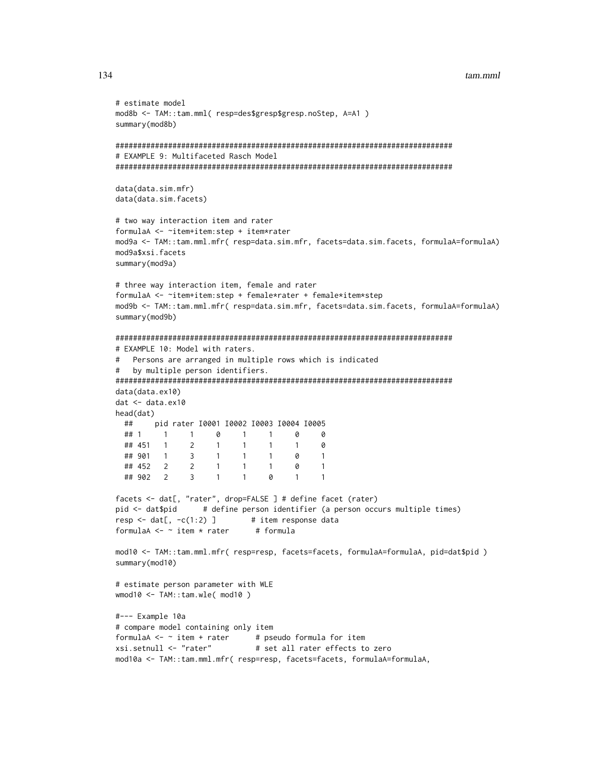```
# estimate model
mod8b <- TAM::tam.mml( resp=des$gresp$gresp.noStep, A=A1 )
summary(mod8b)
# EXAMPLE 9: Multifaceted Rasch Model
data(data.sim.mfr)
data(data.sim.facets)
# two way interaction item and rater
formulaA <- ~item+item:step + item*rater
mod9a <- TAM::tam.mml.mfr( resp=data.sim.mfr, facets=data.sim.facets, formulaA=formulaA)
mod9a$xsi.facets
summary(mod9a)
# three way interaction item, female and rater
formulaA <- ~item+item:step + female*rater + female*item*step
mod9b <- TAM::tam.mml.mfr( resp=data.sim.mfr, facets=data.sim.facets, formulaA=formulaA)
summary(mod9b)
# EXAMPLE 10: Model with raters.
# Persons are arranged in multiple rows which is indicated
  by multiple person identifiers.
#data(data.ex10)
dat <- data.ex10
head(data)## pid rater 10001 10002 10003 10004 10005
 ## 11 \qquad 1 \qquad 0 \qquad 1 \qquad 1 \qquad 0\Omega## 451 1 2 1
                       1 \quad 1\overline{1}\boldsymbol{\mathsf{\Omega}}## 901 1 3 1
                       1 \quad 10
                                       \overline{1}## 452  2  2  1
                       1 \quad 1\Omega\overline{1}## 902 2
             3 \quad 1\sim 1
                             0
                                   \mathbf{1}\overline{1}facets <- dat[, "rater", drop=FALSE ] # define facet (rater)
pid <- dat$pid
             # define person identifier (a person occurs multiple times)
resp < - dat[, -c(1:2)] # item response data
formulaA \leq - item * rater
                          # formula
mod10 <- TAM::tam.mml.mfr( resp=resp, facets=facets, formulaA=formulaA, pid=dat$pid )
summary(mod10)
# estimate person parameter with WLE
wmod10 \leq TAM::tam.wle('mod10')#--- Example 10a
# compare model containing only item
formulaA \leq - item + rater # pseudo formula for item
xsi.setnull <- "rater"
                          # set all rater effects to zero
mod10a <- TAM::tam.mml.mfr( resp=resp, facets=facets, formulaA=formulaA,
```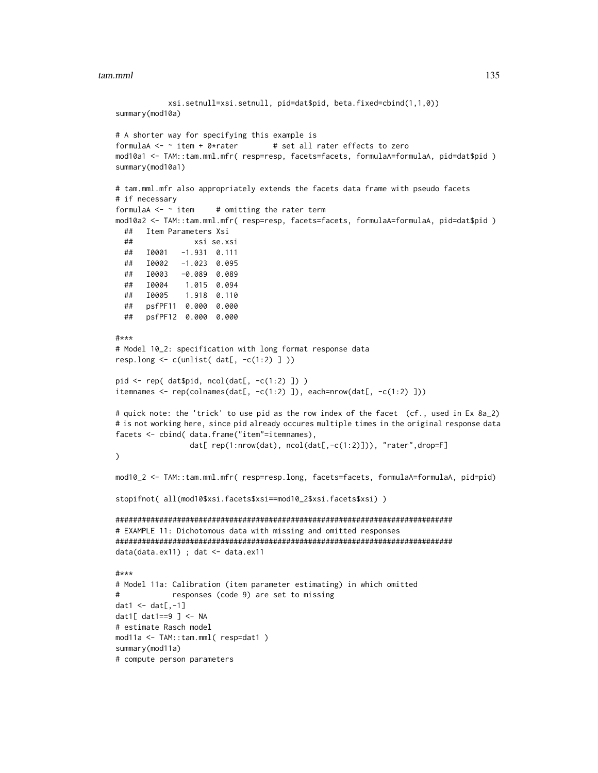```
xsi.setnull=xsi.setnull, pid=dat$pid, beta.fixed=cbind(1,1,0))
summary(mod10a)
# A shorter way for specifying this example is
formulaA \leq \sim item + 0*rater \qquad # set all rater effects to zero
mod10a1 <- TAM::tam.mml.mfr( resp=resp, facets=facets, formulaA=formulaA, pid=dat$pid )
summary(mod10a1)
# tam.mml.mfr also appropriately extends the facets data frame with pseudo facets
# if necessary
formulaA \leq \sim item \qquad # omitting the rater term
mod10a2 <- TAM::tam.mml.mfr( resp=resp, facets=facets, formulaA=formulaA, pid=dat$pid )
  ## Item Parameters Xsi
  ## xsi se.xsi
  ## I0001 -1.931 0.111
  ## I0002 -1.023 0.095
  ## I0003 -0.089 0.089
  ## I0004 1.015 0.094
  ## I0005 1.918 0.110
  ## psfPF11 0.000 0.000
  ## psfPF12 0.000 0.000
#***
# Model 10_2: specification with long format response data
resp.long \leq c(unlist( dat[, -c(1:2) ]))
pid \leftarrow rep(dat$pid, ncol(data[, -c(1:2) ]) )itemnames <- rep(colnames(dat[, -c(1:2) ]), each=nrow(dat[, -c(1:2) ]))
# quick note: the 'trick' to use pid as the row index of the facet (cf., used in Ex 8a_2)
# is not working here, since pid already occures multiple times in the original response data
facets <- cbind( data.frame("item"=itemnames),
                 dat[ rep(1:nrow(dat), ncol(dat[,-c(1:2)])), "rater",drop=F]
\mathcal{L}mod10_2 <- TAM::tam.mml.mfr( resp=resp.long, facets=facets, formulaA=formulaA, pid=pid)
stopifnot( all(mod10$xsi.facets$xsi==mod10_2$xsi.facets$xsi) )
#############################################################################
# EXAMPLE 11: Dichotomous data with missing and omitted responses
#############################################################################
data(data.ex11) ; dat <- data.ex11
#***
# Model 11a: Calibration (item parameter estimating) in which omitted
# responses (code 9) are set to missing
dat1 \leftarrow \text{dat}[\cdot, -1]dat1\lceil dat1==9 \lceil <- NA
# estimate Rasch model
mod11a <- TAM::tam.mml( resp=dat1 )
summary(mod11a)
# compute person parameters
```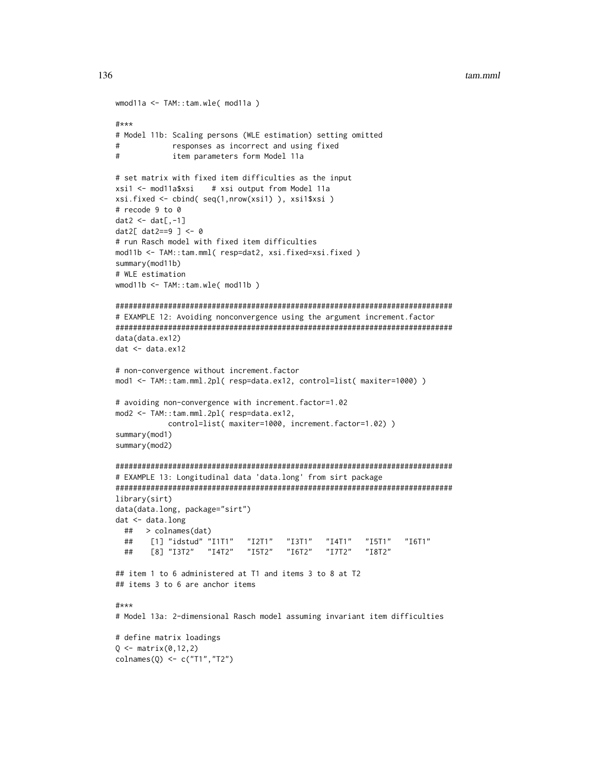```
tam.mml
```

```
wmod11a <- TAM::tam.wle( mod11a )
#***
# Model 11b: Scaling persons (WLE estimation) setting omitted
          responses as incorrect and using fixed
##item parameters form Model 11a
# set matrix with fixed item difficulties as the input
xsi1 <- mod11a$xsi
                # xsi output from Model 11a
xsi.fixed <- cbind( seq(1,nrow(xsi1) ), xsi1$xsi )
# recode 9 to 0
dat2 < - dat[, -1]dat2[ dat2==9 ] <- 0
# run Rasch model with fixed item difficulties
mod11b <- TAM::tam.mml( resp=dat2, xsi.fixed=xsi.fixed)
summary(mod11b)
# WLE estimation
wmod11b \leq TAM::tam.wle('mod11b')# EXAMPLE 12: Avoiding nonconvergence using the argument increment.factor
data(data.ex12)
dat < - data.ex12# non-convergence without increment.factor
mod1 <- TAM::tam.mml.2pl( resp=data.ex12, control=list( maxiter=1000) )
# avoiding non-convergence with increment.factor=1.02
mod2 <- TAM::tam.mml.2pl( resp=data.ex12,
         control=list( maxiter=1000, increment.factor=1.02) )
summary(mod1)
summary(mod2)
# EXAMPLE 13: Longitudinal data 'data.long' from sirt package
library(sirt)
data(data.long, package="sirt")
dat <- data.long
 ##> colnames(dat)
 ##
      [1] "idstud" "I1T1"
                       "I2T1"
                                "I3T1""I4T1""I5T1""I6T1"
 ##[8] "I3T2" "I4T2" "I5T2"
                                "I6T2""I7T2""I8T2"
## item 1 to 6 administered at T1 and items 3 to 8 at T2
## items 3 to 6 are anchor items
#***
# Model 13a: 2-dimensional Rasch model assuming invariant item difficulties
# define matrix loadings
Q \leq - matrix(0, 12, 2)colnames(Q) <- c("T1","T2")
```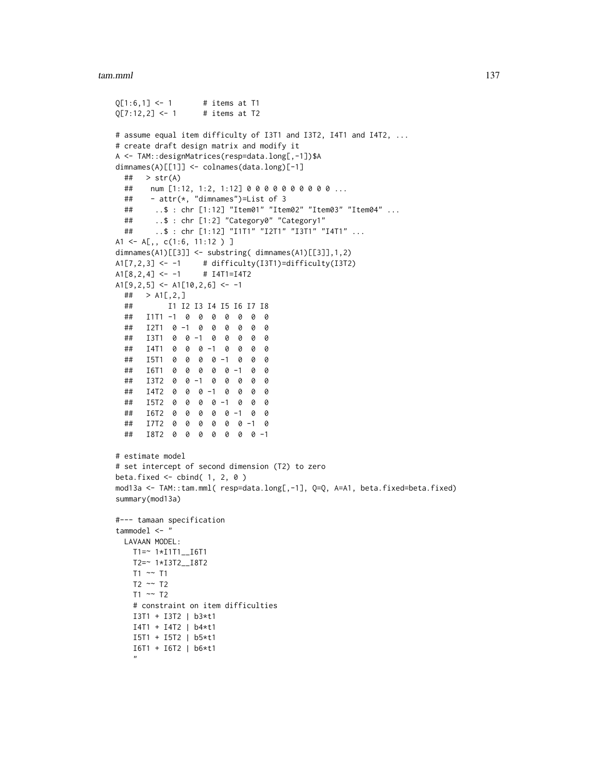```
Q[1:6,1] <- 1 # items at T1
Q[7:12,2] <- 1 # items at T2
# assume equal item difficulty of I3T1 and I3T2, I4T1 and I4T2, ...
# create draft design matrix and modify it
A <- TAM::designMatrices(resp=data.long[,-1])$A
dimnames(A)[[1]] <- colnames(data.long)[-1]
 \# > str(A)
 ## num [1:12, 1:2, 1:12] 0 0 0 0 0 0 0 0 0 0 ...
 ## - attr(*, "dimnames")=List of 3
 ## ..$ : chr [1:12] "Item01" "Item02" "Item03" "Item04" ...
 ## ..$ : chr [1:2] "Category0" "Category1"
 ## ..$ : chr [1:12] "I1T1" "I2T1" "I3T1" "I4T1" ...
A1 <- A[,, c(1:6, 11:12 ) ]
dimnames(A1)[[3]] <- substring( dimnames(A1)[[3]],1,2)
A1[7,2,3] <- -1 # difficulty(I3T1)=difficulty(I3T2)
A1[8,2,4] <- -1 # I4T1=I4T2
A1[9,2,5] <- A1[10,2,6] <- -1
 \# > A1[, 2,]
 ## I1 I2 I3 I4 I5 I6 I7 I8
 ## I1T1 -1 0 0 0 0 0 0 0
 ## I2T1 0 -1 0 0 0 0 0 0
 ## I3T1 0 0 -1 0 0 0 0 0
 ## I4T1 0 0 0 -1 0 0 0 0
 ## I5T1 0 0 0 0 -1 0 0 0
 ## I6T1 0 0 0 0 0 -1 0 0
 ## I3T2 0 0 -1 0 0 0 0 0
 ## I4T2 0 0 0 -1 0 0 0 0
 ## I5T2 0 0 0 0 -1 0 0 0
 ## I6T2 0 0 0 0 0 -1 0 0
 ## I7T2 0 0 0 0 0 0 -1 0
 ## I8T2 0 0 0 0 0 0 0 -1
# estimate model
# set intercept of second dimension (T2) to zero
beta.fixed \le cbind( 1, 2, 0)
mod13a <- TAM::tam.mml( resp=data.long[,-1], Q=Q, A=A1, beta.fixed=beta.fixed)
summary(mod13a)
#--- tamaan specification
tammodel <- "
 LAVAAN MODEL:
   T1=~ 1*I1T1__I6T1
   T2=~ 1*I3T2__I8T2
   T1 ~~ T1
   T2 \sim T2T1 \sim T2# constraint on item difficulties
   I3T1 + I3T2 | b3*t1
   I4T1 + I4T2 | b4*t1
   I5T1 + I5T2 | b5*t1
   I6T1 + I6T2 | b6*t1
    "
```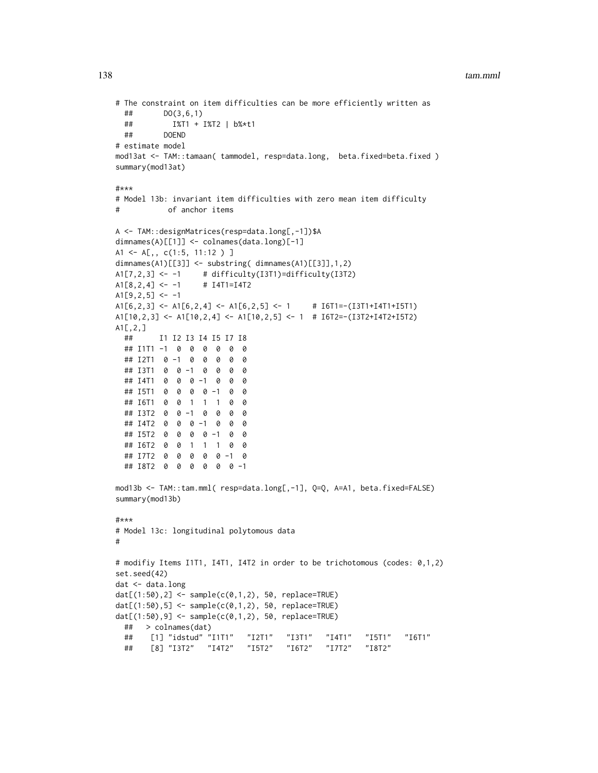```
# The constraint on item difficulties can be more efficiently written as
 ## DO(3,6,1)
 ## I%T1 + I%T2 | b%*t1
 ## DOEND
# estimate model
mod13at <- TAM::tamaan( tammodel, resp=data.long, beta.fixed=beta.fixed)
summary(mod13at)
#***
# Model 13b: invariant item difficulties with zero mean item difficulty
# of anchor items
A <- TAM::designMatrices(resp=data.long[,-1])$A
dimnames(A)[[1]] <- colnames(data.long)[-1]
A1 <- A[,, c(1:5, 11:12 ) ]
dimnames(A1)[[3]] <- substring( dimnames(A1)[[3]],1,2)
A1[7,2,3] <- -1 # difficulty(I3T1)=difficulty(I3T2)
A1[8,2,4] <- -1 # I4T1=I4T2
A1[9,2,5] <- -1
A1[6,2,3] <- A1[6,2,4] <- A1[6,2,5] <- 1 # I6T1=-(I3T1+I4T1+I5T1)
A1[10,2,3] <- A1[10,2,4] <- A1[10,2,5] <- 1 # I6T2=-(I3T2+I4T2+I5T2)
A1[,2,]
 ## I1 I2 I3 I4 I5 I7 I8
 ## I1T1 -1 0 0 0 0 0 0
 ## I2T1 0 -1 0 0 0 0 0
 ## I3T1 0 0 -1 0 0 0 0
 ## I4T1 0 0 0 -1 0 0 0
 ## I5T1 0 0 0 0 -1 0 0
 ## I6T1 0 0 1 1 1 0 0
 ## I3T2 0 0 -1 0 0 0 0
 ## I4T2 0 0 0 -1 0 0 0
 ## I5T2 0 0 0 0 -1 0 0
 ## I6T2 0 0 1 1 1 0 0
 ## I7T2 0 0 0 0 0 -1 0
 ## I8T2 0 0 0 0 0 0 -1
mod13b <- TAM::tam.mml( resp=data.long[,-1], Q=Q, A=A1, beta.fixed=FALSE)
summary(mod13b)
#***
# Model 13c: longitudinal polytomous data
#
# modifiy Items I1T1, I4T1, I4T2 in order to be trichotomous (codes: 0,1,2)
set.seed(42)
dat <- data.long
dat[(1:50),2] <- sample(c(0,1,2), 50, replace=TRUE)
dat[(1:50),5] < - sample(c(0,1,2), 50, replace=TRUE)dat[(1:50),9] < - sample(c(0,1,2), 50, replace=TRUE)## > colnames(dat)
 ## [1] "idstud" "I1T1" "I2T1" "I3T1" "I4T1" "I5T1" "I6T1"
 ## [8] "I3T2" "I4T2" "I5T2" "I6T2" "I7T2" "I8T2"
```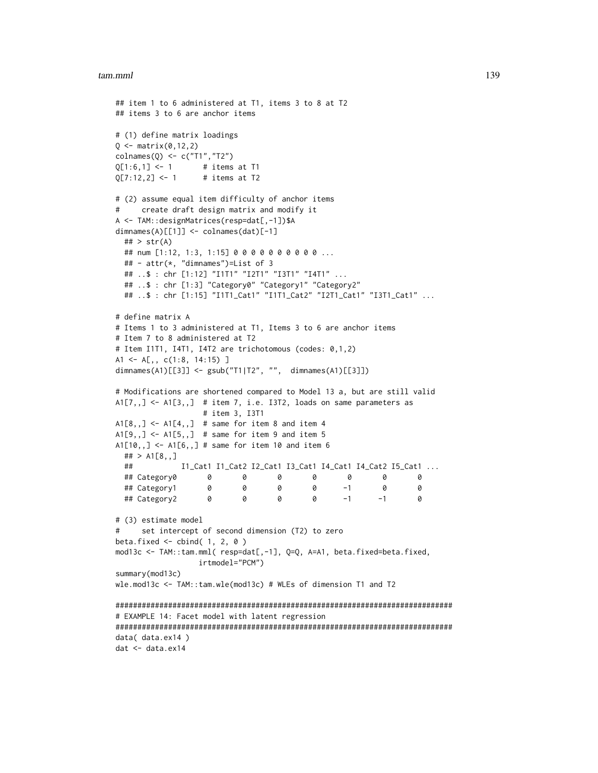```
## item 1 to 6 administered at T1, items 3 to 8 at T2
## items 3 to 6 are anchor items
# (1) define matrix loadings
Q \leq - matrix(0, 12, 2)colnames(Q) <- c("T1","T2")
Q[1:6,1] <- 1 # items at T1
Q[7:12,2] <- 1 # items at T2
# (2) assume equal item difficulty of anchor items
# create draft design matrix and modify it
A <- TAM::designMatrices(resp=dat[,-1])$A
dimnames(A)[[1]] <- colnames(dat)[-1]
 \## > str(A)
 ## num [1:12, 1:3, 1:15] 0 0 0 0 0 0 0 0 0 0 ...
 ## - attr(*, "dimnames")=List of 3
 ## ..$ : chr [1:12] "I1T1" "I2T1" "I3T1" "I4T1" ...
 ## ..$ : chr [1:3] "Category0" "Category1" "Category2"
 ## ..$ : chr [1:15] "I1T1_Cat1" "I1T1_Cat2" "I2T1_Cat1" "I3T1_Cat1" ...
# define matrix A
# Items 1 to 3 administered at T1, Items 3 to 6 are anchor items
# Item 7 to 8 administered at T2
# Item I1T1, I4T1, I4T2 are trichotomous (codes: 0,1,2)
A1 <- A[,, c(1:8, 14:15) ]
dimnames(A1)[[3]] <- gsub("T1|T2", "", dimnames(A1)[[3]])
# Modifications are shortened compared to Model 13 a, but are still valid
A1[7,,] <- A1[3,,] # item 7, i.e. I3T2, loads on same parameters as
                  # item 3, I3T1
A1[8,,] <- A1[4,,] # same for item 8 and item 4
A1[9, 1] <- A1[5, 1] # same for item 9 and item 5
A1[10, 1] <- A1[6, 1] # same for item 10 and item 6
 ## > A1[8,,]
 ## I1_Cat1 I1_Cat2 I2_Cat1 I3_Cat1 I4_Cat1 I4_Cat2 I5_Cat1 ...
 ## Category0 0 0 0 0 0 0 0
 ## Category1 0 0 0 0 -1 0 0
 ## Category2 0 0 0 0 -1 -1 0
# (3) estimate model
# set intercept of second dimension (T2) to zero
beta.fixed \leq cbind(1, 2, 0)
mod13c <- TAM::tam.mml( resp=dat[,-1], Q=Q, A=A1, beta.fixed=beta.fixed,
                 irtmodel="PCM")
summary(mod13c)
wle.mod13c <- TAM::tam.wle(mod13c) # WLEs of dimension T1 and T2
#############################################################################
# EXAMPLE 14: Facet model with latent regression
#############################################################################
data( data.ex14 )
dat <- data.ex14
```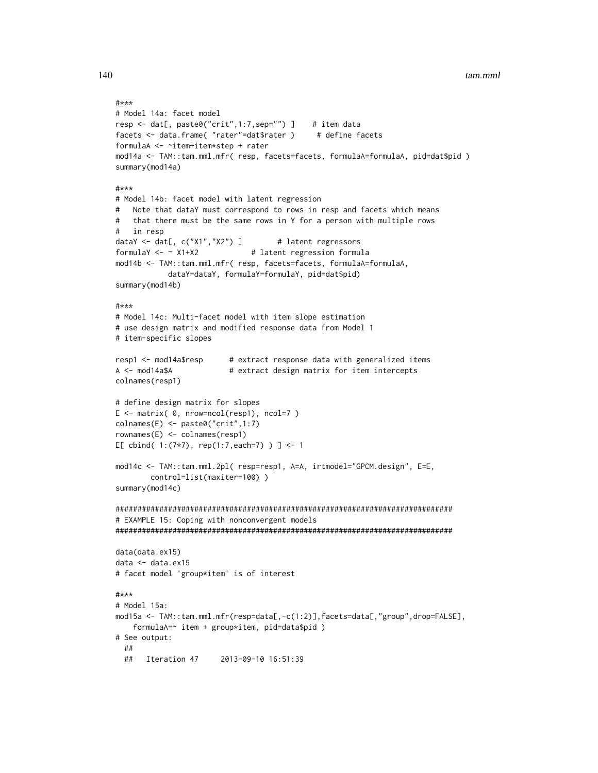```
#***
# Model 14a: facet model
resp <- dat[, paste0("crit",1:7,sep="") ] # item data
facets <- data.frame( "rater"=dat$rater ) # define facets
formulaA <- ~item+item*step + rater
mod14a <- TAM::tam.mml.mfr( resp, facets=facets, formulaA=formulaA, pid=dat$pid )
summary(mod14a)
#***
# Model 14b: facet model with latent regression
# Note that dataY must correspond to rows in resp and facets which means
# that there must be the same rows in Y for a person with multiple rows
# in resp
dataY <- dat[, c("X1","X2") ] # latent regressors
formulaY < - \sim X1+X2 # latent regression formula
mod14b <- TAM::tam.mml.mfr( resp, facets=facets, formulaA=formulaA,
           dataY=dataY, formulaY=formulaY, pid=dat$pid)
summary(mod14b)
#***
# Model 14c: Multi-facet model with item slope estimation
# use design matrix and modified response data from Model 1
# item-specific slopes
resp1 <- mod14a$resp # extract response data with generalized items
A <- mod14a$A # extract design matrix for item intercepts
colnames(resp1)
# define design matrix for slopes
E <- matrix( 0, nrow=ncol(resp1), ncol=7 )
colnames(E) <- paste0("crit",1:7)
rownames(E) <- colnames(resp1)
E[ cbind( 1:(7*7), rep(1:7,each=7) ) ] <- 1
mod14c <- TAM::tam.mml.2pl( resp=resp1, A=A, irtmodel="GPCM.design", E=E,
       control=list(maxiter=100) )
summary(mod14c)
#############################################################################
# EXAMPLE 15: Coping with nonconvergent models
#############################################################################
data(data.ex15)
data <- data.ex15
# facet model 'group*item' is of interest
#***
# Model 15a:
mod15a <- TAM::tam.mml.mfr(resp=data[,-c(1:2)],facets=data[,"group",drop=FALSE],
    formulaA=~ item + group*item, pid=data$pid )
# See output:
 ##
 ## Iteration 47 2013-09-10 16:51:39
```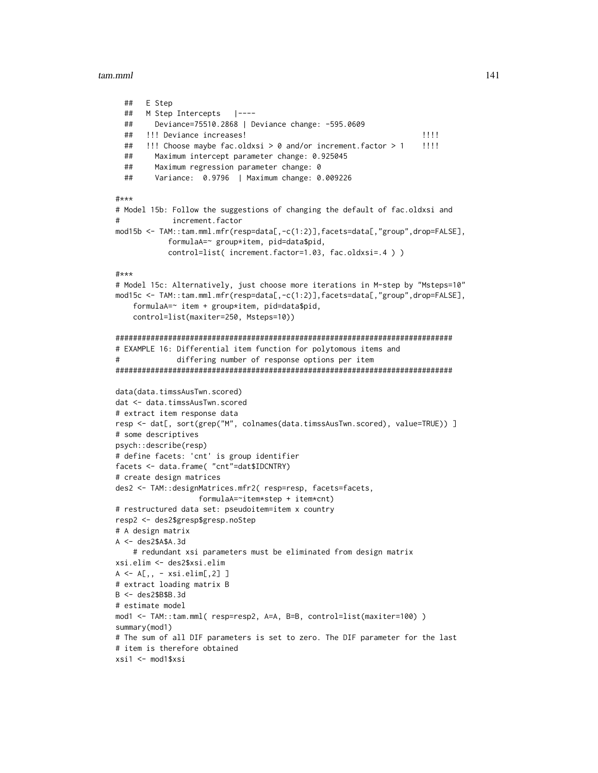```
## E Step
 ## M Step Intercepts |----
 ## Deviance=75510.2868 | Deviance change: -595.0609
 ## !!! Deviance increases! !!!!
 ## !!! Choose maybe fac.oldxsi > 0 and/or increment.factor > 1 !!!!
 ## Maximum intercept parameter change: 0.925045
 ## Maximum regression parameter change: 0
 ## Variance: 0.9796 | Maximum change: 0.009226
#***
# Model 15b: Follow the suggestions of changing the default of fac.oldxsi and
# increment.factor
mod15b <- TAM::tam.mml.mfr(resp=data[,-c(1:2)],facets=data[,"group",drop=FALSE],
           formulaA=~ group*item, pid=data$pid,
           control=list( increment.factor=1.03, fac.oldxsi=.4 ) )
#***
# Model 15c: Alternatively, just choose more iterations in M-step by "Msteps=10"
mod15c <- TAM::tam.mml.mfr(resp=data[,-c(1:2)],facets=data[,"group",drop=FALSE],
    formulaA=~ item + group*item, pid=data$pid,
    control=list(maxiter=250, Msteps=10))
#############################################################################
# EXAMPLE 16: Differential item function for polytomous items and
# differing number of response options per item
#############################################################################
data(data.timssAusTwn.scored)
dat <- data.timssAusTwn.scored
# extract item response data
resp <- dat[, sort(grep("M", colnames(data.timssAusTwn.scored), value=TRUE)) ]
# some descriptives
psych::describe(resp)
# define facets: 'cnt' is group identifier
facets <- data.frame( "cnt"=dat$IDCNTRY)
# create design matrices
des2 <- TAM::designMatrices.mfr2( resp=resp, facets=facets,
                  formulaA=~item*step + item*cnt)
# restructured data set: pseudoitem=item x country
resp2 <- des2$gresp$gresp.noStep
# A design matrix
A <- des2$A$A.3d
    # redundant xsi parameters must be eliminated from design matrix
xsi.elim <- des2$xsi.elim
A \leftarrow A[,, - xsi.elim[, 2]]
# extract loading matrix B
B <- des2$B$B.3d
# estimate model
mod1 <- TAM::tam.mml( resp=resp2, A=A, B=B, control=list(maxiter=100) )
summary(mod1)
# The sum of all DIF parameters is set to zero. The DIF parameter for the last
# item is therefore obtained
xsi1 <- mod1$xsi
```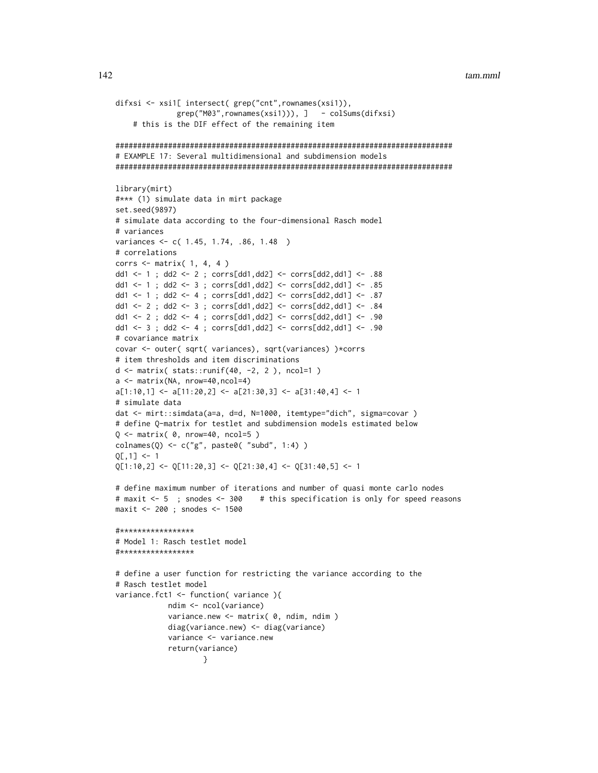```
tam.mml
```

```
difxsi <- xsi1[ intersect( grep("cnt", rownames(xsi1)),
             grep("M03", rownames(xsi1))), ] - colSums(difxsi)
    # this is the DIF effect of the remaining item
# EXAMPLE 17: Several multidimensional and subdimension models
library(mirt)
#*** (1) simulate data in mirt package
set.seed(9897)
# simulate data according to the four-dimensional Rasch model
# variances
variances <- c( 1.45, 1.74, .86, 1.48 )
# correlations
corrs \leq matrix( 1, 4, 4 )
dd1 <- 1 ; dd2 <- 2 ; corrs[dd1,dd2] <- corrs[dd2,dd1] <- .88
dd1 <- 1 ; dd2 <- 3 ; corrs[dd1,dd2] <- corrs[dd2,dd1] <- .85
dd1 <- 1 ; dd2 <- 4 ; corrs[dd1,dd2] <- corrs[dd2,dd1] <- .87
dd1 <- 2 ; dd2 <- 3 ; corrs[dd1,dd2] <- corrs[dd2,dd1] <- .84
dd1 <- 2 ; dd2 <- 4 ; corrs[dd1,dd2] <- corrs[dd2,dd1] <- .90
dd1 <- 3 ; dd2 <- 4 ; corrs[dd1,dd2] <- corrs[dd2,dd1] <- .90
# covariance matrix
covar <- outer( sqrt( variances), sqrt(variances) )*corrs
# item thresholds and item discriminations
d \le matrix( stats::runif(40, -2, 2), ncol=1)
a \leftarrow \text{matrix}(\text{NA}, \text{nrow=40}, \text{ncol=4})a[1:10,1] <- a[11:20,2] <- a[21:30,3] <- a[31:40,4] <- 1
# simulate data
dat <- mirt::simdata(a=a, d=d, N=1000, itemtype="dich", sigma=covar )
# define Q-matrix for testlet and subdimension models estimated below
Q \leq - matrix(\theta, nrow=40, ncol=5)
colnames(Q) <- c("g", paste0( "subd", 1:4) )
Q[, 1] <- 1
Q[1:10,2] <- Q[11:20,3] <- Q[21:30,4] <- Q[31:40,5] <- 1
# define maximum number of iterations and number of quasi monte carlo nodes
# maxit <- 5 ; snodes <- 300
                              # this specification is only for speed reasons
maxit <- 200 ; snodes <- 1500
#*****************
# Model 1: Rasch testlet model
#****************
# define a user function for restricting the variance according to the
# Rasch testlet model
variance.fct1 <- function( variance ){
           ndim <- ncol(variance)
           variance.new <- matrix( 0, ndim, ndim )
           diag(variance.new) \leq diag(variance)variance <- variance.new
           return(variance)
                   }
```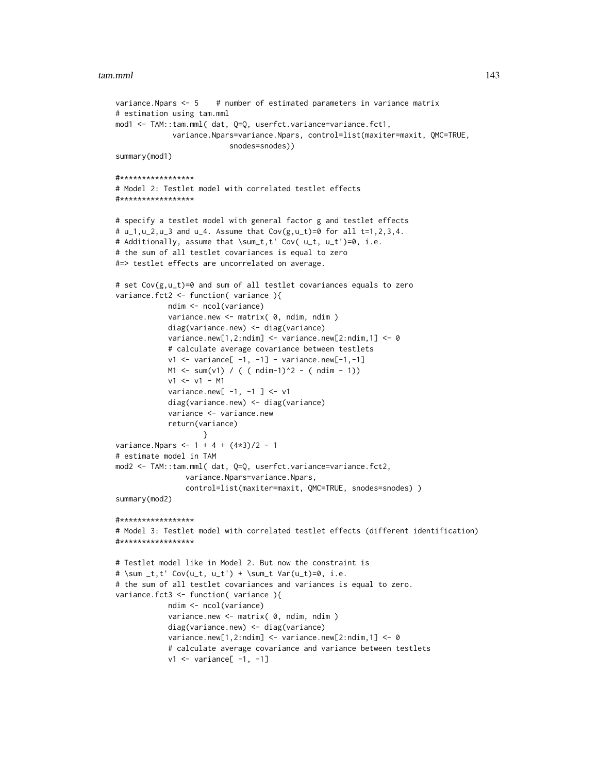```
variance. Npars <- 5 # number of estimated parameters in variance matrix
# estimation using tam.mml
mod1 <- TAM::tam.mml( dat, Q=Q, userfct.variance=variance.fct1,
             variance.Npars=variance.Npars, control=list(maxiter=maxit, QMC=TRUE,
                          snodes=snodes))
summary(mod1)
#*****************
# Model 2: Testlet model with correlated testlet effects
#*****************
# specify a testlet model with general factor g and testlet effects
# u_1, u_2, u_3 and u_4. Assume that Cov(g, u_t) = 0 for all t=1, 2, 3, 4.
# Additionally, assume that \sum_t,t' Cov( u_t, u_t')=0, i.e.
# the sum of all testlet covariances is equal to zero
#=> testlet effects are uncorrelated on average.
# set Cov(g,u_t)=0 and sum of all testlet covariances equals to zero
variance.fct2 <- function( variance ){
            ndim <- ncol(variance)
            variance.new <- matrix( 0, ndim, ndim )
            diag(variance.new) <- diag(variance)
            variance.new[1,2:ndim] <- variance.new[2:ndim,1] <- 0
            # calculate average covariance between testlets
            v1 <- variance[ -1, -1] - variance.new[-1,-1]
            M1 \le - \text{sum}(v1) / ( (\text{ndim-1})^2 - (\text{ndim - 1}))v1 <- v1 - M1
            variance.new[-1, -1] <- v1
            diag(variance.new) <- diag(variance)
            variance <- variance.new
            return(variance)
                    }
variance. Npars <- 1 + 4 + (4 \times 3)/2 - 1# estimate model in TAM
mod2 <- TAM::tam.mml( dat, Q=Q, userfct.variance=variance.fct2,
                variance.Npars=variance.Npars,
                control=list(maxiter=maxit, QMC=TRUE, snodes=snodes) )
summary(mod2)
#*****************
# Model 3: Testlet model with correlated testlet effects (different identification)
#*****************
# Testlet model like in Model 2. But now the constraint is
# \sum _t,t' Cov(u_t, u_t') + \sum_t Var(u_t)=0, i.e.
# the sum of all testlet covariances and variances is equal to zero.
variance.fct3 <- function( variance ){
            ndim <- ncol(variance)
            variance.new <- matrix( 0, ndim, ndim )
            diag(variance.new) <- diag(variance)
            variance.new[1,2:ndim] \le variance.new[2:ndim,1] \le 0
            # calculate average covariance and variance between testlets
            v1 \le variance[ -1, -1]
```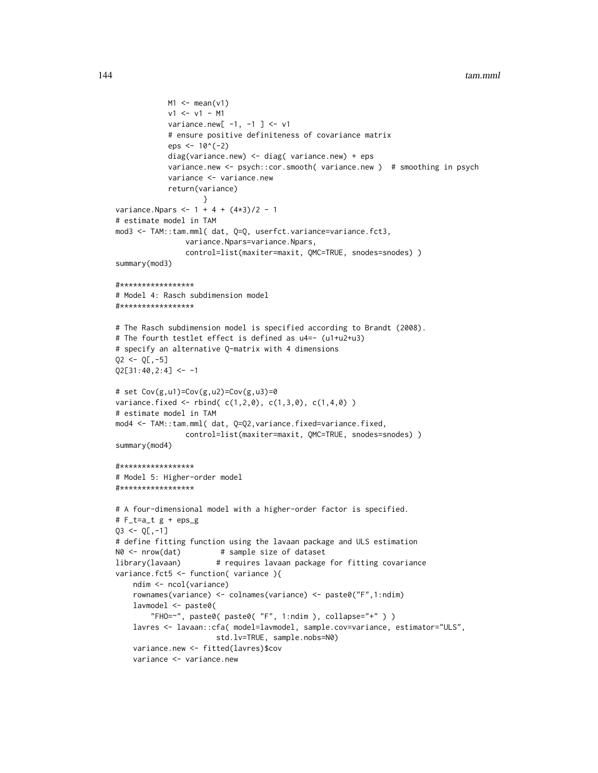```
M1 \leftarrow \text{mean}(v1)v1 <- v1 - M1
            variance.new[-1, -1] <- v1
            # ensure positive definiteness of covariance matrix
            eps <-10^*(-2)diag(variance.new) <- diag( variance.new) + eps
            variance.new <- psych::cor.smooth( variance.new ) # smoothing in psych
            variance <- variance.new
            return(variance)
                    }
variance. Npars <- 1 + 4 + (4*3)/2 - 1# estimate model in TAM
mod3 <- TAM::tam.mml( dat, Q=Q, userfct.variance=variance.fct3,
                variance.Npars=variance.Npars,
                control=list(maxiter=maxit, QMC=TRUE, snodes=snodes) )
summary(mod3)
#*****************
# Model 4: Rasch subdimension model
#*****************
# The Rasch subdimension model is specified according to Brandt (2008).
# The fourth testlet effect is defined as u4=- (u1+u2+u3)
# specify an alternative Q-matrix with 4 dimensions
Q2 \le -Q[,-5]Q2[31:40,2:4] <- -1
# set Cov(g, u1) = Cov(g, u2) = Cov(g, u3) = 0variance.fixed <- rbind( c(1,2,0), c(1,3,0), c(1,4,0) )
# estimate model in TAM
mod4 <- TAM::tam.mml( dat, Q=Q2,variance.fixed=variance.fixed,
                control=list(maxiter=maxit, QMC=TRUE, snodes=snodes) )
summary(mod4)
#*****************
# Model 5: Higher-order model
#*****************
# A four-dimensional model with a higher-order factor is specified.
# F_t=a_t g + eps_g
Q3 \leq Q[\,-1]# define fitting function using the lavaan package and ULS estimation
N0 <- nrow(dat) # sample size of dataset
library(lavaan) # requires lavaan package for fitting covariance
variance.fct5 <- function( variance ){
    ndim <- ncol(variance)
    rownames(variance) <- colnames(variance) <- paste0("F",1:ndim)
    lavmodel <- paste0(
        "FHO=~", paste0( paste0( "F", 1:ndim ), collapse="+" ) )
    lavres <- lavaan::cfa( model=lavmodel, sample.cov=variance, estimator="ULS",
                       std.lv=TRUE, sample.nobs=N0)
    variance.new <- fitted(lavres)$cov
    variance <- variance.new
```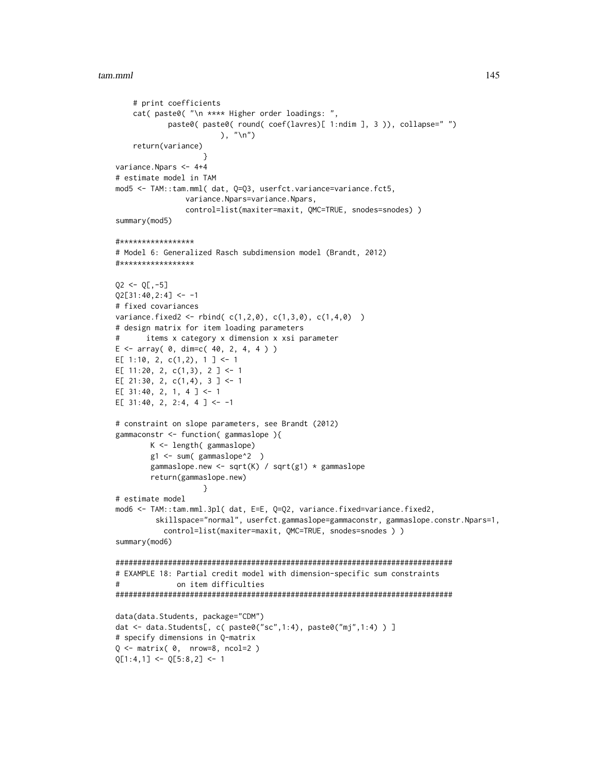```
# print coefficients
    cat( paste0( "\n **** Higher order loadings: ",
            paste0( paste0( round( coef(lavres)[ 1:ndim ], 3 )), collapse=" ")
                        ), "\langle n" \ranglereturn(variance)
                    }
variance.Npars <- 4+4
# estimate model in TAM
mod5 <- TAM::tam.mml( dat, Q=Q3, userfct.variance=variance.fct5,
                variance.Npars=variance.Npars,
                control=list(maxiter=maxit, QMC=TRUE, snodes=snodes) )
summary(mod5)
#*****************
# Model 6: Generalized Rasch subdimension model (Brandt, 2012)
#*****************
Q2 \le -Q[,-5]Q2[31:40,2:4] <- -1
# fixed covariances
variance.fixed2 <- rbind(c(1,2,0), c(1,3,0), c(1,4,0))
# design matrix for item loading parameters
# items x category x dimension x xsi parameter
E \le - array( 0, dim=c( 40, 2, 4, 4 ))
E[ 1:10, 2, c(1,2), 1 ] <- 1
E[ 11:20, 2, c(1,3), 2 ] <- 1
E[ 21:30, 2, c(1,4), 3 ] <- 1
E[ 31:40, 2, 1, 4 ] <- 1
E[ 31:40, 2, 2:4, 4 ] <- -1
# constraint on slope parameters, see Brandt (2012)
gammaconstr <- function( gammaslope ){
       K <- length( gammaslope)
        g1 <- sum( gammaslope^2 )
        gammaslope.new <- sqrt(K) / sqrt(g1) * gammaslope
        return(gammaslope.new)
                    }
# estimate model
mod6 <- TAM::tam.mml.3pl( dat, E=E, Q=Q2, variance.fixed=variance.fixed2,
         skillspace="normal", userfct.gammaslope=gammaconstr, gammaslope.constr.Npars=1,
           control=list(maxiter=maxit, QMC=TRUE, snodes=snodes ) )
summary(mod6)
#############################################################################
# EXAMPLE 18: Partial credit model with dimension-specific sum constraints
# on item difficulties
#############################################################################
data(data.Students, package="CDM")
dat <- data.Students[, c( paste0("sc",1:4), paste0("mj",1:4) ) ]
# specify dimensions in Q-matrix
Q <- matrix( 0, nrow=8, ncol=2 )
Q[1:4,1] <- Q[5:8,2] <- 1
```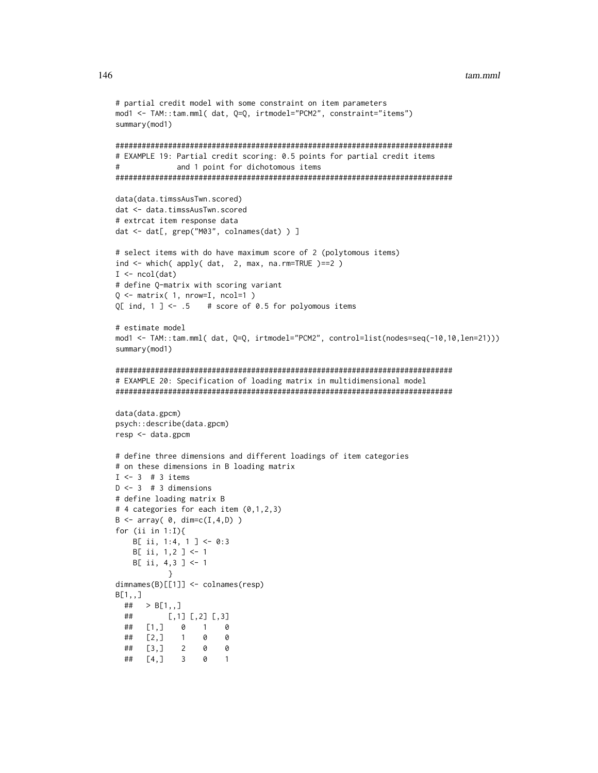#### tam.mml

```
# partial credit model with some constraint on item parameters
mod1 <- TAM::tam.mml( dat, Q=Q, irtmodel="PCM2", constraint="items")
summary(mod1)
# EXAMPLE 19: Partial credit scoring: 0.5 points for partial credit items
#and 1 point for dichotomous items
data(data.timssAusTwn.scored)
dat <- data.timssAusTwn.scored
# extrcat item response data
dat <- dat[, grep("M03", colnames(dat) ) ]
# select items with do have maximum score of 2 (polytomous items)
ind \le which( apply( dat, 2, max, na.rm=TRUE )==2)
I \leftarrow \text{ncol}(\text{dat})# define Q-matrix with scoring variant
Q \leq - matrix( 1, nrow=I, ncol=1)
Q[ ind, 1 ] <- .5
                 # score of 0.5 for polyomous items
# estimate model
mod1 <- TAM::tam.mml( dat, Q=Q, irtmodel="PCM2", control=list(nodes=seq(-10,10,len=21)))
summary(mod1)
# EXAMPLE 20: Specification of loading matrix in multidimensional model
data(data.gpcm)
psych::describe(data.gpcm)
resp <- data.gpcm
# define three dimensions and different loadings of item categories
# on these dimensions in B loading matrix
I \le -3 # 3 items
D \le -3 # 3 dimensions
# define loading matrix B
# 4 categories for each item (0,1,2,3)
B \leftarrow array( 0, dim=c(I, 4, D) )for (ii in 1:1){
   B[ ii, 1:4, 1 ] <- 0:3
   B[i, 1, 2] <- 1
   B[ ii, 4,3 ] <- 1
dimnames(B)[[1]] \leftarrow colnames(resp)B[1,,]
 ## > B[1, 1]##[1,1] [2] [3]## \begin{bmatrix} 1 & 1 & 0 & 1 \end{bmatrix}\alpha## [2, 3] 1
               \bullet\theta\overline{2}\theta##\left[3, \right]0
           \overline{\mathbf{3}}\theta\overline{\phantom{0}} 1
 ##[4,]
```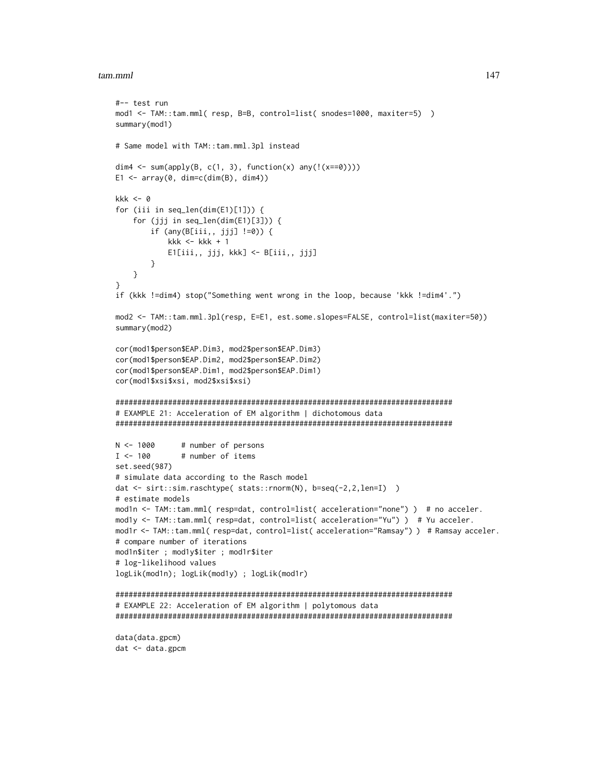### tam.mml 147

```
#-- test run
mod1 <- TAM::tam.mml( resp, B=B, control=list( snodes=1000, maxiter=5) )
summary(mod1)
# Same model with TAM::tam.mml.3pl instead
dim4 \leq sum(apply(B, c(1, 3), function(x) any(!(x==0))))
E1 \le array(0, dim=c(dim(B), dim4))
kkk <-0for (iii in seq_len(dim(E1)[1])) {
    for (jjj in seq_len(dim(E1)[3])) {
        if (any(B[iii,, jjj] !=0)) {
            kkk <- kkk +1E1[iii,, jjj, kkk] <- B[iii,, jjj]
        }
    }
}
if (kkk !=dim4) stop("Something went wrong in the loop, because 'kkk !=dim4'.")
mod2 <- TAM::tam.mml.3pl(resp, E=E1, est.some.slopes=FALSE, control=list(maxiter=50))
summary(mod2)
cor(mod1$person$EAP.Dim3, mod2$person$EAP.Dim3)
cor(mod1$person$EAP.Dim2, mod2$person$EAP.Dim2)
cor(mod1$person$EAP.Dim1, mod2$person$EAP.Dim1)
cor(mod1$xsi$xsi, mod2$xsi$xsi)
#############################################################################
# EXAMPLE 21: Acceleration of EM algorithm | dichotomous data
#############################################################################
N < -1000 # number of persons
I < -100 # number of items
set.seed(987)
# simulate data according to the Rasch model
dat <- sirt::sim.raschtype( stats::rnorm(N), b=seq(-2,2,len=I) )
# estimate models
mod1n <- TAM::tam.mml( resp=dat, control=list( acceleration="none") ) # no acceler.
mod1y <- TAM::tam.mml( resp=dat, control=list( acceleration="Yu") ) # Yu acceler.
mod1r <- TAM::tam.mml( resp=dat, control=list( acceleration="Ramsay") ) # Ramsay acceler.
# compare number of iterations
mod1n$iter ; mod1y$iter ; mod1r$iter
# log-likelihood values
logLik(mod1n); logLik(mod1y) ; logLik(mod1r)
#############################################################################
# EXAMPLE 22: Acceleration of EM algorithm | polytomous data
#############################################################################
data(data.gpcm)
dat <- data.gpcm
```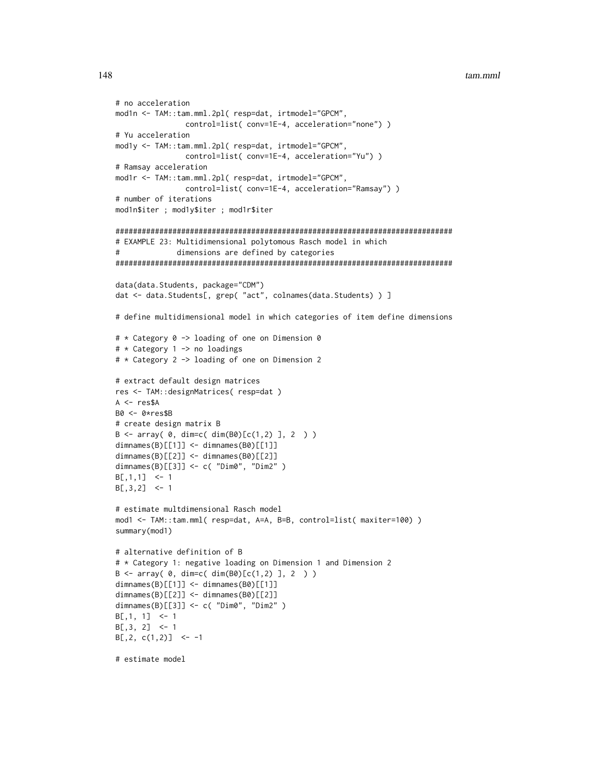```
# no acceleration
mod1n <- TAM::tam.mml.2pl( resp=dat, irtmodel="GPCM",
               control=list( conv=1E-4, acceleration="none") )
# Yu acceleration
mod1y <- TAM::tam.mml.2pl( resp=dat, irtmodel="GPCM",
              control=list(conv=1E-4, acceleration="Yu"))
# Ramsay acceleration
mod1r <- TAM::tam.mml.2pl( resp=dat, irtmodel="GPCM",
               control=list( conv=1E-4, acceleration="Ramsay") )
# number of iterations
mod1n$iter ; mod1y$iter ; mod1r$iter
# EXAMPLE 23: Multidimensional polytomous Rasch model in which
#dimensions are defined by categories
data(data.Students, package="CDM")
dat <- data.Students[, grep( "act", colnames(data.Students) ) ]
# define multidimensional model in which categories of item define dimensions
# * Category 0 -> loading of one on Dimension 0
# * Category 1 -> no loadings
# * Category 2 -> loading of one on Dimension 2
# extract default design matrices
res <- TAM::designMatrices( resp=dat )
A \leq - res$A
B0 \leq -0 \times resSB# create design matrix B
B \le -\arctan(0, \dim = c(\dim(B0)[c(1,2)], 2) )dimnames(B)[[1]] < - dimnames(B0)[[1]]dimnames(B)[2]] <- dimnames(B0)[2]]
dimnames(B)[[3]] <- c( "Dim0", "Dim2" )
B[, 1, 1] <- 1
B[, 3, 2] <- 1
# estimate multdimensional Rasch model
mod1 <- TAM::tam.mml( resp=dat, A=A, B=B, control=list( maxiter=100) )
summary(mod1)
# alternative definition of B
# * Category 1: negative loading on Dimension 1 and Dimension 2
B \le -\arctan(0, \dim = c(\dim(B0)[c(1,2), 1, 2))dimnames(B)[1]] <- dimnames(B0)[1]]
dimnames(B)[[2]] \leftarrow dimnames(B0)[[2]]dimnames(B)[[3]] <- c( "Dim0", "Dim2" )
B[, 1, 1] <- 1
B[, 3, 2] <-1
B[, 2, c(1,2)] <- -1
# estimate model
```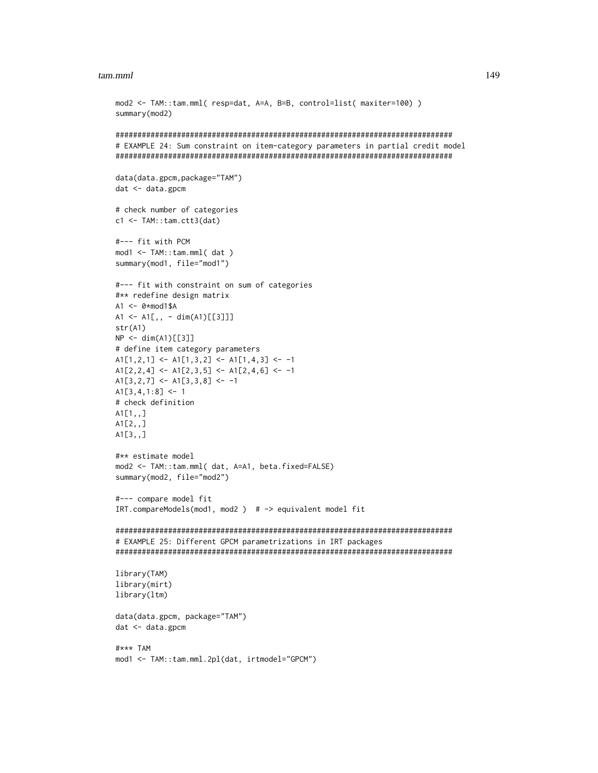#### tam.mml

```
mod2 <- TAM::tam.mml( resp=dat, A=A, B=B, control=list( maxiter=100) )
summary(mod2)
# EXAMPLE 24: Sum constraint on item-category parameters in partial credit model
data(data.gpcm,package="TAM")
dat < - data.gpcm# check number of categories
c1 \leftarrow \text{TAM::tam.ctt3(data)}#--- fit with PCM
mod1 < -TAM::tam.mml(dat)summary(mod1, file="mod1")
#--- fit with constraint on sum of categories
#** redefine design matrix
A1 \leftarrow \emptyset * \text{mod} 1$A
A1 <- A1[,, - dim(A1)[[3]]]
str(A1)NP \leftarrow dim(A1)[[3]]# define item category parameters
A1[1,2,1] <- A1[1,3,2] <- A1[1,4,3] <- -1
A1[2,2,4] <- A1[2,3,5] <- A1[2,4,6] <- -1
A1[3,2,7] <- A1[3,3,8] <- -1
A1[3,4,1:8] < -1# check definition
A1[1, 1]A1[2, 1]A1[3, 1]#** estimate model
mod2 <- TAM::tam.mml( dat, A=A1, beta.fixed=FALSE)
summary(mod2, file="mod2")
#--- compare model fit
IRT.compareModels(mod1, mod2) # -> equivalent model fit
# EXAMPLE 25: Different GPCM parametrizations in IRT packages
library(TAM)
library(mirt)
library(1tm)
data(data.gpcm, package="TAM")
dat < - data.gpcm#*** TAM
mod1 <- TAM::tam.mml.2pl(dat, irtmodel="GPCM")
```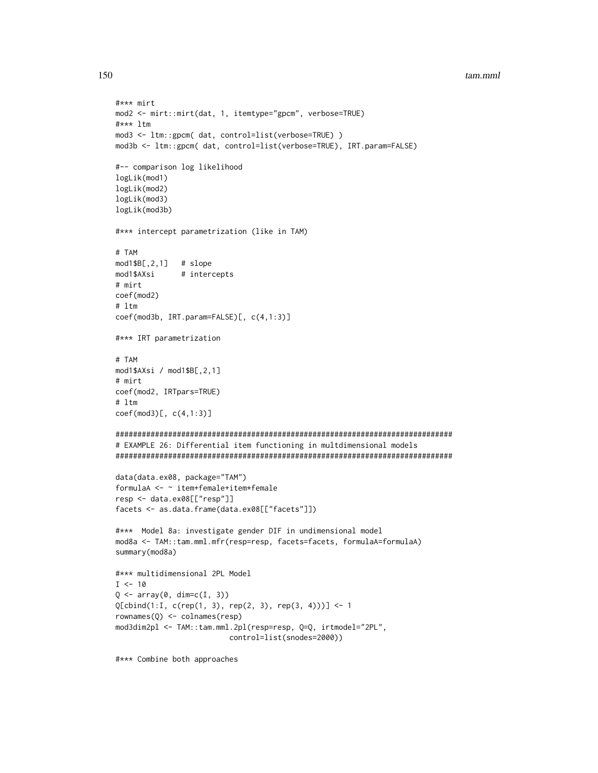#### tam.mml

```
#*** mirt
mod2 <- mirt::mirt(dat, 1, itemtype="gpcm", verbose=TRUE)
#*** ltm
mod3 <- ltm::gpcm( dat, control=list(verbose=TRUE))
mod3b <- ltm::gpcm( dat, control=list(verbose=TRUE), IRT.param=FALSE)
#-- comparison log likelihood
logLik(mod1)
logLik(mod2)
logLik(mod3)
logLik(mod3b)
#*** intercept parametrization (like in TAM)
# TAM
mod1$B[,2,1] # slope
mod1$AXsi
            # intercepts
# mirt
coef(mod2)
# ltm
coef(mod3b, IRT.param=FALSE)[, c(4,1:3)]
#*** IRT parametrization
# TAM
mod1$AXsi / mod1$B[,2,1]
# mirt
coef(mod2, IRTpars=TRUE)
# 1tmcoef(mod3)[, c(4,1:3)]# EXAMPLE 26: Differential item functioning in multdimensional models
data(data.ex08, package="TAM")
formulaA <- ~ item+female+item*female
resp <- data.ex08[["resp"]]
facets <- as.data.frame(data.ex08[["facets"]])
#*** Model 8a: investigate gender DIF in undimensional model
mod8a <- TAM::tam.mml.mfr(resp=resp, facets=facets, formulaA=formulaA)
summary(mod8a)
#*** multidimensional 2PL Model
I < -10Q \leftarrow array(0, dim=c(I, 3))Q[cbind(1:1, c(rep(1, 3), rep(2, 3), rep(3, 4)))] <- 1
rownames(Q) \leftarrow colnames(resp)mod3dim2pl <- TAM::tam.mml.2pl(resp=resp, Q=Q, irtmodel="2PL",
                       control=list(snodes=2000))
```
#\*\*\* Combine both approaches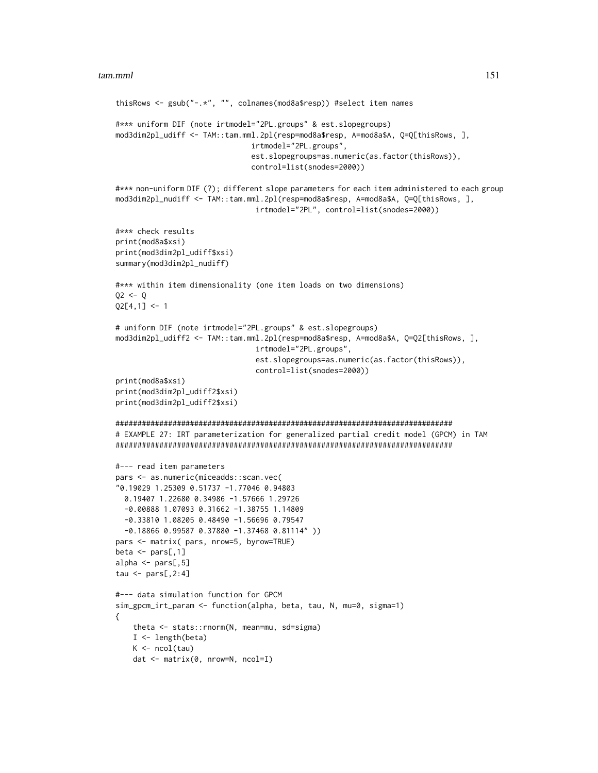```
thisRows <- gsub("-.*", "", colnames(mod8a$resp)) #select item names
#*** uniform DIF (note irtmodel="2PL.groups" & est.slopegroups)
mod3dim2pl_udiff <- TAM::tam.mml.2pl(resp=mod8a$resp, A=mod8a$A, Q=Q[thisRows, ],
                               irtmodel="2PL.groups",
                               est.slopegroups=as.numeric(as.factor(thisRows)),
                                control=list(snodes=2000))
#*** non-uniform DIF (?); different slope parameters for each item administered to each group
mod3dim2pl_nudiff <- TAM::tam.mml.2pl(resp=mod8a$resp, A=mod8a$A, Q=Q[thisRows, ],
                                irtmodel="2PL", control=list(snodes=2000))
#*** check results
print(mod8a$xsi)
print(mod3dim2pl_udiff$xsi)
summary(mod3dim2pl_nudiff)
#*** within item dimensionality (one item loads on two dimensions)
Q2 < -QQ2[4,1] <- 1
# uniform DIF (note irtmodel="2PL.groups" & est.slopegroups)
mod3dim2pl_udiff2 <- TAM::tam.mml.2pl(resp=mod8a$resp, A=mod8a$A, Q=Q2[thisRows, ],
                                irtmodel="2PL.groups",
                                est.slopegroups=as.numeric(as.factor(thisRows)),
                                control=list(snodes=2000))
print(mod8a$xsi)
print(mod3dim2pl_udiff2$xsi)
print(mod3dim2pl_udiff2$xsi)
#############################################################################
# EXAMPLE 27: IRT parameterization for generalized partial credit model (GPCM) in TAM
#############################################################################
#--- read item parameters
pars <- as.numeric(miceadds::scan.vec(
"0.19029 1.25309 0.51737 -1.77046 0.94803
 0.19407 1.22680 0.34986 -1.57666 1.29726
 -0.00888 1.07093 0.31662 -1.38755 1.14809
 -0.33810 1.08205 0.48490 -1.56696 0.79547
 -0.18866 0.99587 0.37880 -1.37468 0.81114" ))
pars <- matrix( pars, nrow=5, byrow=TRUE)
beta \leq pars[,1]
alpha <- pars[,5]
tau \leq pars[,2:4]
#--- data simulation function for GPCM
sim_gpcm_irt_param <- function(alpha, beta, tau, N, mu=0, sigma=1)
{
    theta <- stats::rnorm(N, mean=mu, sd=sigma)
   I \leftarrow length(beta)
   K \leftarrow \text{ncol(tau)}dat <- matrix(0, nrow=N, ncol=I)
```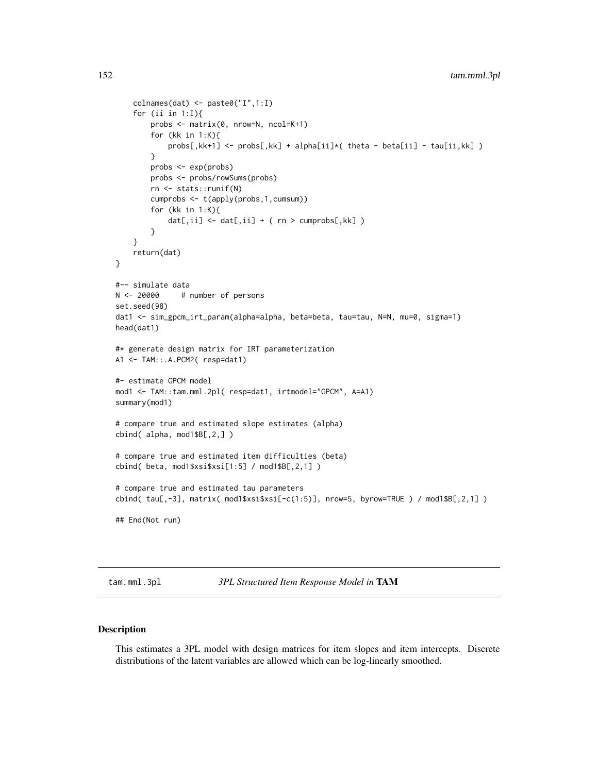```
colnames(dat) <- paste0("I",1:I)
    for (ii in 1:1){
        probs <- matrix(0, nrow=N, ncol=K+1)
        for (kk in 1:K){
            probs[,kk+1] <- probs[,kk] + alpha[ii]*( theta - beta[ii] - tau[ii,kk] )
        }
        probs <- exp(probs)
        probs <- probs/rowSums(probs)
        rn <- stats::runif(N)
        cumprobs <- t(apply(probs,1,cumsum))
        for (kk in 1:K){
            dat[,ii] \leftarrow dat[,ii] + (rn > cumprobs[,kk] )}
    }
    return(dat)
}
#-- simulate data
N < -20000 # number of persons
set.seed(98)
dat1 <- sim_gpcm_irt_param(alpha=alpha, beta=beta, tau=tau, N=N, mu=0, sigma=1)
head(dat1)
#* generate design matrix for IRT parameterization
A1 <- TAM::.A.PCM2( resp=dat1)
#- estimate GPCM model
mod1 <- TAM::tam.mml.2pl( resp=dat1, irtmodel="GPCM", A=A1)
summary(mod1)
# compare true and estimated slope estimates (alpha)
cbind( alpha, mod1$B[,2,] )
# compare true and estimated item difficulties (beta)
cbind( beta, mod1$xsi$xsi[1:5] / mod1$B[,2,1] )
# compare true and estimated tau parameters
cbind( tau[,-3], matrix( mod1$xsi$xsi[-c(1:5)], nrow=5, byrow=TRUE ) / mod1$B[,2,1] )
## End(Not run)
```
tam.mml.3pl *3PL Structured Item Response Model in* TAM

# Description

This estimates a 3PL model with design matrices for item slopes and item intercepts. Discrete distributions of the latent variables are allowed which can be log-linearly smoothed.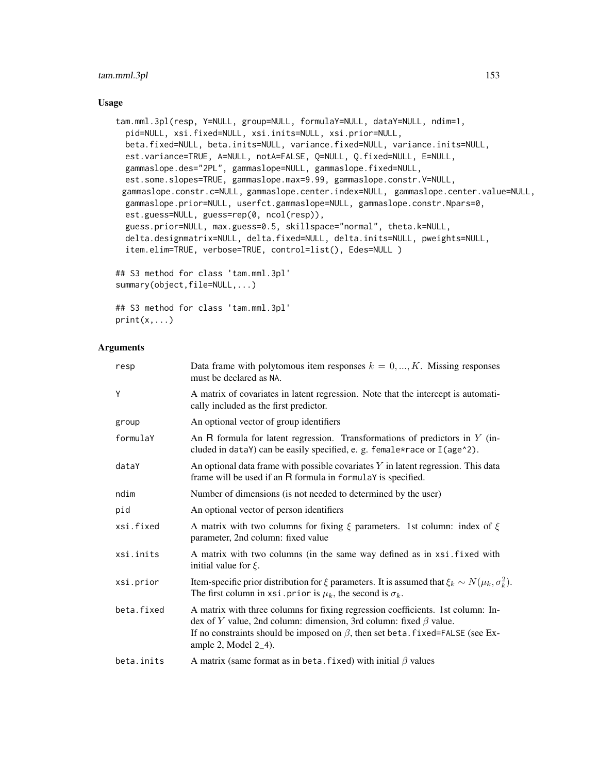# Usage

```
tam.mml.3pl(resp, Y=NULL, group=NULL, formulaY=NULL, dataY=NULL, ndim=1,
 pid=NULL, xsi.fixed=NULL, xsi.inits=NULL, xsi.prior=NULL,
 beta.fixed=NULL, beta.inits=NULL, variance.fixed=NULL, variance.inits=NULL,
 est.variance=TRUE, A=NULL, notA=FALSE, Q=NULL, Q.fixed=NULL, E=NULL,
 gammaslope.des="2PL", gammaslope=NULL, gammaslope.fixed=NULL,
 est.some.slopes=TRUE, gammaslope.max=9.99, gammaslope.constr.V=NULL,
 gammaslope.constr.c=NULL, gammaslope.center.index=NULL, gammaslope.center.value=NULL,
 gammaslope.prior=NULL, userfct.gammaslope=NULL, gammaslope.constr.Npars=0,
 est.guess=NULL, guess=rep(0, ncol(resp)),
  guess.prior=NULL, max.guess=0.5, skillspace="normal", theta.k=NULL,
 delta.designmatrix=NULL, delta.fixed=NULL, delta.inits=NULL, pweights=NULL,
  item.elim=TRUE, verbose=TRUE, control=list(), Edes=NULL )
## S3 method for class 'tam.mml.3pl'
summary(object,file=NULL,...)
```
## S3 method for class 'tam.mml.3pl'  $print(x, \ldots)$ 

# Arguments

| resp       | Data frame with polytomous item responses $k = 0, , K$ . Missing responses<br>must be declared as NA.                                                                                                                                                                         |
|------------|-------------------------------------------------------------------------------------------------------------------------------------------------------------------------------------------------------------------------------------------------------------------------------|
| Υ          | A matrix of covariates in latent regression. Note that the intercept is automati-<br>cally included as the first predictor.                                                                                                                                                   |
| group      | An optional vector of group identifiers                                                                                                                                                                                                                                       |
| formulaY   | An R formula for latent regression. Transformations of predictors in $Y$ (in-<br>cluded in dataY) can be easily specified, e. g. female*race or I(age^2).                                                                                                                     |
| dataY      | An optional data frame with possible covariates $Y$ in latent regression. This data<br>frame will be used if an R formula in formulaY is specified.                                                                                                                           |
| ndim       | Number of dimensions (is not needed to determined by the user)                                                                                                                                                                                                                |
| pid        | An optional vector of person identifiers                                                                                                                                                                                                                                      |
| xsi.fixed  | A matrix with two columns for fixing $\xi$ parameters. 1st column: index of $\xi$<br>parameter, 2nd column: fixed value                                                                                                                                                       |
| xsi.inits  | A matrix with two columns (in the same way defined as in xsi. fixed with<br>initial value for $\xi$ .                                                                                                                                                                         |
| xsi.prior  | Item-specific prior distribution for $\xi$ parameters. It is assumed that $\xi_k \sim N(\mu_k, \sigma_k^2)$ .<br>The first column in xsi. prior is $\mu_k$ , the second is $\sigma_k$ .                                                                                       |
| beta.fixed | A matrix with three columns for fixing regression coefficients. 1st column: In-<br>dex of Y value, 2nd column: dimension, 3rd column: fixed $\beta$ value.<br>If no constraints should be imposed on $\beta$ , then set beta. fixed=FALSE (see Ex-<br>ample 2, Model $2_4$ ). |
| beta.inits | A matrix (same format as in beta. fixed) with initial $\beta$ values                                                                                                                                                                                                          |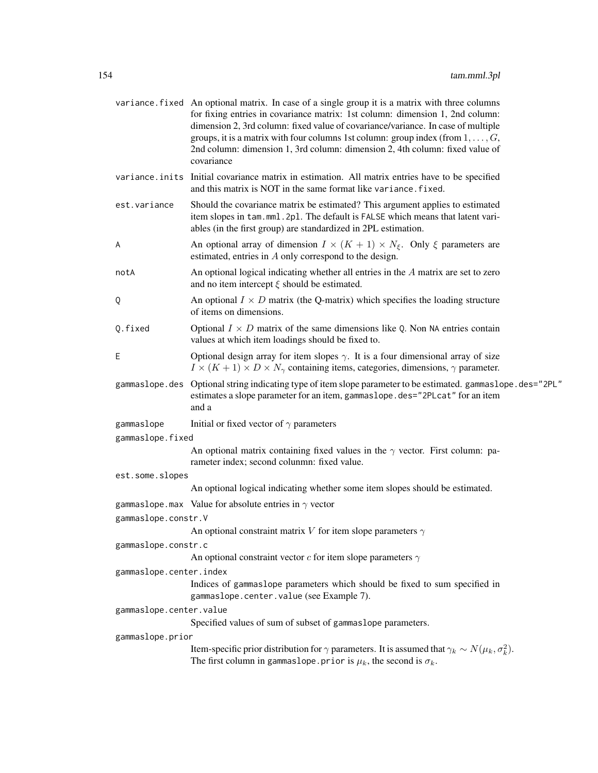|                         | variance. fixed An optional matrix. In case of a single group it is a matrix with three columns<br>for fixing entries in covariance matrix: 1st column: dimension 1, 2nd column:<br>dimension 2, 3rd column: fixed value of covariance/variance. In case of multiple<br>groups, it is a matrix with four columns 1st column: group index (from $1, \ldots, G$ ,<br>2nd column: dimension 1, 3rd column: dimension 2, 4th column: fixed value of<br>covariance |  |
|-------------------------|---------------------------------------------------------------------------------------------------------------------------------------------------------------------------------------------------------------------------------------------------------------------------------------------------------------------------------------------------------------------------------------------------------------------------------------------------------------|--|
|                         | variance in its Initial covariance matrix in estimation. All matrix entries have to be specified<br>and this matrix is NOT in the same format like variance. fixed.                                                                                                                                                                                                                                                                                           |  |
| est.variance            | Should the covariance matrix be estimated? This argument applies to estimated<br>item slopes in tam.mml.2pl. The default is FALSE which means that latent vari-<br>ables (in the first group) are standardized in 2PL estimation.                                                                                                                                                                                                                             |  |
| A                       | An optional array of dimension $I \times (K + 1) \times N_{\xi}$ . Only $\xi$ parameters are<br>estimated, entries in A only correspond to the design.                                                                                                                                                                                                                                                                                                        |  |
| notA                    | An optional logical indicating whether all entries in the $A$ matrix are set to zero<br>and no item intercept $\xi$ should be estimated.                                                                                                                                                                                                                                                                                                                      |  |
| Q                       | An optional $I \times D$ matrix (the Q-matrix) which specifies the loading structure<br>of items on dimensions.                                                                                                                                                                                                                                                                                                                                               |  |
| Q.fixed                 | Optional $I \times D$ matrix of the same dimensions like Q. Non NA entries contain<br>values at which item loadings should be fixed to.                                                                                                                                                                                                                                                                                                                       |  |
| Ε                       | Optional design array for item slopes $\gamma$ . It is a four dimensional array of size<br>$I \times (K + 1) \times D \times N_{\gamma}$ containing items, categories, dimensions, $\gamma$ parameter.                                                                                                                                                                                                                                                        |  |
|                         | gammaslope.des Optional string indicating type of item slope parameter to be estimated. gammaslope.des="2PL"<br>estimates a slope parameter for an item, gammaslope.des="2PLcat" for an item<br>and a                                                                                                                                                                                                                                                         |  |
| gammaslope              | Initial or fixed vector of $\gamma$ parameters                                                                                                                                                                                                                                                                                                                                                                                                                |  |
| gammaslope.fixed        |                                                                                                                                                                                                                                                                                                                                                                                                                                                               |  |
|                         | An optional matrix containing fixed values in the $\gamma$ vector. First column: pa-<br>rameter index; second colunmn: fixed value.                                                                                                                                                                                                                                                                                                                           |  |
| est.some.slopes         |                                                                                                                                                                                                                                                                                                                                                                                                                                                               |  |
|                         | An optional logical indicating whether some item slopes should be estimated.                                                                                                                                                                                                                                                                                                                                                                                  |  |
|                         | gammaslope.max Value for absolute entries in $\gamma$ vector                                                                                                                                                                                                                                                                                                                                                                                                  |  |
| gammaslope.constr.V     |                                                                                                                                                                                                                                                                                                                                                                                                                                                               |  |
|                         | An optional constraint matrix V for item slope parameters $\gamma$                                                                                                                                                                                                                                                                                                                                                                                            |  |
| gammaslope.constr.c     |                                                                                                                                                                                                                                                                                                                                                                                                                                                               |  |
|                         | An optional constraint vector $c$ for item slope parameters $\gamma$                                                                                                                                                                                                                                                                                                                                                                                          |  |
| gammaslope.center.index |                                                                                                                                                                                                                                                                                                                                                                                                                                                               |  |
|                         | Indices of gammaslope parameters which should be fixed to sum specified in<br>gammaslope.center.value (see Example 7).                                                                                                                                                                                                                                                                                                                                        |  |
| gammaslope.center.value |                                                                                                                                                                                                                                                                                                                                                                                                                                                               |  |
|                         | Specified values of sum of subset of gammaslope parameters.                                                                                                                                                                                                                                                                                                                                                                                                   |  |
| gammaslope.prior        |                                                                                                                                                                                                                                                                                                                                                                                                                                                               |  |
|                         | Item-specific prior distribution for $\gamma$ parameters. It is assumed that $\gamma_k \sim N(\mu_k, \sigma_k^2)$ .<br>The first column in gammaslope. prior is $\mu_k$ , the second is $\sigma_k$ .                                                                                                                                                                                                                                                          |  |
|                         |                                                                                                                                                                                                                                                                                                                                                                                                                                                               |  |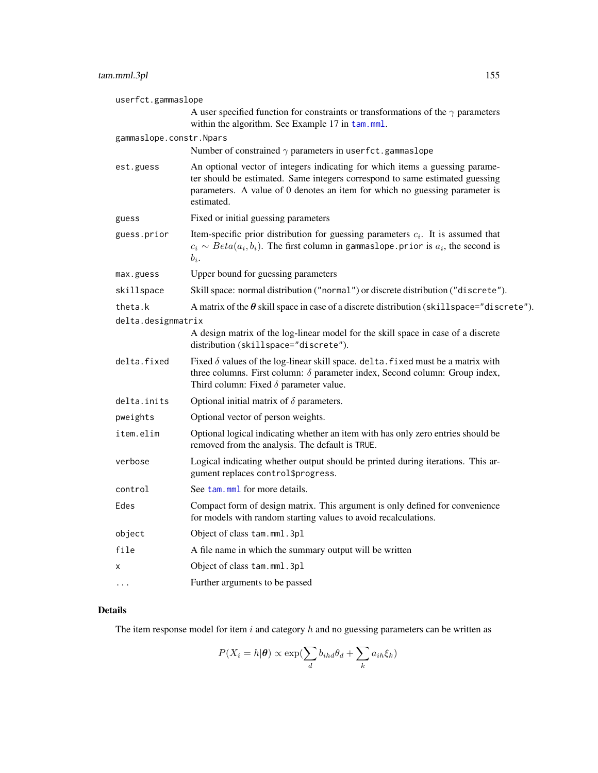| userfct.gammaslope      |                                                                                                                                                                                                                                                           |  |
|-------------------------|-----------------------------------------------------------------------------------------------------------------------------------------------------------------------------------------------------------------------------------------------------------|--|
|                         | A user specified function for constraints or transformations of the $\gamma$ parameters<br>within the algorithm. See Example 17 in tam.mml.                                                                                                               |  |
| gammaslope.constr.Npars |                                                                                                                                                                                                                                                           |  |
|                         | Number of constrained $\gamma$ parameters in userfct.gammaslope                                                                                                                                                                                           |  |
| est.guess               | An optional vector of integers indicating for which items a guessing parame-<br>ter should be estimated. Same integers correspond to same estimated guessing<br>parameters. A value of 0 denotes an item for which no guessing parameter is<br>estimated. |  |
| guess                   | Fixed or initial guessing parameters                                                                                                                                                                                                                      |  |
| guess.prior             | Item-specific prior distribution for guessing parameters $c_i$ . It is assumed that<br>$c_i \sim Beta(a_i, b_i)$ . The first column in gammaslope prior is $a_i$ , the second is<br>$b_i$ .                                                               |  |
| max.guess               | Upper bound for guessing parameters                                                                                                                                                                                                                       |  |
| skillspace              | Skill space: normal distribution ("normal") or discrete distribution ("discrete").                                                                                                                                                                        |  |
| theta.k                 | A matrix of the $\theta$ skill space in case of a discrete distribution (skill space="discrete").                                                                                                                                                         |  |
| delta.designmatrix      |                                                                                                                                                                                                                                                           |  |
|                         | A design matrix of the log-linear model for the skill space in case of a discrete<br>distribution (skillspace="discrete").                                                                                                                                |  |
| delta.fixed             | Fixed $\delta$ values of the log-linear skill space. delta. fixed must be a matrix with<br>three columns. First column: $\delta$ parameter index, Second column: Group index,<br>Third column: Fixed $\delta$ parameter value.                            |  |
| delta.inits             | Optional initial matrix of $\delta$ parameters.                                                                                                                                                                                                           |  |
| pweights                | Optional vector of person weights.                                                                                                                                                                                                                        |  |
| item.elim               | Optional logical indicating whether an item with has only zero entries should be<br>removed from the analysis. The default is TRUE.                                                                                                                       |  |
| verbose                 | Logical indicating whether output should be printed during iterations. This ar-<br>gument replaces control\$progress.                                                                                                                                     |  |
| control                 | See tam. mml for more details.                                                                                                                                                                                                                            |  |
| Edes                    | Compact form of design matrix. This argument is only defined for convenience<br>for models with random starting values to avoid recalculations.                                                                                                           |  |
| object                  | Object of class tam.mml.3pl                                                                                                                                                                                                                               |  |
| file                    | A file name in which the summary output will be written                                                                                                                                                                                                   |  |
| X                       | Object of class tam.mml.3pl                                                                                                                                                                                                                               |  |
| .                       | Further arguments to be passed                                                                                                                                                                                                                            |  |

# Details

The item response model for item  $i$  and category  $h$  and no guessing parameters can be written as

$$
P(X_i = h | \boldsymbol{\theta}) \propto \exp(\sum_d b_{ihd} \theta_d + \sum_k a_{ih} \xi_k)
$$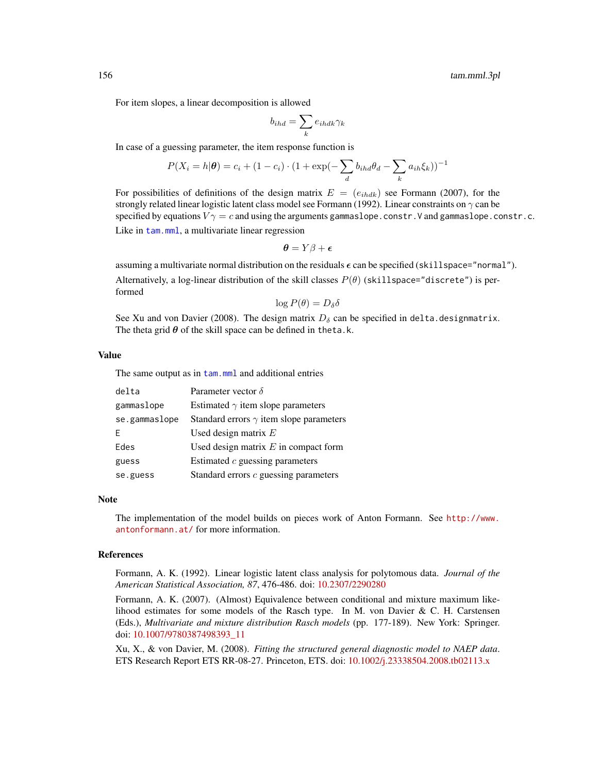For item slopes, a linear decomposition is allowed

$$
b_{ihd} = \sum_{k} e_{ihdk} \gamma_k
$$

In case of a guessing parameter, the item response function is

$$
P(X_i = h | \boldsymbol{\theta}) = c_i + (1 - c_i) \cdot (1 + \exp(-\sum_{d} b_{ihd} \theta_d - \sum_{k} a_{ih} \xi_k))^{-1}
$$

For possibilities of definitions of the design matrix  $E = (e_{ihdk})$  see Formann (2007), for the strongly related linear logistic latent class model see Formann (1992). Linear constraints on  $\gamma$  can be specified by equations  $V\gamma = c$  and using the arguments gammaslope.constr.V and gammaslope.constr.c. Like in [tam.mml](#page-111-0), a multivariate linear regression

$$
\boldsymbol{\theta} = Y\beta + \boldsymbol{\epsilon}
$$

assuming a multivariate normal distribution on the residuals  $\epsilon$  can be specified (skillspace="normal"). Alternatively, a log-linear distribution of the skill classes  $P(\theta)$  (skillspace="discrete") is performed

$$
\log P(\theta) = D_{\delta} \delta
$$

See Xu and von Davier (2008). The design matrix  $D_{\delta}$  can be specified in delta.designmatrix. The theta grid  $\theta$  of the skill space can be defined in theta.k.

### Value

The same output as in [tam.mml](#page-111-0) and additional entries

| delta         | Parameter vector $\delta$                      |
|---------------|------------------------------------------------|
| gammaslope    | Estimated $\gamma$ item slope parameters       |
| se.gammaslope | Standard errors $\gamma$ item slope parameters |
| F             | Used design matrix $E$                         |
| Edes          | Used design matrix $E$ in compact form         |
| guess         | Estimated $c$ guessing parameters              |
| se.guess      | Standard errors $c$ guessing parameters        |

### Note

The implementation of the model builds on pieces work of Anton Formann. See [http://www.](http://www.antonformann.at/) [antonformann.at/](http://www.antonformann.at/) for more information.

### References

Formann, A. K. (1992). Linear logistic latent class analysis for polytomous data. *Journal of the American Statistical Association, 87*, 476-486. doi: [10.2307/2290280](https://doi.org/10.2307/2290280)

Formann, A. K. (2007). (Almost) Equivalence between conditional and mixture maximum likelihood estimates for some models of the Rasch type. In M. von Davier  $\& C.$  H. Carstensen (Eds.), *Multivariate and mixture distribution Rasch models* (pp. 177-189). New York: Springer. doi: [10.1007/9780387498393\\_11](https://doi.org/10.1007/978-0-387-49839-3_11)

Xu, X., & von Davier, M. (2008). *Fitting the structured general diagnostic model to NAEP data*. ETS Research Report ETS RR-08-27. Princeton, ETS. doi: [10.1002/j.23338504.2008.tb02113.x](https://doi.org/10.1002/j.2333-8504.2008.tb02113.x)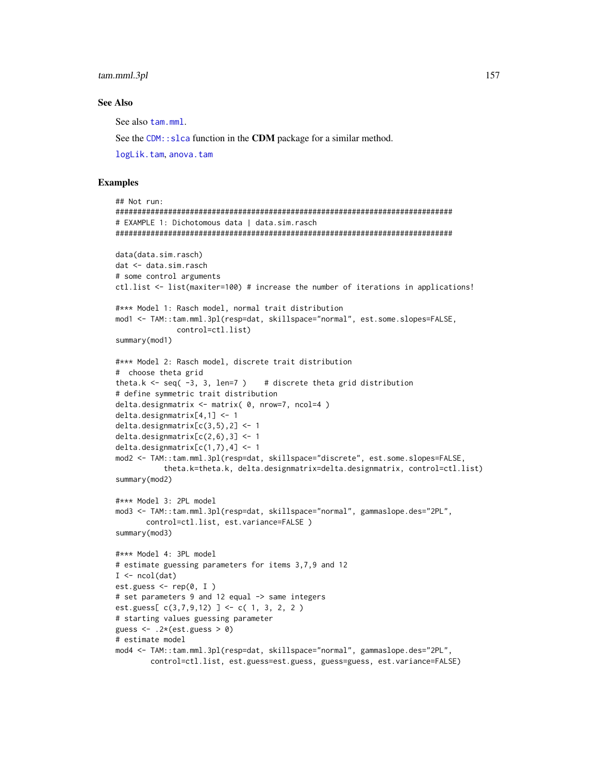# **See Also**

See also tam.mml.

See the CDM: : s1ca function in the CDM package for a similar method.

logLik.tam, anova.tam

### **Examples**

```
## Not run:
# EXAMPLE 1: Dichotomous data | data.sim.rasch
data(data.sim.rasch)
dat <- data.sim.rasch
# some control arguments
ctl.list <- list(maxiter=100) # increase the number of iterations in applications!
#*** Model 1: Rasch model, normal trait distribution
mod1 <- TAM::tam.mml.3pl(resp=dat, skillspace="normal", est.some.slopes=FALSE,
             control=ctl.list)
summary(mod1)
#*** Model 2: Rasch model, discrete trait distribution
# choose theta grid
theta.k \le seq(-3, 3, len=7)
                             # discrete theta grid distribution
# define symmetric trait distribution
delta.designmatrix \leq- matrix(\theta, nrow=7, ncol=4)
delta.designmatrix[4,1] < -1delta.designmatrix[c(3,5),2] < -1delta.designmatrix[c(2,6),3] <- 1
delta.designmatrix[c(1,7), 4] < -1mod2 <- TAM::tam.mml.3pl(resp=dat, skillspace="discrete", est.some.slopes=FALSE,
          theta.k=theta.k, delta.designmatrix=delta.designmatrix, control=ctl.list)
summary(mod2)
#*** Model 3: 2PL model
mod3 <- TAM::tam.mml.3pl(resp=dat, skillspace="normal", gammaslope.des="2PL",
      control=ctl.list, est.variance=FALSE)
summary(mod3)
#*** Model 4: 3PL model
# estimate guessing parameters for items 3,7,9 and 12
I \leftarrow \text{ncol}(\text{dat})est.guess \leq rep(0, I)
# set parameters 9 and 12 equal -> same integers
est.guess[c(3,7,9,12)] <- c(1, 3, 2, 2)
# starting values guessing parameter
guess \leq - . 2*(est.guess > 0)
# estimate model
mod4 <- TAM::tam.mml.3pl(resp=dat, skillspace="normal", gammaslope.des="2PL",
       control=ctl.list, est.guess=est.guess, guess=guess, est.variance=FALSE)
```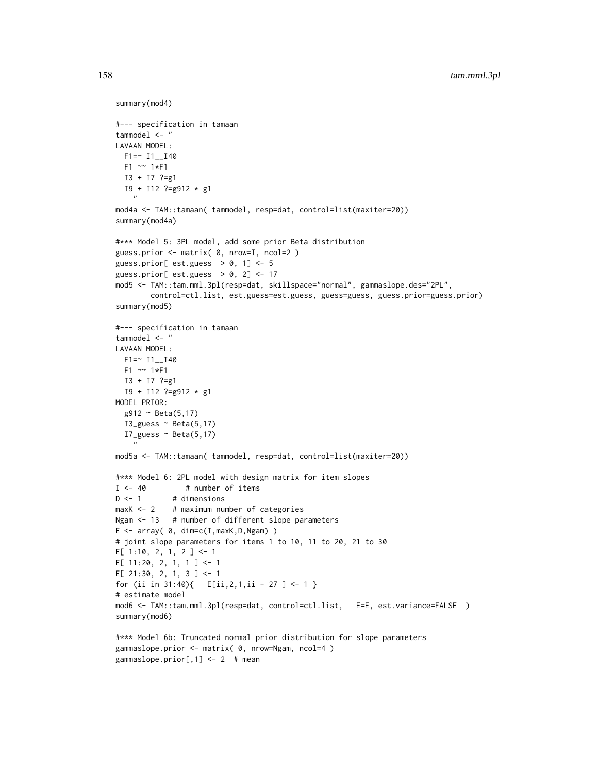```
summary(mod4)
#--- specification in tamaan
tammodel <- "
LAVAAN MODEL:
 F1 = 11 - 140F1 ~~ 1*F1
  I3 + I7 ?=g1
  I9 + I12 ?=g912 * g1
    ^{\prime}mod4a <- TAM::tamaan( tammodel, resp=dat, control=list(maxiter=20))
summary(mod4a)
#*** Model 5: 3PL model, add some prior Beta distribution
guess.prior <- matrix( 0, nrow=I, ncol=2 )
guess.prior[ est.guess > 0, 1] <- 5
guess.prior[ est.guess > 0, 2] <- 17
mod5 <- TAM::tam.mml.3pl(resp=dat, skillspace="normal", gammaslope.des="2PL",
        control=ctl.list, est.guess=est.guess, guess=guess, guess.prior=guess.prior)
summary(mod5)
#--- specification in tamaan
tammodel <- "
LAVAAN MODEL:
  F1 = ~ I1 - I40F1 ~~ 1*F1
  I3 + I7 ?=g1
  I9 + I12 ?=g912 * g1
MODEL PRIOR:
  g912 ~ Beta(5,17)
  I3_guess \sim Beta(5,17)
  I7_guess \sim Beta(5,17)
    "
mod5a <- TAM::tamaan( tammodel, resp=dat, control=list(maxiter=20))
#*** Model 6: 2PL model with design matrix for item slopes
I \leftarrow 40 # number of items
D \le -1 # dimensions
maxK <- 2 # maximum number of categories
Ngam <- 13 # number of different slope parameters
E \leftarrow array( 0, dim=c(I, maxK, D, Ngam) )# joint slope parameters for items 1 to 10, 11 to 20, 21 to 30
E[ 1:10, 2, 1, 2 ] <- 1
E[ 11:20, 2, 1, 1 ] <- 1
E[ 21:30, 2, 1, 3 ] <- 1
for (ii in 31:40){ E[ii,2,1,ii - 27 ] <- 1 }
# estimate model
mod6 <- TAM::tam.mml.3pl(resp=dat, control=ctl.list, E=E, est.variance=FALSE )
summary(mod6)
#*** Model 6b: Truncated normal prior distribution for slope parameters
```

```
gammaslope.prior[,1] <- 2 # mean
```
gammaslope.prior <- matrix( 0, nrow=Ngam, ncol=4 )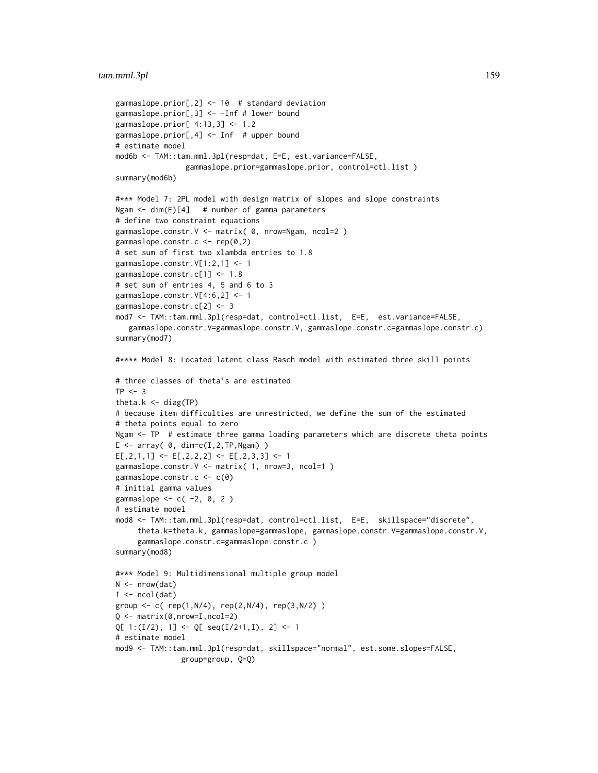```
gammaslope.prior[,2] <- 10 # standard deviation
gammaslope.prior[,3] <- -Inf # lower bound
gammaslope.prior[ 4:13,3] <- 1.2
gammaslope.prior[,4] <- Inf # upper bound
# estimate model
mod6b <- TAM::tam.mml.3pl(resp=dat, E=E, est.variance=FALSE,
                gammaslope.prior=gammaslope.prior, control=ctl.list )
summary(mod6b)
#*** Model 7: 2PL model with design matrix of slopes and slope constraints
Ngam <- dim(E)[4] # number of gamma parameters
# define two constraint equations
gammaslope.constr.V <- matrix( 0, nrow=Ngam, ncol=2 )
gammaslope.constr.c <- rep(0,2)
# set sum of first two xlambda entries to 1.8
gammaslope.constr.V[1:2,1] <- 1
gammaslope.constr.c[1] <- 1.8
# set sum of entries 4, 5 and 6 to 3
gammaslope.constr.V[4:6,2] <- 1
gammaslope.constr.c[2] <- 3
mod7 <- TAM::tam.mml.3pl(resp=dat, control=ctl.list, E=E, est.variance=FALSE,
  gammaslope.constr.V=gammaslope.constr.V, gammaslope.constr.c=gammaslope.constr.c)
summary(mod7)
#**** Model 8: Located latent class Rasch model with estimated three skill points
# three classes of theta's are estimated
TP < -3theta.k <- diag(TP)
# because item difficulties are unrestricted, we define the sum of the estimated
# theta points equal to zero
Ngam <- TP # estimate three gamma loading parameters which are discrete theta points
E \le -\arctan(0, \dim= c(I, 2, TP, Ngam))E[, 2, 1, 1] <- E[, 2, 2, 2] <- E[, 2, 3, 3] <- 1
gammaslope.constr.V <- matrix( 1, nrow=3, ncol=1 )
gammaslope.constr.c <- c(0)
# initial gamma values
gammaslope <-c(-2, 0, 2)# estimate model
mod8 <- TAM::tam.mml.3pl(resp=dat, control=ctl.list, E=E, skillspace="discrete",
     theta.k=theta.k, gammaslope=gammaslope, gammaslope.constr.V=gammaslope.constr.V,
     gammaslope.constr.c=gammaslope.constr.c )
summary(mod8)
#*** Model 9: Multidimensional multiple group model
N < - nrow(dat)
I \leftarrow \text{ncol}(\text{dat})group <- c( rep(1,N/4), rep(2,N/4), rep(3,N/2) )
Q \leftarrow \text{matrix}(\emptyset, \text{nrow=I}, \text{ncol=2})Q[ 1:(I/2), 1] <- Q[ seq(I/2+1,I), 2] <- 1
# estimate model
mod9 <- TAM::tam.mml.3pl(resp=dat, skillspace="normal", est.some.slopes=FALSE,
               group=group, Q=Q)
```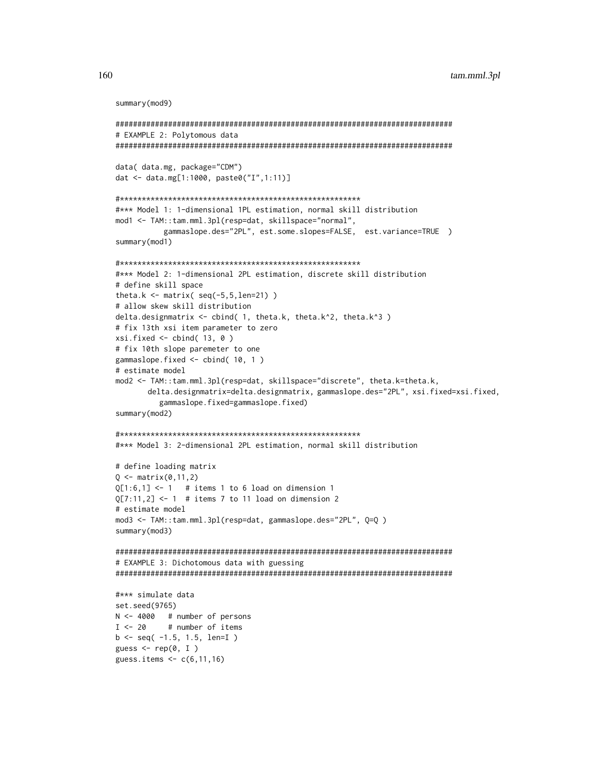```
summary(mod9)
```

```
# EXAMPLE 2: Polytomous data
data( data.mg, package="CDM")
dat <- data.mg[1:1000, paste0("I",1:11)]
#*** Model 1: 1-dimensional 1PL estimation, normal skill distribution
mod1 <- TAM::tam.mml.3pl(resp=dat, skillspace="normal",
        gammaslope.des="2PL", est.some.slopes=FALSE, est.variance=TRUE )
summary(mod1)
#*** Model 2: 1-dimensional 2PL estimation, discrete skill distribution
# define skill space
theta.k <- matrix(seq(-5, 5, len=21))
# allow skew skill distribution
delta.designmatrix <- cbind( 1, theta.k, theta.k^2, theta.k^3 )
# fix 13th xsi item parameter to zero
xsi.fixed \leftarrow child(13, 0)# fix 10th slope paremeter to one
gammaslope.fixed \leq cbind(10, 1)
# estimate model
mod2 <- TAM::tam.mml.3pl(resp=dat, skillspace="discrete", theta.k=theta.k,
     delta.designmatrix=delta.designmatrix, gammaslope.des="2PL", xsi.fixed=xsi.fixed,
       gammaslope.fixed=gammaslope.fixed)
summary(mod2)
#*** Model 3: 2-dimensional 2PL estimation, normal skill distribution
# define loading matrix
Q \le - matrix(0,11,2)
Q[1:6,1] <- 1 # items 1 to 6 load on dimension 1
Q[7:11,2] <- 1 # items 7 to 11 load on dimension 2
# estimate model
mod3 <- TAM::tam.mml.3pl(resp=dat, gammaslope.des="2PL", Q=Q )
summary(mod3)
# EXAMPLE 3: Dichotomous data with guessing
#*** simulate data
set.seed(9765)
N \le -4000 # number of persons
I \le -20# number of items
b \leftarrow seq( -1.5, 1.5, len=I )guess \leq rep(0, I)
guess.items <- c(6, 11, 16)
```

```
160
```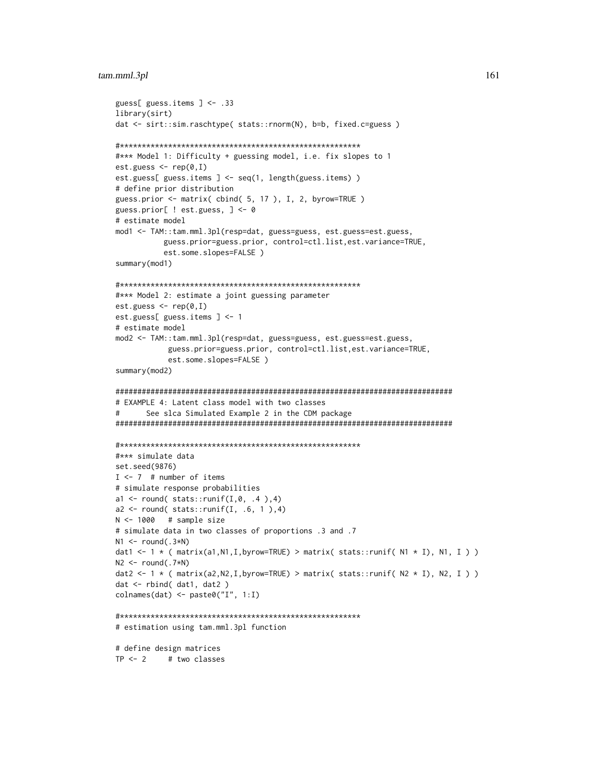```
guess[ guess.items ] <- .33
library(sirt)
dat <- sirt::sim.raschtype( stats::rnorm(N), b=b, fixed.c=guess )
#*** Model 1: Difficulty + guessing model, i.e. fix slopes to 1
est.guess <- rep(0, I)est.guess[ guess.items ] <- seq(1, length(guess.items))
# define prior distribution
guess.prior <- matrix(cbind(5, 17), I, 2, byrow=TRUE)
guess.prior[ ! est.guess, ] <- 0
# estimate model
mod1 <- TAM::tam.mml.3pl(resp=dat, guess=guess, est.guess=est.guess,
         guess.prior=guess.prior, control=ctl.list,est.variance=TRUE,
         est.some.slopes=FALSE)
summary(mod1)
#*** Model 2: estimate a joint guessing parameter
est.guess <- rep(0, I)est.guess[ guess.items ] <- 1
# estimate model
mod2 <- TAM::tam.mml.3pl(resp=dat, guess=guess, est.guess=est.guess,
         guess.prior=guess.prior, control=ctl.list,est.variance=TRUE,
         est.some.slopes=FALSE)
summary(mod2)
# EXAMPLE 4: Latent class model with two classes
#See slca Simulated Example 2 in the CDM package
#*** simulate data
set.seed(9876)
I \le -7 # number of items
# simulate response probabilities
a1 <- round( stats::runif(I,0, .4 ),4)
a2 \le round( stats::runif(I, .6, 1),4)
N < -1000 # sample size
# simulate data in two classes of proportions .3 and .7
N1 \leftarrow \text{round}(.3*N)dat1 <- 1 * ( matrix(a1, N1, I, byrow=TRUE) > matrix( stats::runif( N1 * I), N1, I ))
N2 \le round(.7*N)
dat2 <- 1 * ( matrix(a2, N2, I, byrow=TRUE) > matrix( stats::runif( N2 * I), N2, I ) )
dat < - rbind(dat1, dat2)
colnames(dat) <- paste0("I", 1:1)
# estimation using tam.mml.3pl function
# define design matrices
TP < -2 # two classes
```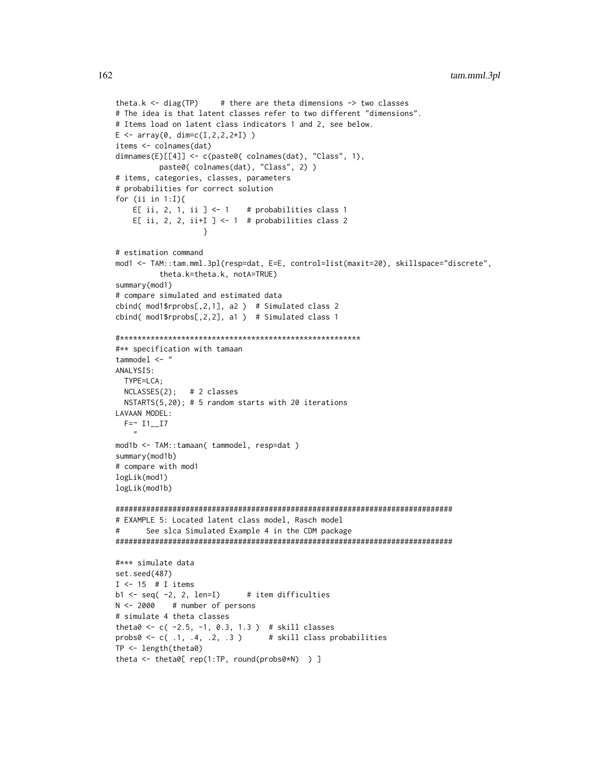```
theta.k \le diag(TP) # there are theta dimensions \Rightarrow two classes
# The idea is that latent classes refer to two different "dimensions".
# Items load on latent class indicators 1 and 2, see below.
E \le -\arctan(0, \dim= c(I, 2, 2, 2*I))items <- colnames(dat)
dimnames(E)[[4]] <- c(paste0( colnames(dat), "Class", 1),
         paste0( colnames(dat), "Class", 2) )
# items, categories, classes, parameters
# probabilities for correct solution
for (ii in 1:I){
    E[ ii, 2, 1, ii ] <- 1 # probabilities class 1
    E[ ii, 2, 2, ii+I ] \le 1 # probabilities class 2
                    }
# estimation command
mod1 <- TAM::tam.mml.3pl(resp=dat, E=E, control=list(maxit=20), skillspace="discrete",
          theta.k=theta.k, notA=TRUE)
summary(mod1)
# compare simulated and estimated data
cbind( mod1$rprobs[,2,1], a2 ) # Simulated class 2
cbind( mod1$rprobs[,2,2], a1 ) # Simulated class 1
#*******************************************************
#** specification with tamaan
tammodel <- "
ANALYSIS:
 TYPE=LCA;
  NCLASSES(2); # 2 classes
  NSTARTS(5,20); # 5 random starts with 20 iterations
LAVAAN MODEL:
  F = ~ 11 - 17"
mod1b <- TAM::tamaan( tammodel, resp=dat )
summary(mod1b)
# compare with mod1
logLik(mod1)
logLik(mod1b)
#############################################################################
# EXAMPLE 5: Located latent class model, Rasch model
# See slca Simulated Example 4 in the CDM package
#############################################################################
#*** simulate data
set.seed(487)
I \leftarrow 15 # I items
b1 <- seq(-2, 2, len=I) # item difficulties
N < -2000 # number of persons
# simulate 4 theta classes
theta0 <- c( -2.5, -1, 0.3, 1.3 ) # skill classes
probs0 <- c( .1, .4, .2, .3 ) # skill class probabilities
TP <- length(theta0)
theta <- theta0[ rep(1:TP, round(probs0*N) ) ]
```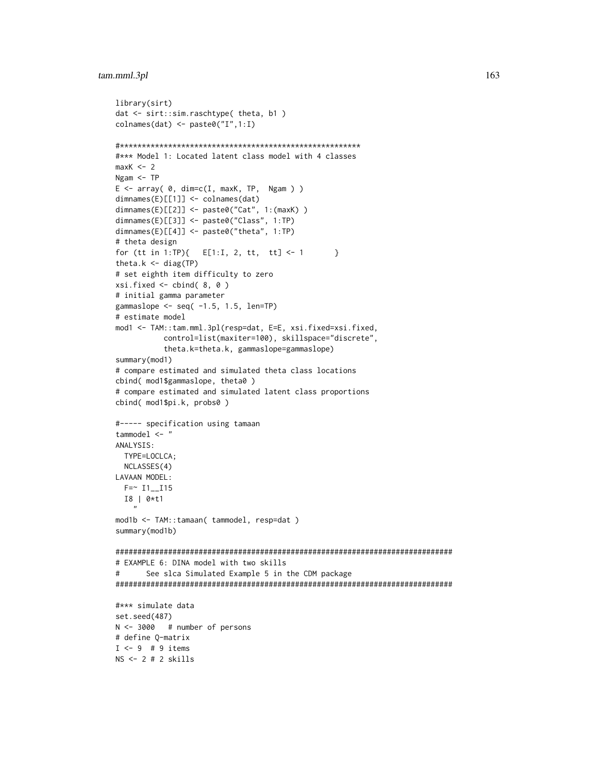```
library(sirt)
dat <- sirt::sim.raschtype( theta, b1 )
colnames(dat) <- paste0("I",1:I)
#*******************************************************
#*** Model 1: Located latent class model with 4 classes
maxK < -2Ngam <- TP
E \le -\arctan(0, \dim=C(I, \max K, TP, Ngam))dimnames(E)[[1]] <- colnames(dat)
dimnames(E)[[2]] <- paste0("Cat", 1:(maxK) )
dimnames(E)[[3]] <- paste0("Class", 1:TP)
dimnames(E)[[4]] <- paste0("theta", 1:TP)
# theta design
for (tt in 1:TP){ E[1:1, 2, tt, tt] < -1 }
theta.k \leq diag(TP)
# set eighth item difficulty to zero
xsi.fixed \leftarrow cbind( 8, 0 )# initial gamma parameter
gammaslope \leq seq(-1.5, 1.5, len=TP)
# estimate model
mod1 <- TAM::tam.mml.3pl(resp=dat, E=E, xsi.fixed=xsi.fixed,
           control=list(maxiter=100), skillspace="discrete",
           theta.k=theta.k, gammaslope=gammaslope)
summary(mod1)
# compare estimated and simulated theta class locations
cbind( mod1$gammaslope, theta0 )
# compare estimated and simulated latent class proportions
cbind( mod1$pi.k, probs0 )
#----- specification using tamaan
tammodel <- "
ANALYSIS:
 TYPE=LOCLCA;
  NCLASSES(4)
LAVAAN MODEL:
  F = 11 - 115I8 | 0*t1
    "
mod1b <- TAM::tamaan( tammodel, resp=dat )
summary(mod1b)
#############################################################################
# EXAMPLE 6: DINA model with two skills
# See slca Simulated Example 5 in the CDM package
#############################################################################
#*** simulate data
set.seed(487)
N <- 3000 # number of persons
# define Q-matrix
I \leftarrow 9 # 9 items
NS <- 2 # 2 skills
```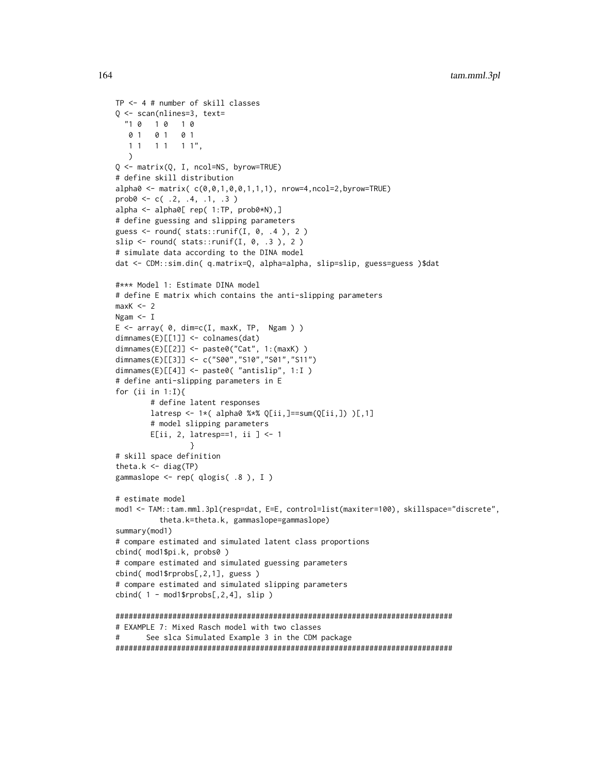```
TP <- 4 # number of skill classes
Q <- scan(nlines=3, text=
  "1 0 1 0 1 0
  0 1 0 1 0 1
  1 1 1 1 1 1\lambdaQ <- matrix(Q, I, ncol=NS, byrow=TRUE)
# define skill distribution
alpha0 <- matrix( c(0,0,1,0,0,1,1,1), nrow=4,ncol=2,byrow=TRUE)
prob@ <- c( .2, .4, .1, .3 )alpha <- alpha0[ rep( 1:TP, prob0*N),]
# define guessing and slipping parameters
guess \le round( stats::runif(I, 0, .4 ), 2)
slip \le round( stats::runif(I, 0, .3), 2)
# simulate data according to the DINA model
dat <- CDM::sim.din( q.matrix=Q, alpha=alpha, slip=slip, guess=guess )$dat
#*** Model 1: Estimate DINA model
# define E matrix which contains the anti-slipping parameters
maxK < -2Ngam <- I
E \le -\arctan(0, \dim = c(I, \max K, TP, Ngam))dimnames(E)[[1]] <- colnames(dat)
dimnames(E)[[2]] <- paste0("Cat", 1:(maxK) )
dimnames(E)[[3]] <- c("S00","S10","S01","S11")
dimnames(E)[[4]] <- paste0( "antislip", 1:I )
# define anti-slipping parameters in E
for (ii in 1:I){
        # define latent responses
        latorsp \leftarrow 1*( alpha0 %*% Q[ii,]==sum(Q[ii,]) )[,1]
        # model slipping parameters
        E[ii, 2, latresp==1, ii ] <- 1
                 }
# skill space definition
theta.k \leq diag(TP)
gammaslope <- rep( qlogis( .8 ), I )
# estimate model
mod1 <- TAM::tam.mml.3pl(resp=dat, E=E, control=list(maxiter=100), skillspace="discrete",
          theta.k=theta.k, gammaslope=gammaslope)
summary(mod1)
# compare estimated and simulated latent class proportions
cbind( mod1$pi.k, probs0 )
# compare estimated and simulated guessing parameters
cbind( mod1$rprobs[,2,1], guess )
# compare estimated and simulated slipping parameters
cbind( 1 - \text{mod}1$rprobs[,2,4], slip )
#############################################################################
# EXAMPLE 7: Mixed Rasch model with two classes
# See slca Simulated Example 3 in the CDM package
```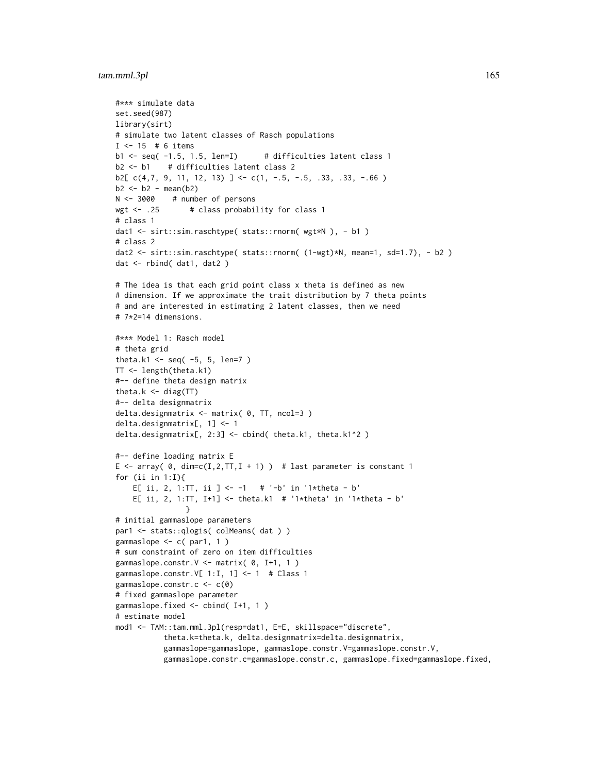```
#*** simulate data
set.seed(987)
library(sirt)
# simulate two latent classes of Rasch populations
I < -15 # 6 items
b1 \leq - seq(-1.5, 1.5, len=I) # difficulties latent class 1
b2 <- b1 # difficulties latent class 2
b2[c(4,7, 9, 11, 12, 13)] <- c(1, -.5, -.5, .33, .33, -.66)b2 \le -b2 - \text{mean}(b2)N <- 3000 # number of persons
wgt <- .25 # class probability for class 1
# class 1
dat1 <- sirt::sim.raschtype( stats::rnorm( wgt*N ), - b1 )
# class 2
dat2 <- sirt::sim.raschtype( stats::rnorm( (1-wgt)*N, mean=1, sd=1.7), - b2 )
dat <- rbind( dat1, dat2 )
# The idea is that each grid point class x theta is defined as new
# dimension. If we approximate the trait distribution by 7 theta points
# and are interested in estimating 2 latent classes, then we need
# 7*2=14 dimensions.
#*** Model 1: Rasch model
# theta grid
theta.k1 <- seq(-5, 5, len=7)
TT <- length(theta.k1)
#-- define theta design matrix
theta.k <- diag(TT)
#-- delta designmatrix
delta.designmatrix <- matrix( 0, TT, ncol=3 )
delta.designmatrix[, 1] <- 1
delta.designmatrix[, 2:3] <- cbind( theta.k1, theta.k1^2 )
#-- define loading matrix E
E <- array( 0, dim=c(I,2,TT,I + 1) ) # last parameter is constant 1
for (ii in 1:I){
    E[ ii, 2, 1:TT, ii ] <- -1 # '-b' in '1*theta - b'
    E[ ii, 2, 1:TT, I+1] <- theta.k1 # '1*theta' in '1*theta - b'
                }
# initial gammaslope parameters
par1 <- stats::qlogis( colMeans( dat ) )
gammaslope <- c( par1, 1 )
# sum constraint of zero on item difficulties
gammaslope.constr.V <- matrix( 0, I+1, 1 )
gammaslope.constr.V[ 1:I, 1] <- 1 # Class 1
gammaslope.constr.c <- c(0)
# fixed gammaslope parameter
gammaslope.fixed <- cbind( I+1, 1 )
# estimate model
mod1 <- TAM::tam.mml.3pl(resp=dat1, E=E, skillspace="discrete",
           theta.k=theta.k, delta.designmatrix=delta.designmatrix,
           gammaslope=gammaslope, gammaslope.constr.V=gammaslope.constr.V,
           gammaslope.constr.c=gammaslope.constr.c, gammaslope.fixed=gammaslope.fixed,
```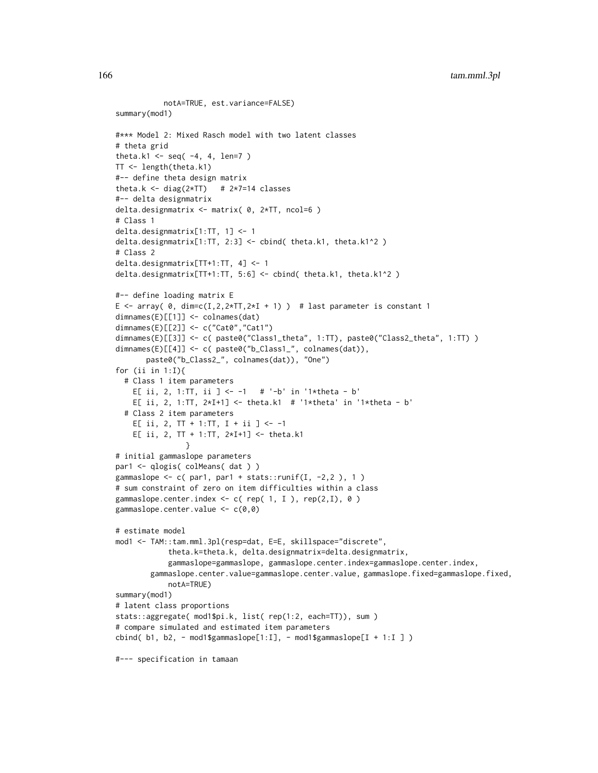```
notA=TRUE, est.variance=FALSE)
summary(mod1)
#*** Model 2: Mixed Rasch model with two latent classes
# theta grid
theta.k1 <- seq(-4, 4, len=7)
TT <- length(theta.k1)
#-- define theta design matrix
theta.k <- diag(2*TT) # 2*7=14 classes
#-- delta designmatrix
delta.designmatrix <- matrix( 0, 2*TT, ncol=6 )
# Class 1
delta.designmatrix[1:TT, 1] <- 1
delta.designmatrix[1:TT, 2:3] <- cbind( theta.k1, theta.k1^2 )
# Class 2
delta.designmatrix[TT+1:TT, 4] <- 1
delta.designmatrix[TT+1:TT, 5:6] <- cbind( theta.k1, theta.k1^2 )
#-- define loading matrix E
E \le - array( 0, dim=c(I,2,2*TT,2*I + 1) ) # last parameter is constant 1
dimnames(E)[[1]] <- colnames(dat)
dimnames(E)[[2]] <- c("Cat0","Cat1")
dimnames(E)[[3]] <- c( paste0("Class1_theta", 1:TT), paste0("Class2_theta", 1:TT) )
dimnames(E)[[4]] <- c( paste0("b_Class1_", colnames(dat)),
      paste0("b_Class2_", colnames(dat)), "One")
for (ii in 1:I){
 # Class 1 item parameters
   E[ ii, 2, 1:TT, ii ] <- -1 # '-b' in '1*theta - b'
   E[ ii, 2, 1:TT, 2*I+1] <- theta.k1 # '1*theta' in '1*theta - b'
 # Class 2 item parameters
   E[ ii, 2, TT + 1:TT, I + ii ] <- -1
   E[ ii, 2, TT + 1:TT, 2*I+1] <- theta.k1
               }
# initial gammaslope parameters
par1 <- qlogis( colMeans( dat ) )
gammaslope \leq c( par1, par1 + stats::runif(I, -2,2), 1)
# sum constraint of zero on item difficulties within a class
gammaslope.center.index <- c( rep( 1, I ), rep(2,I), 0 )
gammaslope.center.value <- c(0,0)
# estimate model
mod1 <- TAM::tam.mml.3pl(resp=dat, E=E, skillspace="discrete",
            theta.k=theta.k, delta.designmatrix=delta.designmatrix,
            gammaslope=gammaslope, gammaslope.center.index=gammaslope.center.index,
        gammaslope.center.value=gammaslope.center.value, gammaslope.fixed=gammaslope.fixed,
            notA=TRUE)
summary(mod1)
# latent class proportions
stats::aggregate( mod1$pi.k, list( rep(1:2, each=TT)), sum )
# compare simulated and estimated item parameters
cbind( b1, b2, - mod1$gammaslope[1:I], - mod1$gammaslope[I + 1:I ] )
#--- specification in tamaan
```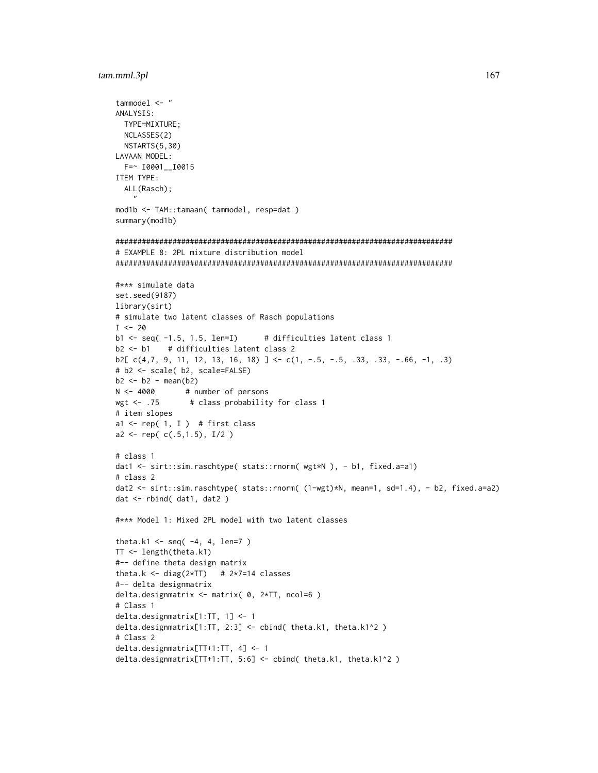```
tammodel \leq "
ANALYSIS:
 TYPE=MIXTURE;
 NCLASSES(2)
 NSTARTS(5,30)
LAVAAN MODEL:
  F = \sim 10001 - 10015ITEM TYPE:
  ALL(Rasch);
    \overline{ }mod1b <- TAM::tamaan( tammodel, resp=dat )
summary(mod1b)
# EXAMPLE 8: 2PL mixture distribution model
#*** simulate data
set.seed(9187)
library(sirt)
# simulate two latent classes of Rasch populations
I \le -20b1 \leftarrow seq( -1.5, 1.5, len=I)# difficulties latent class 1
b2 \le b1# difficulties latent class 2
b2[c(4,7, 9, 11, 12, 13, 16, 18)] <- c(1, -.5, -.5, .33, .33, -.66, -1, .3)# b2 <- scale( b2, scale=FALSE)
b2 \le b2 - \text{mean}(b2)N < -4000# number of persons
wgt \leftarrow .75# class probability for class 1
# item slopes
al <- rep( 1, I ) # first class
a2 \leftarrow rep( c(.5, 1.5), I/2 )# class 1
dat1 <- sirt::sim.raschtype( stats::rnorm( wgt*N ), - b1, fixed.a=a1)
# \text{ class } 2dat2 <- sirt::sim.raschtype( stats::rnorm( (1-wgt)*N, mean=1, sd=1.4), - b2, fixed.a=a2)
dat < - rbind(dat1, dat2)
#*** Model 1: Mixed 2PL model with two latent classes
theta.k1 <- seq(-4, 4, len=7)
TT <- length(theta.k1)
#-- define theta design matrix
theta.k <- diag(2*TT) # 2*7=14 classes
#-- delta designmatrix
delta.designmatrix <- matrix( 0, 2*TT, ncol=6 )
# Class 1
delta.designmatrix[1:TT, 1] <- 1
delta.designmatrix[1:TT, 2:3] <- cbind( theta.k1, theta.k1^2 )
# Class 2
delta.designmatrix[TT+1:TT, 4] <- 1
delta.designmatrix[TT+1:TT, 5:6] <- cbind( theta.k1, theta.k1^2 )
```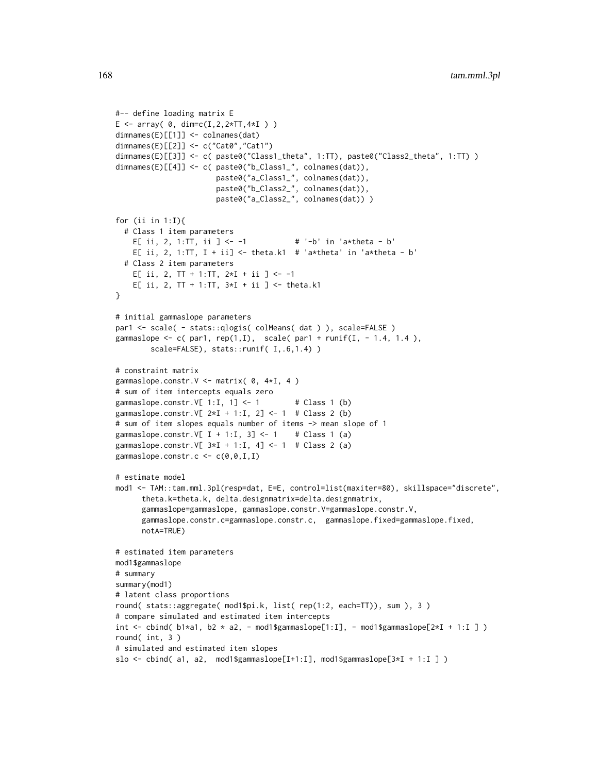```
#-- define loading matrix E
E \le -\arctan(0, \dim = c(I, 2, 2*TT, 4*I))dimnames(E)[[1]] <- colnames(dat)
dimnames(E)[[2]] <- c("Cat0","Cat1")
dimnames(E)[[3]] <- c( paste0("Class1_theta", 1:TT), paste0("Class2_theta", 1:TT) )
dimnames(E)[[4]] <- c( paste0("b_Class1_", colnames(dat)),
                      paste0("a_Class1_", colnames(dat)),
                       paste0("b_Class2_", colnames(dat)),
                       paste0("a_Class2_", colnames(dat)) )
for (ii in 1:I){
 # Class 1 item parameters
   E[ ii, 2, 1:TT, ii ] <- -1 # ' - b' in 'a*theta - b'
   E[ ii, 2, 1:TT, I + ii] <- theta.k1 # 'a*theta' in 'a*theta - b'
 # Class 2 item parameters
   E[ ii, 2, TT + 1:TT, 2*I + ii ] <- -1
   E[ ii, 2, TT + 1:TT, 3*I + ii ] <- theta.k1
}
# initial gammaslope parameters
par1 <- scale( - stats::qlogis( colMeans( dat ) ), scale=FALSE )
gammaslope \leq c( par1, rep(1,I), scale( par1 + runif(I, - 1.4, 1.4),
       scale=FALSE), stats::runif( I,.6,1.4) )
# constraint matrix
gammaslope.constr. V \le matrix( 0, 4*I, 4)
# sum of item intercepts equals zero
gammaslope.constr.V[ 1:I, 1] <- 1 # Class 1 (b)
gammaslope.constr.V[ 2*I + 1:I, 2] <- 1 # Class 2 (b)
# sum of item slopes equals number of items -> mean slope of 1
gammaslope.constr.V[ I + 1:I, 3] <- 1 # Class 1 (a)
gammaslope.constr.V[ 3*I + 1:I, 4] <- 1 # Class 2 (a)
gammaslope.constr.c \leq c(0, 0, I, I)# estimate model
mod1 <- TAM::tam.mml.3pl(resp=dat, E=E, control=list(maxiter=80), skillspace="discrete",
      theta.k=theta.k, delta.designmatrix=delta.designmatrix,
      gammaslope=gammaslope, gammaslope.constr.V=gammaslope.constr.V,
      gammaslope.constr.c=gammaslope.constr.c, gammaslope.fixed=gammaslope.fixed,
      notA=TRUE)
# estimated item parameters
mod1$gammaslope
# summary
summary(mod1)
# latent class proportions
round( stats::aggregate( mod1$pi.k, list( rep(1:2, each=TT)), sum ), 3 )
# compare simulated and estimated item intercepts
int <- cbind( b1*a1, b2 * a2, - mod1$gammaslope[1:I], - mod1$gammaslope[2*I + 1:I ])
round( int, 3 )
# simulated and estimated item slopes
slo <- cbind( a1, a2, mod1$gammaslope[I+1:I], mod1$gammaslope[3*I + 1:I ] )
```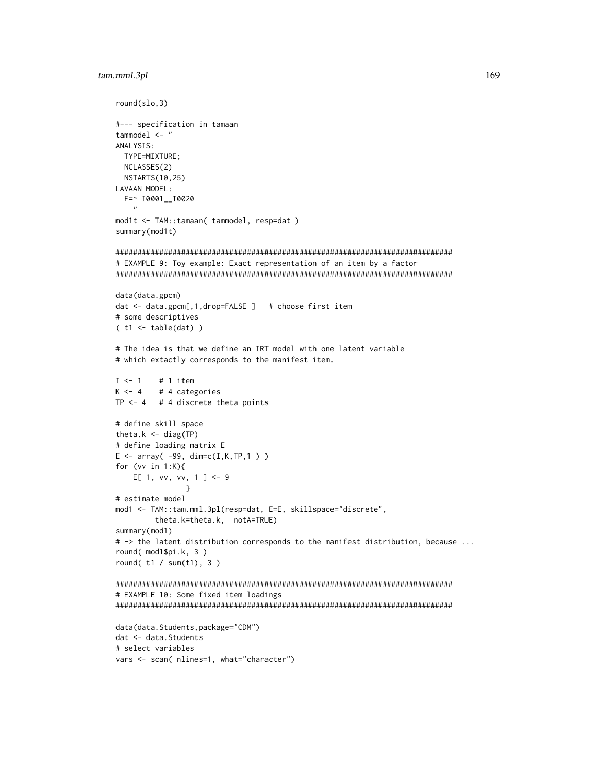```
round(slo, 3)#--- specification in tamaan
tammodel \leq "
ANALYSIS:
 TYPE=MIXTURE;
 NCLASSES(2)
 NSTARTS(10,25)
LAVAAN MODEL:
 F = ~ 10001 - 10020mod1t <- TAM::tamaan( tammodel, resp=dat )
summary(mod1t)
# EXAMPLE 9: Toy example: Exact representation of an item by a factor
data(data.gpcm)
dat <- data.gpcm[,1,drop=FALSE ] # choose first item
# some descriptives
(t1 \leftarrow table(data))# The idea is that we define an IRT model with one latent variable
# which extactly corresponds to the manifest item.
I \leq -1# 1 item
K < -4# 4 categories
TP <-4 # 4 discrete theta points
# define skill space
theta.k \leq diag(TP)
# define loading matrix E
E \le -\arctan(-99, \dim= c(I,K,TP,1))for (vv in 1:K){
   E[ 1, vv, vv, 1 ] <- 9
# estimate model
mod1 <- TAM::tam.mml.3pl(resp=dat, E=E, skillspace="discrete",
       theta.k=theta.k, notA=TRUE)
summary(mod1)
# -> the latent distribution corresponds to the manifest distribution, because ...
round( mod1$pi.k, 3)
round(t1 / sum(t1), 3)
# EXAMPLE 10: Some fixed item loadings
data(data.Students,package="CDM")
dat <- data. Students
# select variables
vars <- scan( nlines=1, what="character")
```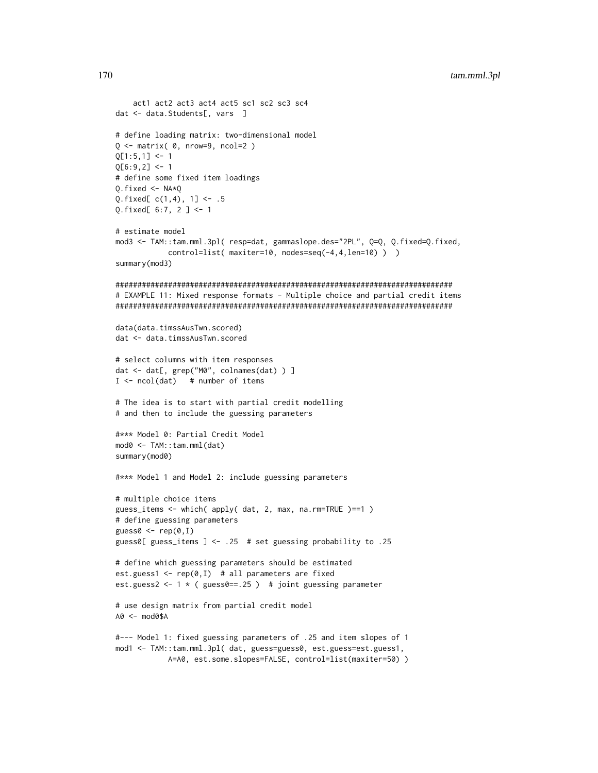```
act1 act2 act3 act4 act5 sc1 sc2 sc3 sc4
dat <- data.Students[, vars ]
# define loading matrix: two-dimensional model
Q \leq - matrix(\theta, nrow=9, ncol=2)
Q[1:5,1] <- 1
Q[6:9,2] < -1# define some fixed item loadings
0.fixed < -NA*0Q.fixed[c(1,4), 1] <- .5
Q.fixed[ 6:7, 2 ] <- 1
# estimate model
mod3 <- TAM::tam.mml.3pl( resp=dat, gammaslope.des="2PL", Q=Q, Q.fixed=Q.fixed,
           control=list( maxiter=10, nodes=seq(-4,4,len=10) ) )
summary(mod3)
# EXAMPLE 11: Mixed response formats - Multiple choice and partial credit items
data(data.timssAusTwn.scored)
dat <- data.timssAusTwn.scored
# select columns with item responses
dat <- dat[, grep("M0", colnames(dat) ) ]
I \leftarrow \text{ncol}(dat) # number of items
# The idea is to start with partial credit modelling
# and then to include the guessing parameters
#*** Model 0: Partial Credit Model
mod0 <- TAM::tam.mml(dat)
summary(mod0)
#*** Model 1 and Model 2: include guessing parameters
# multiple choice items
guess_items <- which( apply( dat, 2, max, na.rm=TRUE )==1 )
# define guessing parameters
guess0 \leq -\text{rep}(0,1)guess0[ guess_items ] <- .25 # set guessing probability to .25
# define which guessing parameters should be estimated
est.guess1 <- rep(0, I) # all parameters are fixed
est.guess2 <- 1 * ( guess0==.25 ) # joint guessing parameter
# use design matrix from partial credit model
A0 <- mod0$A
#--- Model 1: fixed guessing parameters of .25 and item slopes of 1
mod1 <- TAM::tam.mml.3pl( dat, guess=guess0, est.guess=est.guess1,
```

```
A=A0, est.some.slopes=FALSE, control=list(maxiter=50))
```

```
170
```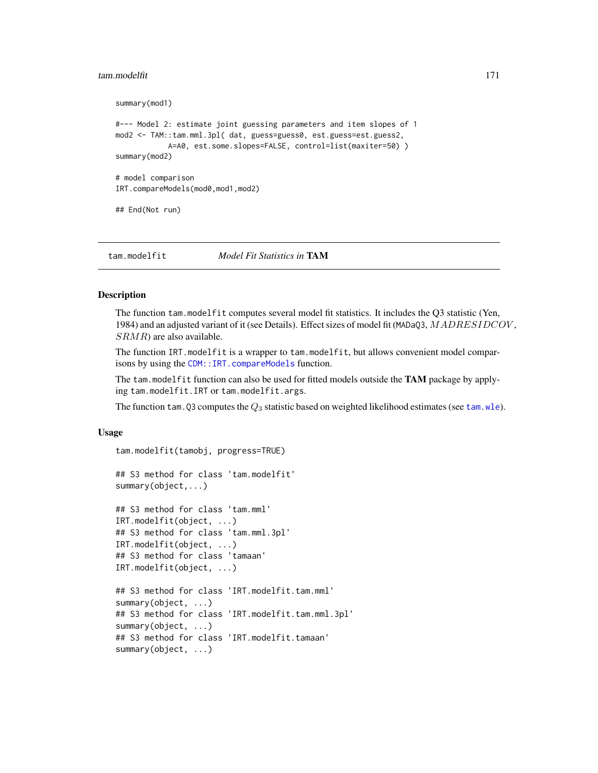### tam.modelfit 171

```
summary(mod1)
#--- Model 2: estimate joint guessing parameters and item slopes of 1
mod2 <- TAM::tam.mml.3pl( dat, guess=guess0, est.guess=est.guess2,
            A=A0, est.some.slopes=FALSE, control=list(maxiter=50) )
summary(mod2)
# model comparison
IRT.compareModels(mod0,mod1,mod2)
## End(Not run)
```
tam.modelfit *Model Fit Statistics in* TAM

# **Description**

The function tam.modelfit computes several model fit statistics. It includes the Q3 statistic (Yen, 1984) and an adjusted variant of it (see Details). Effect sizes of model fit (MADaQ3, MADRESIDCOV,  $SRMR$ ) are also available.

The function IRT.modelfit is a wrapper to tam.modelfit, but allows convenient model comparisons by using the [CDM::IRT.compareModels](#page-0-0) function.

The tam.modelfit function can also be used for fitted models outside the TAM package by applying tam.modelfit.IRT or tam.modelfit.args.

The function tam. Q3 computes the  $Q_3$  statistic based on weighted likelihood estimates (see [tam.wle](#page-193-0)).

#### Usage

```
tam.modelfit(tamobj, progress=TRUE)
## S3 method for class 'tam.modelfit'
summary(object,...)
## S3 method for class 'tam.mml'
IRT.modelfit(object, ...)
## S3 method for class 'tam.mml.3pl'
IRT.modelfit(object, ...)
## S3 method for class 'tamaan'
IRT.modelfit(object, ...)
## S3 method for class 'IRT.modelfit.tam.mml'
summary(object, ...)
## S3 method for class 'IRT.modelfit.tam.mml.3pl'
summary(object, ...)
## S3 method for class 'IRT.modelfit.tamaan'
summary(object, ...)
```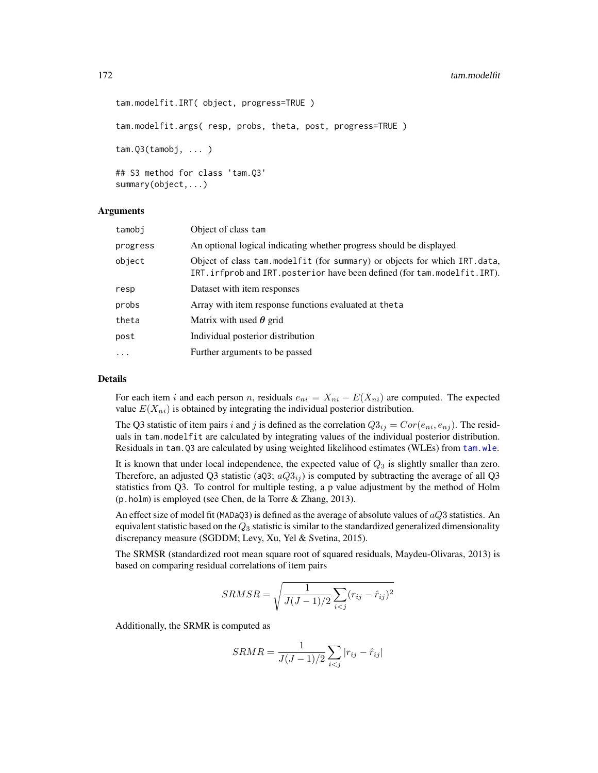```
tam.modelfit.IRT( object, progress=TRUE )
tam.modelfit.args( resp, probs, theta, post, progress=TRUE )
tam.Q3(tamobj, ... )
## S3 method for class 'tam.Q3'
summary(object,...)
```
### Arguments

| tamobi   | Object of class tam                                                                                                                                      |
|----------|----------------------------------------------------------------------------------------------------------------------------------------------------------|
| progress | An optional logical indicating whether progress should be displayed                                                                                      |
| object   | Object of class tam.modelfit (for summary) or objects for which IRT.data,<br>IRT. irfprob and IRT. posterior have been defined (for tam. modelfit. IRT). |
| resp     | Dataset with item responses                                                                                                                              |
| probs    | Array with item response functions evaluated at the ta                                                                                                   |
| theta    | Matrix with used $\theta$ grid                                                                                                                           |
| post     | Individual posterior distribution                                                                                                                        |
| $\cdots$ | Further arguments to be passed                                                                                                                           |

### Details

For each item i and each person n, residuals  $e_{ni} = X_{ni} - E(X_{ni})$  are computed. The expected value  $E(X_{ni})$  is obtained by integrating the individual posterior distribution.

The Q3 statistic of item pairs i and j is defined as the correlation  $Q3_{ij} = Cor(e_{ni}, e_{nj})$ . The residuals in tam.modelfit are calculated by integrating values of the individual posterior distribution. Residuals in tam.Q3 are calculated by using weighted likelihood estimates (WLEs) from [tam.wle](#page-193-0).

It is known that under local independence, the expected value of  $Q_3$  is slightly smaller than zero. Therefore, an adjusted Q3 statistic (aQ3;  $aQ3_{ij}$ ) is computed by subtracting the average of all Q3 statistics from Q3. To control for multiple testing, a p value adjustment by the method of Holm (p.holm) is employed (see Chen, de la Torre & Zhang, 2013).

An effect size of model fit (MADaQ3) is defined as the average of absolute values of  $aQ3$  statistics. An equivalent statistic based on the  $Q_3$  statistic is similar to the standardized generalized dimensionality discrepancy measure (SGDDM; Levy, Xu, Yel & Svetina, 2015).

The SRMSR (standardized root mean square root of squared residuals, Maydeu-Olivaras, 2013) is based on comparing residual correlations of item pairs

$$
SRMSR = \sqrt{\frac{1}{J(J-1)/2} \sum_{i < j} (r_{ij} - \hat{r}_{ij})^2}
$$

Additionally, the SRMR is computed as

$$
SRMR = \frac{1}{J(J-1)/2} \sum_{i < j} |r_{ij} - \hat{r}_{ij}|
$$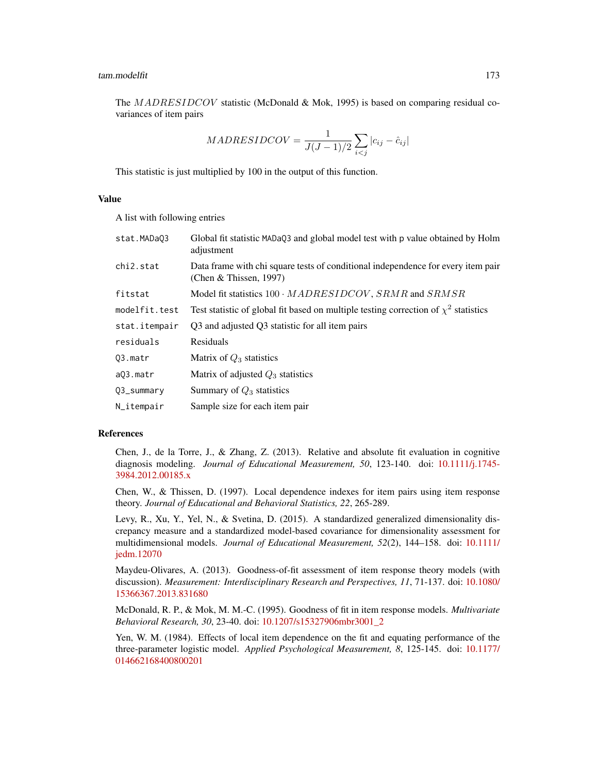The MADRESIDCOV statistic (McDonald & Mok, 1995) is based on comparing residual covariances of item pairs

$$
MADRESIDCOV = \frac{1}{J(J-1)/2} \sum_{i < j} |c_{ij} - \hat{c}_{ij}|
$$

This statistic is just multiplied by 100 in the output of this function.

# Value

A list with following entries

| stat.MADaQ3   | Global fit statistic MADaQ3 and global model test with p value obtained by Holm<br>adjustment              |
|---------------|------------------------------------------------------------------------------------------------------------|
| chi2.stat     | Data frame with chi square tests of conditional independence for every item pair<br>(Chen & Thissen, 1997) |
| fitstat       | Model fit statistics $100 \cdot MADRESIDCOV$ , $SRMR$ and $SRMSR$                                          |
| modelfit.test | Test statistic of global fit based on multiple testing correction of $\chi^2$ statistics                   |
| stat.itempair | Q3 and adjusted Q3 statistic for all item pairs                                                            |
| residuals     | Residuals                                                                                                  |
| Q3.matr       | Matrix of $Q_3$ statistics                                                                                 |
| a03.matr      | Matrix of adjusted $Q_3$ statistics                                                                        |
| Q3_summary    | Summary of $Q_3$ statistics                                                                                |
| N_itempair    | Sample size for each item pair                                                                             |

# References

Chen, J., de la Torre, J., & Zhang, Z. (2013). Relative and absolute fit evaluation in cognitive diagnosis modeling. *Journal of Educational Measurement, 50*, 123-140. doi: [10.1111/j.1745-](https://doi.org/10.1111/j.1745-3984.2012.00185.x) [3984.2012.00185.x](https://doi.org/10.1111/j.1745-3984.2012.00185.x)

Chen, W., & Thissen, D. (1997). Local dependence indexes for item pairs using item response theory. *Journal of Educational and Behavioral Statistics, 22*, 265-289.

Levy, R., Xu, Y., Yel, N., & Svetina, D. (2015). A standardized generalized dimensionality discrepancy measure and a standardized model-based covariance for dimensionality assessment for multidimensional models. *Journal of Educational Measurement, 52*(2), 144–158. doi: [10.1111/](https://doi.org/10.1111/jedm.12070) [jedm.12070](https://doi.org/10.1111/jedm.12070)

Maydeu-Olivares, A. (2013). Goodness-of-fit assessment of item response theory models (with discussion). *Measurement: Interdisciplinary Research and Perspectives, 11*, 71-137. doi: [10.1080/](https://doi.org/10.1080/15366367.2013.831680) [15366367.2013.831680](https://doi.org/10.1080/15366367.2013.831680)

McDonald, R. P., & Mok, M. M.-C. (1995). Goodness of fit in item response models. *Multivariate Behavioral Research, 30*, 23-40. doi: [10.1207/s15327906mbr3001\\_2](https://doi.org/10.1207/s15327906mbr3001_2)

Yen, W. M. (1984). Effects of local item dependence on the fit and equating performance of the three-parameter logistic model. *Applied Psychological Measurement, 8*, 125-145. doi: [10.1177/](https://doi.org/10.1177/014662168400800201) [014662168400800201](https://doi.org/10.1177/014662168400800201)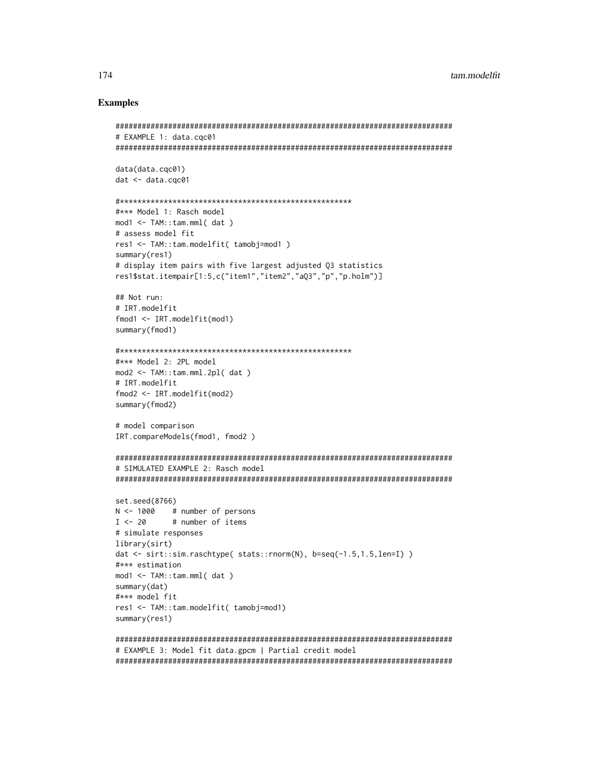### **Examples**

```
# EXAMPLE 1: data.coc01
data(data.cqc01)
dat < - data.cqc01#*** Model 1: Rasch model
mod1 <- TAM::tan.mml (dat)
# assess model fit
res1 <- TAM::tam.modelfit( tamobj=mod1)
summary(res1)
# display item pairs with five largest adjusted 03 statistics
res1$stat.itempair[1:5,c("item1","item2","aQ3","p","p.holm")]
## Not run:
# IRT.modelfit
fmod1 < -IRT.modelfit(mod1)
summary(fmod1)
#*** Model 2: 2PL model
mod2 < - TAM::tan.mml.2pl (dat)
# IRT.modelfit
fmod2 \leq -IRT.modelfit(mod2)
summary(fmod2)
# model comparison
IRT.compareModels(fmod1, fmod2)
# SIMULATED EXAMPLE 2: Rasch model
set.seed(8766)
N \le -1000 # number of persons
I \leftarrow 20# number of items
# simulate responses
library(sirt)
dat <- sirt::sim.raschtype( stats::rnorm(N), b=seq(-1.5,1.5,len=I))
#*** estimation
mod1 <- TAM::tam.mml(dat)
summary(dat)
#*** model fit
res1 <- TAM::tam.modelfit( tamobj=mod1)
summary(res1)
# EXAMPLE 3: Model fit data.gpcm | Partial credit model
```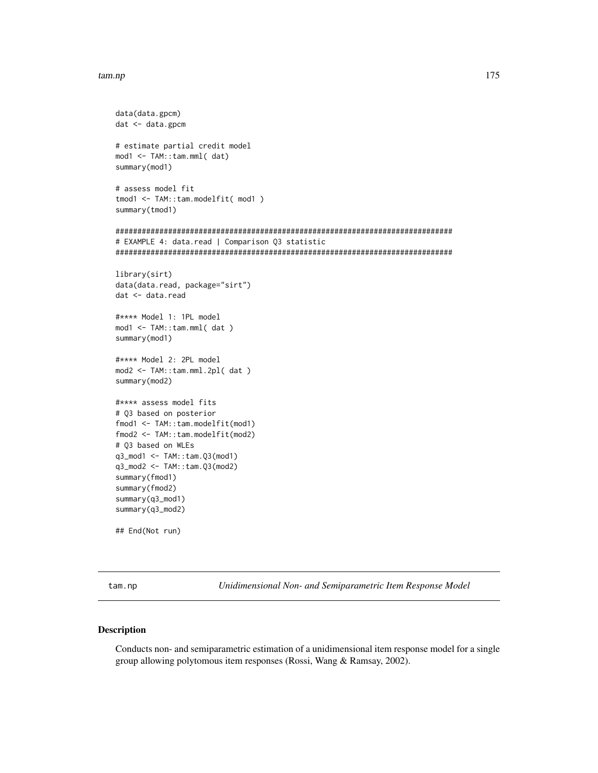### tam.np 175

```
data(data.gpcm)
dat <- data.gpcm
# estimate partial credit model
mod1 <- TAM::tam.mml( dat)
summary(mod1)
# assess model fit
tmod1 <- TAM::tam.modelfit( mod1 )
summary(tmod1)
#############################################################################
# EXAMPLE 4: data.read | Comparison Q3 statistic
#############################################################################
library(sirt)
data(data.read, package="sirt")
dat <- data.read
#**** Model 1: 1PL model
mod1 <- TAM::tam.mml( dat )
summary(mod1)
#**** Model 2: 2PL model
mod2 <- TAM::tam.mml.2pl( dat )
summary(mod2)
#**** assess model fits
# Q3 based on posterior
fmod1 <- TAM::tam.modelfit(mod1)
fmod2 <- TAM::tam.modelfit(mod2)
# Q3 based on WLEs
q3_mod1 <- TAM::tam.Q3(mod1)
q3_mod2 <- TAM::tam.Q3(mod2)
summary(fmod1)
summary(fmod2)
summary(q3_mod1)
summary(q3_mod2)
## End(Not run)
```
tam.np *Unidimensional Non- and Semiparametric Item Response Model*

# Description

Conducts non- and semiparametric estimation of a unidimensional item response model for a single group allowing polytomous item responses (Rossi, Wang & Ramsay, 2002).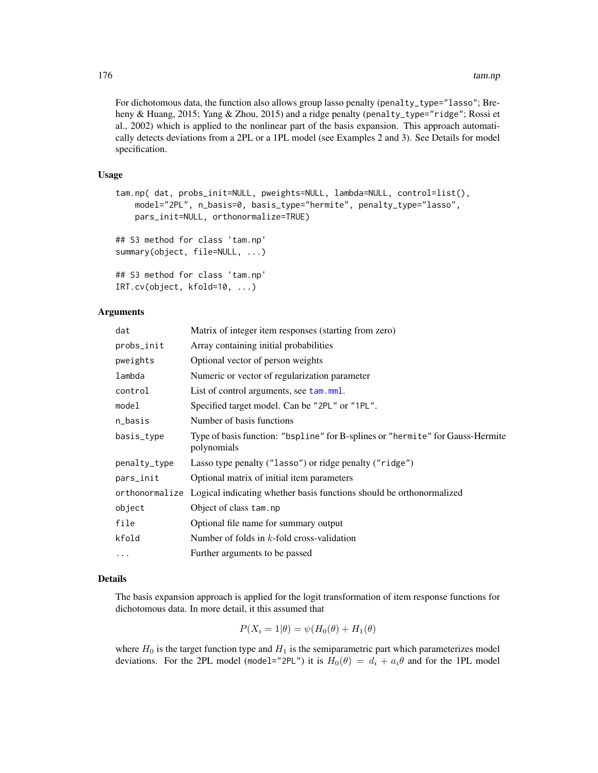For dichotomous data, the function also allows group lasso penalty (penalty\_type="lasso"; Breheny & Huang, 2015; Yang & Zhou, 2015) and a ridge penalty (penalty\_type="ridge"; Rossi et al., 2002) which is applied to the nonlinear part of the basis expansion. This approach automatically detects deviations from a 2PL or a 1PL model (see Examples 2 and 3). See Details for model specification.

### Usage

```
tam.np( dat, probs_init=NULL, pweights=NULL, lambda=NULL, control=list(),
   model="2PL", n_basis=0, basis_type="hermite", penalty_type="lasso",
   pars_init=NULL, orthonormalize=TRUE)
## S3 method for class 'tam.np'
summary(object, file=NULL, ...)
## S3 method for class 'tam.np'
IRT.cv(object, kfold=10, ...)
```
### Arguments

| dat          | Matrix of integer item responses (starting from zero)                                         |
|--------------|-----------------------------------------------------------------------------------------------|
| probs_init   | Array containing initial probabilities                                                        |
| pweights     | Optional vector of person weights                                                             |
| lambda       | Numeric or vector of regularization parameter                                                 |
| control      | List of control arguments, see tam.mml.                                                       |
| model        | Specified target model. Can be "2PL" or "1PL".                                                |
| n_basis      | Number of basis functions                                                                     |
| basis_type   | Type of basis function: "bspline" for B-splines or "hermite" for Gauss-Hermite<br>polynomials |
| penalty_type | Lasso type penalty ("lasso") or ridge penalty ("ridge")                                       |
| pars_init    | Optional matrix of initial item parameters                                                    |
|              | orthonormalize Logical indicating whether basis functions should be orthonormalized           |
| object       | Object of class tam.np                                                                        |
| file         | Optional file name for summary output                                                         |
| kfold        | Number of folds in $k$ -fold cross-validation                                                 |
| $\ddotsc$    | Further arguments to be passed                                                                |
|              |                                                                                               |

# Details

The basis expansion approach is applied for the logit transformation of item response functions for dichotomous data. In more detail, it this assumed that

$$
P(X_i = 1 | \theta) = \psi(H_0(\theta) + H_1(\theta))
$$

where  $H_0$  is the target function type and  $H_1$  is the semiparametric part which parameterizes model deviations. For the 2PL model (model="2PL") it is  $H_0(\theta) = d_i + a_i \theta$  and for the 1PL model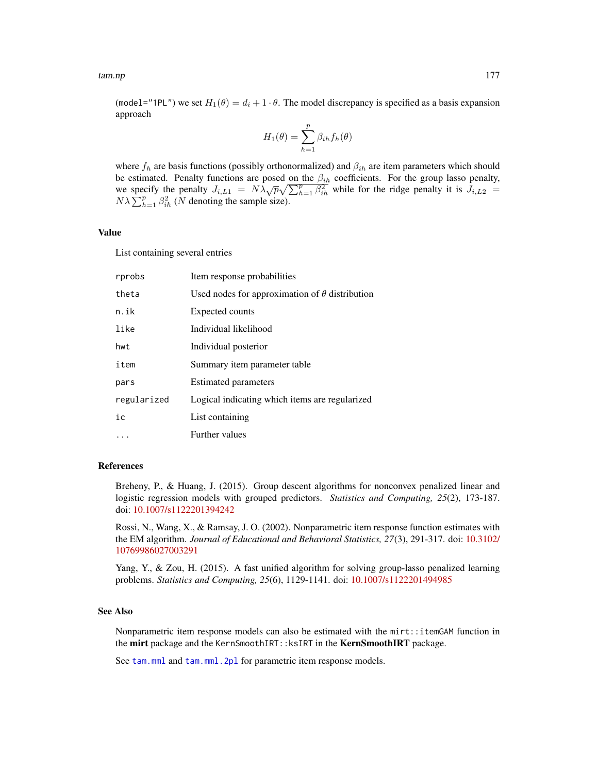(model="1PL") we set  $H_1(\theta) = d_i + 1 \cdot \theta$ . The model discrepancy is specified as a basis expansion approach

$$
H_1(\theta) = \sum_{h=1}^{p} \beta_{ih} f_h(\theta)
$$

where  $f_h$  are basis functions (possibly orthonormalized) and  $\beta_{ih}$  are item parameters which should be estimated. Penalty functions are posed on the  $\beta_{ih}$  coefficients. For the group lasso penalty, be estimated. Tenaty functions are posed on the  $p_{ih}$  coefficients. For the group fasso penalty,<br>we specify the penalty  $J_{i,L1} = N\lambda \sqrt{p} \sqrt{\sum_{h=1}^{p} \beta_{ih}^2}$  while for the ridge penalty it is  $J_{i,L2}$  $N\lambda \sum_{h=1}^{p} \beta_{ih}^2$  (N denoting the sample size).

# Value

List containing several entries

| rprobs      | Item response probabilities                           |
|-------------|-------------------------------------------------------|
| theta       | Used nodes for approximation of $\theta$ distribution |
| n.ik        | Expected counts                                       |
| like        | Individual likelihood                                 |
| hwt         | Individual posterior                                  |
| item        | Summary item parameter table                          |
| pars        | <b>Estimated parameters</b>                           |
| regularized | Logical indicating which items are regularized        |
| ic          | List containing                                       |
|             | <b>Further values</b>                                 |

#### References

Breheny, P., & Huang, J. (2015). Group descent algorithms for nonconvex penalized linear and logistic regression models with grouped predictors. *Statistics and Computing, 25*(2), 173-187. doi: [10.1007/s1122201394242](https://doi.org/10.1007/s11222-013-9424-2)

Rossi, N., Wang, X., & Ramsay, J. O. (2002). Nonparametric item response function estimates with the EM algorithm. *Journal of Educational and Behavioral Statistics, 27*(3), 291-317. doi: [10.3102/](https://doi.org/10.3102/10769986027003291) [10769986027003291](https://doi.org/10.3102/10769986027003291)

Yang, Y., & Zou, H. (2015). A fast unified algorithm for solving group-lasso penalized learning problems. *Statistics and Computing, 25*(6), 1129-1141. doi: [10.1007/s1122201494985](https://doi.org/10.1007/s11222-014-9498-5)

#### See Also

Nonparametric item response models can also be estimated with the mirt::itemGAM function in the mirt package and the KernSmoothIRT:: ksIRT in the KernSmoothIRT package.

See [tam.mml](#page-111-0) and [tam.mml.2pl](#page-112-0) for parametric item response models.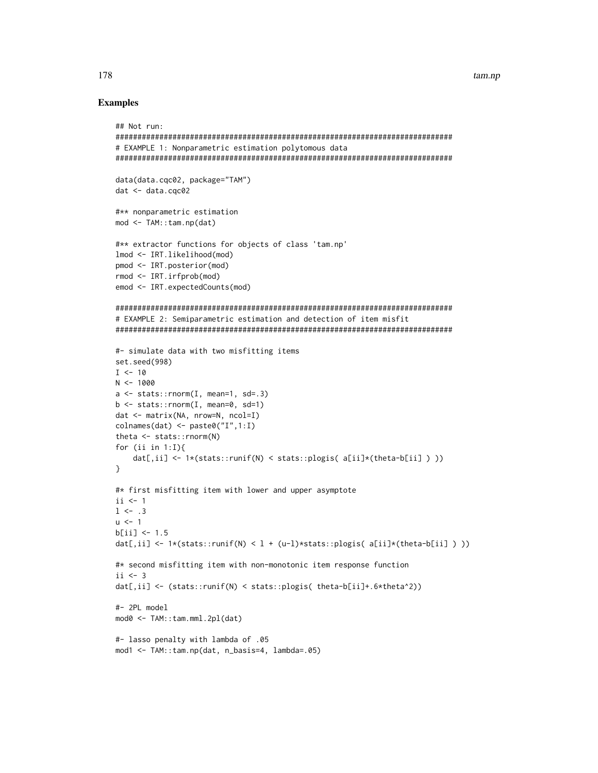### **Examples**

```
## Not run:
# EXAMPLE 1: Nonparametric estimation polytomous data
data(data.cqc02, package="TAM")
dat < - data.cqc02#** nonparametric estimation
mod <- TAM::tam.np(dat)
#** extractor functions for objects of class 'tam.np'
lmod <- IRT.likelihood(mod)
pmod <- IRT.posterior(mod)
rmod \leftarrow \text{IRT}.\text{irfprob}(\text{mod})emod <- IRT.expectedCounts(mod)
# EXAMPLE 2: Semiparametric estimation and detection of item misfit
#- simulate data with two misfitting items
set.seed(998)
I < -10N < -1000a \leftarrow stats:: rnorm(I, mean=1, sd=.3)
b \le - stats:: rnorm(I, mean=0, sd=1)
dat \leftarrow matrix(NA, nrow=N, ncol=I)\text{colnames}(\text{dat}) \leq \text{past}(\text{"I", 1:I})theta <- stats::rnorm(N)
for (ii in 1:1){
   dat[,ii] <- 1*(stats::runif(N) < stats::plogis( a[ii]*(theta-b[ii] ) ))
ł
#* first misfitting item with lower and upper asymptote
ii \leq 1
1 \le - .3u \leq -1b[i] <- 1.5
dat[,ii] <- 1*(stats::runif(N) < 1 + (u-1)*stats::plogis( a[ii]*(theta-b[ii] )))
#* second misfitting item with non-monotonic item response function
i i < -3dat[,ii] <- (stats::runif(N) < stats::plogis( theta-b[ii]+.6*theta^2))
#- 2PL model
mod0 <- TAM::tam.mml.2pl(dat)
#- lasso penalty with lambda of .05
mod1 <- TAM::tam.np(dat, n_basis=4, lambda=.05)
```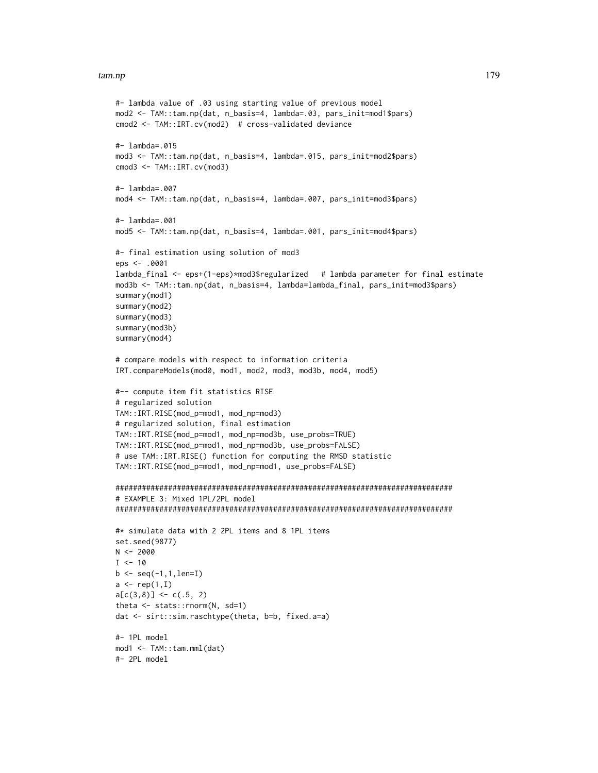### tam.np 2008 2012 2022 2023 2024 2022 2022 2023 2024 2022 2023 2024 2022 2023 2024 2022 2023 2024 2022 2023 2024 2022 2023 2024 2022 2023 2024 2022 2023 2024 2022 2023 2024 2022 2023 2024 2022 2023 2024 2022 2023 2024 2022

```
#- lambda value of .03 using starting value of previous model
mod2 <- TAM::tam.np(dat, n_basis=4, lambda=.03, pars_init=mod1$pars)
cmod2 <- TAM::IRT.cv(mod2) # cross-validated deviance
#- lambda=.015
mod3 <- TAM::tam.np(dat, n_basis=4, lambda=.015, pars_init=mod2$pars)
cmod3 <- TAM::IRT.cv(mod3)
#- lambda=.007
mod4 <- TAM::tam.np(dat, n_basis=4, lambda=.007, pars_init=mod3$pars)
#- lambda=.001
mod5 <- TAM::tam.np(dat, n_basis=4, lambda=.001, pars_init=mod4$pars)
#- final estimation using solution of mod3
eps <- .0001
lambda_final <- eps+(1-eps)*mod3$regularized # lambda parameter for final estimate
mod3b <- TAM::tam.np(dat, n_basis=4, lambda=lambda_final, pars_init=mod3$pars)
summary(mod1)
summary(mod2)
summary(mod3)
summary(mod3b)
summary(mod4)
# compare models with respect to information criteria
IRT.compareModels(mod0, mod1, mod2, mod3, mod3b, mod4, mod5)
#-- compute item fit statistics RISE
# regularized solution
TAM::IRT.RISE(mod_p=mod1, mod_np=mod3)
# regularized solution, final estimation
TAM::IRT.RISE(mod_p=mod1, mod_np=mod3b, use_probs=TRUE)
TAM::IRT.RISE(mod_p=mod1, mod_np=mod3b, use_probs=FALSE)
# use TAM::IRT.RISE() function for computing the RMSD statistic
TAM::IRT.RISE(mod_p=mod1, mod_np=mod1, use_probs=FALSE)
#############################################################################
# EXAMPLE 3: Mixed 1PL/2PL model
#############################################################################
#* simulate data with 2 2PL items and 8 1PL items
set.seed(9877)
N < -2000I < -10b \leq -\text{seq}(-1, 1, \text{len=I})a \leftarrow \text{rep}(1, I)a[c(3,8)] \leftarrow c(.5, 2)theta <- stats::rnorm(N, sd=1)
dat <- sirt::sim.raschtype(theta, b=b, fixed.a=a)
#- 1PL model
mod1 <- TAM::tam.mml(dat)
#- 2PL model
```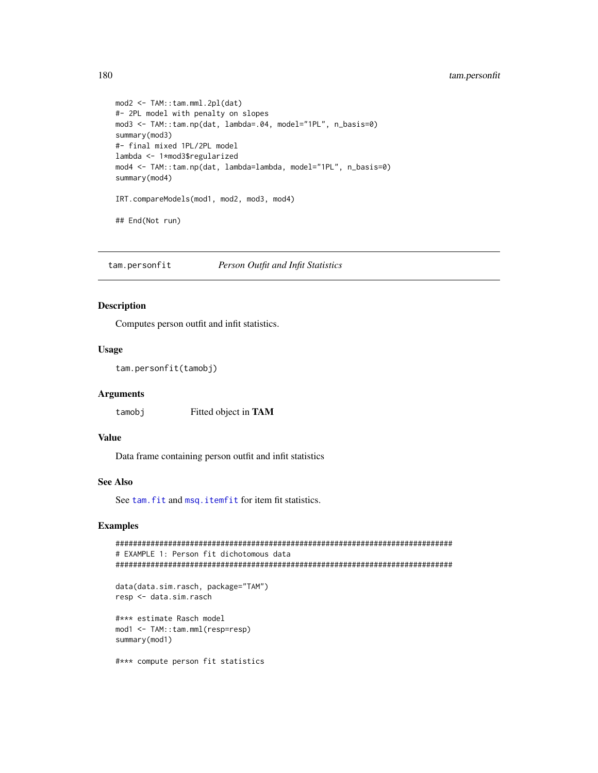# 180 tam.personfit

```
mod2 <- TAM::tam.mml.2pl(dat)
#- 2PL model with penalty on slopes
mod3 <- TAM::tam.np(dat, lambda=.04, model="1PL", n_basis=0)
summary(mod3)
#- final mixed 1PL/2PL model
lambda <- 1*mod3$regularized
mod4 <- TAM::tam.np(dat, lambda=lambda, model="1PL", n_basis=0)
summary(mod4)
IRT.compareModels(mod1, mod2, mod3, mod4)
## End(Not run)
```
tam.personfit *Person Outfit and Infit Statistics*

# Description

Computes person outfit and infit statistics.

### Usage

```
tam.personfit(tamobj)
```
### Arguments

tamobj Fitted object in TAM

### Value

Data frame containing person outfit and infit statistics

## See Also

See tam. fit and msq. itemfit for item fit statistics.

# Examples

```
#############################################################################
# EXAMPLE 1: Person fit dichotomous data
#############################################################################
data(data.sim.rasch, package="TAM")
resp <- data.sim.rasch
#*** estimate Rasch model
mod1 <- TAM::tam.mml(resp=resp)
summary(mod1)
#*** compute person fit statistics
```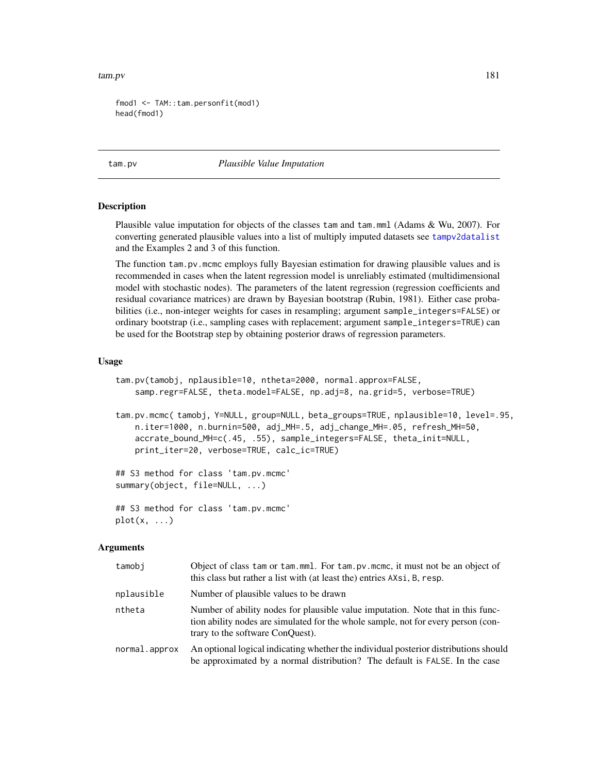```
fmod1 <- TAM::tam.personfit(mod1)
head(fmod1)
```
<span id="page-180-0"></span>tam.pv *Plausible Value Imputation*

#### **Description**

Plausible value imputation for objects of the classes tam and tam.mml (Adams & Wu, 2007). For converting generated plausible values into a list of multiply imputed datasets see [tampv2datalist](#page-213-0) and the Examples 2 and 3 of this function.

The function tam.pv.mcmc employs fully Bayesian estimation for drawing plausible values and is recommended in cases when the latent regression model is unreliably estimated (multidimensional model with stochastic nodes). The parameters of the latent regression (regression coefficients and residual covariance matrices) are drawn by Bayesian bootstrap (Rubin, 1981). Either case probabilities (i.e., non-integer weights for cases in resampling; argument sample\_integers=FALSE) or ordinary bootstrap (i.e., sampling cases with replacement; argument sample\_integers=TRUE) can be used for the Bootstrap step by obtaining posterior draws of regression parameters.

#### Usage

```
tam.pv(tamobj, nplausible=10, ntheta=2000, normal.approx=FALSE,
   samp.regr=FALSE, theta.model=FALSE, np.adj=8, na.grid=5, verbose=TRUE)
```
tam.pv.mcmc( tamobj, Y=NULL, group=NULL, beta\_groups=TRUE, nplausible=10, level=.95, n.iter=1000, n.burnin=500, adj\_MH=.5, adj\_change\_MH=.05, refresh\_MH=50, accrate\_bound\_MH=c(.45, .55), sample\_integers=FALSE, theta\_init=NULL, print\_iter=20, verbose=TRUE, calc\_ic=TRUE)

```
## S3 method for class 'tam.pv.mcmc'
summary(object, file=NULL, ...)
```
## S3 method for class 'tam.pv.mcmc'  $plot(x, \ldots)$ 

# Arguments

| tamobi        | Object of class tam or tam.mml. For tam.pv.mcmc, it must not be an object of<br>this class but rather a list with (at least the) entries AXsi, B, resp.                                                  |
|---------------|----------------------------------------------------------------------------------------------------------------------------------------------------------------------------------------------------------|
| nplausible    | Number of plausible values to be drawn                                                                                                                                                                   |
| ntheta        | Number of ability nodes for plausible value imputation. Note that in this func-<br>tion ability nodes are simulated for the whole sample, not for every person (con-<br>trary to the software ConQuest). |
| normal.approx | An optional logical indicating whether the individual posterior distributions should<br>be approximated by a normal distribution? The default is FALSE. In the case                                      |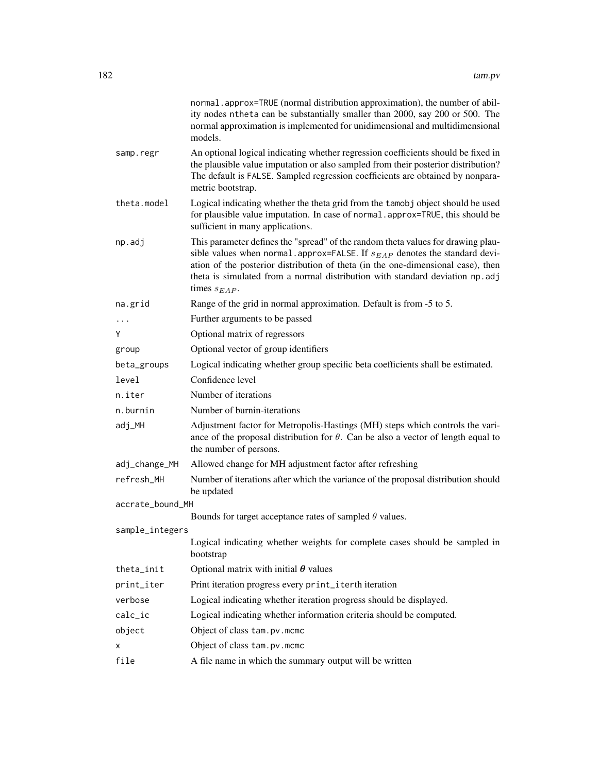|                  | normal.approx=TRUE (normal distribution approximation), the number of abil-<br>ity nodes ntheta can be substantially smaller than 2000, say 200 or 500. The<br>normal approximation is implemented for unidimensional and multidimensional<br>models.                                                                                                         |
|------------------|---------------------------------------------------------------------------------------------------------------------------------------------------------------------------------------------------------------------------------------------------------------------------------------------------------------------------------------------------------------|
| samp.regr        | An optional logical indicating whether regression coefficients should be fixed in<br>the plausible value imputation or also sampled from their posterior distribution?<br>The default is FALSE. Sampled regression coefficients are obtained by nonpara-<br>metric bootstrap.                                                                                 |
| theta.model      | Logical indicating whether the theta grid from the tamobj object should be used<br>for plausible value imputation. In case of normal . approx=TRUE, this should be<br>sufficient in many applications.                                                                                                                                                        |
| np.adj           | This parameter defines the "spread" of the random theta values for drawing plau-<br>sible values when normal. approx=FALSE. If $s_{EAP}$ denotes the standard devi-<br>ation of the posterior distribution of theta (in the one-dimensional case), then<br>theta is simulated from a normal distribution with standard deviation np. adj<br>times $s_{EAP}$ . |
| na.grid          | Range of the grid in normal approximation. Default is from -5 to 5.                                                                                                                                                                                                                                                                                           |
| .                | Further arguments to be passed                                                                                                                                                                                                                                                                                                                                |
| Y                | Optional matrix of regressors                                                                                                                                                                                                                                                                                                                                 |
| group            | Optional vector of group identifiers                                                                                                                                                                                                                                                                                                                          |
| beta_groups      | Logical indicating whether group specific beta coefficients shall be estimated.                                                                                                                                                                                                                                                                               |
| level            | Confidence level                                                                                                                                                                                                                                                                                                                                              |
| n.iter           | Number of iterations                                                                                                                                                                                                                                                                                                                                          |
| n.burnin         | Number of burnin-iterations                                                                                                                                                                                                                                                                                                                                   |
| adj_MH           | Adjustment factor for Metropolis-Hastings (MH) steps which controls the vari-<br>ance of the proposal distribution for $\theta$ . Can be also a vector of length equal to<br>the number of persons.                                                                                                                                                           |
| adj_change_MH    | Allowed change for MH adjustment factor after refreshing                                                                                                                                                                                                                                                                                                      |
| refresh MH       | Number of iterations after which the variance of the proposal distribution should<br>be updated                                                                                                                                                                                                                                                               |
| accrate_bound_MH |                                                                                                                                                                                                                                                                                                                                                               |
|                  | Bounds for target acceptance rates of sampled $\theta$ values.                                                                                                                                                                                                                                                                                                |
| sample_integers  | Logical indicating whether weights for complete cases should be sampled in                                                                                                                                                                                                                                                                                    |
|                  | bootstrap                                                                                                                                                                                                                                                                                                                                                     |
| theta_init       | Optional matrix with initial $\theta$ values                                                                                                                                                                                                                                                                                                                  |
| print_iter       | Print iteration progress every print_iterth iteration                                                                                                                                                                                                                                                                                                         |
| verbose          | Logical indicating whether iteration progress should be displayed.                                                                                                                                                                                                                                                                                            |
| calc_ic          | Logical indicating whether information criteria should be computed.                                                                                                                                                                                                                                                                                           |
| object           | Object of class tam.pv.mcmc                                                                                                                                                                                                                                                                                                                                   |
| x                | Object of class tam.pv.mcmc                                                                                                                                                                                                                                                                                                                                   |
| file             | A file name in which the summary output will be written                                                                                                                                                                                                                                                                                                       |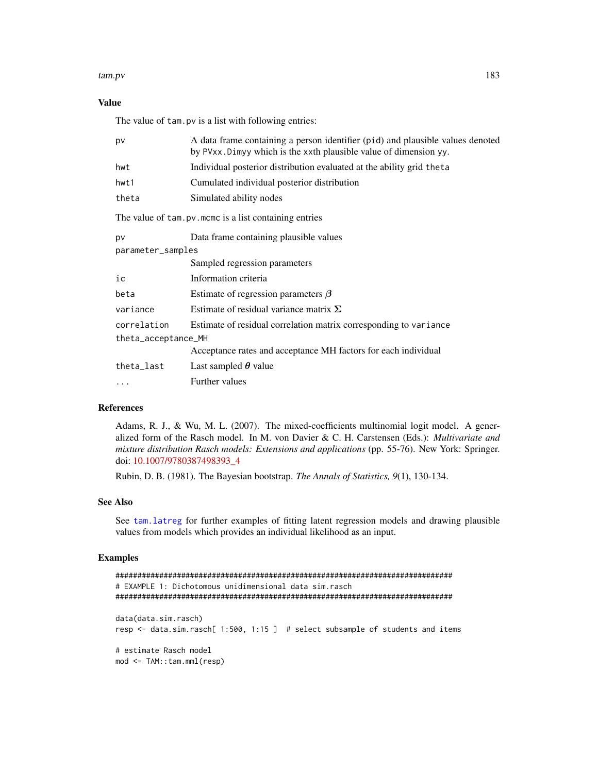# Value

The value of tam.pv is a list with following entries:

| A data frame containing a person identifier (pid) and plausible values denoted<br>by PVxx. Dimyy which is the xxth plausible value of dimension yy. |  |  |
|-----------------------------------------------------------------------------------------------------------------------------------------------------|--|--|
| Individual posterior distribution evaluated at the ability grid theta                                                                               |  |  |
| Cumulated individual posterior distribution                                                                                                         |  |  |
| Simulated ability nodes                                                                                                                             |  |  |
| The value of tam. pv. mcmc is a list containing entries                                                                                             |  |  |
| Data frame containing plausible values                                                                                                              |  |  |
| parameter_samples                                                                                                                                   |  |  |
| Sampled regression parameters                                                                                                                       |  |  |
| Information criteria                                                                                                                                |  |  |
| Estimate of regression parameters $\beta$                                                                                                           |  |  |
| Estimate of residual variance matrix $\Sigma$                                                                                                       |  |  |
| Estimate of residual correlation matrix corresponding to variance                                                                                   |  |  |
| theta_acceptance_MH                                                                                                                                 |  |  |
| Acceptance rates and acceptance MH factors for each individual                                                                                      |  |  |
| Last sampled $\theta$ value                                                                                                                         |  |  |
| Further values                                                                                                                                      |  |  |
|                                                                                                                                                     |  |  |

# References

Adams, R. J., & Wu, M. L. (2007). The mixed-coefficients multinomial logit model. A generalized form of the Rasch model. In M. von Davier & C. H. Carstensen (Eds.): *Multivariate and mixture distribution Rasch models: Extensions and applications* (pp. 55-76). New York: Springer. doi: [10.1007/9780387498393\\_4](https://doi.org/10.1007/978-0-387-49839-3_4)

Rubin, D. B. (1981). The Bayesian bootstrap. *The Annals of Statistics, 9*(1), 130-134.

# See Also

See [tam.latreg](#page-101-0) for further examples of fitting latent regression models and drawing plausible values from models which provides an individual likelihood as an input.

## Examples

```
#############################################################################
# EXAMPLE 1: Dichotomous unidimensional data sim.rasch
#############################################################################
data(data.sim.rasch)
resp <- data.sim.rasch[ 1:500, 1:15 ] # select subsample of students and items
# estimate Rasch model
mod <- TAM::tam.mml(resp)
```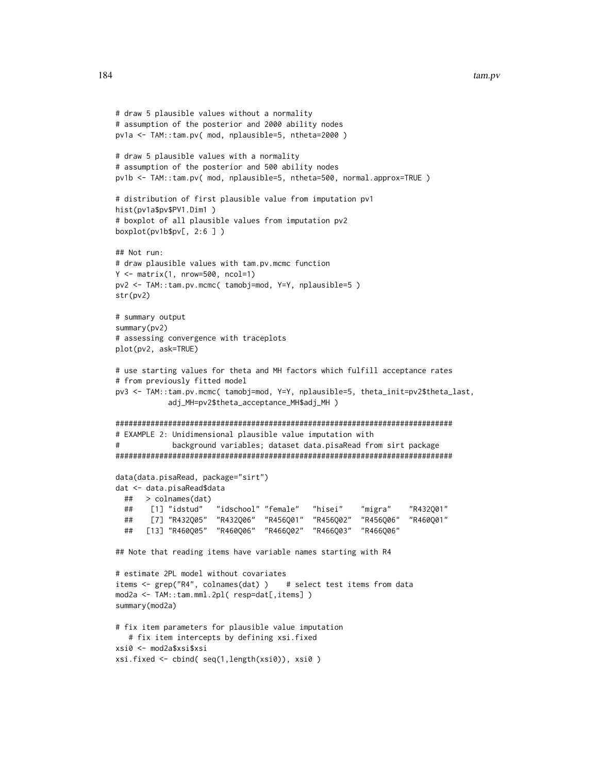```
# draw 5 plausible values without a normality
# assumption of the posterior and 2000 ability nodes
pv1a <- TAM::tam.pv( mod, nplausible=5, ntheta=2000 )
# draw 5 plausible values with a normality
# assumption of the posterior and 500 ability nodes
pv1b <- TAM::tam.pv( mod, nplausible=5, ntheta=500, normal.approx=TRUE )
# distribution of first plausible value from imputation pv1
hist(pv1a$pv$PV1.Dim1 )
# boxplot of all plausible values from imputation pv2
boxplot(pv1b$pv[, 2:6 ] )
## Not run:
# draw plausible values with tam.pv.mcmc function
Y \leq - matrix(1, nrow=500, ncol=1)
pv2 <- TAM::tam.pv.mcmc( tamobj=mod, Y=Y, nplausible=5 )
str(pv2)
# summary output
summary(pv2)
# assessing convergence with traceplots
plot(pv2, ask=TRUE)
# use starting values for theta and MH factors which fulfill acceptance rates
# from previously fitted model
pv3 <- TAM::tam.pv.mcmc( tamobj=mod, Y=Y, nplausible=5, theta_init=pv2$theta_last,
           adj_MH=pv2$theta_acceptance_MH$adj_MH )
#############################################################################
# EXAMPLE 2: Unidimensional plausible value imputation with
# background variables; dataset data.pisaRead from sirt package
#############################################################################
data(data.pisaRead, package="sirt")
dat <- data.pisaRead$data
 ## > colnames(dat)
 ## [1] "idstud" "idschool" "female" "hisei" "migra" "R432Q01"
 ## [7] "R432Q05" "R432Q06" "R456Q01" "R456Q02" "R456Q06" "R460Q01"
 ## [13] "R460Q05" "R460Q06" "R466Q02" "R466Q03" "R466Q06"
## Note that reading items have variable names starting with R4
# estimate 2PL model without covariates
items <- grep("R4", colnames(dat) ) # select test items from data
mod2a <- TAM::tam.mml.2pl( resp=dat[,items] )
summary(mod2a)
# fix item parameters for plausible value imputation
  # fix item intercepts by defining xsi.fixed
xsi0 <- mod2a$xsi$xsi
xsi.fixed <- cbind( seq(1,length(xsi0)), xsi0 )
```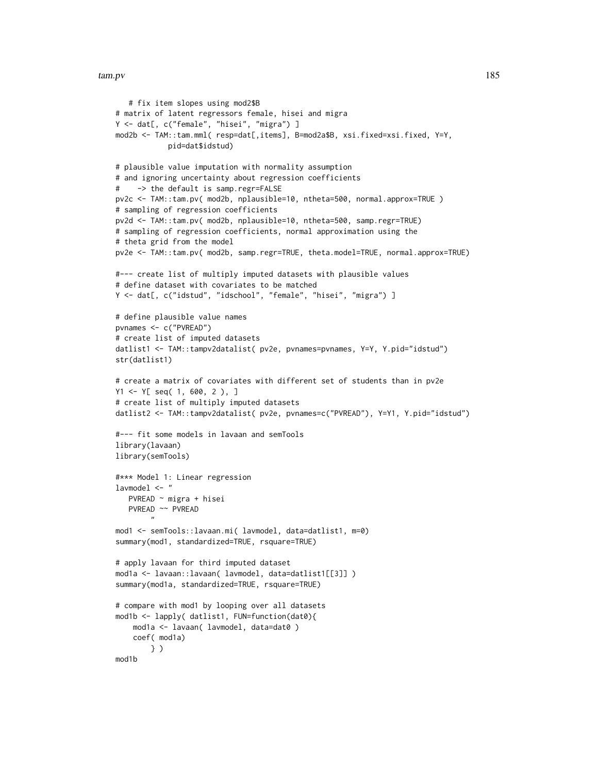```
# fix item slopes using mod2$B
# matrix of latent regressors female, hisei and migra
Y <- dat[, c("female", "hisei", "migra") ]
mod2b <- TAM::tam.mml( resp=dat[,items], B=mod2a$B, xsi.fixed=xsi.fixed, Y=Y,
            pid=dat$idstud)
# plausible value imputation with normality assumption
# and ignoring uncertainty about regression coefficients
# -> the default is samp.regr=FALSE
pv2c <- TAM::tam.pv( mod2b, nplausible=10, ntheta=500, normal.approx=TRUE )
# sampling of regression coefficients
pv2d <- TAM::tam.pv( mod2b, nplausible=10, ntheta=500, samp.regr=TRUE)
# sampling of regression coefficients, normal approximation using the
# theta grid from the model
pv2e <- TAM::tam.pv( mod2b, samp.regr=TRUE, theta.model=TRUE, normal.approx=TRUE)
#--- create list of multiply imputed datasets with plausible values
# define dataset with covariates to be matched
Y <- dat[, c("idstud", "idschool", "female", "hisei", "migra") ]
# define plausible value names
pvnames <- c("PVREAD")
# create list of imputed datasets
datlist1 <- TAM::tampv2datalist( pv2e, pvnames=pvnames, Y=Y, Y.pid="idstud")
str(datlist1)
# create a matrix of covariates with different set of students than in pv2e
Y1 <- Y[ seq( 1, 600, 2 ), ]
# create list of multiply imputed datasets
datlist2 <- TAM::tampv2datalist( pv2e, pvnames=c("PVREAD"), Y=Y1, Y.pid="idstud")
#--- fit some models in lavaan and semTools
library(lavaan)
library(semTools)
#*** Model 1: Linear regression
lavmodel <- "
   PVREAD ~ migra + hisei
   PVREAD ~~ PVREAD
        "
mod1 <- semTools::lavaan.mi( lavmodel, data=datlist1, m=0)
summary(mod1, standardized=TRUE, rsquare=TRUE)
# apply lavaan for third imputed dataset
mod1a <- lavaan::lavaan( lavmodel, data=datlist1[[3]] )
summary(mod1a, standardized=TRUE, rsquare=TRUE)
# compare with mod1 by looping over all datasets
mod1b <- lapply( datlist1, FUN=function(dat0){
    mod1a <- lavaan( lavmodel, data=dat0 )
    coef( mod1a)
       } )
mod1b
```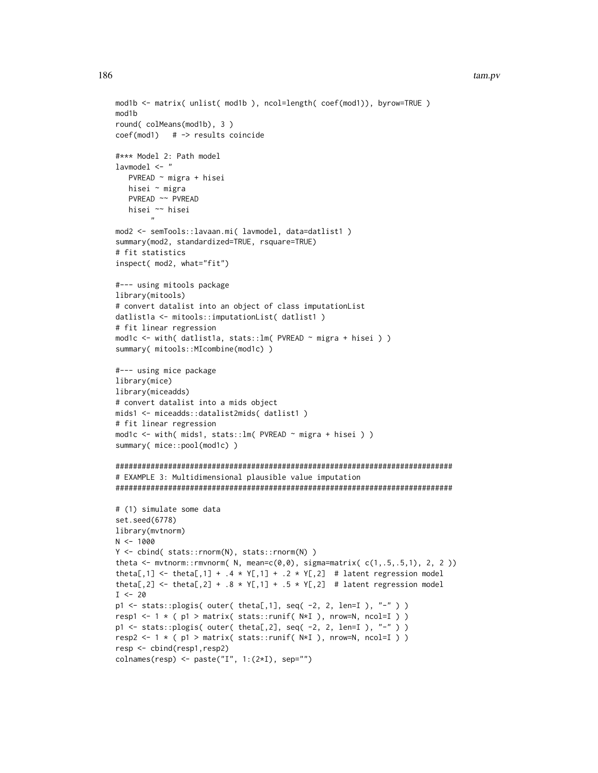```
mod1b <- matrix( unlist( mod1b ), ncol=length( coef(mod1)), byrow=TRUE )
mod1b
round(colMeans(mod1b), 3)
coef(mod1) # -> results coincide
#*** Model 2: Path model
lawmodel < - "
  PVREAD ~ migra + hisei
  hisei ~ migra
  PVREAD ~~ PVREAD
  hisei ~~ hisei
mod2 <- semTools::lavaan.mi( lavmodel, data=datlist1 )
summary(mod2, standardized=TRUE, rsquare=TRUE)
# fit statistics
inspect( mod2, what="fit")
#--- using mitools package
library(mitools)
# convert datalist into an object of class imputationList
datlist1a <- mitools::imputationList( datlist1)
# fit linear regression
mod1c <- with( datlist1a, stats:: lm( PVREAD ~ migra + hisei ) )
summary( mitools::MIcombine(mod1c) )
#--- using mice package
library(mice)
library(miceadds)
# convert datalist into a mids object
mids1 <- miceadds::datalist2mids( datlist1)
# fit linear regression
mod1c <- with( mids1, stats:: lm( PVREAD ~ migra + hisei ) )
summary( mice::pool(mod1c) )
# EXAMPLE 3: Multidimensional plausible value imputation
# (1) simulate some data
set.seed(6778)
library(mvtnorm)
N < -1000Y \leftarrow \text{cbind}( \text{stats::rnorm}(N), \text{stats::rnorm}(N) )theta <- mvtnorm::rmvnorm(N, mean=c(0,0), sigma=matrix(c(1, .5, .5, 1), 2, 2))
theta[,1] <- theta[,1] + .4 \times Y[,1] + .2 \times Y[,2] # latent regression model
theta[,2] <- theta[,2] + .8 * Y[,1] + .5 * Y[,2] # latent regression model
I \le -20p1 <- stats::plogis( outer( theta[,1], seq( -2, 2, len=I ), "-" ) )
resp1 <- 1 * (p1 > matrix( stats::runif(N*I), nrow=N, ncol=I))
p1 \le - stats::plogis (outer (theta[,2], seq (-2, 2, len=I), "-"))
resp2 <- 1 * (p1 > matrix( stats::runif(N*I), nrow=N, ncol=I))
resp <- cbind(resp1,resp2)
colnames(resp) <- paste("I", 1:(2*I), sep="")
```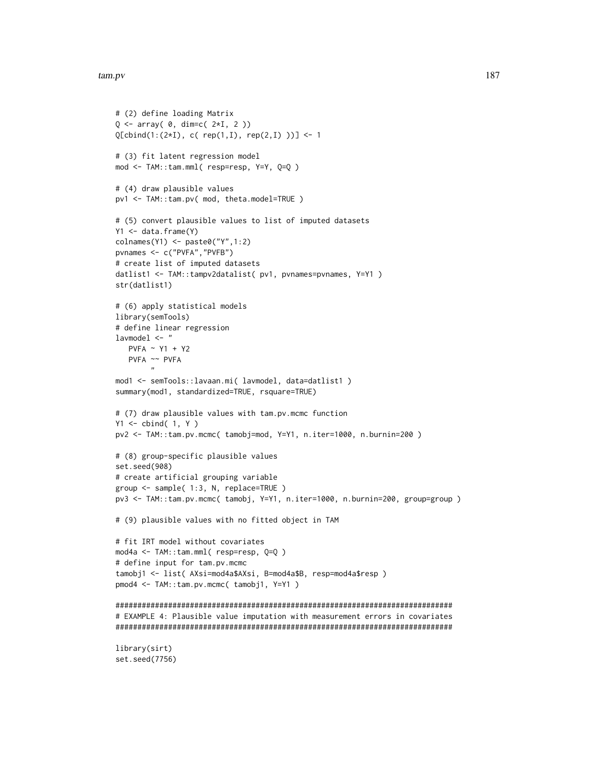set.seed(7756)

```
# (2) define loading Matrix
Q \leftarrow \text{array}() 0, \text{dim=}C(2 \star I, 2))Q[cbind(1:(2*I), c( rep(1,I), rep(2,I)))] <- 1
# (3) fit latent regression model
mod <- TAM::tam.mml( resp=resp, Y=Y, Q=Q )
# (4) draw plausible values
pv1 <- TAM::tam.pv( mod, theta.model=TRUE )
# (5) convert plausible values to list of imputed datasets
Y1 <- data.frame(Y)
\text{colnames}(Y1) \leftarrow \text{paste0}('Y'', 1:2)pvnames <- c("PVFA","PVFB")
# create list of imputed datasets
datlist1 <- TAM::tampv2datalist( pv1, pvnames=pvnames, Y=Y1 )
str(datlist1)
# (6) apply statistical models
library(semTools)
# define linear regression
lavmodel <- "
   PVFA ~ Y1 + Y2
   PVFA ~~ PVFA
        "
mod1 <- semTools::lavaan.mi( lavmodel, data=datlist1 )
summary(mod1, standardized=TRUE, rsquare=TRUE)
# (7) draw plausible values with tam.pv.mcmc function
Y1 <- cbind( 1, Y )
pv2 <- TAM::tam.pv.mcmc( tamobj=mod, Y=Y1, n.iter=1000, n.burnin=200 )
# (8) group-specific plausible values
set.seed(908)
# create artificial grouping variable
group <- sample( 1:3, N, replace=TRUE )
pv3 <- TAM::tam.pv.mcmc( tamobj, Y=Y1, n.iter=1000, n.burnin=200, group=group )
# (9) plausible values with no fitted object in TAM
# fit IRT model without covariates
mod4a <- TAM::tam.mml( resp=resp, Q=Q )
# define input for tam.pv.mcmc
tamobj1 <- list( AXsi=mod4a$AXsi, B=mod4a$B, resp=mod4a$resp )
pmod4 <- TAM::tam.pv.mcmc( tamobj1, Y=Y1 )
#############################################################################
# EXAMPLE 4: Plausible value imputation with measurement errors in covariates
#############################################################################
library(sirt)
```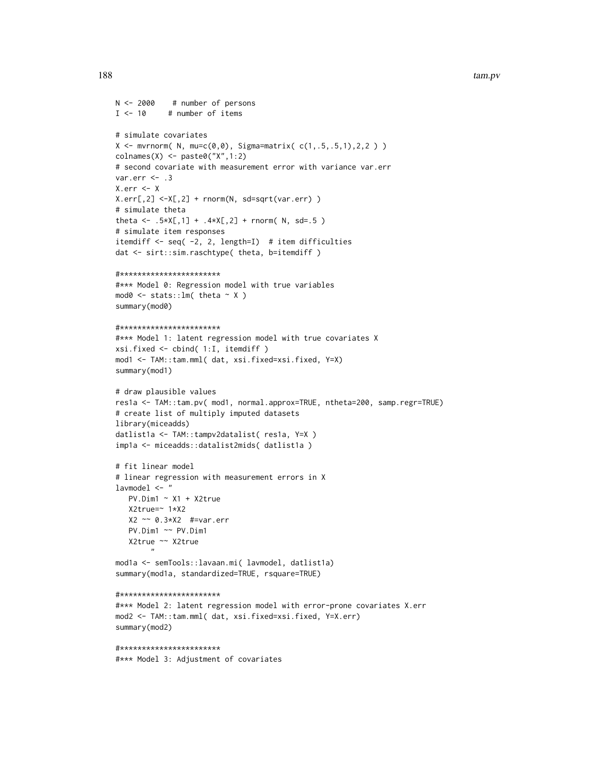```
N < -2000# number of persons
I \leq -10# number of items
# simulate covariates
X \leq -m \text{wrnorm}( N, m \text{u=c}(0,0), Sign \text{a-matrix}( c(1,.5,.5,1),2,2) )collnames(X) \leftarrow paste0("X", 1:2)# second covariate with measurement error with variance var.err
var.err \leq -3X.err < XX.err[, 2] < -X[, 2] + rnorm(N, sd=sqrt(var.err))# simulate theta
theta <- .5*X[,1] + .4*X[,2] + rnorm( N, sd=.5)
# simulate item responses
itemdiff \leq seq(-2, 2, length=I) # item difficulties
dat <- sirt::sim.raschtype( theta, b=itemdiff )
#***********************
#*** Model 0: Regression model with true variables
\text{mod}\emptyset \leq \text{stats}::\text{lm}(\text{theta} \leq X)summary(mod0)
#***********************
#*** Model 1: latent regression model with true covariates X
xsi.fixed <- cbind( 1:I, itemdiff )
mod1 <- TAM::tam.mml(dat, xsi.fixed=xsi.fixed, Y=X)
summary(mod1)
# draw plausible values
res1a <- TAM::tam.pv( mod1, normal.approx=TRUE, ntheta=200, samp.regr=TRUE)
# create list of multiply imputed datasets
library(miceadds)
datlist1a <- TAM::tampv2datalist( res1a, Y=X )
impla <- miceadds::datalist2mids( datlist1a )
# fit linear model
# linear regression with measurement errors in X
1avmode1 < -"
   PV.Dim1 ~ ~ x1 ~ + X2trueX2true=~ 1*X2
   X2 \sim 0.3*X2 #=var.err
   PV.Dim1 ~~ PV.Dim1
   X2true ~~ X2true
modla <- semTools::lavaan.mi( lavmodel, datlist1a)
summary(mod1a, standardized=TRUE, rsquare=TRUE)
#***********************
#*** Model 2: latent regression model with error-prone covariates X.err
mod2 <- TAM::tam.mml( dat, xsi.fixed=xsi.fixed, Y=X.err)
summary(mod2)
#************************
#*** Model 3: Adjustment of covariates
```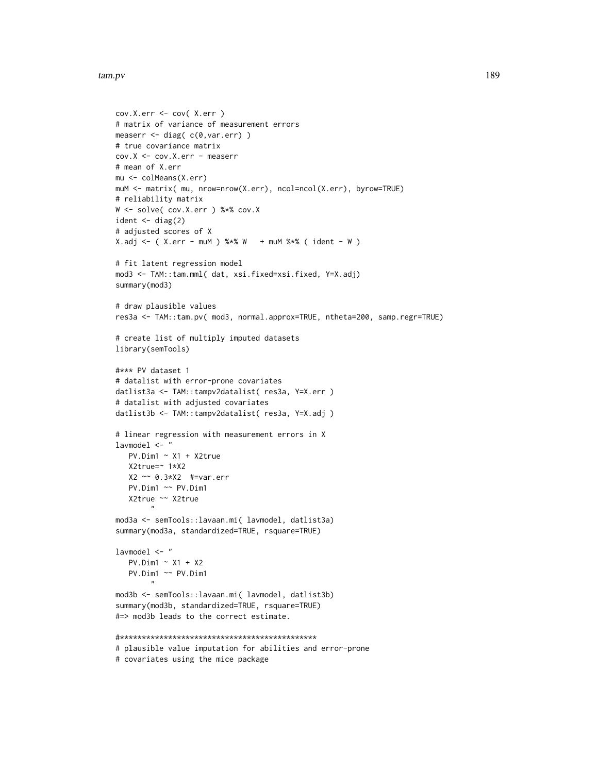```
cov.X.err <- cov( X.err )
# matrix of variance of measurement errors
measerr <- diag( c(0,var.err) )
# true covariance matrix
cov.X <- cov.X.err - measerr
# mean of X.err
mu <- colMeans(X.err)
muM <- matrix( mu, nrow=nrow(X.err), ncol=ncol(X.err), byrow=TRUE)
# reliability matrix
W <- solve( cov.X.err ) %*% cov.X
ident \leq - diag(2)
# adjusted scores of X
X.add \leftarrow ( X.err - muM ) % * % W + muM % * % ( ident - W )# fit latent regression model
mod3 <- TAM::tam.mml( dat, xsi.fixed=xsi.fixed, Y=X.adj)
summary(mod3)
# draw plausible values
res3a <- TAM::tam.pv( mod3, normal.approx=TRUE, ntheta=200, samp.regr=TRUE)
# create list of multiply imputed datasets
library(semTools)
#*** PV dataset 1
# datalist with error-prone covariates
datlist3a <- TAM::tampv2datalist( res3a, Y=X.err )
# datalist with adjusted covariates
datlist3b <- TAM::tampv2datalist( res3a, Y=X.adj )
# linear regression with measurement errors in X
lavmodel <- "
  PV.Dim1 ~ ~ X1 ~ + ~ X2trueX2true=~ 1*X2
  X2 ~~ 0.3*X2 #=var.err
  PV.Dim1 ~~ PV.Dim1
   X2true ~~ X2true
        "
mod3a <- semTools::lavaan.mi( lavmodel, datlist3a)
summary(mod3a, standardized=TRUE, rsquare=TRUE)
lavmodel <- "
   PV.Dim1 ~ X1 + X2
   PV.Dim1 ~~ PV.Dim1
        "
mod3b <- semTools::lavaan.mi( lavmodel, datlist3b)
summary(mod3b, standardized=TRUE, rsquare=TRUE)
#=> mod3b leads to the correct estimate.
#*********************************************
# plausible value imputation for abilities and error-prone
# covariates using the mice package
```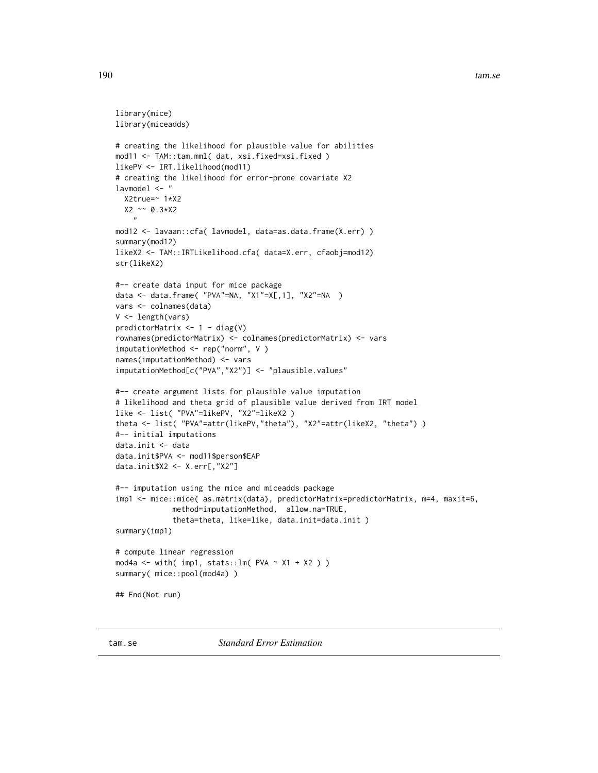#### 190 tam.se

```
library(mice)
library(miceadds)
# creating the likelihood for plausible value for abilities
mod11 <- TAM::tam.mml( dat, xsi.fixed=xsi.fixed )
likePV <- IRT.likelihood(mod11)
# creating the likelihood for error-prone covariate X2
lavmodel <- "
 X2true=~ 1*X2
 X2 ~~ 0.3*X2
    \mathbf{v}mod12 <- lavaan::cfa( lavmodel, data=as.data.frame(X.err) )
summary(mod12)
likeX2 <- TAM::IRTLikelihood.cfa( data=X.err, cfaobj=mod12)
str(likeX2)
#-- create data input for mice package
data <- data.frame( "PVA"=NA, "X1"=X[,1], "X2"=NA )
vars <- colnames(data)
V <- length(vars)
predictorMatrix \leq -1 - diag(V)
rownames(predictorMatrix) <- colnames(predictorMatrix) <- vars
imputationMethod <- rep("norm", V )
names(imputationMethod) <- vars
imputationMethod[c("PVA","X2")] <- "plausible.values"
#-- create argument lists for plausible value imputation
# likelihood and theta grid of plausible value derived from IRT model
like <- list( "PVA"=likePV, "X2"=likeX2 )
theta <- list( "PVA"=attr(likePV,"theta"), "X2"=attr(likeX2, "theta") )
#-- initial imputations
data.init <- data
data.init$PVA <- mod11$person$EAP
data.init$X2 <- X.err[,"X2"]
#-- imputation using the mice and miceadds package
imp1 <- mice::mice( as.matrix(data), predictorMatrix=predictorMatrix, m=4, maxit=6,
             method=imputationMethod, allow.na=TRUE,
             theta=theta, like=like, data.init=data.init )
summary(imp1)
# compute linear regression
mod4a <- with( imp1, stats::lm( PVA ~ X1 + X2 ) )
summary( mice::pool(mod4a) )
## End(Not run)
```
tam.se *Standard Error Estimation*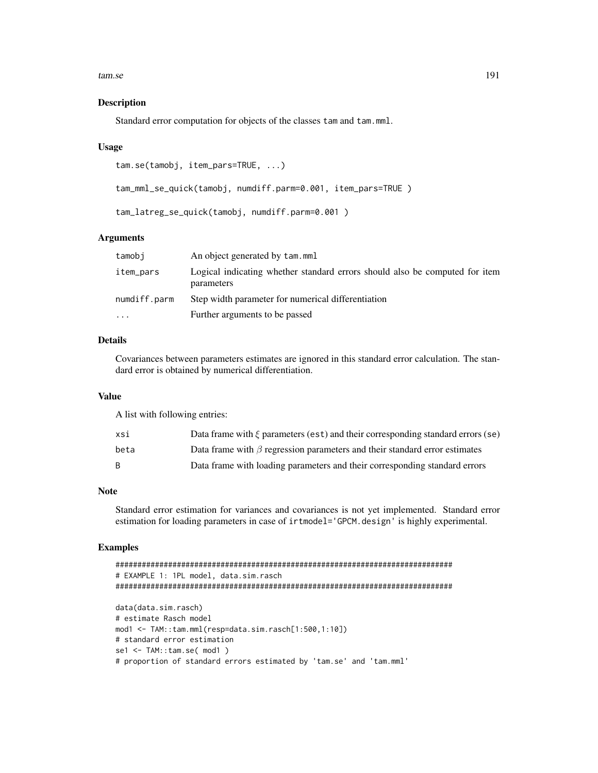tam.se

## **Description**

Standard error computation for objects of the classes tam and tam.mml.

#### **Usage**

```
tam.se(tamobj, item_pars=TRUE, ...)
```
tam\_mml\_se\_quick(tamobj, numdiff.parm=0.001, item\_pars=TRUE)

tam\_latreg\_se\_quick(tamobj, numdiff.parm=0.001)

# **Arguments**

| tamobj       | An object generated by tam.mml                                                            |
|--------------|-------------------------------------------------------------------------------------------|
| item_pars    | Logical indicating whether standard errors should also be computed for item<br>parameters |
| numdiff.parm | Step width parameter for numerical differentiation                                        |
| $\cdots$     | Further arguments to be passed                                                            |

# **Details**

Covariances between parameters estimates are ignored in this standard error calculation. The standard error is obtained by numerical differentiation.

## **Value**

A list with following entries:

| xsi  | Data frame with $\xi$ parameters (est) and their corresponding standard errors (se) |
|------|-------------------------------------------------------------------------------------|
| beta | Data frame with $\beta$ regression parameters and their standard error estimates    |
|      | Data frame with loading parameters and their corresponding standard errors          |

## **Note**

Standard error estimation for variances and covariances is not yet implemented. Standard error estimation for loading parameters in case of irtmodel='GPCM.design' is highly experimental.

# **Examples**

```
# EXAMPLE 1: 1PL model, data.sim.rasch
data(data.sim.rasch)
# estimate Rasch model
mod1 <- TAM::tam.mml(resp=data.sim.rasch[1:500,1:10])
# standard error estimation
set < - TAM::tam.set(mod1)# proportion of standard errors estimated by 'tam.se' and 'tam.mml'
```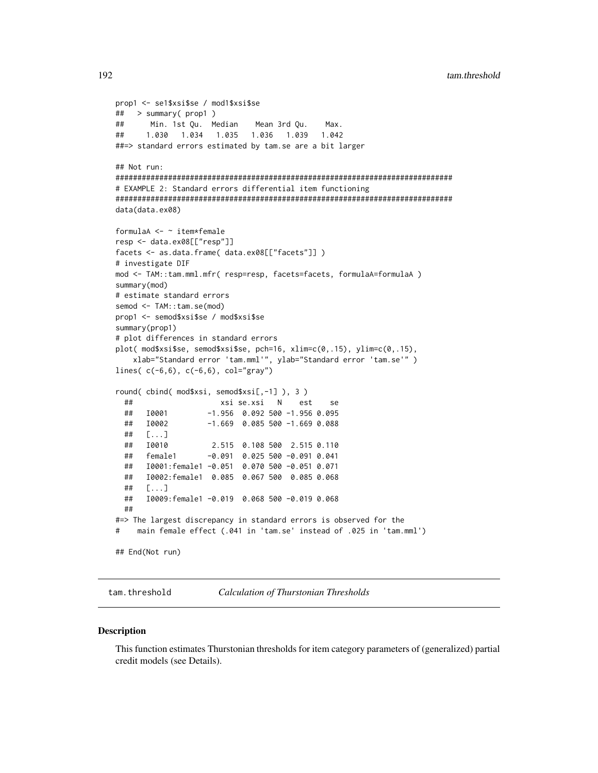```
prop1 <- se1$xsi$se / mod1$xsi$se
##> summary( prop1 )
\# \#Min. 1st Qu. Median
                          Mean 3rd Qu.
                                          Max.
##1.030 1.034 1.035 1.036 1.039
                                        1 042
##=> standard errors estimated by tam.se are a bit larger
## Not run:
# EXAMPLE 2: Standard errors differential item functioning
data(data.ex08)
formulaA <- ~ item*female
resp <- data.ex08[["resp"]]
facets <- as.data.frame( data.ex08[["facets"]] )
# investigate DIF
mod <- TAM::tam.mml.mfr( resp=resp, facets=facets, formulaA=formulaA)
summary(mod)
# estimate standard errors
semod <- TAM::tam.se(mod)
prop1 <- semod$xsi$se / mod$xsi$se
summary(prop1)
# plot differences in standard errors
plot( mod $xsi$se, semod $xsi$se, pch=16, xlim=c(0,.15), ylim=c(0,.15),xlab="Standard error 'tam.mml'", ylab="Standard error 'tam.se'")
lines(c(-6,6), c(-6,6), col="gray")round(cbind(mod$xsi, semod$xsi[,-1]), 3)
                    xsi se.xsi N est
 ##se
 ##I0001
                  -1.956 0.092 500 -1.956 0.095
 ##I0002
                  -1.669 0.085 500 -1.669 0.088
 ##[\dots]##I0010
                  2.515 0.108 500 2.515 0.110
                 -0.091 0.025 500 -0.091 0.041
 ##female1
     I0001:female1 -0.051 0.070 500 -0.051 0.071
 ####I0002:female1  0.085  0.067  500  0.085  0.068
 ##[\ldots]##I0009: female1 -0.019 0.068 500 -0.019 0.068
 ###=> The largest discrepancy in standard errors is observed for the
    main female effect (.041 in 'tam.se' instead of .025 in 'tam.mml')
### End(Not run)
```
tam.threshold

**Calculation of Thurstonian Thresholds** 

#### **Description**

This function estimates Thurstonian thresholds for item category parameters of (generalized) partial credit models (see Details).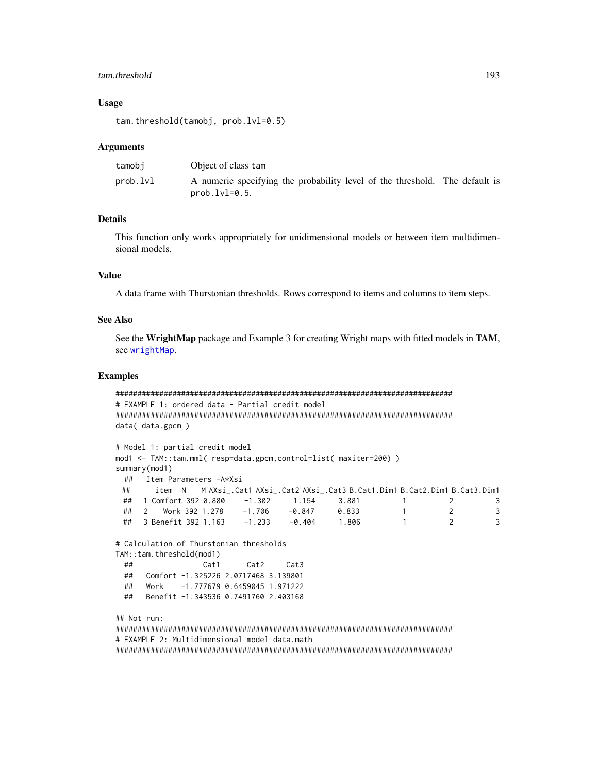## tam.threshold

### **Usage**

tam.threshold(tamobj, prob.lvl=0.5)

## **Arguments**

| tamobi   | Object of class tam                                                                            |
|----------|------------------------------------------------------------------------------------------------|
| prob.lvl | A numeric specifying the probability level of the threshold. The default is<br>$prob.Ivl=0.5.$ |

# **Details**

This function only works appropriately for unidimensional models or between item multidimensional models.

## **Value**

A data frame with Thurstonian thresholds. Rows correspond to items and columns to item steps.

### **See Also**

See the WrightMap package and Example 3 for creating Wright maps with fitted models in TAM, see wrightMap.

## **Examples**

```
# EXAMPLE 1: ordered data - Partial credit model
data(data.gpcm)
# Model 1: partial credit model
mod1 <- TAM::tam.mml( resp=data.gpcm,control=list( maxiter=200) )
summary(mod1)
 ## Item Parameters -A*Xsi
##item N MAXsi_.Cat1 AXsi_.Cat2 AXsi_.Cat3 B.Cat1.Dim1 B.Cat2.Dim1 B.Cat3.Dim1
 ##1 Comfort 392 0.880 -1.302 1.154 3.881 1 2
                                                           \overline{3}## 2 Work 392 1.278 −1.706 −0.847 0.833 1 2<br>## 3 Benefit 392 1.163 −1.233 −0.404 1.806 1 2
                                                           \overline{3}\overline{3}# Calculation of Thurstonian thresholds
TAM::tam.threshold(mod1)
 ##Cat3
            Cat1
                    Cat2
 ## Comfort -1.325226 2.0717468 3.139801
 ## Work -1.777679 0.6459045 1.971222
    Benefit -1.343536 0.7491760 2.403168
 #### Not run:
# EXAMPLE 2: Multidimensional model data.math
```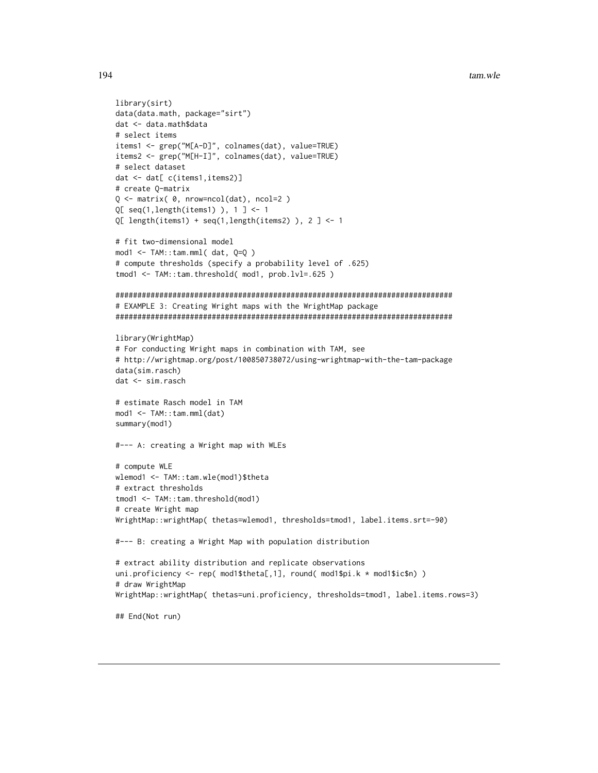```
library(sirt)
data(data.math, package="sirt")
dat <- data.math$data
# select items
items1 <- grep("M[A-D]", colnames(dat), value=TRUE)
items2 <- grep("M[H-I]", colnames(dat), value=TRUE)
# select dataset
dat <- dat[ c(items1,items2)]
# create O-matrix
Q \leq - matrix(\theta, nrow=ncol(dat), ncol=2)
Q[ seq(1, length(items1) ), 1 ] <- 1
Q[ length(items1) + seq(1,length(items2) ), 2 ] <- 1
# fit two-dimensional model
mod1 < -TAM: : tam.mml(dat, Q=Q)
# compute thresholds (specify a probability level of .625)
tmod1 <- TAM::tam.threshold( mod1, prob.lvl=.625)
# EXAMPLE 3: Creating Wright maps with the WrightMap package
library(WrightMap)
# For conducting Wright maps in combination with TAM, see
# http://wrightmap.org/post/100850738072/using-wrightmap-with-the-tam-package
data(sim.rasch)
dat <- sim.rasch
# estimate Rasch model in TAM
mod1 <- TAM::tam.mml(dat)
summary(mod1)
#--- A: creating a Wright map with WLEs
# compute WLE
wlemod1 <- TAM::tam.wle(mod1)$theta
# extract thresholds
tmod1 <- TAM::tam.threshold(mod1)
# create Wright map
WrightMap::wrightMap(thetas=wlemod1,thresholds=tmod1,label.items.srt=-90)
#--- B: creating a Wright Map with population distribution
# extract ability distribution and replicate observations
uni.proficiency <- rep( mod 1$theta[,1], round( mod 1$pi.k * mod 1$ic$n) )
# draw WrightMap
WrightMap::wrightMap(thetas=uni.proficiency,thresholds=tmod1,label.items.rows=3)
## End(Not run)
```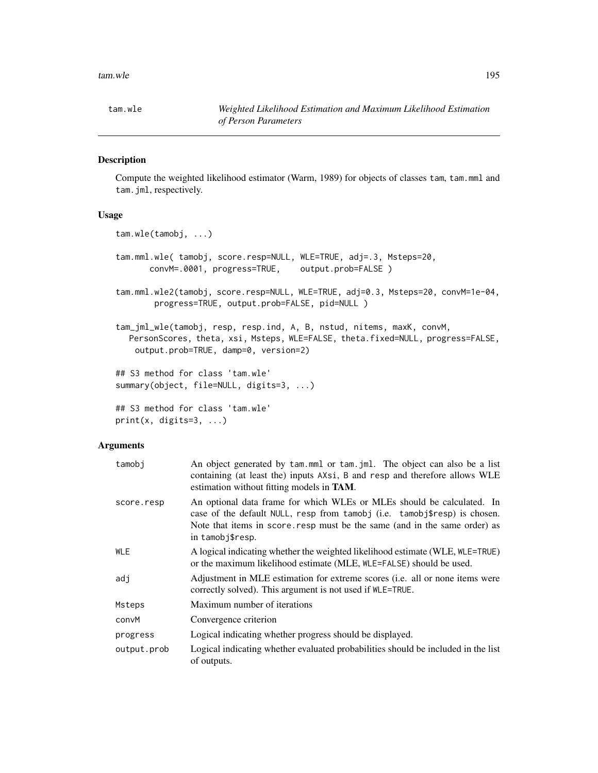# Description

Compute the weighted likelihood estimator (Warm, 1989) for objects of classes tam, tam.mml and tam.jml, respectively.

# Usage

```
tam.wle(tamobj, ...)
tam.mml.wle( tamobj, score.resp=NULL, WLE=TRUE, adj=.3, Msteps=20,
      convM=.0001, progress=TRUE, output.prob=FALSE )
tam.mml.wle2(tamobj, score.resp=NULL, WLE=TRUE, adj=0.3, Msteps=20, convM=1e-04,
       progress=TRUE, output.prob=FALSE, pid=NULL )
tam_jml_wle(tamobj, resp, resp.ind, A, B, nstud, nitems, maxK, convM,
  PersonScores, theta, xsi, Msteps, WLE=FALSE, theta.fixed=NULL, progress=FALSE,
   output.prob=TRUE, damp=0, version=2)
## S3 method for class 'tam.wle'
summary(object, file=NULL, digits=3, ...)
## S3 method for class 'tam.wle'
```

```
print(x, \text{ digits=}3, \ldots)
```
# Arguments

| tamobi      | An object generated by tam.mml or tam. jml. The object can also be a list<br>containing (at least the) inputs AXsi, B and resp and therefore allows WLE<br>estimation without fitting models in <b>TAM</b> .                                          |
|-------------|-------------------------------------------------------------------------------------------------------------------------------------------------------------------------------------------------------------------------------------------------------|
| score.resp  | An optional data frame for which WLEs or MLEs should be calculated. In<br>case of the default NULL, resp from tamobj (i.e. tamobj\$resp) is chosen.<br>Note that items in score, resp must be the same (and in the same order) as<br>in tamobj\$resp. |
| <b>WLE</b>  | A logical indicating whether the weighted likelihood estimate (WLE, WLE=TRUE)<br>or the maximum likelihood estimate (MLE, WLE=FALSE) should be used.                                                                                                  |
| adj         | Adjustment in MLE estimation for extreme scores (i.e. all or none items were<br>correctly solved). This argument is not used if $WLE = TRUE$ .                                                                                                        |
| Msteps      | Maximum number of iterations                                                                                                                                                                                                                          |
| convM       | Convergence criterion                                                                                                                                                                                                                                 |
| progress    | Logical indicating whether progress should be displayed.                                                                                                                                                                                              |
| output.prob | Logical indicating whether evaluated probabilities should be included in the list<br>of outputs.                                                                                                                                                      |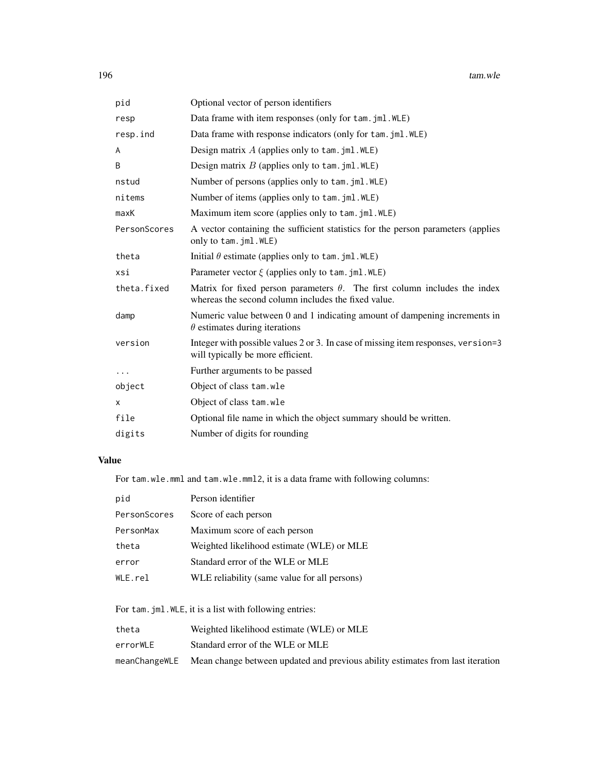| pid          | Optional vector of person identifiers                                                                                                    |
|--------------|------------------------------------------------------------------------------------------------------------------------------------------|
| resp         | Data frame with item responses (only for tam. jml. WLE)                                                                                  |
| resp.ind     | Data frame with response indicators (only for tam. jml. WLE)                                                                             |
| A            | Design matrix $A$ (applies only to tam. jml. WLE)                                                                                        |
| B            | Design matrix $B$ (applies only to tam. jml. WLE)                                                                                        |
| nstud        | Number of persons (applies only to tam. jml. WLE)                                                                                        |
| nitems       | Number of items (applies only to tam. jml. WLE)                                                                                          |
| maxK         | Maximum item score (applies only to tam. jml. WLE)                                                                                       |
| PersonScores | A vector containing the sufficient statistics for the person parameters (applies<br>only to tam.jml.WLE)                                 |
| theta        | Initial $\theta$ estimate (applies only to tam. jml. WLE)                                                                                |
| xsi          | Parameter vector $\xi$ (applies only to tam. jml. WLE)                                                                                   |
| theta.fixed  | Matrix for fixed person parameters $\theta$ . The first column includes the index<br>whereas the second column includes the fixed value. |
| damp         | Numeric value between 0 and 1 indicating amount of dampening increments in<br>$\theta$ estimates during iterations                       |
| version      | Integer with possible values 2 or 3. In case of missing item responses, version=3<br>will typically be more efficient.                   |
| $\cdots$     | Further arguments to be passed                                                                                                           |
| object       | Object of class tam.wle                                                                                                                  |
| $\times$     | Object of class tam.wle                                                                                                                  |
| file         | Optional file name in which the object summary should be written.                                                                        |
| digits       | Number of digits for rounding                                                                                                            |

# Value

For tam.wle.mml and tam.wle.mml2, it is a data frame with following columns:

| pid           | Person identifier                            |
|---------------|----------------------------------------------|
| PersonScores  | Score of each person                         |
| PersonMax     | Maximum score of each person                 |
| theta         | Weighted likelihood estimate (WLE) or MLE    |
| error         | Standard error of the WLE or MLE             |
| $WLE$ . $rel$ | WLE reliability (same value for all persons) |

For tam.jml.WLE, it is a list with following entries:

| theta         | Weighted likelihood estimate (WLE) or MLE                                      |
|---------------|--------------------------------------------------------------------------------|
| errorWLE      | Standard error of the WLE or MLE                                               |
| meanChangeWLE | Mean change between updated and previous ability estimates from last iteration |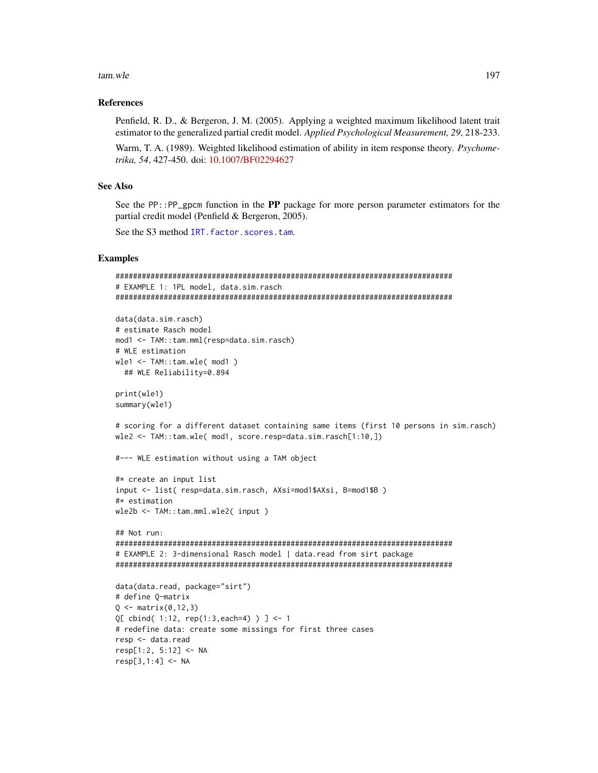#### tam.wle 197

## References

Penfield, R. D., & Bergeron, J. M. (2005). Applying a weighted maximum likelihood latent trait estimator to the generalized partial credit model. *Applied Psychological Measurement, 29*, 218-233.

Warm, T. A. (1989). Weighted likelihood estimation of ability in item response theory. *Psychometrika, 54*, 427-450. doi: [10.1007/BF02294627](https://doi.org/10.1007/BF02294627)

## See Also

See the PP::PP\_gpcm function in the PP package for more person parameter estimators for the partial credit model (Penfield & Bergeron, 2005).

See the S3 method IRT. factor. scores.tam.

## Examples

```
#############################################################################
# EXAMPLE 1: 1PL model, data.sim.rasch
#############################################################################
data(data.sim.rasch)
# estimate Rasch model
mod1 <- TAM::tam.mml(resp=data.sim.rasch)
# WLE estimation
wle1 <- TAM::tam.wle( mod1 )
  ## WLE Reliability=0.894
print(wle1)
summary(wle1)
# scoring for a different dataset containing same items (first 10 persons in sim.rasch)
wle2 <- TAM::tam.wle( mod1, score.resp=data.sim.rasch[1:10,])
#--- WLE estimation without using a TAM object
#* create an input list
input <- list( resp=data.sim.rasch, AXsi=mod1$AXsi, B=mod1$B )
#* estimation
wle2b <- TAM::tam.mml.wle2( input )
## Not run:
#############################################################################
# EXAMPLE 2: 3-dimensional Rasch model | data.read from sirt package
#############################################################################
data(data.read, package="sirt")
# define Q-matrix
Q \leq - matrix(0, 12, 3)Q[ cbind( 1:12, rep(1:3,each=4) ) ] <- 1
# redefine data: create some missings for first three cases
resp <- data.read
resp[1:2, 5:12] <- NA
```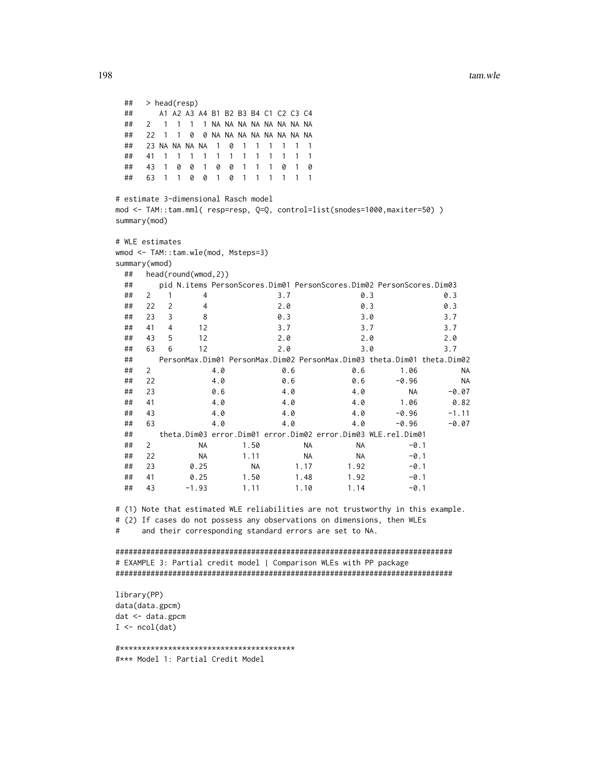## > head(resp) ## A1 A2 A3 A4 B1 B2 B3 B4 C1 C2 C3 C4 ## 2 1 1 1 1 NA NA NA NA NA NA NA NA ## 22 1 1 0 0 NA NA NA NA NA NA NA NA ## 23 NA NA NA NA 1 0 1 1 1 1 1 1 ## 41 1 1 1 1 1 1 1 1 1 1 1 1 ## 43 1 0 0 1 0 0 1 1 1 0 1 0 ## 63 1 1 0 0 1 0 1 1 1 1 1 1 # estimate 3-dimensional Rasch model mod <- TAM::tam.mml( resp=resp, Q=Q, control=list(snodes=1000,maxiter=50) ) summary(mod) # WLE estimates wmod <- TAM::tam.wle(mod, Msteps=3) summary(wmod) ## head(round(wmod,2)) ## pid N.items PersonScores.Dim01 PersonScores.Dim02 PersonScores.Dim03 ## 2 1 4 3.7 0.3 0.3 ## 22 2 4 2.0 0.3 0.3 ## 23 3 8 0.3 3.0 3.7 ## 41 4 12 3.7 3.7 3.7 ## 43 5 12 2.0 2.0 2.0 ## 63 6 12 2.0 3.0 3.7 ## PersonMax.Dim01 PersonMax.Dim02 PersonMax.Dim03 theta.Dim01 theta.Dim02 ## 2 4.0 0.6 0.6 1.06 NA ## 22 4.0 0.6 0.6 -0.96 NA ## 23 0.6 4.0 4.0 NA -0.07 ## 41 4.0 4.0 4.0 1.06 0.82 ## 43 4.0 4.0 4.0 -0.96 -1.11 ## 63 4.0 4.0 4.0 -0.96 -0.07 ## theta.Dim03 error.Dim01 error.Dim02 error.Dim03 WLE.rel.Dim01 ## 2 NA 1.50 NA NA -0.1 ## 22 NA 1.11 NA NA -0.1 ## 23 0.25 NA 1.17 1.92 -0.1 ## 41 0.25 1.50 1.48 1.92 -0.1 ## 43 -1.93 1.11 1.10 1.14 -0.1 # (1) Note that estimated WLE reliabilities are not trustworthy in this example. # (2) If cases do not possess any observations on dimensions, then WLEs # and their corresponding standard errors are set to NA. ############################################################################# # EXAMPLE 3: Partial credit model | Comparison WLEs with PP package ############################################################################# library(PP) data(data.gpcm) dat <- data.gpcm  $I \leftarrow \text{ncol}(\text{dat})$ 

#\*\*\*\*\*\*\*\*\*\*\*\*\*\*\*\*\*\*\*\*\*\*\*\*\*\*\*\*\*\*\*\*\*\*\*\*\*\*\*\* #\*\*\* Model 1: Partial Credit Model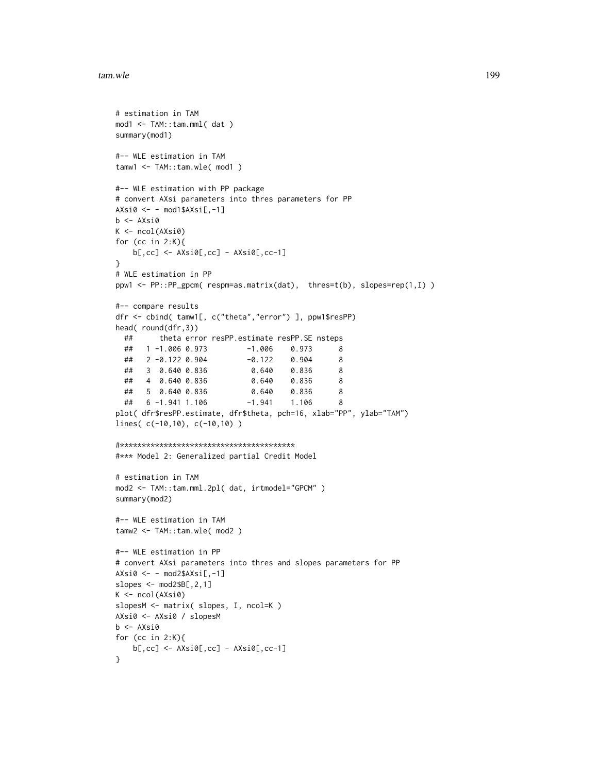```
# estimation in TAM
mod1 <- TAM::tam.mml( dat )
summary(mod1)
#-- WLE estimation in TAM
tamw1 <- TAM::tam.wle( mod1 )
#-- WLE estimation with PP package
# convert AXsi parameters into thres parameters for PP
AXsi0 \leftarrow - \text{mod}1\$AXsi[, -1]b <- AXsi0
K \leftarrow \text{ncol}(A X \sin \theta)for (cc in 2:K){
    b[,cc] <- AXsi0[,cc] - AXsi0[,cc-1]
}
# WLE estimation in PP
ppw1 <- PP::PP_gpcm( respm=as.matrix(dat), thres=t(b), slopes=rep(1,I) )
#-- compare results
dfr <- cbind( tamw1[, c("theta","error") ], ppw1$resPP)
head( round(dfr,3))
  ## theta error resPP.estimate resPP.SE nsteps
  ## 1 -1.006 0.973 -1.006 0.973 8
  ## 2 -0.122 0.904 -0.122 0.904 8
  ## 3 0.640 0.836 0.640 0.836 8
  ## 4 0.640 0.836 0.640 0.836 8
  ## 5 0.640 0.836 0.640 0.836 8
  ## 6 -1.941 1.106 -1.941 1.106 8
plot( dfr$resPP.estimate, dfr$theta, pch=16, xlab="PP", ylab="TAM")
lines( c(-10,10), c(-10,10) )
#****************************************
#*** Model 2: Generalized partial Credit Model
# estimation in TAM
mod2 <- TAM::tam.mml.2pl( dat, irtmodel="GPCM" )
summary(mod2)
#-- WLE estimation in TAM
tamw2 <- TAM::tam.wle( mod2 )
#-- WLE estimation in PP
# convert AXsi parameters into thres and slopes parameters for PP
AXsi0 \leftarrow - mod2$AXsi[, -1]slopes \leq mod2$B[,2,1]
K \leftarrow \text{ncol}(A X s i \emptyset)slopesM <- matrix( slopes, I, ncol=K )
AXsi0 <- AXsi0 / slopesM
b \leftarrow AXsiofor (cc in 2:K){
   b[, cc] \leftarrow AXsi@[, cc] - AXsi@[, cc-1]}
```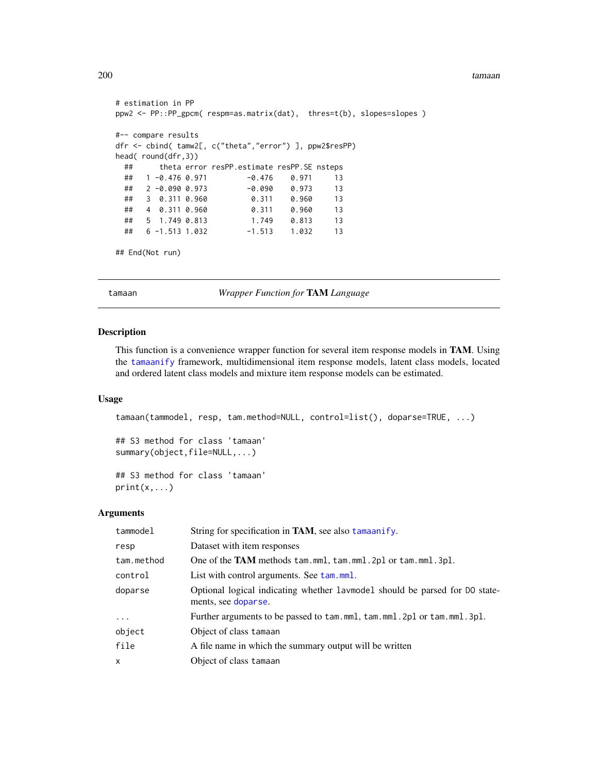```
# estimation in PP
ppw2 <- PP::PP_gpcm( respm=as.matrix(dat), thres=t(b), slopes=slopes )
#-- compare results
dfr <- cbind( tamw2[, c("theta","error") ], ppw2$resPP)
head( round(dfr,3))
 ## theta error resPP.estimate resPP.SE nsteps
 ## 1 -0.476 0.971 -0.476 0.971 13
 ## 2 -0.090 0.973 -0.090 0.973 13
 ## 3 0.311 0.960 0.311 0.960 13
 ## 4 0.311 0.960 0.311 0.960 13
 ## 5 1.749 0.813 1.749 0.813 13
 ## 6 -1.513 1.032 -1.513 1.032 13
```

```
## End(Not run)
```
tamaan *Wrapper Function for* TAM *Language*

#### Description

This function is a convenience wrapper function for several item response models in TAM. Using the [tamaanify](#page-208-0) framework, multidimensional item response models, latent class models, located and ordered latent class models and mixture item response models can be estimated.

# Usage

```
tamaan(tammodel, resp, tam.method=NULL, control=list(), doparse=TRUE, ...)
## S3 method for class 'tamaan'
summary(object,file=NULL,...)
## S3 method for class 'tamaan'
print(x, \ldots)
```
#### Arguments

| tammodel   | String for specification in <b>TAM</b> , see also tamaanify.                                       |
|------------|----------------------------------------------------------------------------------------------------|
| resp       | Dataset with item responses                                                                        |
| tam.method | One of the TAM methods tam.mml, tam.mml. 2pl or tam.mml. 3pl.                                      |
| control    | List with control arguments. See tam.mml.                                                          |
| doparse    | Optional logical indicating whether lavmodel should be parsed for DO state-<br>ments, see doparse. |
| $\cdots$   | Further arguments to be passed to tam.mml, tam.mml. 2pl or tam.mml. 3pl.                           |
| object     | Object of class tamaan                                                                             |
| file       | A file name in which the summary output will be written                                            |
| X          | Object of class tamaan                                                                             |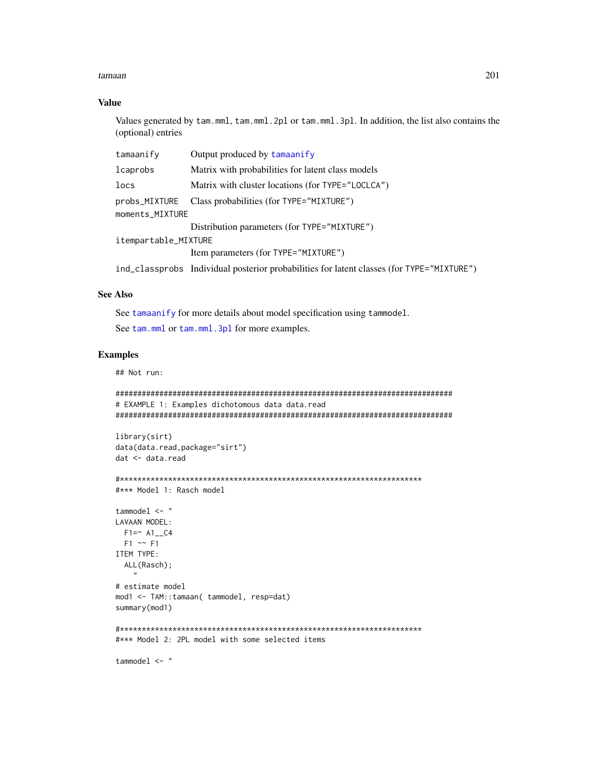## **Value**

Values generated by tam.mml, tam.mml. 2pl or tam.mml. 3pl. In addition, the list also contains the (optional) entries

| tamaanify            | Output produced by tamaanify                                                              |  |
|----------------------|-------------------------------------------------------------------------------------------|--|
| lcaprobs             | Matrix with probabilities for latent class models                                         |  |
| locs                 | Matrix with cluster locations (for TYPE="LOCLCA")                                         |  |
| probs_MIXTURE        | Class probabilities (for TYPE="MIXTURE")                                                  |  |
| moments_MIXTURE      |                                                                                           |  |
|                      | Distribution parameters (for TYPE="MIXTURE")                                              |  |
| itempartable_MIXTURE |                                                                                           |  |
|                      | Item parameters (for TYPE="MIXTURE")                                                      |  |
|                      | ind_classprobs Individual posterior probabilities for latent classes (for TYPE="MIXTURE") |  |

# **See Also**

See tamaanify for more details about model specification using tammodel. See tam.mml or tam.mml.3pl for more examples.

## **Examples**

## Not run:

```
# EXAMPLE 1: Examples dichotomous data data.read
```

```
library(sirt)
data(data.read,package="sirt")
dat <- data.read
```

```
#*** Model 1: Rasch model
```

```
tammodel \leq "
LAVAAN MODEL:
 F1 = ~ A1_C04F1 \sim F1ITEM TYPE:
  ALL(Rasch);
# estimate model
mod1 <- TAM::tamaan( tammodel, resp=dat)
```
summary(mod1)

```
#*** Model 2: 2PL model with some selected items
```
tammodel  $\leq$  "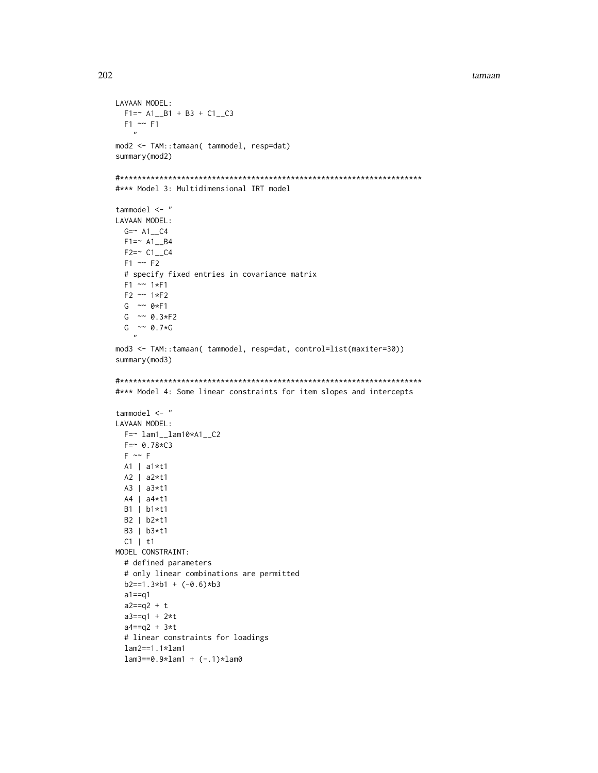```
LAVAAN MODEL:
  F1 = ~ A1 - B1 + B3 + C1 - C3F1 \sim F1"
mod2 <- TAM::tamaan( tammodel, resp=dat)
summary(mod2)
#*********************************************************************
#*** Model 3: Multidimensional IRT model
tammodel <- "
LAVAAN MODEL:
  G = ~ A1<sub>_</sub>C4F1 = ~ A1 - B4F2 = ~ C1<sub>_</sub>C4F1 \sim F2# specify fixed entries in covariance matrix
  F1 ~~ 1*F1
  F2 ~~ 1*F2
  G \sim 0*F1G \sim 0.3*F2G \sim 0.7*G"
mod3 <- TAM::tamaan( tammodel, resp=dat, control=list(maxiter=30))
summary(mod3)
#*********************************************************************
#*** Model 4: Some linear constraints for item slopes and intercepts
tammodel <- "
LAVAAN MODEL:
 F = ~ 1am1__1am10*A1__C2
 F=~ 0.78*C3
  F \sim FA1 | a1*t1
 A2 | a2*t1
 A3 | a3*t1
 A4 | a4*t1
 B1 | b1*t1
 B2 | b2*t1
 B3 | b3*t1
  C1 | t1
MODEL CONSTRAINT:
  # defined parameters
  # only linear combinations are permitted
  b2 == 1.3 * b1 + (-0.6) * b3a1==q1
  a2 == q2 + ta3 == q1 + 2*ta4 == q2 + 3*t# linear constraints for loadings
  lam2==1.1*lam1
  lam3 == 0.9 * lam1 + (-.1) * lam0
```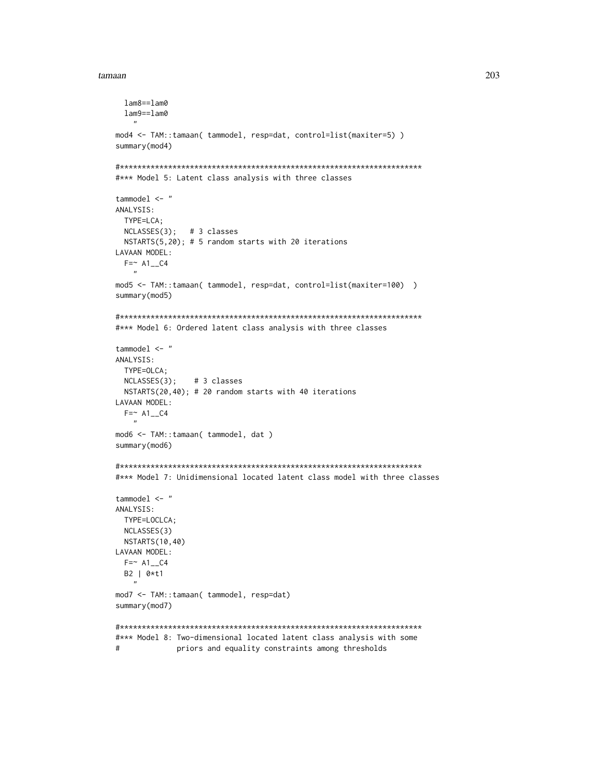```
lam8 == lam0lam9 = = lam0\overline{ }mod4 <- TAM::tamaan( tammodel, resp=dat, control=list(maxiter=5) )
summary(mod4)
#*** Model 5: Latent class analysis with three classes
tammodel \leq "
ANALYSIS:
 TYPE=LCA;
 NCLASSES(3); # 3 classes
 NSTARTS(5,20); # 5 random starts with 20 iterations
LAVAAN MODEL:
 F = ~ A1<sub>--</sub>C4
mod5 <- TAM::tamaan( tammodel, resp=dat, control=list(maxiter=100) )
summary(mod5)
#*** Model 6: Ordered latent class analysis with three classes
tammodel \leq - "
ANALYSIS:
 TYPE=OLCA;
 NCLASSES(3);# 3 classes
 NSTARTS(20,40); # 20 random starts with 40 iterations
LAVAAN MODEL:
 F = ~ A1<sub>_</sub>C4
mod6 <- TAM::tamaan( tammodel, dat)
summary(mod6)
#*** Model 7: Unidimensional located latent class model with three classes
tammodel \leq - "
ANALYSIS:
 TYPE=LOCLCA;
 NCLASSES(3)
 NSTARTS(10,40)
LAVAAN MODEL:
 F = ~ A1<sub>_</sub>C4
 B2 | 0*t1
mod7 <- TAM::tamaan( tammodel, resp=dat)
summary(mod7)
#*** Model 8: Two-dimensional located latent class analysis with some
#priors and equality constraints among thresholds
```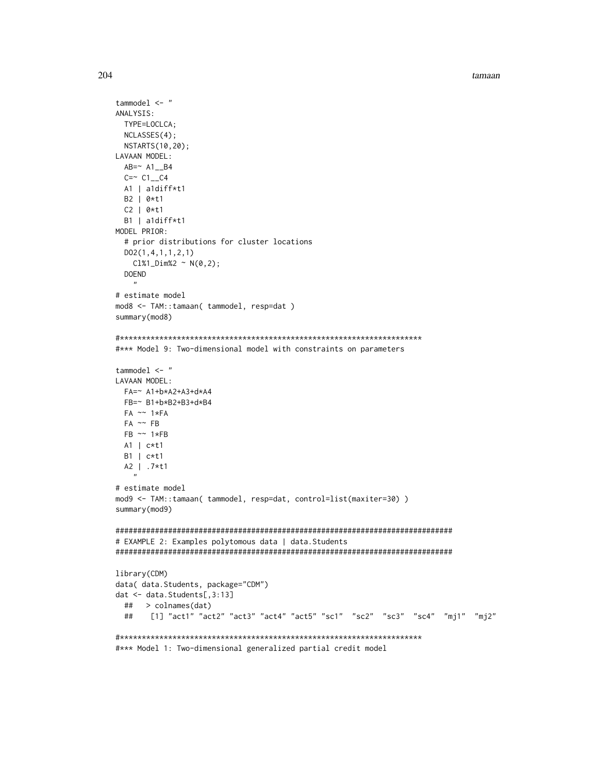```
tammodel <- "
ANALYSIS:
 TYPE=LOCLCA;
 NCLASSES(4);
 NSTARTS(10,20);
LAVAAN MODEL:
 AB = ~ A1<sub>_</sub>B4
 C = ~ C1_C4
 AI | a1diff*t1
 B2 | 0*t1
 C2 | 0*t1
 B1 | aldiff*t1
MODEL PRIOR:
 # prior distributions for cluster locations
 D02(1,4,1,1,2,1)ClX1_DimX2 ~ ~ N(0,2);DOEND
   \mathbf{u}# estimate model
mod8 <- TAM::tamaan( tammodel, resp=dat )
summary(mod8)
#*** Model 9: Two-dimensional model with constraints on parameters
tammodel <- "
LAVAAN MODEL:
 FA=~ A1+b*A2+A3+d*A4
 FB=~ B1+b*B2+B3+d*B4
 FA \sim 1*FAFA \sim FBFB \sim 1*FBA1 | c*t1
 B1 | c*t1A2 | .7*t1
# estimate model
mod9 <- TAM::tamaan( tammodel, resp=dat, control=list(maxiter=30))
summary(mod9)
# EXAMPLE 2: Examples polytomous data | data. Students
library(CDM)
data( data. Students, package="CDM")
dat <- data.Students[,3:13]
 ## > colnames(dat)
 ##[1] "act1" "act2" "act3" "act4" "act5" "sc1" "sc2" "sc3" "sc4" "mj1" "mj2"
#*** Model 1: Two-dimensional generalized partial credit model
```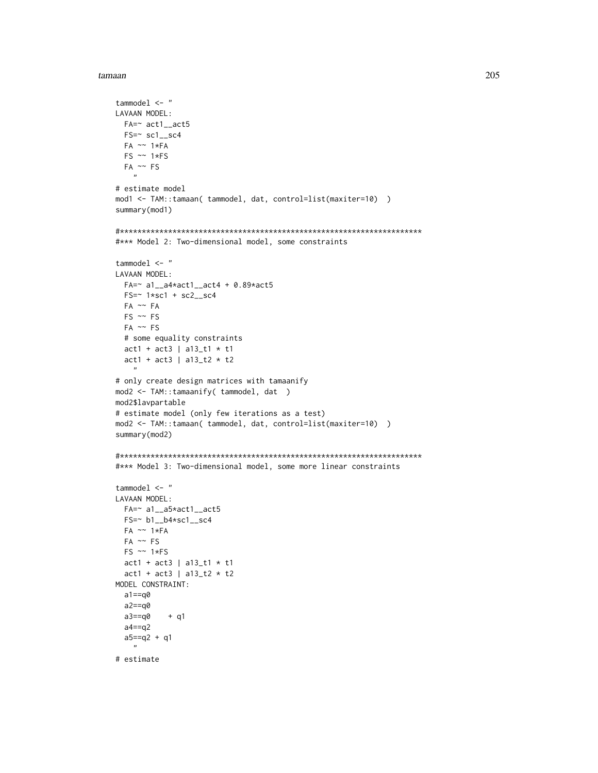```
tammodel \leq "
LAVAAN MODEL:
 FA = \sim \text{act1}\_ \text{act5}FS = \sim sc1 - sc4FA \sim 1*FAFS \sim 1*FSFA \sim FS\boldsymbol{u}# estimate model
mod1 <- TAM::tamaan( tammodel, dat, control=list(maxiter=10) )
summary(mod1)
#*** Model 2: Two-dimensional model, some constraints
tammodel \leq "
LAVAAN MODEL:
  FA = ~ a1_{a4}4*act1_{a4}ct4 + 0.89*act5FS = ~ 1*sc1 + sc2_sc4
 FA ~~ FA
 FS \sim FSFA \sim FS# some equality constraints
  act1 + act3 | a13_t1 * t1act1 + act3 | a13_t2 * t2# only create design matrices with tamaanify
mod2 <- TAM::tamaanify( tammodel, dat )
mod2$lavpartable
# estimate model (only few iterations as a test)
mod2 <- TAM::tamaan( tammodel, dat, control=list(maxiter=10) )
summary(mod2)
#*** Model 3: Two-dimensional model, some more linear constraints
tammodel \leq "
LAVAAN MODEL:
  FA=~ a1__a5*act1__act5
  FS = \sim b1 - b4*sc1 - sc4FA \sim 1*FAFA \sim FSFS \sim 1*FSact1 + act3 | a13_t1 * t1act1 + act3 | a13_t2 * t2MODEL CONSTRAINT:
  a1 == q0a2 == q0a3 == q0+ q1
  a4 == q2a5 == q2 + q1\boldsymbol{n}# estimate
```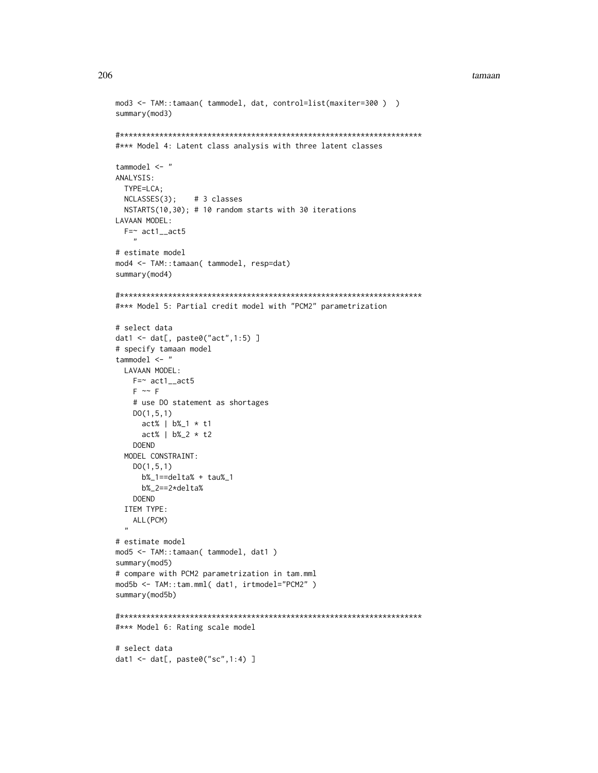```
mod3 <- TAM::tamaan(tammodel, dat, control=list(maxiter=300))
summary(mod3)
#*** Model 4: Latent class analysis with three latent classes
tammodel \leq-"
ANALYSIS:
 TYPE=LCA:
 NCLASSES(3);
               # 3 classes
 NSTARTS(10,30); # 10 random starts with 30 iterations
LAVAAN MODEL:
 F = \sim \text{act1}\_ \text{act5}\ddot{\phantom{a}}# estimate model
mod4 <- TAM::tamaan( tammodel, resp=dat)
summary(mod4)
#*** Model 5: Partial credit model with "PCM2" parametrization
# select data
dat1 <- dat[, paste0("act", 1:5) ]
# specify tamaan model
tammodel \leq "
 LAVAAN MODEL:
   F = \sim \text{act1}\_ \text{act5}F \sim F# use DO statement as shortages
   DO(1, 5, 1)act% | b%_1 * t1act% | b%_2 * t2DOEND
 MODEL CONSTRAINT:
   D0(1, 5, 1)b\%<sub>-1</sub>==delta% + tau%<sub>-1</sub>
     b\%<sub>-2</sub>==2*delta%
   DOFND
 ITEM TYPE:
   ALL (PCM)
# estimate model
mod5 <- TAM::tamaan( tammodel, dat1 )
summary(mod5)
# compare with PCM2 parametrization in tam.mml
mod5b <- TAM::tam.mml( dat1, irtmodel="PCM2" )
summary(mod5b)
#*** Model 6: Rating scale model
# select data
dat1 <- dat[, paste0("sc", 1:4) ]
```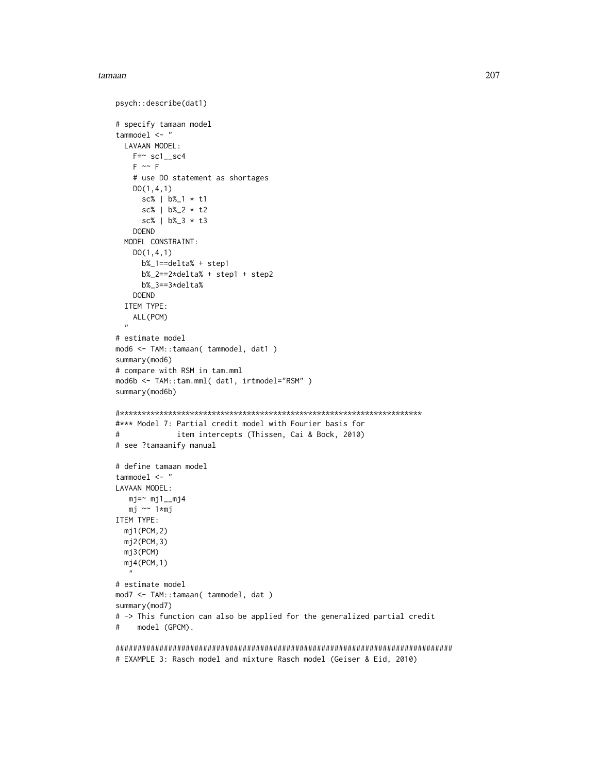```
psych::describe(dat1)
# specify tamaan model
tammodel <- "
 LAVAAN MODEL:
   F=- sc1__sc4
   F \sim F# use DO statement as shortages
   DO(1,4,1)
     sc% | b%_1 * t1
      sc% | b%_2 * t2
      sc% | b%_3 * t3
   DOEND
  MODEL CONSTRAINT:
   DO(1,4,1)
     b%_1==delta% + step1
     b%_2==2*delta% + step1 + step2
     b%_3==3*delta%
   DOEND
  ITEM TYPE:
    ALL(PCM)
  "
# estimate model
mod6 <- TAM::tamaan( tammodel, dat1 )
summary(mod6)
# compare with RSM in tam.mml
mod6b <- TAM::tam.mml( dat1, irtmodel="RSM" )
summary(mod6b)
#*********************************************************************
#*** Model 7: Partial credit model with Fourier basis for
# item intercepts (Thissen, Cai & Bock, 2010)
# see ?tamaanify manual
# define tamaan model
tammodel <- "
LAVAAN MODEL:
  mj = ~ mj1__mj4
  mj ~~ 1*mj
ITEM TYPE:
  mj1(PCM,2)
  mj2(PCM,3)
  mj3(PCM)
  mj4(PCM,1)
   "
# estimate model
mod7 <- TAM::tamaan( tammodel, dat )
summary(mod7)
# -> This function can also be applied for the generalized partial credit
# model (GPCM).
```
############################################################################# # EXAMPLE 3: Rasch model and mixture Rasch model (Geiser & Eid, 2010)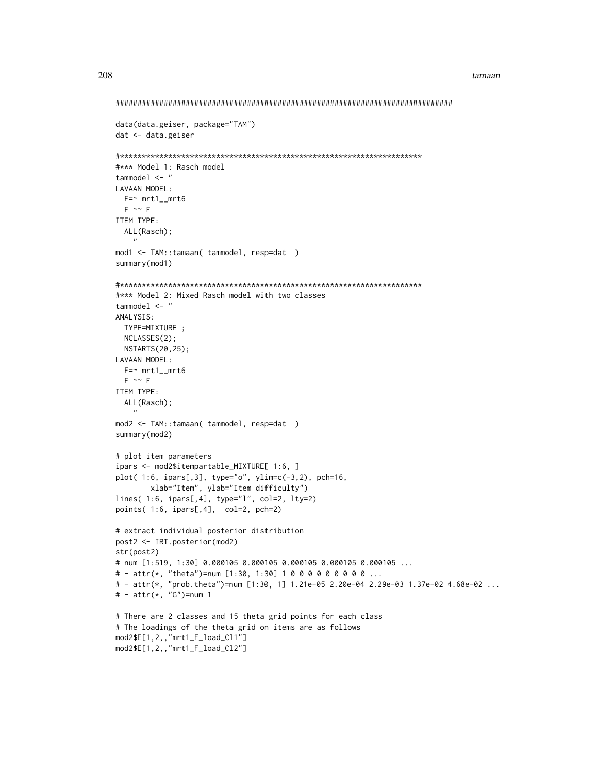```
data(data.geiser, package="TAM")
dat < - data.getiser#*** Model 1: Rasch model
tammodel <- "
LAVAAN MODEL:
 F = ~ mrt1_mrt6
 F \sim FITEM TYPE:
 ALL(Rasch);
mod1 <- TAM::tamaan( tammodel, resp=dat )
summary(mod1)
#*** Model 2: Mixed Rasch model with two classes
tammodel <- "
ANALYSIS:
 TYPE=MIXTURE ;
 NCLASSES(2);
 NSTARTS(20,25);
LAVAAN MODEL:
 F = ~ mrt1_mrt6
 F \sim FITEM TYPE:
 ALL(Rasch);
mod2 <- TAM::tamaan( tammodel, resp=dat )
summary(mod2)
# plot item parameters
ipars <- mod2$itempartable_MIXTURE[ 1:6, ]
plot( 1:6, ipars[,3], type="o", ylim=c(-3,2), pch=16,
      xlab="Item", ylab="Item difficulty")
lines( 1:6, ipars[,4], type="1", col=2, lty=2)
points(1:6, ipars[,4], col=2, pch=2)
# extract individual posterior distribution
post2 <- IRT.posterior(mod2)
str(post2)
# num [1:519, 1:30] 0.000105 0.000105 0.000105 0.000105 0.000105 ...
# - attr(*, "theta")=num [1:30, 1:30] 1 0 0 0 0 0 0 0 0 0 ...
# - attr(*, "prob.theta")=num [1:30, 1] 1.21e-05 2.20e-04 2.29e-03 1.37e-02 4.68e-02 ...
# - attr(*, "G") = num 1# There are 2 classes and 15 theta grid points for each class
# The loadings of the theta grid on items are as follows
mod2$E[1,2,,"mrt1_F_load_Cl1"]
mod2$E[1,2,,"mrt1_F_load_Cl2"]
```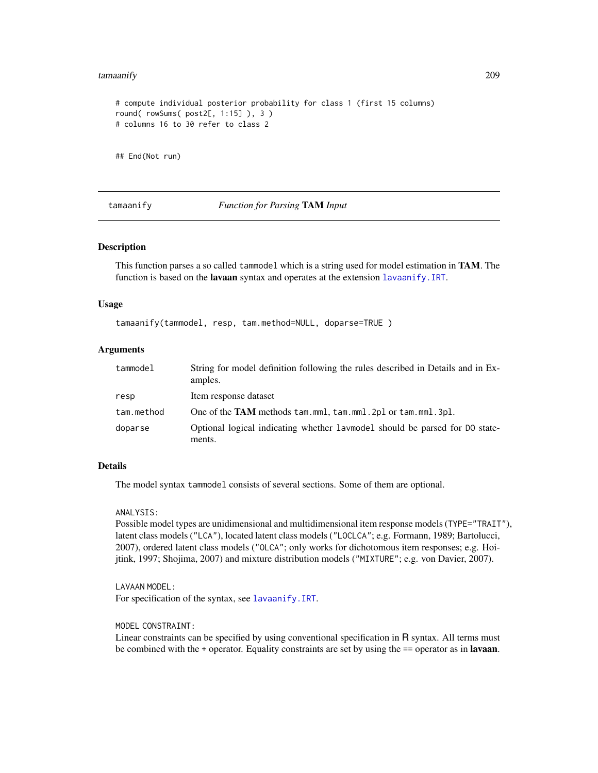#### tamaanify 209

```
# compute individual posterior probability for class 1 (first 15 columns)
round( rowSums( post2[, 1:15] ), 3 )
# columns 16 to 30 refer to class 2
```
## End(Not run)

<span id="page-208-0"></span>tamaanify *Function for Parsing* TAM *Input*

## Description

This function parses a so called tammodel which is a string used for model estimation in TAM. The function is based on the **lavaan** syntax and operates at the extension [lavaanify.IRT](#page-69-0).

## Usage

tamaanify(tammodel, resp, tam.method=NULL, doparse=TRUE )

## Arguments

| tammodel   | String for model definition following the rules described in Details and in Ex-<br>amples. |
|------------|--------------------------------------------------------------------------------------------|
| resp       | Item response dataset                                                                      |
| tam.method | One of the TAM methods tam.mml, tam.mml. 2pl or tam.mml. 3pl.                              |
| doparse    | Optional logical indicating whether laymodel should be parsed for DO state-<br>ments.      |

#### Details

The model syntax tammodel consists of several sections. Some of them are optional.

#### ANALYSIS:

Possible model types are unidimensional and multidimensional item response models (TYPE="TRAIT"), latent class models ("LCA"), located latent class models ("LOCLCA"; e.g. Formann, 1989; Bartolucci, 2007), ordered latent class models ("OLCA"; only works for dichotomous item responses; e.g. Hoijtink, 1997; Shojima, 2007) and mixture distribution models ("MIXTURE"; e.g. von Davier, 2007).

LAVAAN MODEL: For specification of the syntax, see [lavaanify.IRT](#page-69-0).

MODEL CONSTRAINT:

Linear constraints can be specified by using conventional specification in R syntax. All terms must be combined with the + operator. Equality constraints are set by using the == operator as in **lavaan**.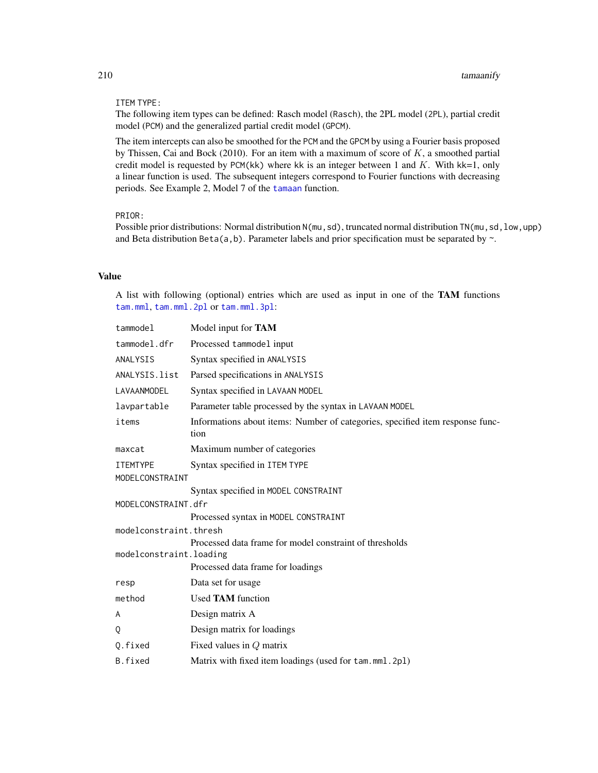#### ITEM TYPE:

The following item types can be defined: Rasch model (Rasch), the 2PL model (2PL), partial credit model (PCM) and the generalized partial credit model (GPCM).

The item intercepts can also be smoothed for the PCM and the GPCM by using a Fourier basis proposed by Thissen, Cai and Bock (2010). For an item with a maximum of score of  $K$ , a smoothed partial credit model is requested by PCM(kk) where kk is an integer between 1 and  $K$ . With kk=1, only a linear function is used. The subsequent integers correspond to Fourier functions with decreasing periods. See Example 2, Model 7 of the [tamaan](#page-199-0) function.

## PRIOR:

Possible prior distributions: Normal distribution N(mu, sd), truncated normal distribution TN(mu, sd, low, upp) and Beta distribution Beta(a,b). Parameter labels and prior specification must be separated by  $\sim$ .

## Value

A list with following (optional) entries which are used as input in one of the TAM functions [tam.mml](#page-111-0), [tam.mml.2pl](#page-112-0) or [tam.mml.3pl](#page-151-0):

|                         | $t$ ammodel     | Model input for TAM                                                                   |
|-------------------------|-----------------|---------------------------------------------------------------------------------------|
|                         | tammodel.dfr    | Processed tammodel input                                                              |
|                         | ANALYSIS        | Syntax specified in ANALYSIS                                                          |
|                         | ANALYSIS.list   | Parsed specifications in ANALYSIS                                                     |
|                         | LAVAANMODEL     | Syntax specified in LAVAAN MODEL                                                      |
|                         | lavpartable     | Parameter table processed by the syntax in LAVAAN MODEL                               |
|                         | items           | Informations about items: Number of categories, specified item response func-<br>tion |
|                         | maxcat          | Maximum number of categories                                                          |
|                         | <b>ITEMTYPE</b> | Syntax specified in ITEM TYPE                                                         |
|                         | MODELCONSTRAINT |                                                                                       |
|                         |                 | Syntax specified in MODEL CONSTRAINT                                                  |
| MODELCONSTRAINT.dfr     |                 |                                                                                       |
|                         |                 | Processed syntax in MODEL CONSTRAINT                                                  |
| modelconstraint.thresh  |                 |                                                                                       |
|                         |                 | Processed data frame for model constraint of thresholds                               |
| modelconstraint.loading |                 |                                                                                       |
|                         |                 | Processed data frame for loadings                                                     |
|                         | resp            | Data set for usage                                                                    |
|                         | method          | <b>Used TAM</b> function                                                              |
|                         | A               | Design matrix A                                                                       |
|                         | 0               | Design matrix for loadings                                                            |
|                         | Q.fixed         | Fixed values in $Q$ matrix                                                            |
|                         | B.fixed         | Matrix with fixed item loadings (used for tam.mml.2pl)                                |
|                         |                 |                                                                                       |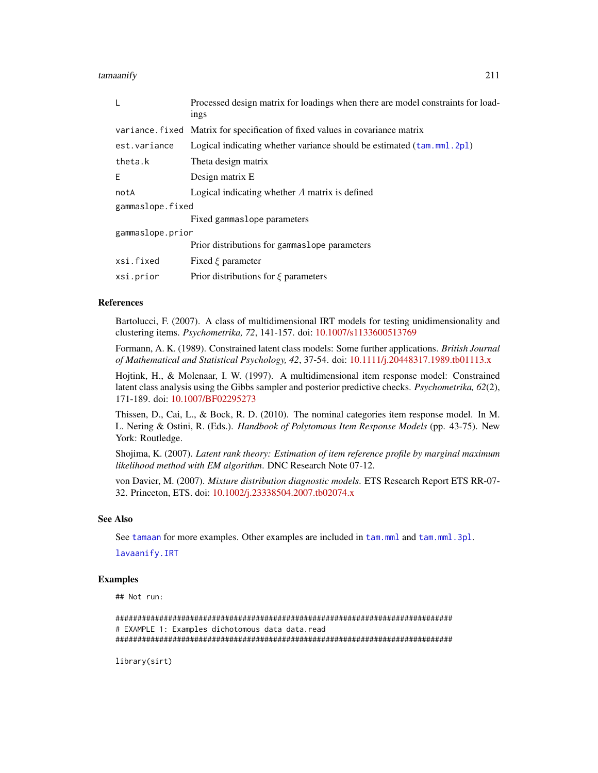tamaanify 211

| L                | Processed design matrix for loadings when there are model constraints for load-<br>ings |
|------------------|-----------------------------------------------------------------------------------------|
|                  | variance. fixed Matrix for specification of fixed values in covariance matrix           |
| est.variance     | Logical indicating whether variance should be estimated (tam.mml. 2pl)                  |
| theta.k          | Theta design matrix                                                                     |
| E                | Design matrix E                                                                         |
| notA             | Logical indicating whether $A$ matrix is defined                                        |
| gammaslope.fixed |                                                                                         |
|                  | Fixed gammaslope parameters                                                             |
| gammaslope.prior |                                                                                         |
|                  | Prior distributions for gammaslope parameters                                           |
| xsi.fixed        | Fixed $\xi$ parameter                                                                   |
| xsi.prior        | Prior distributions for $\xi$ parameters                                                |

#### References

Bartolucci, F. (2007). A class of multidimensional IRT models for testing unidimensionality and clustering items. *Psychometrika, 72*, 141-157. doi: [10.1007/s1133600513769](https://doi.org/10.1007/s11336-005-1376-9)

Formann, A. K. (1989). Constrained latent class models: Some further applications. *British Journal of Mathematical and Statistical Psychology, 42*, 37-54. doi: [10.1111/j.20448317.1989.tb01113.x](https://doi.org/10.1111/j.2044-8317.1989.tb01113.x)

Hojtink, H., & Molenaar, I. W. (1997). A multidimensional item response model: Constrained latent class analysis using the Gibbs sampler and posterior predictive checks. *Psychometrika, 62*(2), 171-189. doi: [10.1007/BF02295273](https://doi.org/10.1007/BF02295273)

Thissen, D., Cai, L., & Bock, R. D. (2010). The nominal categories item response model. In M. L. Nering & Ostini, R. (Eds.). *Handbook of Polytomous Item Response Models* (pp. 43-75). New York: Routledge.

Shojima, K. (2007). *Latent rank theory: Estimation of item reference profile by marginal maximum likelihood method with EM algorithm*. DNC Research Note 07-12.

von Davier, M. (2007). *Mixture distribution diagnostic models*. ETS Research Report ETS RR-07- 32. Princeton, ETS. doi: [10.1002/j.23338504.2007.tb02074.x](https://doi.org/10.1002/j.2333-8504.2007.tb02074.x)

#### See Also

See [tamaan](#page-199-0) for more examples. Other examples are included in [tam.mml](#page-111-0) and [tam.mml.3pl](#page-151-0).

[lavaanify.IRT](#page-69-0)

## Examples

## Not run:

```
#############################################################################
# EXAMPLE 1: Examples dichotomous data data.read
#############################################################################
```
library(sirt)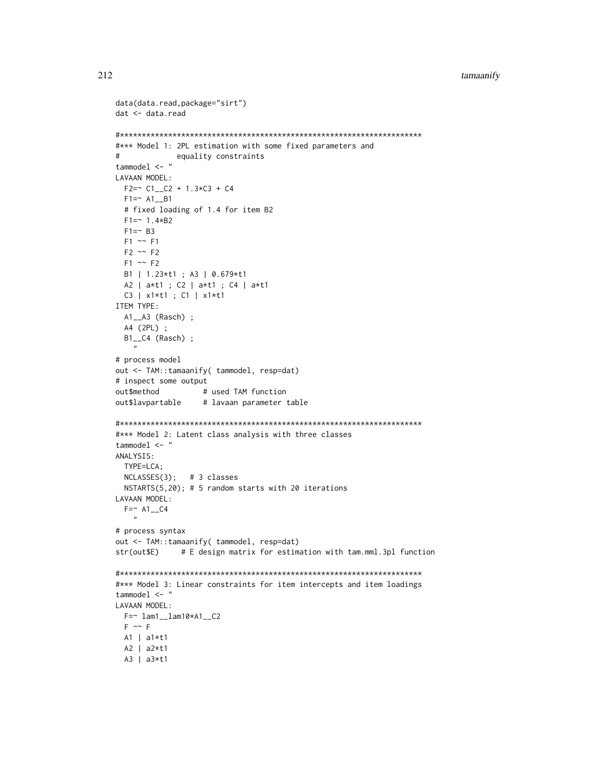```
data(data.read,package="sirt")
dat <- data.read
#*** Model 1: 2PL estimation with some fixed parameters and
\pmequality constraints
tammodel \leq - "
LAVAAN MODEL:
 F2 = \text{C1} - \text{C2} + 1.3 \times C3 + C4F1 = ~ A1 - B1# fixed loading of 1.4 for item B2
 F1 = 1.4*B2F1 = ~ B3F1 \sim F1F2 \sim F2F1 \sim F2B1 | 1.23*t1 ; A3 | 0.679*t1
 A2 | a*t1 ; C2 | a*t1 ; C4 | a*t1
 C3 | x1*t1 ; C1 | x1*t1
ITEM TYPE:
 A1__A3 (Rasch) ;
 A4 (2PL) ;
 B1__C4 (Rasch) ;
   \boldsymbol{\eta}# process model
out <- TAM::tamaanify( tammodel, resp=dat)
# inspect some output
out$method
                 # used TAM function
out$lavpartable
                 # lavaan parameter table
#*** Model 2: Latent class analysis with three classes
tammodel \leq-"
ANALYSIS:
 TYPE=LCA;
 NCLASSES(3); # 3 classes
 NSTARTS(5,20); # 5 random starts with 20 iterations
LAVAAN MODEL:
 F = ~ A1<sub>_</sub>C4
   \mathbf{u}# process syntax
out <- TAM::tamaanify( tammodel, resp=dat)
str(out$E)
             # E design matrix for estimation with tam.mml.3pl function
#*** Model 3: Linear constraints for item intercepts and item loadings
tammodel <- "
LAVAAN MODEL:
 F = ~ 1am1__1am10*A1__C2
 F \sim FAI | a1*t1A2 | a2*t1A3 | a3*t1
```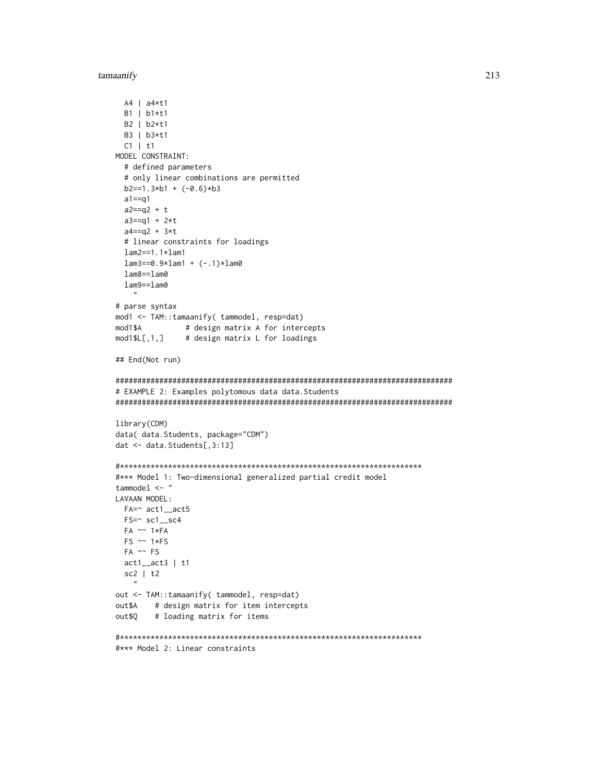#### tamaanify

```
A4 | a4*t1B1 | b1*t1B2 | b2*t1
 B3 | b3*t1
 C1 | t1
MODEL CONSTRAINT:
 # defined parameters
 # only linear combinations are permitted
 b2 == 1.3 * b1 + (-0.6) * b3a1 == a1a2 == q2 + ta3 == q1 + 2*ta4 == q2 + 3*t# linear constraints for loadings
 lam2 == 1.1 * lam1lam3 == 0.9 * lam1 + (-.1) * lam0lam8 == lam0lam9 == lam0\boldsymbol{u}# parse syntax
mod1 <- TAM::tamaanify( tammodel, resp=dat)
            # design matrix A for intercepts
mod1$A
mod1$L[1,1]# design matrix L for loadings
## End(Not run)
# EXAMPLE 2: Examples polytomous data data. Students
library(CDM)
data( data. Students, package="CDM")
dat <- data. Students[, 3:13]
#*** Model 1: Two-dimensional generalized partial credit model
tammodel \leq "
LAVAAN MODEL:
 FA = \sim \text{act1}\_ \text{act5}FS = \sim sc1_sc4
 FA \sim 1*FAFS \sim 1*FSFA \sim FSact1<sub>--</sub>act3 | t1sc2 | t2
out <- TAM::tamaanify( tammodel, resp=dat)
       # design matrix for item intercepts
out$A
out$Q
       # loading matrix for items
#*** Model 2: Linear constraints
```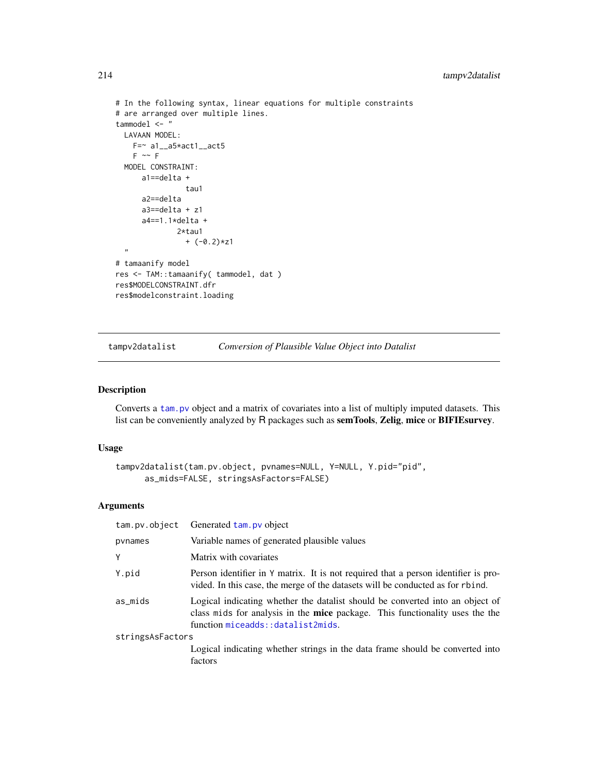```
# In the following syntax, linear equations for multiple constraints
# are arranged over multiple lines.
tammodel <- "
 LAVAAN MODEL:
    F=\n  a1<sub>--</sub>a5*act1<sub>--</sub>act5
    F \sim FMODEL CONSTRAINT:
      a1==delta +
                 tau1
      a2==delta
      a3==delta + z1
      a4==1.1*delta +
               2*tau1
                 + (-0.2)*z1
  ,,
# tamaanify model
res <- TAM::tamaanify( tammodel, dat )
res$MODELCONSTRAINT.dfr
res$modelconstraint.loading
```
<span id="page-213-0"></span>tampv2datalist *Conversion of Plausible Value Object into Datalist*

# Description

Converts a [tam.pv](#page-180-0) object and a matrix of covariates into a list of multiply imputed datasets. This list can be conveniently analyzed by R packages such as semTools, Zelig, mice or BIFIEsurvey.

#### Usage

```
tampv2datalist(tam.pv.object, pvnames=NULL, Y=NULL, Y.pid="pid",
     as_mids=FALSE, stringsAsFactors=FALSE)
```
## Arguments

| tam.pv.object    | Generated tam. pv object                                                                                                                                                                           |
|------------------|----------------------------------------------------------------------------------------------------------------------------------------------------------------------------------------------------|
| pynames          | Variable names of generated plausible values                                                                                                                                                       |
| Υ                | Matrix with covariates                                                                                                                                                                             |
| Y.pid            | Person identifier in Y matrix. It is not required that a person identifier is pro-<br>vided. In this case, the merge of the datasets will be conducted as for rbind.                               |
| as_mids          | Logical indicating whether the datalist should be converted into an object of<br>class mids for analysis in the mice package. This functionality uses the the<br>function miceadds::datalist2mids. |
| stringsAsFactors |                                                                                                                                                                                                    |
|                  | Logical indicating whether strings in the data frame should be converted into<br>factors                                                                                                           |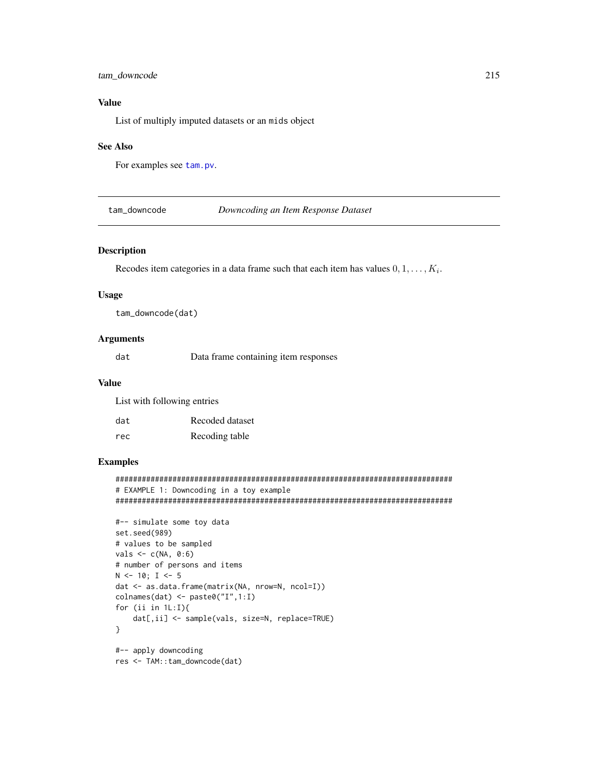# tam\_downcode

# **Value**

List of multiply imputed datasets or an mids object

## **See Also**

For examples see tam.pv.

tam\_downcode

Downcoding an Item Response Dataset

## Description

Recodes item categories in a data frame such that each item has values  $0, 1, \ldots, K_i$ .

## **Usage**

tam\_downcode(dat)

# **Arguments**

dat Data frame containing item responses

## **Value**

List with following entries

| dat | Recoded dataset |
|-----|-----------------|
| rec | Recoding table  |

# **Examples**

```
# EXAMPLE 1: Downcoding in a toy example
```

```
#-- simulate some toy data
set.seed(989)
# values to be sampled
vals \leq c(NA, 0:6)
# number of persons and items
N < -10; I < -5dat <- as.data.frame(matrix(NA, nrow=N, ncol=I))
colnames(dat) <- paste0("I",1:I)
for (ii in 1L:I){
    dat[,ii] <- sample(vals, size=N, replace=TRUE)
\mathcal{E}#-- apply downcoding
res <- TAM::tam_downcode(dat)
```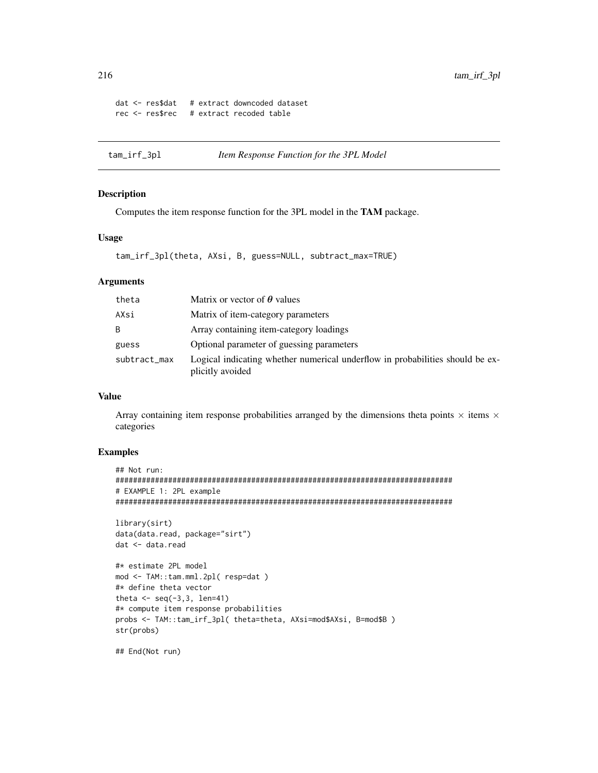```
dat <- res$dat # extract downcoded dataset
rec <- res$rec # extract recoded table
```
tam\_irf\_3pl *Item Response Function for the 3PL Model*

# Description

Computes the item response function for the 3PL model in the TAM package.

# Usage

```
tam_irf_3pl(theta, AXsi, B, guess=NULL, subtract_max=TRUE)
```
# Arguments

| theta        | Matrix or vector of $\theta$ values                                                               |
|--------------|---------------------------------------------------------------------------------------------------|
| AXsi         | Matrix of item-category parameters                                                                |
| B            | Array containing item-category loadings                                                           |
| guess        | Optional parameter of guessing parameters                                                         |
| subtract_max | Logical indicating whether numerical underflow in probabilities should be ex-<br>plicitly avoided |

# Value

Array containing item response probabilities arranged by the dimensions theta points  $\times$  items  $\times$ categories

## Examples

```
## Not run:
#############################################################################
# EXAMPLE 1: 2PL example
#############################################################################
```

```
library(sirt)
data(data.read, package="sirt")
dat <- data.read
```

```
#* estimate 2PL model
mod <- TAM::tam.mml.2pl( resp=dat )
#* define theta vector
theta \leq seq(-3,3, len=41)
#* compute item response probabilities
probs <- TAM::tam_irf_3pl( theta=theta, AXsi=mod$AXsi, B=mod$B )
str(probs)
```
## End(Not run)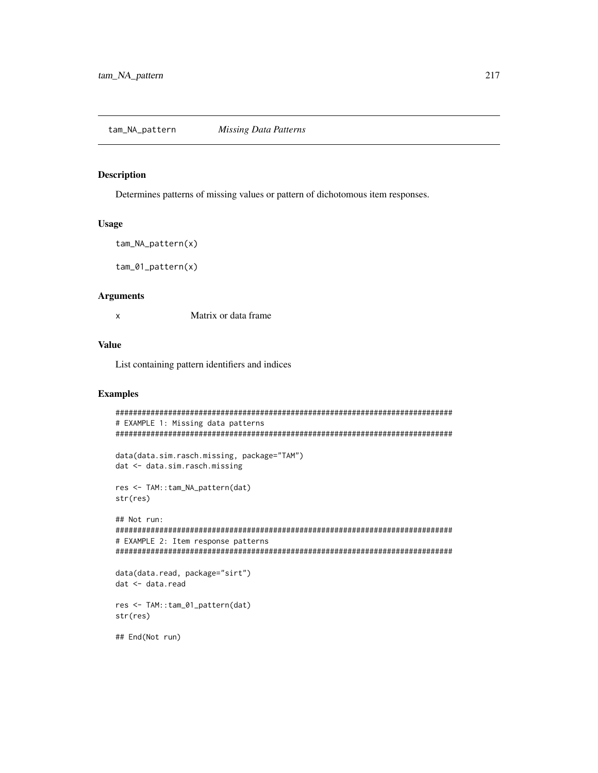## <span id="page-216-0"></span>**Description**

Determines patterns of missing values or pattern of dichotomous item responses.

#### **Usage**

```
tam_NA_pattern(x)
```
 $tan_01_$ pattern $(x)$ 

#### **Arguments**

Matrix or data frame  $\mathsf X$ 

## **Value**

List containing pattern identifiers and indices

## **Examples**

```
# EXAMPLE 1: Missing data patterns
data(data.sim.rasch.missing, package="TAM")
dat <- data.sim.rasch.missing
res <- TAM::tam_NA_pattern(dat)
str(res)## Not run:
# EXAMPLE 2: Item response patterns
data(data.read, package="sirt")
dat <- data.read
res <- TAM::tam_01_pattern(dat)
str(res)## End(Not run)
```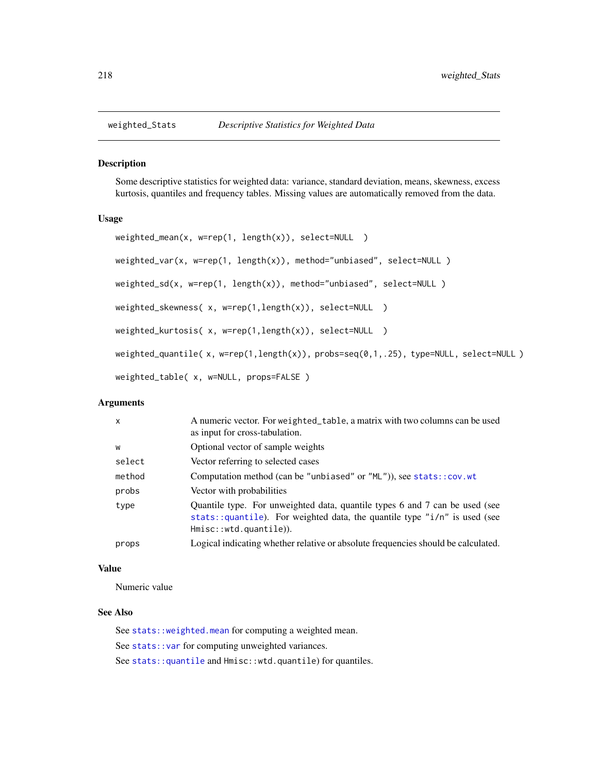<span id="page-217-0"></span>

#### Description

Some descriptive statistics for weighted data: variance, standard deviation, means, skewness, excess kurtosis, quantiles and frequency tables. Missing values are automatically removed from the data.

#### Usage

```
weighted_mean(x, w=rep(1, length(x)), select=NULL )
weighted_var(x, w=rep(1, length(x)), method="unbiased", select=NULL )
weighted_sd(x, w=rep(1, length(x)), method="unbiased", select=NULL )
weighted_skewness( x, w=rep(1,length(x)), select=NULL )
weighted_kurtosis( x, w=rep(1,length(x)), select=NULL )
weighted_quantile( x, w=rep(1,length(x)), probs=seq(0,1,.25), type=NULL, select=NULL)
weighted_table( x, w=NULL, props=FALSE )
```
# Arguments

| $\mathsf{x}$ | A numeric vector. For weighted_table, a matrix with two columns can be used<br>as input for cross-tabulation.                                                                     |
|--------------|-----------------------------------------------------------------------------------------------------------------------------------------------------------------------------------|
| W            | Optional vector of sample weights                                                                                                                                                 |
| select       | Vector referring to selected cases                                                                                                                                                |
| method       | Computation method (can be "unbiased" or " $ML$ ")), see stats:: $cov.wt$                                                                                                         |
| probs        | Vector with probabilities                                                                                                                                                         |
| type         | Quantile type. For unweighted data, quantile types 6 and 7 can be used (see<br>stats::quantile). For weighted data, the quantile type "i/n" is used (see<br>Hmisc::wtd.quantile). |
| props        | Logical indicating whether relative or absolute frequencies should be calculated.                                                                                                 |

# Value

Numeric value

# See Also

See [stats::weighted.mean](#page-0-0) for computing a weighted mean. See [stats::var](#page-0-0) for computing unweighted variances. See stats:: quantile and Hmisc::wtd.quantile) for quantiles.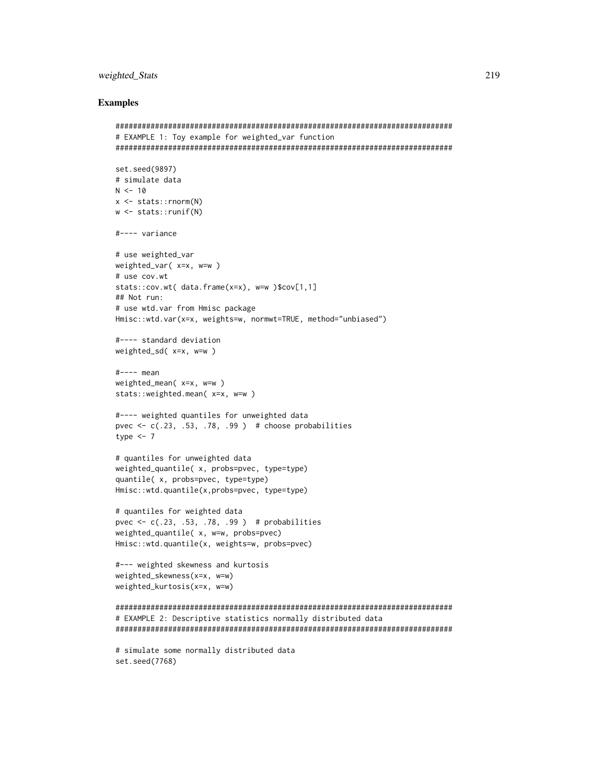## weighted\_Stats

#### **Examples**

```
# EXAMPLE 1: Toy example for weighted_var function
set.seed(9897)
# simulate data
N < -10x \le - stats:: rnorm(N)
w \le - stats:: runif(N)
#---- variance
# use weighted_var
weighted_var(x=x, w=w)
# use cov.wt
stats::cov.wt( data.frame(x=x), w=w )$cov[1,1]
## Not run:
# use wtd.var from Hmisc package
Hmisc::wtd.var(x=x, weights=w, normwt=TRUE, method="unbiased")
#---- standard deviation
weighted_sd(x=x, w=w)
#--- mean
weighted_mean(x=x, w=w)
stats::weighted.mean( x=x, w=w )
#---- weighted quantiles for unweighted data
pvec \leq c(.23, .53, .78, .99) # choose probabilities
type <-7# quantiles for unweighted data
weighted_quantile(x, probs=pvec, type=type)
quantile(x, probs=pvec, type=type)
Hmisc::wtd.quantile(x, probes=pvec, type=type)# quantiles for weighted data
pvec <- c(.23, .53, .78, .99) # probabilities
weighted_quantile(x, w=w, probs=pvec)
Hmisc::wtd.quantile(x, weights=w, probs=pvec)
#--- weighted skewness and kurtosis
weighted_skewness(x=x, w=w)
weighted_kurtosis(x=x, w=w)# EXAMPLE 2: Descriptive statistics normally distributed data
# simulate some normally distributed data
set.seed(7768)
```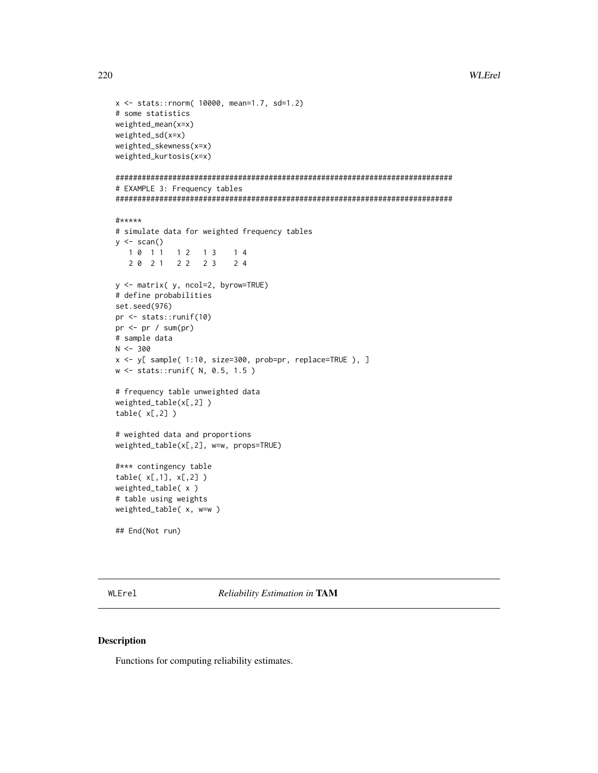```
x <- stats::rnorm( 10000, mean=1.7, sd=1.2)
# some statistics
weighted_mean(x=x)
weighted_sd(x=x)
weighted_skewness(x=x)
weighted_kurtosis(x=x)
#############################################################################
# EXAMPLE 3: Frequency tables
#############################################################################
#*****
# simulate data for weighted frequency tables
y \leftarrow scan()1 0 1 1 1 1 2 1 3 1 4
   2 0 2 1 2 2 2 3 2 4
y <- matrix( y, ncol=2, byrow=TRUE)
# define probabilities
set.seed(976)
pr <- stats::runif(10)
pr < -pr / sum(pr)# sample data
N < -300x <- y[ sample( 1:10, size=300, prob=pr, replace=TRUE ), ]
w <- stats::runif( N, 0.5, 1.5 )
# frequency table unweighted data
weighted_table(x[,2] )
table( x[,2] )
# weighted data and proportions
weighted_table(x[,2], w=w, props=TRUE)
#*** contingency table
table( x[,1], x[,2] )
weighted_table( x )
# table using weights
weighted_table( x, w=w )
## End(Not run)
```
WLErel *Reliability Estimation in* TAM

#### Description

Functions for computing reliability estimates.

<span id="page-219-0"></span>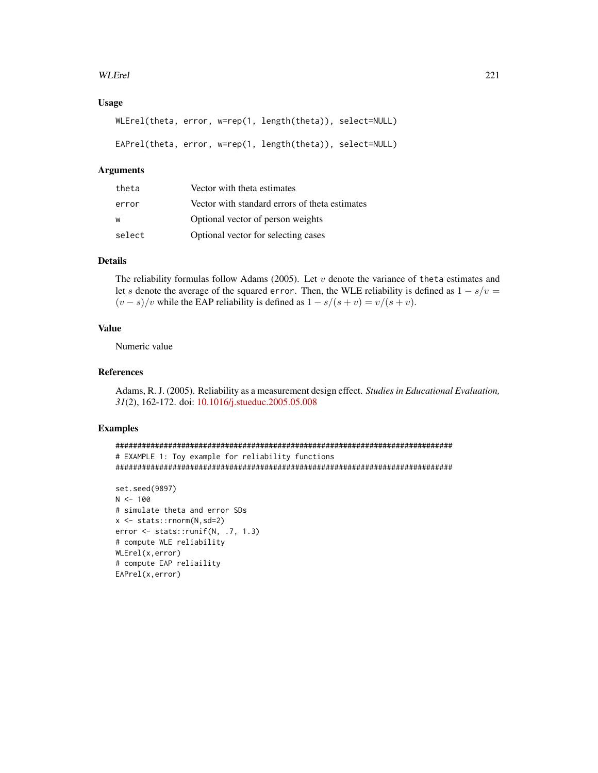## WLErel 221

## Usage

```
WLErel(theta, error, w=rep(1, length(theta)), select=NULL)
EAPrel(theta, error, w=rep(1, length(theta)), select=NULL)
```
#### Arguments

| theta  | Vector with theta estimates                    |
|--------|------------------------------------------------|
| error  | Vector with standard errors of theta estimates |
| W      | Optional vector of person weights              |
| select | Optional vector for selecting cases            |

## Details

The reliability formulas follow Adams (2005). Let  $v$  denote the variance of theta estimates and let s denote the average of the squared error. Then, the WLE reliability is defined as  $1 - s/v =$  $(v - s)/v$  while the EAP reliability is defined as  $1 - s/(s + v) = v/(s + v)$ .

# Value

Numeric value

# References

Adams, R. J. (2005). Reliability as a measurement design effect. *Studies in Educational Evaluation, 31*(2), 162-172. doi: [10.1016/j.stueduc.2005.05.008](https://doi.org/10.1016/j.stueduc.2005.05.008)

#### Examples

```
#############################################################################
# EXAMPLE 1: Toy example for reliability functions
#############################################################################
```

```
set.seed(9897)
N < - 100# simulate theta and error SDs
x <- stats::rnorm(N,sd=2)
error <- stats::runif(N, .7, 1.3)
# compute WLE reliability
WLErel(x,error)
# compute EAP reliaility
EAPrel(x,error)
```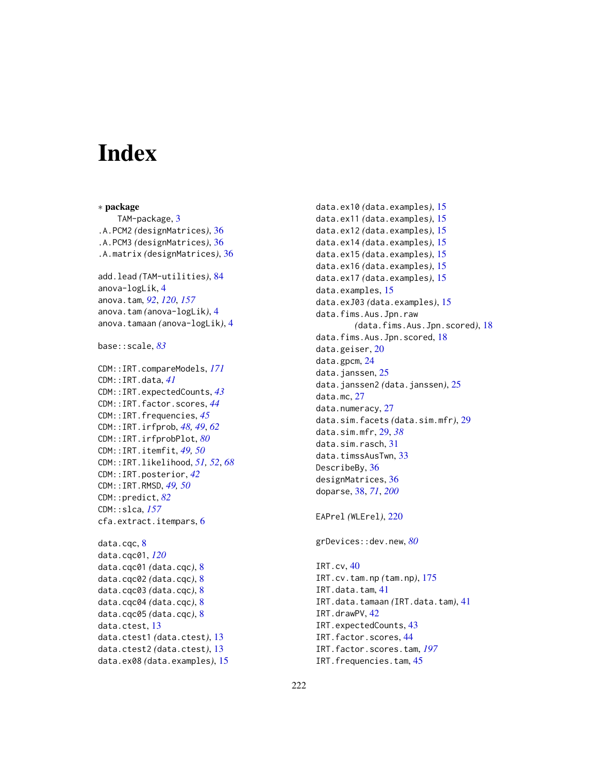# **Index**

∗ package TAM-package, [3](#page-2-0) .A.PCM2 *(*designMatrices*)*, [36](#page-35-0) .A.PCM3 *(*designMatrices*)*, [36](#page-35-0) .A.matrix *(*designMatrices*)*, [36](#page-35-0) add.lead *(*TAM-utilities*)*, [84](#page-83-0) anova-logLik, [4](#page-3-0) anova.tam, *[92](#page-91-0)*, *[120](#page-119-0)*, *[157](#page-156-0)* anova.tam *(*anova-logLik*)*, [4](#page-3-0) anova.tamaan *(*anova-logLik*)*, [4](#page-3-0) base::scale, *[83](#page-82-0)* CDM::IRT.compareModels, *[171](#page-170-0)* CDM::IRT.data, *[41](#page-40-0)* CDM::IRT.expectedCounts, *[43](#page-42-0)* CDM::IRT.factor.scores, *[44](#page-43-0)* CDM::IRT.frequencies, *[45](#page-44-0)* CDM::IRT.irfprob, *[48,](#page-47-0) [49](#page-48-0)*, *[62](#page-61-0)* CDM::IRT.irfprobPlot, *[80](#page-79-0)* CDM::IRT.itemfit, *[49,](#page-48-0) [50](#page-49-0)* CDM::IRT.likelihood, *[51,](#page-50-0) [52](#page-51-0)*, *[68](#page-67-0)* CDM::IRT.posterior, *[42](#page-41-0)* CDM::IRT.RMSD, *[49,](#page-48-0) [50](#page-49-0)* CDM::predict, *[82](#page-81-0)* CDM::slca, *[157](#page-156-0)* cfa.extract.itempars, [6](#page-5-0) data.cqc, [8](#page-7-0) data.cqc01, *[120](#page-119-0)* data.cqc01 *(*data.cqc*)*, [8](#page-7-0) data.cqc02 *(*data.cqc*)*, [8](#page-7-0) data.cqc03 *(*data.cqc*)*, [8](#page-7-0) data.cqc04 *(*data.cqc*)*, [8](#page-7-0) data.cqc05 *(*data.cqc*)*, [8](#page-7-0) data.ctest, [13](#page-12-0) data.ctest1 *(*data.ctest*)*, [13](#page-12-0) data.ctest2 *(*data.ctest*)*, [13](#page-12-0) data.ex08 *(*data.examples*)*, [15](#page-14-0)

data.ex10 *(*data.examples*)*, [15](#page-14-0) data.ex11 *(*data.examples*)*, [15](#page-14-0) data.ex12 *(*data.examples*)*, [15](#page-14-0) data.ex14 *(*data.examples*)*, [15](#page-14-0) data.ex15 *(*data.examples*)*, [15](#page-14-0) data.ex16 *(*data.examples*)*, [15](#page-14-0) data.ex17 *(*data.examples*)*, [15](#page-14-0) data.examples, [15](#page-14-0) data.exJ03 *(*data.examples*)*, [15](#page-14-0) data.fims.Aus.Jpn.raw *(*data.fims.Aus.Jpn.scored*)*, [18](#page-17-0) data.fims.Aus.Jpn.scored, [18](#page-17-0) data.geiser, [20](#page-19-0) data.gpcm, [24](#page-23-0) data.janssen, [25](#page-24-0) data.janssen2 *(*data.janssen*)*, [25](#page-24-0) data.mc, [27](#page-26-0) data.numeracy, [27](#page-26-0) data.sim.facets *(*data.sim.mfr*)*, [29](#page-28-0) data.sim.mfr, [29,](#page-28-0) *[38](#page-37-0)* data.sim.rasch, [31](#page-30-0) data.timssAusTwn, [33](#page-32-0) DescribeBy, [36](#page-35-0) designMatrices, [36](#page-35-0) doparse, [38,](#page-37-0) *[71](#page-70-0)*, *[200](#page-199-0)* EAPrel *(*WLErel*)*, [220](#page-219-0) grDevices::dev.new, *[80](#page-79-0)* IRT.cv, [40](#page-39-0) IRT.cv.tam.np *(*tam.np*)*, [175](#page-174-0)

IRT.data.tam, [41](#page-40-0) IRT.data.tamaan *(*IRT.data.tam*)*, [41](#page-40-0) IRT.drawPV, [42](#page-41-0) IRT.expectedCounts, [43](#page-42-0) IRT.factor.scores, [44](#page-43-0) IRT.factor.scores.tam, *[197](#page-196-0)* IRT.frequencies.tam, [45](#page-44-0)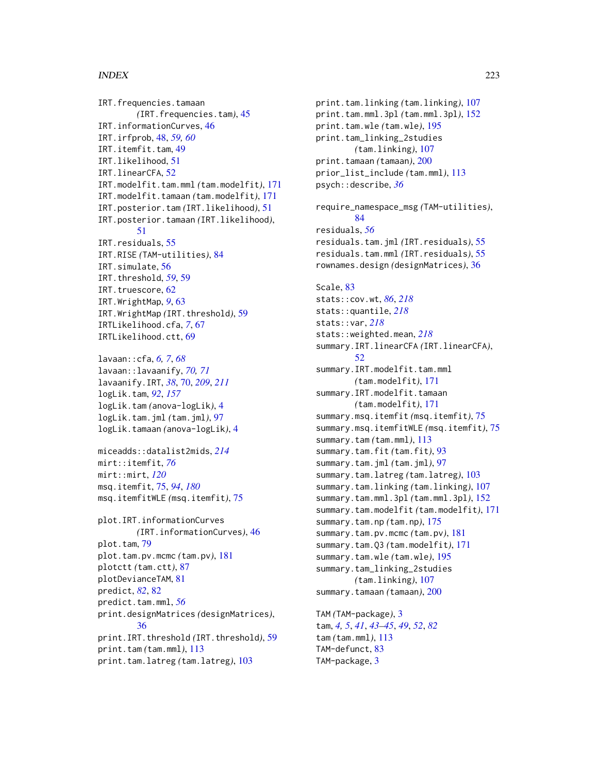#### $I$ NDEX 223

IRT.frequencies.tamaan *(*IRT.frequencies.tam*)*, [45](#page-44-0) IRT.informationCurves, [46](#page-45-0) IRT.irfprob, [48,](#page-47-0) *[59,](#page-58-0) [60](#page-59-0)* IRT.itemfit.tam, [49](#page-48-0) IRT.likelihood, [51](#page-50-0) IRT.linearCFA, [52](#page-51-0) IRT.modelfit.tam.mml *(*tam.modelfit*)*, [171](#page-170-0) IRT.modelfit.tamaan *(*tam.modelfit*)*, [171](#page-170-0) IRT.posterior.tam *(*IRT.likelihood*)*, [51](#page-50-0) IRT.posterior.tamaan *(*IRT.likelihood*)*, [51](#page-50-0) IRT.residuals, [55](#page-54-0) IRT.RISE *(*TAM-utilities*)*, [84](#page-83-0) IRT.simulate, [56](#page-55-0) IRT.threshold, *[59](#page-58-0)*, [59](#page-58-0) IRT.truescore, [62](#page-61-0) IRT.WrightMap, *[9](#page-8-0)*, [63](#page-62-0) IRT.WrightMap *(*IRT.threshold*)*, [59](#page-58-0) IRTLikelihood.cfa, *[7](#page-6-0)*, [67](#page-66-0) IRTLikelihood.ctt, [69](#page-68-0)

lavaan::cfa, *[6,](#page-5-0) [7](#page-6-0)*, *[68](#page-67-0)* lavaan::lavaanify, *[70,](#page-69-0) [71](#page-70-0)* lavaanify.IRT, *[38](#page-37-0)*, [70,](#page-69-0) *[209](#page-208-0)*, *[211](#page-210-0)* logLik.tam, *[92](#page-91-0)*, *[157](#page-156-0)* logLik.tam *(*anova-logLik*)*, [4](#page-3-0) logLik.tam.jml *(*tam.jml*)*, [97](#page-96-0) logLik.tamaan *(*anova-logLik*)*, [4](#page-3-0)

miceadds::datalist2mids, *[214](#page-213-0)* mirt::itemfit, *[76](#page-75-0)* mirt::mirt, *[120](#page-119-0)* msq.itemfit, [75,](#page-74-0) *[94](#page-93-0)*, *[180](#page-179-0)* msq.itemfitWLE *(*msq.itemfit*)*, [75](#page-74-0)

plot.IRT.informationCurves *(*IRT.informationCurves*)*, [46](#page-45-0) plot.tam, [79](#page-78-0) plot.tam.pv.mcmc *(*tam.pv*)*, [181](#page-180-0) plotctt *(*tam.ctt*)*, [87](#page-86-0) plotDevianceTAM, [81](#page-80-0) predict, *[82](#page-81-0)*, [82](#page-81-0) predict.tam.mml, *[56](#page-55-0)* print.designMatrices *(*designMatrices*)*, [36](#page-35-0) print.IRT.threshold *(*IRT.threshold*)*, [59](#page-58-0) print.tam *(*tam.mml*)*, [113](#page-112-0) print.tam.latreg *(*tam.latreg*)*, [103](#page-102-0)

print.tam.linking *(*tam.linking*)*, [107](#page-106-0) print.tam.mml.3pl *(*tam.mml.3pl*)*, [152](#page-151-0) print.tam.wle *(*tam.wle*)*, [195](#page-194-0) print.tam\_linking\_2studies *(*tam.linking*)*, [107](#page-106-0) print.tamaan *(*tamaan*)*, [200](#page-199-0) prior\_list\_include *(*tam.mml*)*, [113](#page-112-0) psych::describe, *[36](#page-35-0)* require\_namespace\_msg *(*TAM-utilities*)*, [84](#page-83-0) residuals, *[56](#page-55-0)* residuals.tam.jml *(*IRT.residuals*)*, [55](#page-54-0) residuals.tam.mml *(*IRT.residuals*)*, [55](#page-54-0) rownames.design *(*designMatrices*)*, [36](#page-35-0) Scale, [83](#page-82-0) stats::cov.wt, *[86](#page-85-0)*, *[218](#page-217-0)* stats::quantile, *[218](#page-217-0)* stats::var, *[218](#page-217-0)* stats::weighted.mean, *[218](#page-217-0)* summary.IRT.linearCFA *(*IRT.linearCFA*)*, [52](#page-51-0) summary.IRT.modelfit.tam.mml *(*tam.modelfit*)*, [171](#page-170-0) summary.IRT.modelfit.tamaan *(*tam.modelfit*)*, [171](#page-170-0) summary.msq.itemfit *(*msq.itemfit*)*, [75](#page-74-0) summary.msq.itemfitWLE *(*msq.itemfit*)*, [75](#page-74-0) summary.tam *(*tam.mml*)*, [113](#page-112-0) summary.tam.fit *(*tam.fit*)*, [93](#page-92-0) summary.tam.jml *(*tam.jml*)*, [97](#page-96-0) summary.tam.latreg *(*tam.latreg*)*, [103](#page-102-0) summary.tam.linking *(*tam.linking*)*, [107](#page-106-0) summary.tam.mml.3pl *(*tam.mml.3pl*)*, [152](#page-151-0) summary.tam.modelfit *(*tam.modelfit*)*, [171](#page-170-0) summary.tam.np *(*tam.np*)*, [175](#page-174-0) summary.tam.pv.mcmc *(*tam.pv*)*, [181](#page-180-0) summary.tam.Q3 *(*tam.modelfit*)*, [171](#page-170-0) summary.tam.wle *(*tam.wle*)*, [195](#page-194-0) summary.tam\_linking\_2studies *(*tam.linking*)*, [107](#page-106-0) summary.tamaan *(*tamaan*)*, [200](#page-199-0) TAM *(*TAM-package*)*, [3](#page-2-0)

tam, *[4,](#page-3-0) [5](#page-4-0)*, *[41](#page-40-0)*, *[43](#page-42-0)[–45](#page-44-0)*, *[49](#page-48-0)*, *[52](#page-51-0)*, *[82](#page-81-0)* tam *(*tam.mml*)*, [113](#page-112-0) TAM-defunct, [83](#page-82-0) TAM-package, [3](#page-2-0)